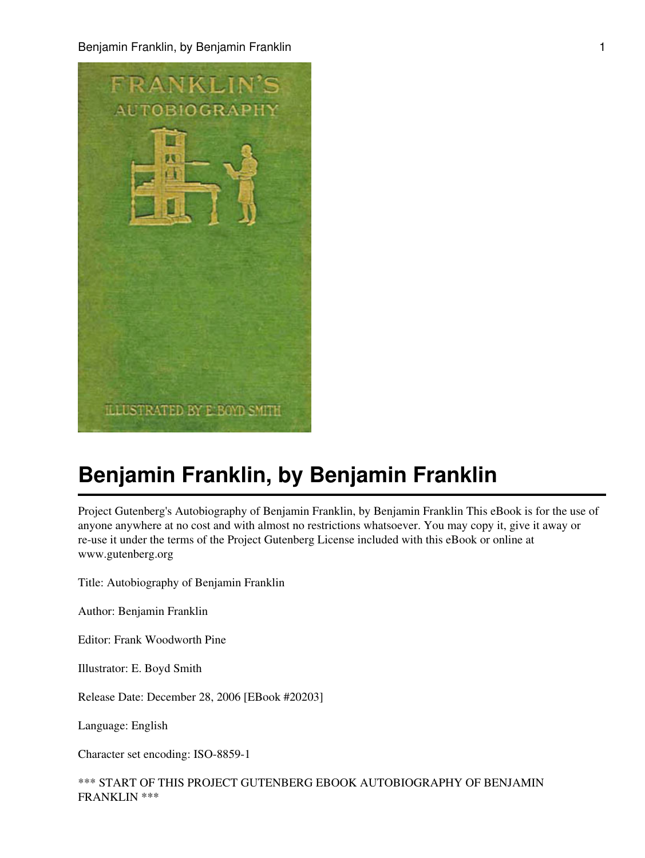Benjamin Franklin, by Benjamin Franklin 1988 (1989) and 1989 (1989) and 1989 (1989) and 1989 (1989) and 1989 (1



# **Benjamin Franklin, by Benjamin Franklin**

Project Gutenberg's Autobiography of Benjamin Franklin, by Benjamin Franklin This eBook is for the use of anyone anywhere at no cost and with almost no restrictions whatsoever. You may copy it, give it away or re-use it under the terms of the Project Gutenberg License included with this eBook or online at www.gutenberg.org

Title: Autobiography of Benjamin Franklin

Author: Benjamin Franklin

Editor: Frank Woodworth Pine

Illustrator: E. Boyd Smith

Release Date: December 28, 2006 [EBook #20203]

Language: English

Character set encoding: ISO-8859-1

\*\*\* START OF THIS PROJECT GUTENBERG EBOOK AUTOBIOGRAPHY OF BENJAMIN FRANKLIN \*\*\*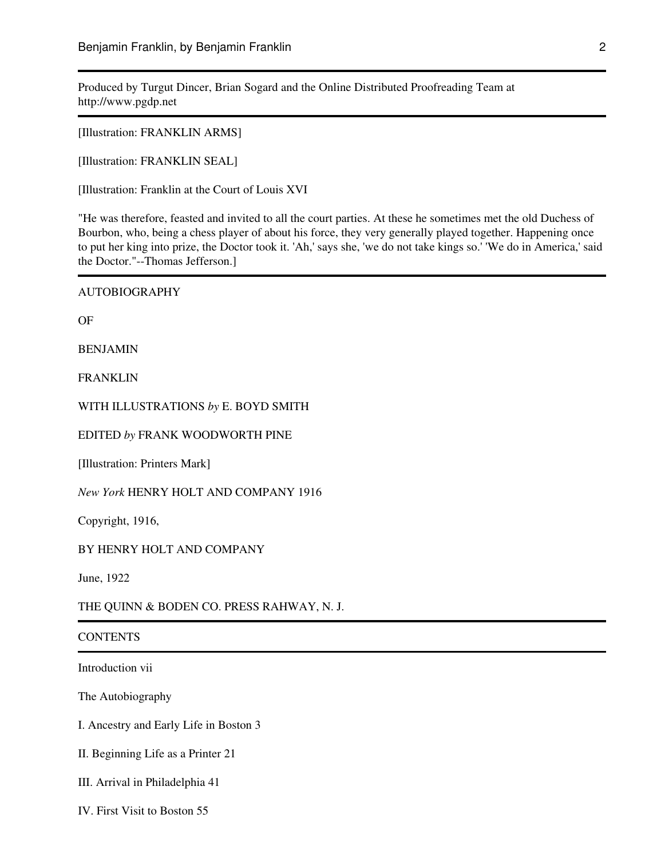Produced by Turgut Dincer, Brian Sogard and the Online Distributed Proofreading Team at http://www.pgdp.net

[Illustration: FRANKLIN ARMS]

[Illustration: FRANKLIN SEAL]

[Illustration: Franklin at the Court of Louis XVI

"He was therefore, feasted and invited to all the court parties. At these he sometimes met the old Duchess of Bourbon, who, being a chess player of about his force, they very generally played together. Happening once to put her king into prize, the Doctor took it. 'Ah,' says she, 'we do not take kings so.' 'We do in America,' said the Doctor."--Thomas Jefferson.]

AUTOBIOGRAPHY

OF

BENJAMIN

FRANKLIN

WITH ILLUSTRATIONS *by* E. BOYD SMITH

EDITED *by* FRANK WOODWORTH PINE

[Illustration: Printers Mark]

*New York* HENRY HOLT AND COMPANY 1916

Copyright, 1916,

BY HENRY HOLT AND COMPANY

June, 1922

THE QUINN & BODEN CO. PRESS RAHWAY, N. J.

#### **CONTENTS**

Introduction vii

The Autobiography

I. Ancestry and Early Life in Boston 3

II. Beginning Life as a Printer 21

III. Arrival in Philadelphia 41

IV. First Visit to Boston 55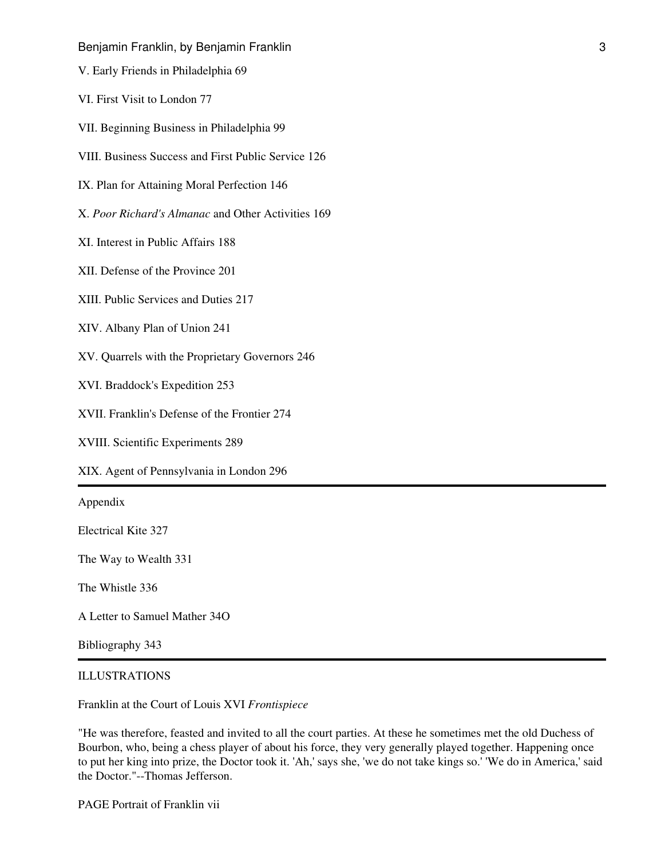V. Early Friends in Philadelphia 69

VI. First Visit to London 77

VII. Beginning Business in Philadelphia 99

VIII. Business Success and First Public Service 126

IX. Plan for Attaining Moral Perfection 146

X. *Poor Richard's Almanac* and Other Activities 169

XI. Interest in Public Affairs 188

XII. Defense of the Province 201

XIII. Public Services and Duties 217

XIV. Albany Plan of Union 241

XV. Quarrels with the Proprietary Governors 246

XVI. Braddock's Expedition 253

XVII. Franklin's Defense of the Frontier 274

XVIII. Scientific Experiments 289

XIX. Agent of Pennsylvania in London 296

Appendix

Electrical Kite 327

The Way to Wealth 331

The Whistle 336

A Letter to Samuel Mather 34O

Bibliography 343

#### ILLUSTRATIONS

Franklin at the Court of Louis XVI *Frontispiece*

"He was therefore, feasted and invited to all the court parties. At these he sometimes met the old Duchess of Bourbon, who, being a chess player of about his force, they very generally played together. Happening once to put her king into prize, the Doctor took it. 'Ah,' says she, 'we do not take kings so.' 'We do in America,' said the Doctor."--Thomas Jefferson.

PAGE Portrait of Franklin vii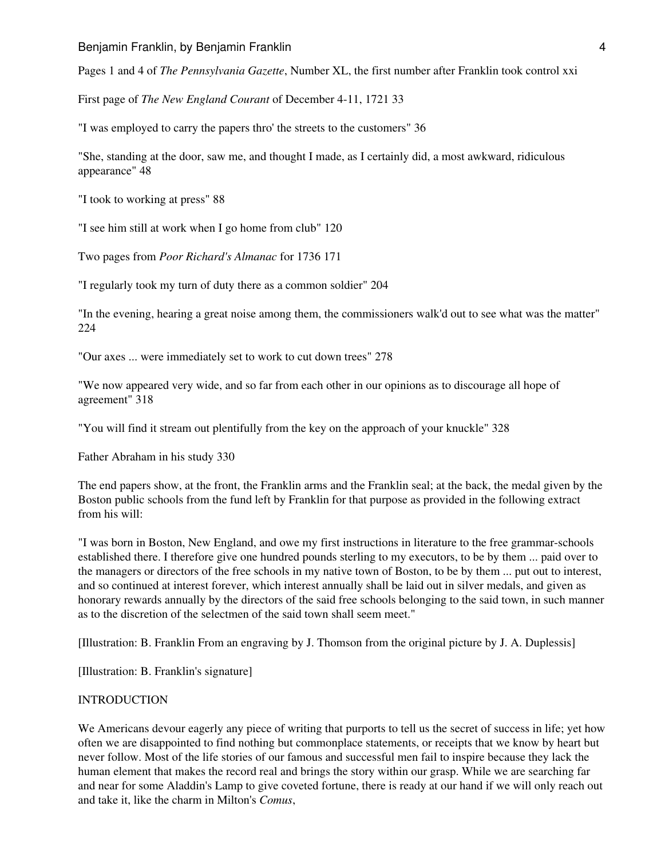Pages 1 and 4 of *The Pennsylvania Gazette*, Number XL, the first number after Franklin took control xxi

First page of *The New England Courant* of December 4-11, 1721 33

"I was employed to carry the papers thro' the streets to the customers" 36

"She, standing at the door, saw me, and thought I made, as I certainly did, a most awkward, ridiculous appearance" 48

"I took to working at press" 88

"I see him still at work when I go home from club" 120

Two pages from *Poor Richard's Almanac* for 1736 171

"I regularly took my turn of duty there as a common soldier" 204

"In the evening, hearing a great noise among them, the commissioners walk'd out to see what was the matter" 224

"Our axes ... were immediately set to work to cut down trees" 278

"We now appeared very wide, and so far from each other in our opinions as to discourage all hope of agreement" 318

"You will find it stream out plentifully from the key on the approach of your knuckle" 328

Father Abraham in his study 330

The end papers show, at the front, the Franklin arms and the Franklin seal; at the back, the medal given by the Boston public schools from the fund left by Franklin for that purpose as provided in the following extract from his will:

"I was born in Boston, New England, and owe my first instructions in literature to the free grammar-schools established there. I therefore give one hundred pounds sterling to my executors, to be by them ... paid over to the managers or directors of the free schools in my native town of Boston, to be by them ... put out to interest, and so continued at interest forever, which interest annually shall be laid out in silver medals, and given as honorary rewards annually by the directors of the said free schools belonging to the said town, in such manner as to the discretion of the selectmen of the said town shall seem meet."

[Illustration: B. Franklin From an engraving by J. Thomson from the original picture by J. A. Duplessis]

[Illustration: B. Franklin's signature]

#### **INTRODUCTION**

We Americans devour eagerly any piece of writing that purports to tell us the secret of success in life; yet how often we are disappointed to find nothing but commonplace statements, or receipts that we know by heart but never follow. Most of the life stories of our famous and successful men fail to inspire because they lack the human element that makes the record real and brings the story within our grasp. While we are searching far and near for some Aladdin's Lamp to give coveted fortune, there is ready at our hand if we will only reach out and take it, like the charm in Milton's *Comus*,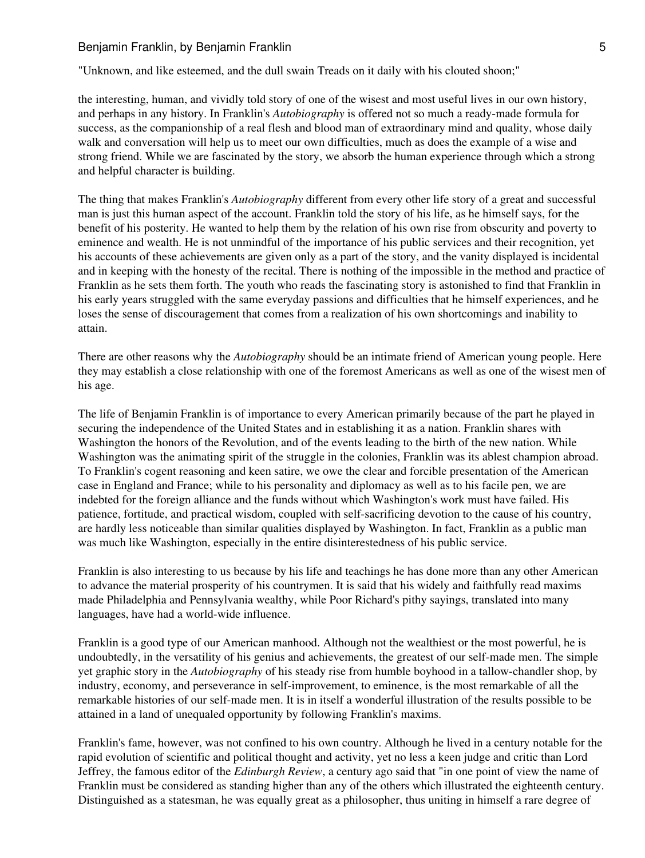"Unknown, and like esteemed, and the dull swain Treads on it daily with his clouted shoon;"

the interesting, human, and vividly told story of one of the wisest and most useful lives in our own history, and perhaps in any history. In Franklin's *Autobiography* is offered not so much a ready-made formula for success, as the companionship of a real flesh and blood man of extraordinary mind and quality, whose daily walk and conversation will help us to meet our own difficulties, much as does the example of a wise and strong friend. While we are fascinated by the story, we absorb the human experience through which a strong and helpful character is building.

The thing that makes Franklin's *Autobiography* different from every other life story of a great and successful man is just this human aspect of the account. Franklin told the story of his life, as he himself says, for the benefit of his posterity. He wanted to help them by the relation of his own rise from obscurity and poverty to eminence and wealth. He is not unmindful of the importance of his public services and their recognition, yet his accounts of these achievements are given only as a part of the story, and the vanity displayed is incidental and in keeping with the honesty of the recital. There is nothing of the impossible in the method and practice of Franklin as he sets them forth. The youth who reads the fascinating story is astonished to find that Franklin in his early years struggled with the same everyday passions and difficulties that he himself experiences, and he loses the sense of discouragement that comes from a realization of his own shortcomings and inability to attain.

There are other reasons why the *Autobiography* should be an intimate friend of American young people. Here they may establish a close relationship with one of the foremost Americans as well as one of the wisest men of his age.

The life of Benjamin Franklin is of importance to every American primarily because of the part he played in securing the independence of the United States and in establishing it as a nation. Franklin shares with Washington the honors of the Revolution, and of the events leading to the birth of the new nation. While Washington was the animating spirit of the struggle in the colonies, Franklin was its ablest champion abroad. To Franklin's cogent reasoning and keen satire, we owe the clear and forcible presentation of the American case in England and France; while to his personality and diplomacy as well as to his facile pen, we are indebted for the foreign alliance and the funds without which Washington's work must have failed. His patience, fortitude, and practical wisdom, coupled with self-sacrificing devotion to the cause of his country, are hardly less noticeable than similar qualities displayed by Washington. In fact, Franklin as a public man was much like Washington, especially in the entire disinterestedness of his public service.

Franklin is also interesting to us because by his life and teachings he has done more than any other American to advance the material prosperity of his countrymen. It is said that his widely and faithfully read maxims made Philadelphia and Pennsylvania wealthy, while Poor Richard's pithy sayings, translated into many languages, have had a world-wide influence.

Franklin is a good type of our American manhood. Although not the wealthiest or the most powerful, he is undoubtedly, in the versatility of his genius and achievements, the greatest of our self-made men. The simple yet graphic story in the *Autobiography* of his steady rise from humble boyhood in a tallow-chandler shop, by industry, economy, and perseverance in self-improvement, to eminence, is the most remarkable of all the remarkable histories of our self-made men. It is in itself a wonderful illustration of the results possible to be attained in a land of unequaled opportunity by following Franklin's maxims.

Franklin's fame, however, was not confined to his own country. Although he lived in a century notable for the rapid evolution of scientific and political thought and activity, yet no less a keen judge and critic than Lord Jeffrey, the famous editor of the *Edinburgh Review*, a century ago said that "in one point of view the name of Franklin must be considered as standing higher than any of the others which illustrated the eighteenth century. Distinguished as a statesman, he was equally great as a philosopher, thus uniting in himself a rare degree of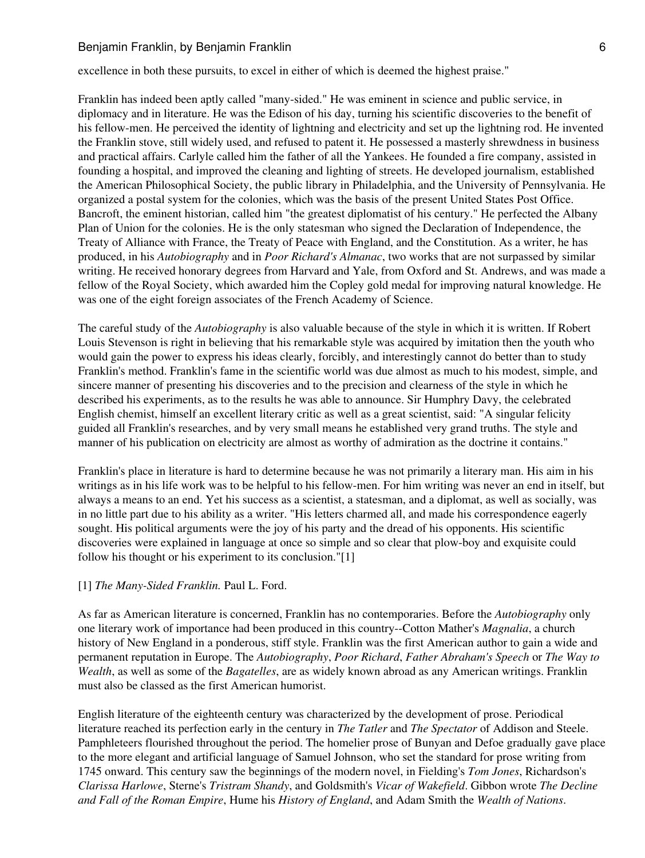#### Benjamin Franklin, by Benjamin Franklin 6 and 1997 and 1997 and 1997 and 1998 and 1997 6 and 1997 6 and 1997 6

excellence in both these pursuits, to excel in either of which is deemed the highest praise."

Franklin has indeed been aptly called "many-sided." He was eminent in science and public service, in diplomacy and in literature. He was the Edison of his day, turning his scientific discoveries to the benefit of his fellow-men. He perceived the identity of lightning and electricity and set up the lightning rod. He invented the Franklin stove, still widely used, and refused to patent it. He possessed a masterly shrewdness in business and practical affairs. Carlyle called him the father of all the Yankees. He founded a fire company, assisted in founding a hospital, and improved the cleaning and lighting of streets. He developed journalism, established the American Philosophical Society, the public library in Philadelphia, and the University of Pennsylvania. He organized a postal system for the colonies, which was the basis of the present United States Post Office. Bancroft, the eminent historian, called him "the greatest diplomatist of his century." He perfected the Albany Plan of Union for the colonies. He is the only statesman who signed the Declaration of Independence, the Treaty of Alliance with France, the Treaty of Peace with England, and the Constitution. As a writer, he has produced, in his *Autobiography* and in *Poor Richard's Almanac*, two works that are not surpassed by similar writing. He received honorary degrees from Harvard and Yale, from Oxford and St. Andrews, and was made a fellow of the Royal Society, which awarded him the Copley gold medal for improving natural knowledge. He was one of the eight foreign associates of the French Academy of Science.

The careful study of the *Autobiography* is also valuable because of the style in which it is written. If Robert Louis Stevenson is right in believing that his remarkable style was acquired by imitation then the youth who would gain the power to express his ideas clearly, forcibly, and interestingly cannot do better than to study Franklin's method. Franklin's fame in the scientific world was due almost as much to his modest, simple, and sincere manner of presenting his discoveries and to the precision and clearness of the style in which he described his experiments, as to the results he was able to announce. Sir Humphry Davy, the celebrated English chemist, himself an excellent literary critic as well as a great scientist, said: "A singular felicity guided all Franklin's researches, and by very small means he established very grand truths. The style and manner of his publication on electricity are almost as worthy of admiration as the doctrine it contains."

Franklin's place in literature is hard to determine because he was not primarily a literary man. His aim in his writings as in his life work was to be helpful to his fellow-men. For him writing was never an end in itself, but always a means to an end. Yet his success as a scientist, a statesman, and a diplomat, as well as socially, was in no little part due to his ability as a writer. "His letters charmed all, and made his correspondence eagerly sought. His political arguments were the joy of his party and the dread of his opponents. His scientific discoveries were explained in language at once so simple and so clear that plow-boy and exquisite could follow his thought or his experiment to its conclusion."[1]

#### [1] *The Many-Sided Franklin.* Paul L. Ford.

As far as American literature is concerned, Franklin has no contemporaries. Before the *Autobiography* only one literary work of importance had been produced in this country--Cotton Mather's *Magnalia*, a church history of New England in a ponderous, stiff style. Franklin was the first American author to gain a wide and permanent reputation in Europe. The *Autobiography*, *Poor Richard*, *Father Abraham's Speech* or *The Way to Wealth*, as well as some of the *Bagatelles*, are as widely known abroad as any American writings. Franklin must also be classed as the first American humorist.

English literature of the eighteenth century was characterized by the development of prose. Periodical literature reached its perfection early in the century in *The Tatler* and *The Spectator* of Addison and Steele. Pamphleteers flourished throughout the period. The homelier prose of Bunyan and Defoe gradually gave place to the more elegant and artificial language of Samuel Johnson, who set the standard for prose writing from 1745 onward. This century saw the beginnings of the modern novel, in Fielding's *Tom Jones*, Richardson's *Clarissa Harlowe*, Sterne's *Tristram Shandy*, and Goldsmith's *Vicar of Wakefield*. Gibbon wrote *The Decline and Fall of the Roman Empire*, Hume his *History of England*, and Adam Smith the *Wealth of Nations*.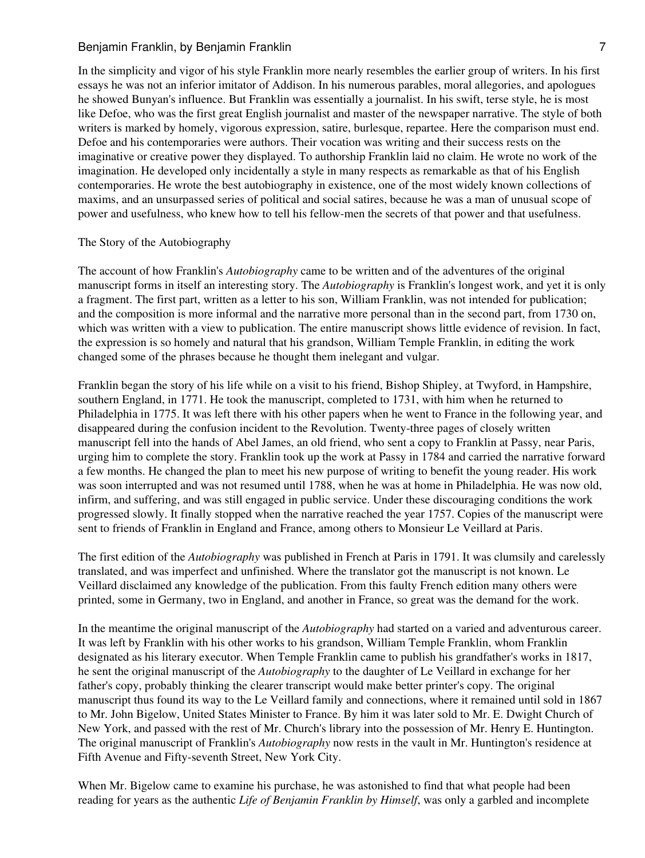In the simplicity and vigor of his style Franklin more nearly resembles the earlier group of writers. In his first essays he was not an inferior imitator of Addison. In his numerous parables, moral allegories, and apologues he showed Bunyan's influence. But Franklin was essentially a journalist. In his swift, terse style, he is most like Defoe, who was the first great English journalist and master of the newspaper narrative. The style of both writers is marked by homely, vigorous expression, satire, burlesque, repartee. Here the comparison must end. Defoe and his contemporaries were authors. Their vocation was writing and their success rests on the imaginative or creative power they displayed. To authorship Franklin laid no claim. He wrote no work of the imagination. He developed only incidentally a style in many respects as remarkable as that of his English contemporaries. He wrote the best autobiography in existence, one of the most widely known collections of maxims, and an unsurpassed series of political and social satires, because he was a man of unusual scope of power and usefulness, who knew how to tell his fellow-men the secrets of that power and that usefulness.

#### The Story of the Autobiography

The account of how Franklin's *Autobiography* came to be written and of the adventures of the original manuscript forms in itself an interesting story. The *Autobiography* is Franklin's longest work, and yet it is only a fragment. The first part, written as a letter to his son, William Franklin, was not intended for publication; and the composition is more informal and the narrative more personal than in the second part, from 1730 on, which was written with a view to publication. The entire manuscript shows little evidence of revision. In fact, the expression is so homely and natural that his grandson, William Temple Franklin, in editing the work changed some of the phrases because he thought them inelegant and vulgar.

Franklin began the story of his life while on a visit to his friend, Bishop Shipley, at Twyford, in Hampshire, southern England, in 1771. He took the manuscript, completed to 1731, with him when he returned to Philadelphia in 1775. It was left there with his other papers when he went to France in the following year, and disappeared during the confusion incident to the Revolution. Twenty-three pages of closely written manuscript fell into the hands of Abel James, an old friend, who sent a copy to Franklin at Passy, near Paris, urging him to complete the story. Franklin took up the work at Passy in 1784 and carried the narrative forward a few months. He changed the plan to meet his new purpose of writing to benefit the young reader. His work was soon interrupted and was not resumed until 1788, when he was at home in Philadelphia. He was now old, infirm, and suffering, and was still engaged in public service. Under these discouraging conditions the work progressed slowly. It finally stopped when the narrative reached the year 1757. Copies of the manuscript were sent to friends of Franklin in England and France, among others to Monsieur Le Veillard at Paris.

The first edition of the *Autobiography* was published in French at Paris in 1791. It was clumsily and carelessly translated, and was imperfect and unfinished. Where the translator got the manuscript is not known. Le Veillard disclaimed any knowledge of the publication. From this faulty French edition many others were printed, some in Germany, two in England, and another in France, so great was the demand for the work.

In the meantime the original manuscript of the *Autobiography* had started on a varied and adventurous career. It was left by Franklin with his other works to his grandson, William Temple Franklin, whom Franklin designated as his literary executor. When Temple Franklin came to publish his grandfather's works in 1817, he sent the original manuscript of the *Autobiography* to the daughter of Le Veillard in exchange for her father's copy, probably thinking the clearer transcript would make better printer's copy. The original manuscript thus found its way to the Le Veillard family and connections, where it remained until sold in 1867 to Mr. John Bigelow, United States Minister to France. By him it was later sold to Mr. E. Dwight Church of New York, and passed with the rest of Mr. Church's library into the possession of Mr. Henry E. Huntington. The original manuscript of Franklin's *Autobiography* now rests in the vault in Mr. Huntington's residence at Fifth Avenue and Fifty-seventh Street, New York City.

When Mr. Bigelow came to examine his purchase, he was astonished to find that what people had been reading for years as the authentic *Life of Benjamin Franklin by Himself*, was only a garbled and incomplete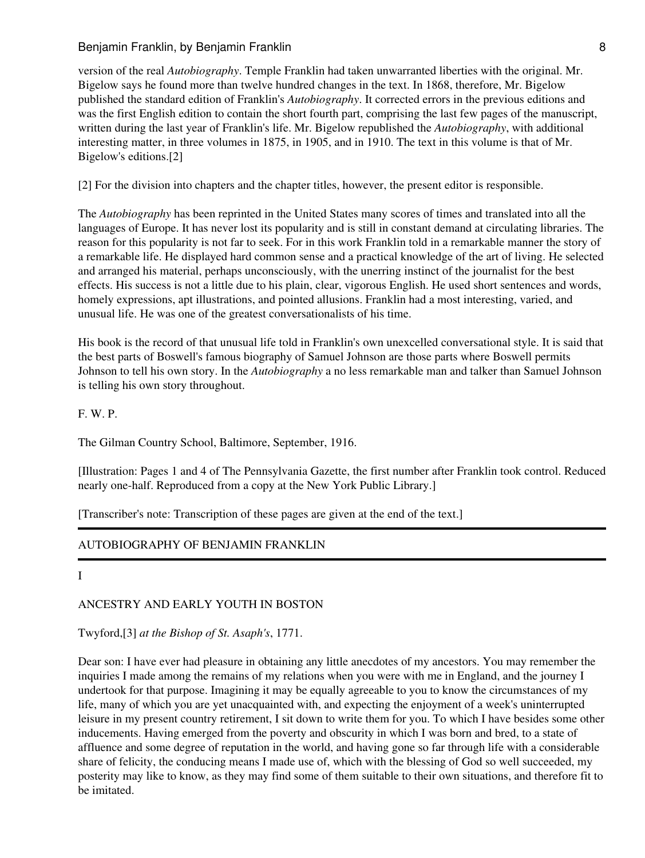# Benjamin Franklin, by Benjamin Franklin 88 and 1978 and 1978 and 1978 and 1978 and 1988 and 1988 and 1988 and 1

version of the real *Autobiography*. Temple Franklin had taken unwarranted liberties with the original. Mr. Bigelow says he found more than twelve hundred changes in the text. In 1868, therefore, Mr. Bigelow published the standard edition of Franklin's *Autobiography*. It corrected errors in the previous editions and was the first English edition to contain the short fourth part, comprising the last few pages of the manuscript, written during the last year of Franklin's life. Mr. Bigelow republished the *Autobiography*, with additional interesting matter, in three volumes in 1875, in 1905, and in 1910. The text in this volume is that of Mr. Bigelow's editions.[2]

[2] For the division into chapters and the chapter titles, however, the present editor is responsible.

The *Autobiography* has been reprinted in the United States many scores of times and translated into all the languages of Europe. It has never lost its popularity and is still in constant demand at circulating libraries. The reason for this popularity is not far to seek. For in this work Franklin told in a remarkable manner the story of a remarkable life. He displayed hard common sense and a practical knowledge of the art of living. He selected and arranged his material, perhaps unconsciously, with the unerring instinct of the journalist for the best effects. His success is not a little due to his plain, clear, vigorous English. He used short sentences and words, homely expressions, apt illustrations, and pointed allusions. Franklin had a most interesting, varied, and unusual life. He was one of the greatest conversationalists of his time.

His book is the record of that unusual life told in Franklin's own unexcelled conversational style. It is said that the best parts of Boswell's famous biography of Samuel Johnson are those parts where Boswell permits Johnson to tell his own story. In the *Autobiography* a no less remarkable man and talker than Samuel Johnson is telling his own story throughout.

F. W. P.

The Gilman Country School, Baltimore, September, 1916.

[Illustration: Pages 1 and 4 of The Pennsylvania Gazette, the first number after Franklin took control. Reduced nearly one-half. Reproduced from a copy at the New York Public Library.]

[Transcriber's note: Transcription of these pages are given at the end of the text.]

# AUTOBIOGRAPHY OF BENJAMIN FRANKLIN

I

# ANCESTRY AND EARLY YOUTH IN BOSTON

Twyford,[3] *at the Bishop of St. Asaph's*, 1771.

Dear son: I have ever had pleasure in obtaining any little anecdotes of my ancestors. You may remember the inquiries I made among the remains of my relations when you were with me in England, and the journey I undertook for that purpose. Imagining it may be equally agreeable to you to know the circumstances of my life, many of which you are yet unacquainted with, and expecting the enjoyment of a week's uninterrupted leisure in my present country retirement, I sit down to write them for you. To which I have besides some other inducements. Having emerged from the poverty and obscurity in which I was born and bred, to a state of affluence and some degree of reputation in the world, and having gone so far through life with a considerable share of felicity, the conducing means I made use of, which with the blessing of God so well succeeded, my posterity may like to know, as they may find some of them suitable to their own situations, and therefore fit to be imitated.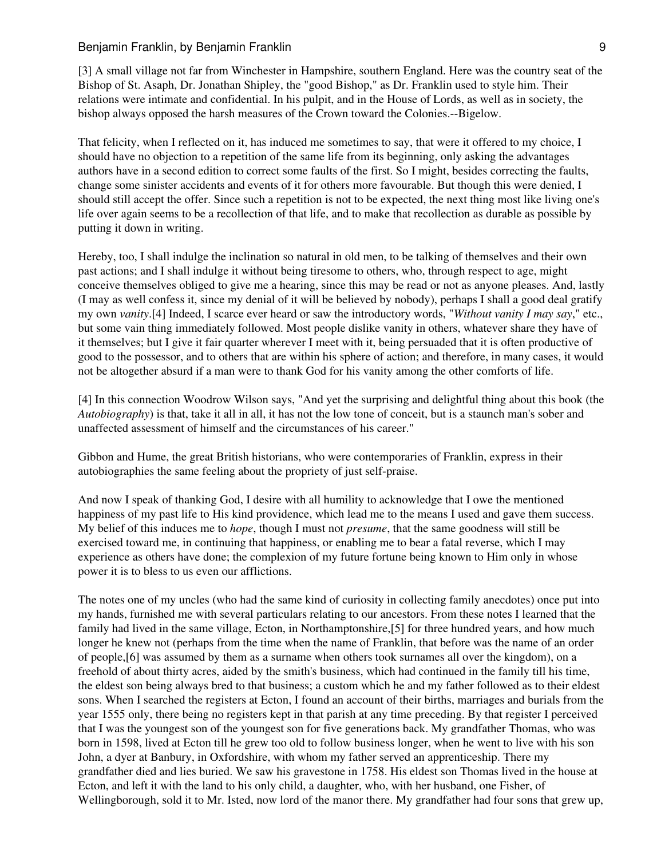#### Benjamin Franklin, by Benjamin Franklin 9 and 1998 and 1998 and 1999 and 1999 and 1999 and 1999 and 1999 and 1

[3] A small village not far from Winchester in Hampshire, southern England. Here was the country seat of the Bishop of St. Asaph, Dr. Jonathan Shipley, the "good Bishop," as Dr. Franklin used to style him. Their relations were intimate and confidential. In his pulpit, and in the House of Lords, as well as in society, the bishop always opposed the harsh measures of the Crown toward the Colonies.--Bigelow.

That felicity, when I reflected on it, has induced me sometimes to say, that were it offered to my choice, I should have no objection to a repetition of the same life from its beginning, only asking the advantages authors have in a second edition to correct some faults of the first. So I might, besides correcting the faults, change some sinister accidents and events of it for others more favourable. But though this were denied, I should still accept the offer. Since such a repetition is not to be expected, the next thing most like living one's life over again seems to be a recollection of that life, and to make that recollection as durable as possible by putting it down in writing.

Hereby, too, I shall indulge the inclination so natural in old men, to be talking of themselves and their own past actions; and I shall indulge it without being tiresome to others, who, through respect to age, might conceive themselves obliged to give me a hearing, since this may be read or not as anyone pleases. And, lastly (I may as well confess it, since my denial of it will be believed by nobody), perhaps I shall a good deal gratify my own *vanity*.[4] Indeed, I scarce ever heard or saw the introductory words, "*Without vanity I may say*," etc., but some vain thing immediately followed. Most people dislike vanity in others, whatever share they have of it themselves; but I give it fair quarter wherever I meet with it, being persuaded that it is often productive of good to the possessor, and to others that are within his sphere of action; and therefore, in many cases, it would not be altogether absurd if a man were to thank God for his vanity among the other comforts of life.

[4] In this connection Woodrow Wilson says, "And yet the surprising and delightful thing about this book (the *Autobiography*) is that, take it all in all, it has not the low tone of conceit, but is a staunch man's sober and unaffected assessment of himself and the circumstances of his career."

Gibbon and Hume, the great British historians, who were contemporaries of Franklin, express in their autobiographies the same feeling about the propriety of just self-praise.

And now I speak of thanking God, I desire with all humility to acknowledge that I owe the mentioned happiness of my past life to His kind providence, which lead me to the means I used and gave them success. My belief of this induces me to *hope*, though I must not *presume*, that the same goodness will still be exercised toward me, in continuing that happiness, or enabling me to bear a fatal reverse, which I may experience as others have done; the complexion of my future fortune being known to Him only in whose power it is to bless to us even our afflictions.

The notes one of my uncles (who had the same kind of curiosity in collecting family anecdotes) once put into my hands, furnished me with several particulars relating to our ancestors. From these notes I learned that the family had lived in the same village, Ecton, in Northamptonshire,[5] for three hundred years, and how much longer he knew not (perhaps from the time when the name of Franklin, that before was the name of an order of people,[6] was assumed by them as a surname when others took surnames all over the kingdom), on a freehold of about thirty acres, aided by the smith's business, which had continued in the family till his time, the eldest son being always bred to that business; a custom which he and my father followed as to their eldest sons. When I searched the registers at Ecton, I found an account of their births, marriages and burials from the year 1555 only, there being no registers kept in that parish at any time preceding. By that register I perceived that I was the youngest son of the youngest son for five generations back. My grandfather Thomas, who was born in 1598, lived at Ecton till he grew too old to follow business longer, when he went to live with his son John, a dyer at Banbury, in Oxfordshire, with whom my father served an apprenticeship. There my grandfather died and lies buried. We saw his gravestone in 1758. His eldest son Thomas lived in the house at Ecton, and left it with the land to his only child, a daughter, who, with her husband, one Fisher, of Wellingborough, sold it to Mr. Isted, now lord of the manor there. My grandfather had four sons that grew up,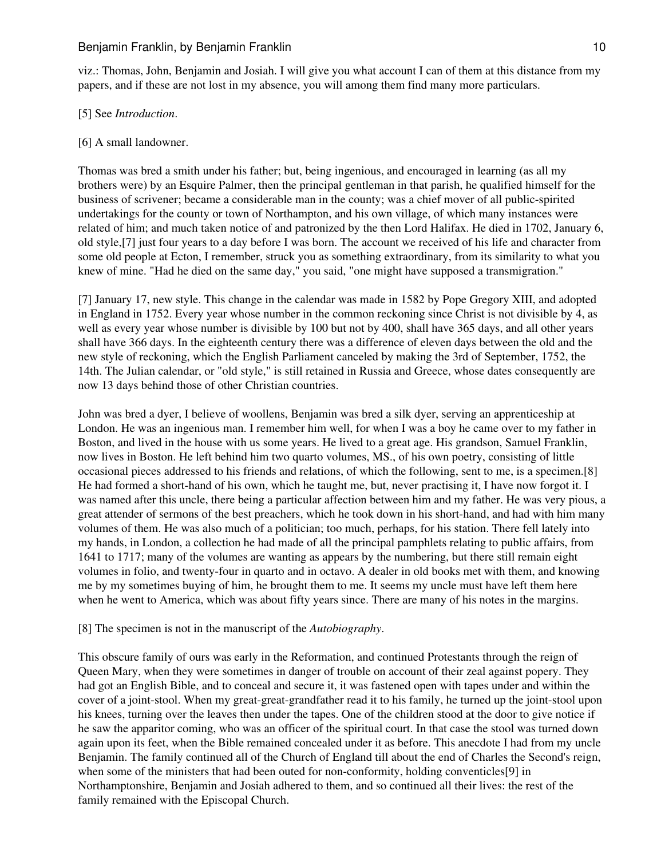## Benjamin Franklin, by Benjamin Franklin 10 and 10 and 10 and 10 and 10 and 10 and 10 and 10 and 10 and 10 and 10 and 10 and 10 and 10 and 10 and 10 and 10 and 10 and 10 and 10 and 10 and 10 and 10 and 10 and 10 and 10 and

viz.: Thomas, John, Benjamin and Josiah. I will give you what account I can of them at this distance from my papers, and if these are not lost in my absence, you will among them find many more particulars.

## [5] See *Introduction*.

## [6] A small landowner.

Thomas was bred a smith under his father; but, being ingenious, and encouraged in learning (as all my brothers were) by an Esquire Palmer, then the principal gentleman in that parish, he qualified himself for the business of scrivener; became a considerable man in the county; was a chief mover of all public-spirited undertakings for the county or town of Northampton, and his own village, of which many instances were related of him; and much taken notice of and patronized by the then Lord Halifax. He died in 1702, January 6, old style,[7] just four years to a day before I was born. The account we received of his life and character from some old people at Ecton, I remember, struck you as something extraordinary, from its similarity to what you knew of mine. "Had he died on the same day," you said, "one might have supposed a transmigration."

[7] January 17, new style. This change in the calendar was made in 1582 by Pope Gregory XIII, and adopted in England in 1752. Every year whose number in the common reckoning since Christ is not divisible by 4, as well as every year whose number is divisible by 100 but not by 400, shall have 365 days, and all other years shall have 366 days. In the eighteenth century there was a difference of eleven days between the old and the new style of reckoning, which the English Parliament canceled by making the 3rd of September, 1752, the 14th. The Julian calendar, or "old style," is still retained in Russia and Greece, whose dates consequently are now 13 days behind those of other Christian countries.

John was bred a dyer, I believe of woollens, Benjamin was bred a silk dyer, serving an apprenticeship at London. He was an ingenious man. I remember him well, for when I was a boy he came over to my father in Boston, and lived in the house with us some years. He lived to a great age. His grandson, Samuel Franklin, now lives in Boston. He left behind him two quarto volumes, MS., of his own poetry, consisting of little occasional pieces addressed to his friends and relations, of which the following, sent to me, is a specimen.[8] He had formed a short-hand of his own, which he taught me, but, never practising it, I have now forgot it. I was named after this uncle, there being a particular affection between him and my father. He was very pious, a great attender of sermons of the best preachers, which he took down in his short-hand, and had with him many volumes of them. He was also much of a politician; too much, perhaps, for his station. There fell lately into my hands, in London, a collection he had made of all the principal pamphlets relating to public affairs, from 1641 to 1717; many of the volumes are wanting as appears by the numbering, but there still remain eight volumes in folio, and twenty-four in quarto and in octavo. A dealer in old books met with them, and knowing me by my sometimes buying of him, he brought them to me. It seems my uncle must have left them here when he went to America, which was about fifty years since. There are many of his notes in the margins.

## [8] The specimen is not in the manuscript of the *Autobiography*.

This obscure family of ours was early in the Reformation, and continued Protestants through the reign of Queen Mary, when they were sometimes in danger of trouble on account of their zeal against popery. They had got an English Bible, and to conceal and secure it, it was fastened open with tapes under and within the cover of a joint-stool. When my great-great-grandfather read it to his family, he turned up the joint-stool upon his knees, turning over the leaves then under the tapes. One of the children stood at the door to give notice if he saw the apparitor coming, who was an officer of the spiritual court. In that case the stool was turned down again upon its feet, when the Bible remained concealed under it as before. This anecdote I had from my uncle Benjamin. The family continued all of the Church of England till about the end of Charles the Second's reign, when some of the ministers that had been outed for non-conformity, holding conventicles[9] in Northamptonshire, Benjamin and Josiah adhered to them, and so continued all their lives: the rest of the family remained with the Episcopal Church.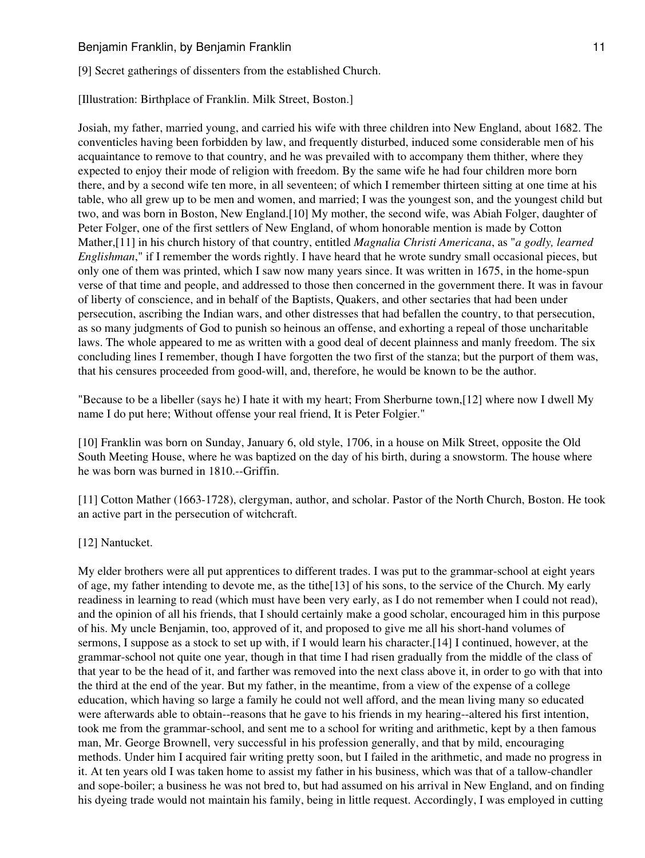[9] Secret gatherings of dissenters from the established Church.

[Illustration: Birthplace of Franklin. Milk Street, Boston.]

Josiah, my father, married young, and carried his wife with three children into New England, about 1682. The conventicles having been forbidden by law, and frequently disturbed, induced some considerable men of his acquaintance to remove to that country, and he was prevailed with to accompany them thither, where they expected to enjoy their mode of religion with freedom. By the same wife he had four children more born there, and by a second wife ten more, in all seventeen; of which I remember thirteen sitting at one time at his table, who all grew up to be men and women, and married; I was the youngest son, and the youngest child but two, and was born in Boston, New England.[10] My mother, the second wife, was Abiah Folger, daughter of Peter Folger, one of the first settlers of New England, of whom honorable mention is made by Cotton Mather,[11] in his church history of that country, entitled *Magnalia Christi Americana*, as "*a godly, learned Englishman*," if I remember the words rightly. I have heard that he wrote sundry small occasional pieces, but only one of them was printed, which I saw now many years since. It was written in 1675, in the home-spun verse of that time and people, and addressed to those then concerned in the government there. It was in favour of liberty of conscience, and in behalf of the Baptists, Quakers, and other sectaries that had been under persecution, ascribing the Indian wars, and other distresses that had befallen the country, to that persecution, as so many judgments of God to punish so heinous an offense, and exhorting a repeal of those uncharitable laws. The whole appeared to me as written with a good deal of decent plainness and manly freedom. The six concluding lines I remember, though I have forgotten the two first of the stanza; but the purport of them was, that his censures proceeded from good-will, and, therefore, he would be known to be the author.

"Because to be a libeller (says he) I hate it with my heart; From Sherburne town,[12] where now I dwell My name I do put here; Without offense your real friend, It is Peter Folgier."

[10] Franklin was born on Sunday, January 6, old style, 1706, in a house on Milk Street, opposite the Old South Meeting House, where he was baptized on the day of his birth, during a snowstorm. The house where he was born was burned in 1810.--Griffin.

[11] Cotton Mather (1663-1728), clergyman, author, and scholar. Pastor of the North Church, Boston. He took an active part in the persecution of witchcraft.

[12] Nantucket.

My elder brothers were all put apprentices to different trades. I was put to the grammar-school at eight years of age, my father intending to devote me, as the tithe[13] of his sons, to the service of the Church. My early readiness in learning to read (which must have been very early, as I do not remember when I could not read), and the opinion of all his friends, that I should certainly make a good scholar, encouraged him in this purpose of his. My uncle Benjamin, too, approved of it, and proposed to give me all his short-hand volumes of sermons, I suppose as a stock to set up with, if I would learn his character.[14] I continued, however, at the grammar-school not quite one year, though in that time I had risen gradually from the middle of the class of that year to be the head of it, and farther was removed into the next class above it, in order to go with that into the third at the end of the year. But my father, in the meantime, from a view of the expense of a college education, which having so large a family he could not well afford, and the mean living many so educated were afterwards able to obtain--reasons that he gave to his friends in my hearing--altered his first intention, took me from the grammar-school, and sent me to a school for writing and arithmetic, kept by a then famous man, Mr. George Brownell, very successful in his profession generally, and that by mild, encouraging methods. Under him I acquired fair writing pretty soon, but I failed in the arithmetic, and made no progress in it. At ten years old I was taken home to assist my father in his business, which was that of a tallow-chandler and sope-boiler; a business he was not bred to, but had assumed on his arrival in New England, and on finding his dyeing trade would not maintain his family, being in little request. Accordingly, I was employed in cutting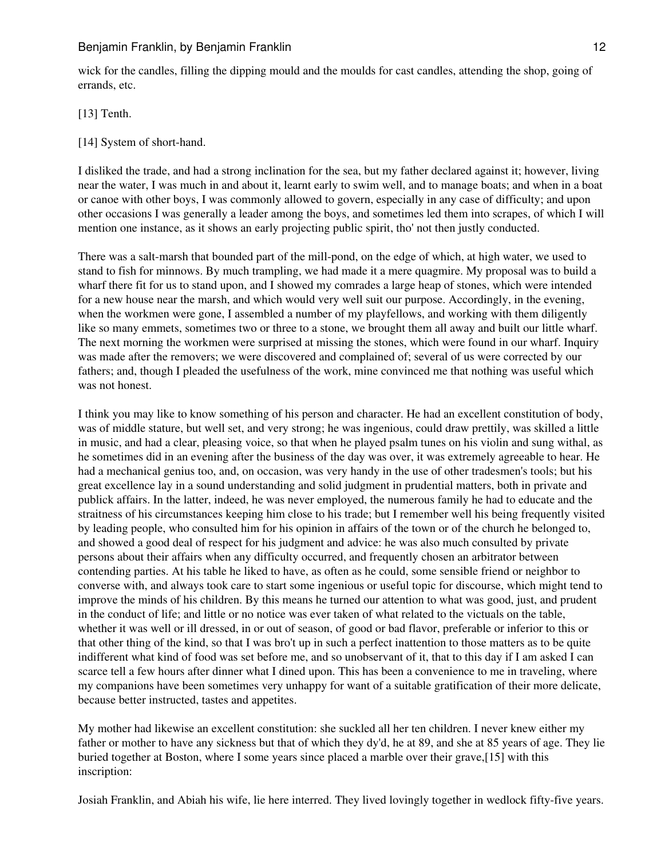wick for the candles, filling the dipping mould and the moulds for cast candles, attending the shop, going of errands, etc.

[13] Tenth.

[14] System of short-hand.

I disliked the trade, and had a strong inclination for the sea, but my father declared against it; however, living near the water, I was much in and about it, learnt early to swim well, and to manage boats; and when in a boat or canoe with other boys, I was commonly allowed to govern, especially in any case of difficulty; and upon other occasions I was generally a leader among the boys, and sometimes led them into scrapes, of which I will mention one instance, as it shows an early projecting public spirit, tho' not then justly conducted.

There was a salt-marsh that bounded part of the mill-pond, on the edge of which, at high water, we used to stand to fish for minnows. By much trampling, we had made it a mere quagmire. My proposal was to build a wharf there fit for us to stand upon, and I showed my comrades a large heap of stones, which were intended for a new house near the marsh, and which would very well suit our purpose. Accordingly, in the evening, when the workmen were gone, I assembled a number of my playfellows, and working with them diligently like so many emmets, sometimes two or three to a stone, we brought them all away and built our little wharf. The next morning the workmen were surprised at missing the stones, which were found in our wharf. Inquiry was made after the removers; we were discovered and complained of; several of us were corrected by our fathers; and, though I pleaded the usefulness of the work, mine convinced me that nothing was useful which was not honest.

I think you may like to know something of his person and character. He had an excellent constitution of body, was of middle stature, but well set, and very strong; he was ingenious, could draw prettily, was skilled a little in music, and had a clear, pleasing voice, so that when he played psalm tunes on his violin and sung withal, as he sometimes did in an evening after the business of the day was over, it was extremely agreeable to hear. He had a mechanical genius too, and, on occasion, was very handy in the use of other tradesmen's tools; but his great excellence lay in a sound understanding and solid judgment in prudential matters, both in private and publick affairs. In the latter, indeed, he was never employed, the numerous family he had to educate and the straitness of his circumstances keeping him close to his trade; but I remember well his being frequently visited by leading people, who consulted him for his opinion in affairs of the town or of the church he belonged to, and showed a good deal of respect for his judgment and advice: he was also much consulted by private persons about their affairs when any difficulty occurred, and frequently chosen an arbitrator between contending parties. At his table he liked to have, as often as he could, some sensible friend or neighbor to converse with, and always took care to start some ingenious or useful topic for discourse, which might tend to improve the minds of his children. By this means he turned our attention to what was good, just, and prudent in the conduct of life; and little or no notice was ever taken of what related to the victuals on the table, whether it was well or ill dressed, in or out of season, of good or bad flavor, preferable or inferior to this or that other thing of the kind, so that I was bro't up in such a perfect inattention to those matters as to be quite indifferent what kind of food was set before me, and so unobservant of it, that to this day if I am asked I can scarce tell a few hours after dinner what I dined upon. This has been a convenience to me in traveling, where my companions have been sometimes very unhappy for want of a suitable gratification of their more delicate, because better instructed, tastes and appetites.

My mother had likewise an excellent constitution: she suckled all her ten children. I never knew either my father or mother to have any sickness but that of which they dy'd, he at 89, and she at 85 years of age. They lie buried together at Boston, where I some years since placed a marble over their grave,[15] with this inscription:

Josiah Franklin, and Abiah his wife, lie here interred. They lived lovingly together in wedlock fifty-five years.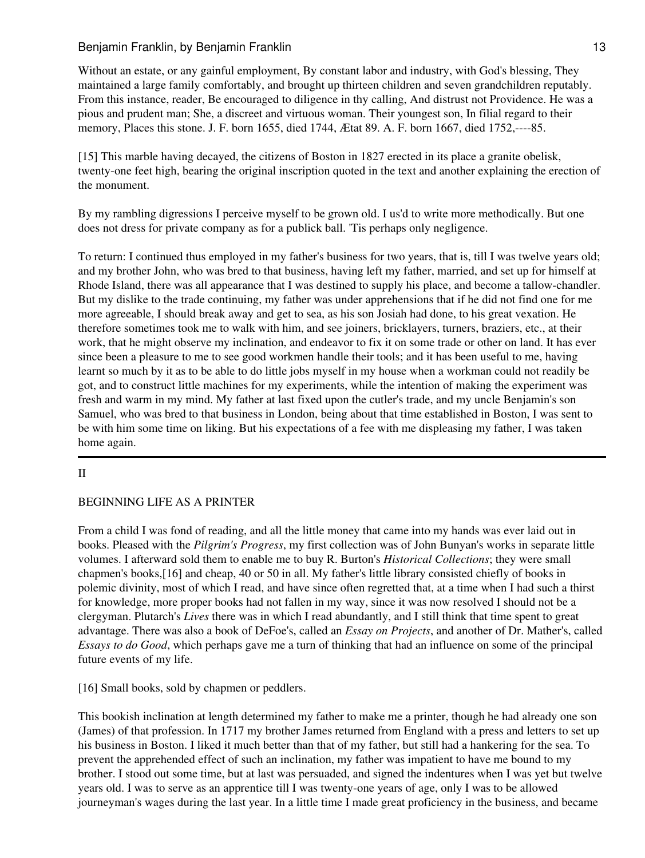Without an estate, or any gainful employment, By constant labor and industry, with God's blessing, They maintained a large family comfortably, and brought up thirteen children and seven grandchildren reputably. From this instance, reader, Be encouraged to diligence in thy calling, And distrust not Providence. He was a pious and prudent man; She, a discreet and virtuous woman. Their youngest son, In filial regard to their memory, Places this stone. J. F. born 1655, died 1744, Ætat 89. A. F. born 1667, died 1752,----85.

[15] This marble having decayed, the citizens of Boston in 1827 erected in its place a granite obelisk, twenty-one feet high, bearing the original inscription quoted in the text and another explaining the erection of the monument.

By my rambling digressions I perceive myself to be grown old. I us'd to write more methodically. But one does not dress for private company as for a publick ball. 'Tis perhaps only negligence.

To return: I continued thus employed in my father's business for two years, that is, till I was twelve years old; and my brother John, who was bred to that business, having left my father, married, and set up for himself at Rhode Island, there was all appearance that I was destined to supply his place, and become a tallow-chandler. But my dislike to the trade continuing, my father was under apprehensions that if he did not find one for me more agreeable, I should break away and get to sea, as his son Josiah had done, to his great vexation. He therefore sometimes took me to walk with him, and see joiners, bricklayers, turners, braziers, etc., at their work, that he might observe my inclination, and endeavor to fix it on some trade or other on land. It has ever since been a pleasure to me to see good workmen handle their tools; and it has been useful to me, having learnt so much by it as to be able to do little jobs myself in my house when a workman could not readily be got, and to construct little machines for my experiments, while the intention of making the experiment was fresh and warm in my mind. My father at last fixed upon the cutler's trade, and my uncle Benjamin's son Samuel, who was bred to that business in London, being about that time established in Boston, I was sent to be with him some time on liking. But his expectations of a fee with me displeasing my father, I was taken home again.

# II

# BEGINNING LIFE AS A PRINTER

From a child I was fond of reading, and all the little money that came into my hands was ever laid out in books. Pleased with the *Pilgrim's Progress*, my first collection was of John Bunyan's works in separate little volumes. I afterward sold them to enable me to buy R. Burton's *Historical Collections*; they were small chapmen's books,[16] and cheap, 40 or 50 in all. My father's little library consisted chiefly of books in polemic divinity, most of which I read, and have since often regretted that, at a time when I had such a thirst for knowledge, more proper books had not fallen in my way, since it was now resolved I should not be a clergyman. Plutarch's *Lives* there was in which I read abundantly, and I still think that time spent to great advantage. There was also a book of DeFoe's, called an *Essay on Projects*, and another of Dr. Mather's, called *Essays to do Good*, which perhaps gave me a turn of thinking that had an influence on some of the principal future events of my life.

[16] Small books, sold by chapmen or peddlers.

This bookish inclination at length determined my father to make me a printer, though he had already one son (James) of that profession. In 1717 my brother James returned from England with a press and letters to set up his business in Boston. I liked it much better than that of my father, but still had a hankering for the sea. To prevent the apprehended effect of such an inclination, my father was impatient to have me bound to my brother. I stood out some time, but at last was persuaded, and signed the indentures when I was yet but twelve years old. I was to serve as an apprentice till I was twenty-one years of age, only I was to be allowed journeyman's wages during the last year. In a little time I made great proficiency in the business, and became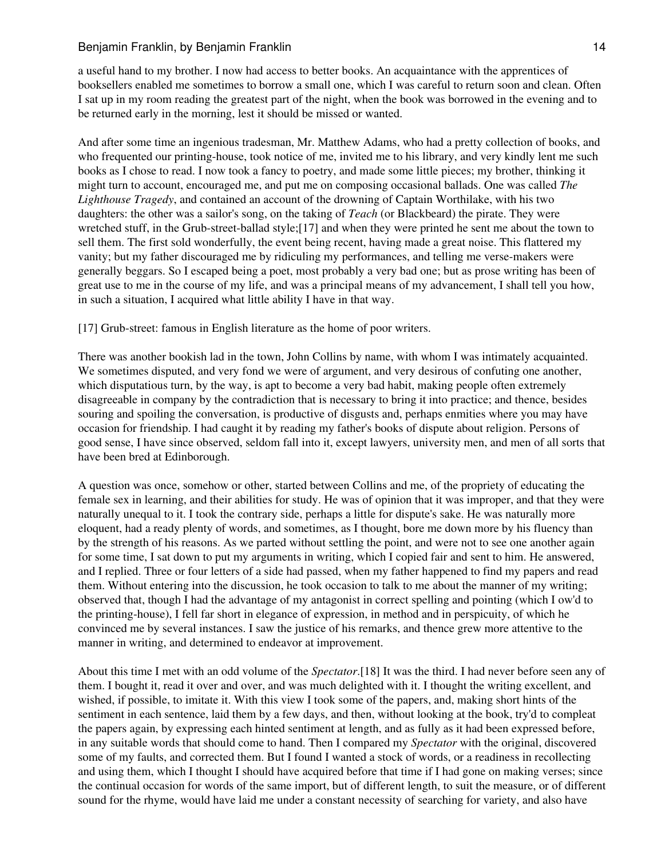a useful hand to my brother. I now had access to better books. An acquaintance with the apprentices of booksellers enabled me sometimes to borrow a small one, which I was careful to return soon and clean. Often I sat up in my room reading the greatest part of the night, when the book was borrowed in the evening and to be returned early in the morning, lest it should be missed or wanted.

And after some time an ingenious tradesman, Mr. Matthew Adams, who had a pretty collection of books, and who frequented our printing-house, took notice of me, invited me to his library, and very kindly lent me such books as I chose to read. I now took a fancy to poetry, and made some little pieces; my brother, thinking it might turn to account, encouraged me, and put me on composing occasional ballads. One was called *The Lighthouse Tragedy*, and contained an account of the drowning of Captain Worthilake, with his two daughters: the other was a sailor's song, on the taking of *Teach* (or Blackbeard) the pirate. They were wretched stuff, in the Grub-street-ballad style;[17] and when they were printed he sent me about the town to sell them. The first sold wonderfully, the event being recent, having made a great noise. This flattered my vanity; but my father discouraged me by ridiculing my performances, and telling me verse-makers were generally beggars. So I escaped being a poet, most probably a very bad one; but as prose writing has been of great use to me in the course of my life, and was a principal means of my advancement, I shall tell you how, in such a situation, I acquired what little ability I have in that way.

[17] Grub-street: famous in English literature as the home of poor writers.

There was another bookish lad in the town, John Collins by name, with whom I was intimately acquainted. We sometimes disputed, and very fond we were of argument, and very desirous of confuting one another, which disputatious turn, by the way, is apt to become a very bad habit, making people often extremely disagreeable in company by the contradiction that is necessary to bring it into practice; and thence, besides souring and spoiling the conversation, is productive of disgusts and, perhaps enmities where you may have occasion for friendship. I had caught it by reading my father's books of dispute about religion. Persons of good sense, I have since observed, seldom fall into it, except lawyers, university men, and men of all sorts that have been bred at Edinborough.

A question was once, somehow or other, started between Collins and me, of the propriety of educating the female sex in learning, and their abilities for study. He was of opinion that it was improper, and that they were naturally unequal to it. I took the contrary side, perhaps a little for dispute's sake. He was naturally more eloquent, had a ready plenty of words, and sometimes, as I thought, bore me down more by his fluency than by the strength of his reasons. As we parted without settling the point, and were not to see one another again for some time, I sat down to put my arguments in writing, which I copied fair and sent to him. He answered, and I replied. Three or four letters of a side had passed, when my father happened to find my papers and read them. Without entering into the discussion, he took occasion to talk to me about the manner of my writing; observed that, though I had the advantage of my antagonist in correct spelling and pointing (which I ow'd to the printing-house), I fell far short in elegance of expression, in method and in perspicuity, of which he convinced me by several instances. I saw the justice of his remarks, and thence grew more attentive to the manner in writing, and determined to endeavor at improvement.

About this time I met with an odd volume of the *Spectator*.[18] It was the third. I had never before seen any of them. I bought it, read it over and over, and was much delighted with it. I thought the writing excellent, and wished, if possible, to imitate it. With this view I took some of the papers, and, making short hints of the sentiment in each sentence, laid them by a few days, and then, without looking at the book, try'd to compleat the papers again, by expressing each hinted sentiment at length, and as fully as it had been expressed before, in any suitable words that should come to hand. Then I compared my *Spectator* with the original, discovered some of my faults, and corrected them. But I found I wanted a stock of words, or a readiness in recollecting and using them, which I thought I should have acquired before that time if I had gone on making verses; since the continual occasion for words of the same import, but of different length, to suit the measure, or of different sound for the rhyme, would have laid me under a constant necessity of searching for variety, and also have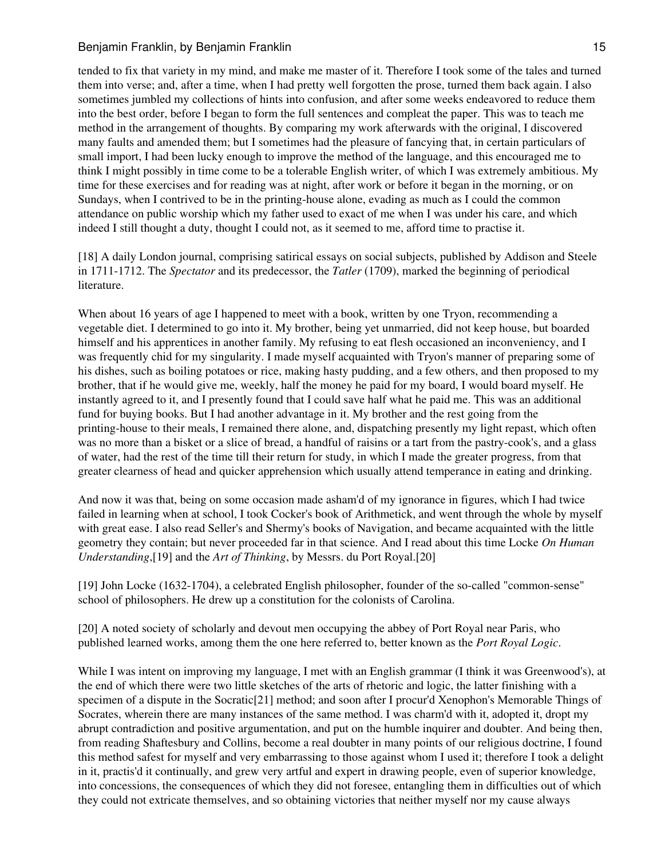tended to fix that variety in my mind, and make me master of it. Therefore I took some of the tales and turned them into verse; and, after a time, when I had pretty well forgotten the prose, turned them back again. I also sometimes jumbled my collections of hints into confusion, and after some weeks endeavored to reduce them into the best order, before I began to form the full sentences and compleat the paper. This was to teach me method in the arrangement of thoughts. By comparing my work afterwards with the original, I discovered many faults and amended them; but I sometimes had the pleasure of fancying that, in certain particulars of small import, I had been lucky enough to improve the method of the language, and this encouraged me to think I might possibly in time come to be a tolerable English writer, of which I was extremely ambitious. My time for these exercises and for reading was at night, after work or before it began in the morning, or on Sundays, when I contrived to be in the printing-house alone, evading as much as I could the common attendance on public worship which my father used to exact of me when I was under his care, and which indeed I still thought a duty, thought I could not, as it seemed to me, afford time to practise it.

[18] A daily London journal, comprising satirical essays on social subjects, published by Addison and Steele in 1711-1712. The *Spectator* and its predecessor, the *Tatler* (1709), marked the beginning of periodical literature.

When about 16 years of age I happened to meet with a book, written by one Tryon, recommending a vegetable diet. I determined to go into it. My brother, being yet unmarried, did not keep house, but boarded himself and his apprentices in another family. My refusing to eat flesh occasioned an inconveniency, and I was frequently chid for my singularity. I made myself acquainted with Tryon's manner of preparing some of his dishes, such as boiling potatoes or rice, making hasty pudding, and a few others, and then proposed to my brother, that if he would give me, weekly, half the money he paid for my board, I would board myself. He instantly agreed to it, and I presently found that I could save half what he paid me. This was an additional fund for buying books. But I had another advantage in it. My brother and the rest going from the printing-house to their meals, I remained there alone, and, dispatching presently my light repast, which often was no more than a bisket or a slice of bread, a handful of raisins or a tart from the pastry-cook's, and a glass of water, had the rest of the time till their return for study, in which I made the greater progress, from that greater clearness of head and quicker apprehension which usually attend temperance in eating and drinking.

And now it was that, being on some occasion made asham'd of my ignorance in figures, which I had twice failed in learning when at school, I took Cocker's book of Arithmetick, and went through the whole by myself with great ease. I also read Seller's and Shermy's books of Navigation, and became acquainted with the little geometry they contain; but never proceeded far in that science. And I read about this time Locke *On Human Understanding*,[19] and the *Art of Thinking*, by Messrs. du Port Royal.[20]

[19] John Locke (1632-1704), a celebrated English philosopher, founder of the so-called "common-sense" school of philosophers. He drew up a constitution for the colonists of Carolina.

[20] A noted society of scholarly and devout men occupying the abbey of Port Royal near Paris, who published learned works, among them the one here referred to, better known as the *Port Royal Logic*.

While I was intent on improving my language, I met with an English grammar (I think it was Greenwood's), at the end of which there were two little sketches of the arts of rhetoric and logic, the latter finishing with a specimen of a dispute in the Socratic[21] method; and soon after I procur'd Xenophon's Memorable Things of Socrates, wherein there are many instances of the same method. I was charm'd with it, adopted it, dropt my abrupt contradiction and positive argumentation, and put on the humble inquirer and doubter. And being then, from reading Shaftesbury and Collins, become a real doubter in many points of our religious doctrine, I found this method safest for myself and very embarrassing to those against whom I used it; therefore I took a delight in it, practis'd it continually, and grew very artful and expert in drawing people, even of superior knowledge, into concessions, the consequences of which they did not foresee, entangling them in difficulties out of which they could not extricate themselves, and so obtaining victories that neither myself nor my cause always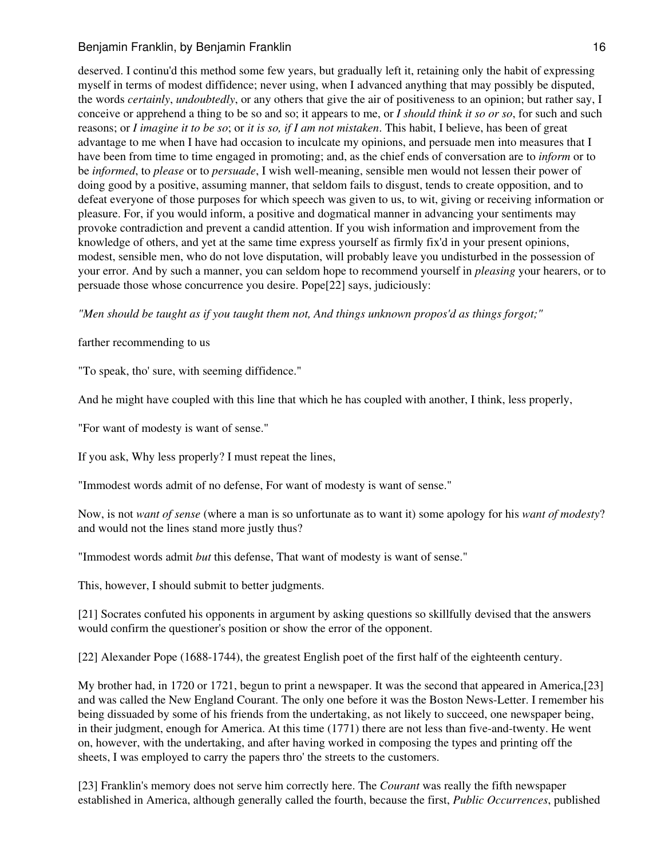deserved. I continu'd this method some few years, but gradually left it, retaining only the habit of expressing myself in terms of modest diffidence; never using, when I advanced anything that may possibly be disputed, the words *certainly*, *undoubtedly*, or any others that give the air of positiveness to an opinion; but rather say, I conceive or apprehend a thing to be so and so; it appears to me, or *I should think it so or so*, for such and such reasons; or *I imagine it to be so*; or *it is so, if I am not mistaken*. This habit, I believe, has been of great advantage to me when I have had occasion to inculcate my opinions, and persuade men into measures that I have been from time to time engaged in promoting; and, as the chief ends of conversation are to *inform* or to be *informed*, to *please* or to *persuade*, I wish well-meaning, sensible men would not lessen their power of doing good by a positive, assuming manner, that seldom fails to disgust, tends to create opposition, and to defeat everyone of those purposes for which speech was given to us, to wit, giving or receiving information or pleasure. For, if you would inform, a positive and dogmatical manner in advancing your sentiments may provoke contradiction and prevent a candid attention. If you wish information and improvement from the knowledge of others, and yet at the same time express yourself as firmly fix'd in your present opinions, modest, sensible men, who do not love disputation, will probably leave you undisturbed in the possession of your error. And by such a manner, you can seldom hope to recommend yourself in *pleasing* your hearers, or to persuade those whose concurrence you desire. Pope[22] says, judiciously:

*"Men should be taught as if you taught them not, And things unknown propos'd as things forgot;"*

farther recommending to us

"To speak, tho' sure, with seeming diffidence."

And he might have coupled with this line that which he has coupled with another, I think, less properly,

"For want of modesty is want of sense."

If you ask, Why less properly? I must repeat the lines,

"Immodest words admit of no defense, For want of modesty is want of sense."

Now, is not *want of sense* (where a man is so unfortunate as to want it) some apology for his *want of modesty*? and would not the lines stand more justly thus?

"Immodest words admit *but* this defense, That want of modesty is want of sense."

This, however, I should submit to better judgments.

[21] Socrates confuted his opponents in argument by asking questions so skillfully devised that the answers would confirm the questioner's position or show the error of the opponent.

[22] Alexander Pope (1688-1744), the greatest English poet of the first half of the eighteenth century.

My brother had, in 1720 or 1721, begun to print a newspaper. It was the second that appeared in America,[23] and was called the New England Courant. The only one before it was the Boston News-Letter. I remember his being dissuaded by some of his friends from the undertaking, as not likely to succeed, one newspaper being, in their judgment, enough for America. At this time (1771) there are not less than five-and-twenty. He went on, however, with the undertaking, and after having worked in composing the types and printing off the sheets, I was employed to carry the papers thro' the streets to the customers.

[23] Franklin's memory does not serve him correctly here. The *Courant* was really the fifth newspaper established in America, although generally called the fourth, because the first, *Public Occurrences*, published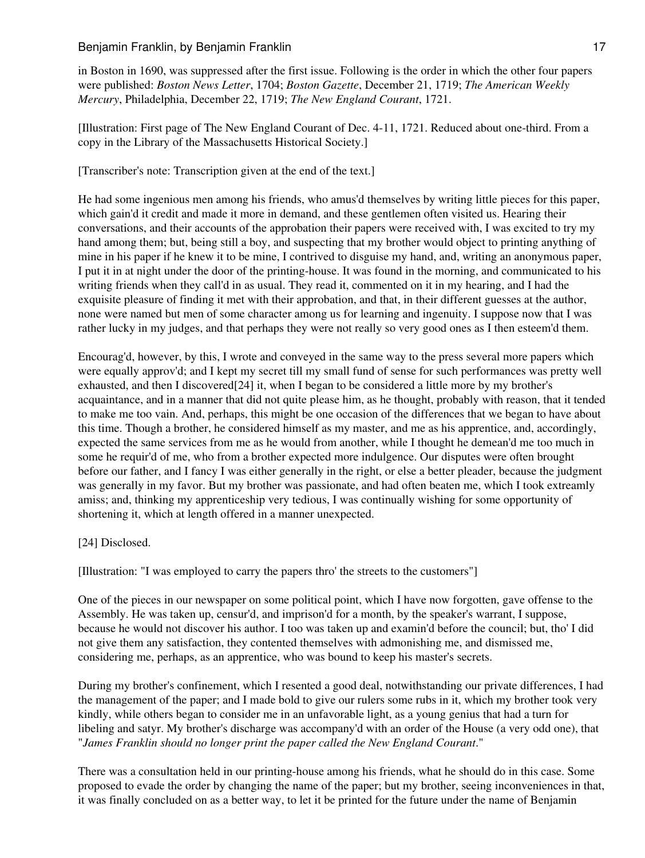in Boston in 1690, was suppressed after the first issue. Following is the order in which the other four papers were published: *Boston News Letter*, 1704; *Boston Gazette*, December 21, 1719; *The American Weekly Mercury*, Philadelphia, December 22, 1719; *The New England Courant*, 1721.

[Illustration: First page of The New England Courant of Dec. 4-11, 1721. Reduced about one-third. From a copy in the Library of the Massachusetts Historical Society.]

[Transcriber's note: Transcription given at the end of the text.]

He had some ingenious men among his friends, who amus'd themselves by writing little pieces for this paper, which gain'd it credit and made it more in demand, and these gentlemen often visited us. Hearing their conversations, and their accounts of the approbation their papers were received with, I was excited to try my hand among them; but, being still a boy, and suspecting that my brother would object to printing anything of mine in his paper if he knew it to be mine, I contrived to disguise my hand, and, writing an anonymous paper, I put it in at night under the door of the printing-house. It was found in the morning, and communicated to his writing friends when they call'd in as usual. They read it, commented on it in my hearing, and I had the exquisite pleasure of finding it met with their approbation, and that, in their different guesses at the author, none were named but men of some character among us for learning and ingenuity. I suppose now that I was rather lucky in my judges, and that perhaps they were not really so very good ones as I then esteem'd them.

Encourag'd, however, by this, I wrote and conveyed in the same way to the press several more papers which were equally approv'd; and I kept my secret till my small fund of sense for such performances was pretty well exhausted, and then I discovered[24] it, when I began to be considered a little more by my brother's acquaintance, and in a manner that did not quite please him, as he thought, probably with reason, that it tended to make me too vain. And, perhaps, this might be one occasion of the differences that we began to have about this time. Though a brother, he considered himself as my master, and me as his apprentice, and, accordingly, expected the same services from me as he would from another, while I thought he demean'd me too much in some he requir'd of me, who from a brother expected more indulgence. Our disputes were often brought before our father, and I fancy I was either generally in the right, or else a better pleader, because the judgment was generally in my favor. But my brother was passionate, and had often beaten me, which I took extreamly amiss; and, thinking my apprenticeship very tedious, I was continually wishing for some opportunity of shortening it, which at length offered in a manner unexpected.

# [24] Disclosed.

[Illustration: "I was employed to carry the papers thro' the streets to the customers"]

One of the pieces in our newspaper on some political point, which I have now forgotten, gave offense to the Assembly. He was taken up, censur'd, and imprison'd for a month, by the speaker's warrant, I suppose, because he would not discover his author. I too was taken up and examin'd before the council; but, tho' I did not give them any satisfaction, they contented themselves with admonishing me, and dismissed me, considering me, perhaps, as an apprentice, who was bound to keep his master's secrets.

During my brother's confinement, which I resented a good deal, notwithstanding our private differences, I had the management of the paper; and I made bold to give our rulers some rubs in it, which my brother took very kindly, while others began to consider me in an unfavorable light, as a young genius that had a turn for libeling and satyr. My brother's discharge was accompany'd with an order of the House (a very odd one), that "*James Franklin should no longer print the paper called the New England Courant*."

There was a consultation held in our printing-house among his friends, what he should do in this case. Some proposed to evade the order by changing the name of the paper; but my brother, seeing inconveniences in that, it was finally concluded on as a better way, to let it be printed for the future under the name of Benjamin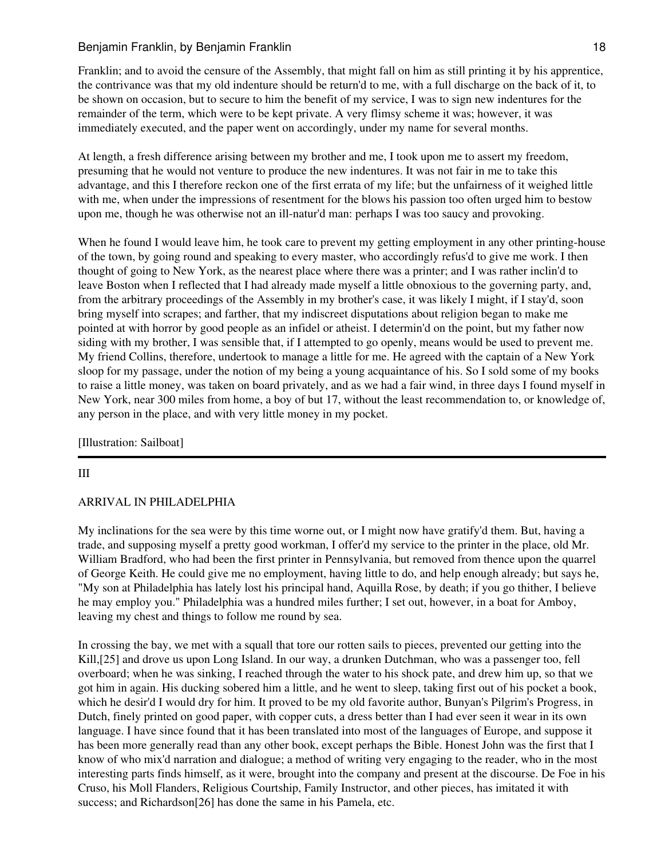Franklin; and to avoid the censure of the Assembly, that might fall on him as still printing it by his apprentice, the contrivance was that my old indenture should be return'd to me, with a full discharge on the back of it, to be shown on occasion, but to secure to him the benefit of my service, I was to sign new indentures for the remainder of the term, which were to be kept private. A very flimsy scheme it was; however, it was immediately executed, and the paper went on accordingly, under my name for several months.

At length, a fresh difference arising between my brother and me, I took upon me to assert my freedom, presuming that he would not venture to produce the new indentures. It was not fair in me to take this advantage, and this I therefore reckon one of the first errata of my life; but the unfairness of it weighed little with me, when under the impressions of resentment for the blows his passion too often urged him to bestow upon me, though he was otherwise not an ill-natur'd man: perhaps I was too saucy and provoking.

When he found I would leave him, he took care to prevent my getting employment in any other printing-house of the town, by going round and speaking to every master, who accordingly refus'd to give me work. I then thought of going to New York, as the nearest place where there was a printer; and I was rather inclin'd to leave Boston when I reflected that I had already made myself a little obnoxious to the governing party, and, from the arbitrary proceedings of the Assembly in my brother's case, it was likely I might, if I stay'd, soon bring myself into scrapes; and farther, that my indiscreet disputations about religion began to make me pointed at with horror by good people as an infidel or atheist. I determin'd on the point, but my father now siding with my brother, I was sensible that, if I attempted to go openly, means would be used to prevent me. My friend Collins, therefore, undertook to manage a little for me. He agreed with the captain of a New York sloop for my passage, under the notion of my being a young acquaintance of his. So I sold some of my books to raise a little money, was taken on board privately, and as we had a fair wind, in three days I found myself in New York, near 300 miles from home, a boy of but 17, without the least recommendation to, or knowledge of, any person in the place, and with very little money in my pocket.

[Illustration: Sailboat]

## III

## ARRIVAL IN PHILADELPHIA

My inclinations for the sea were by this time worne out, or I might now have gratify'd them. But, having a trade, and supposing myself a pretty good workman, I offer'd my service to the printer in the place, old Mr. William Bradford, who had been the first printer in Pennsylvania, but removed from thence upon the quarrel of George Keith. He could give me no employment, having little to do, and help enough already; but says he, "My son at Philadelphia has lately lost his principal hand, Aquilla Rose, by death; if you go thither, I believe he may employ you." Philadelphia was a hundred miles further; I set out, however, in a boat for Amboy, leaving my chest and things to follow me round by sea.

In crossing the bay, we met with a squall that tore our rotten sails to pieces, prevented our getting into the Kill,[25] and drove us upon Long Island. In our way, a drunken Dutchman, who was a passenger too, fell overboard; when he was sinking, I reached through the water to his shock pate, and drew him up, so that we got him in again. His ducking sobered him a little, and he went to sleep, taking first out of his pocket a book, which he desir'd I would dry for him. It proved to be my old favorite author, Bunyan's Pilgrim's Progress, in Dutch, finely printed on good paper, with copper cuts, a dress better than I had ever seen it wear in its own language. I have since found that it has been translated into most of the languages of Europe, and suppose it has been more generally read than any other book, except perhaps the Bible. Honest John was the first that I know of who mix'd narration and dialogue; a method of writing very engaging to the reader, who in the most interesting parts finds himself, as it were, brought into the company and present at the discourse. De Foe in his Cruso, his Moll Flanders, Religious Courtship, Family Instructor, and other pieces, has imitated it with success; and Richardson[26] has done the same in his Pamela, etc.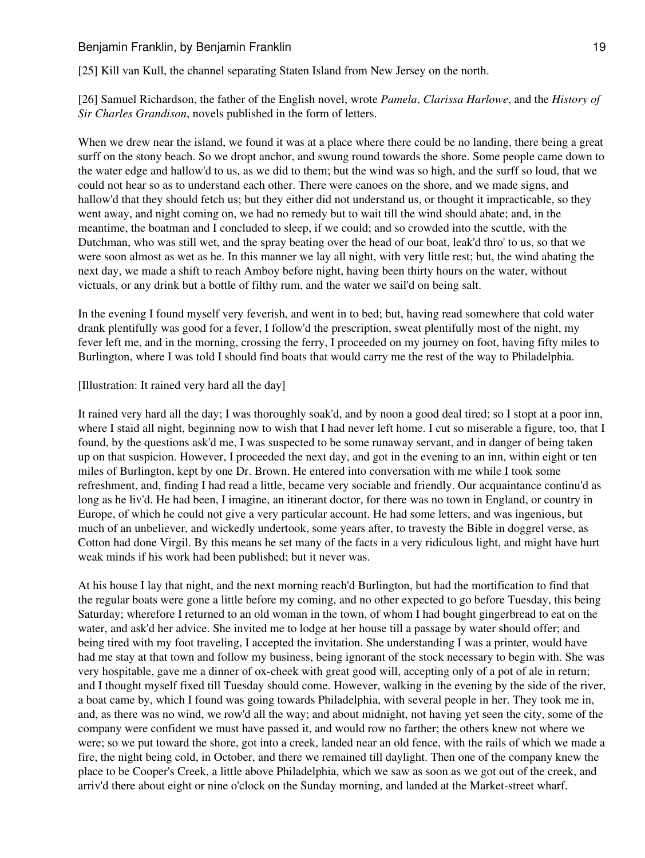[25] Kill van Kull, the channel separating Staten Island from New Jersey on the north.

[26] Samuel Richardson, the father of the English novel, wrote *Pamela*, *Clarissa Harlowe*, and the *History of Sir Charles Grandison*, novels published in the form of letters.

When we drew near the island, we found it was at a place where there could be no landing, there being a great surff on the stony beach. So we dropt anchor, and swung round towards the shore. Some people came down to the water edge and hallow'd to us, as we did to them; but the wind was so high, and the surff so loud, that we could not hear so as to understand each other. There were canoes on the shore, and we made signs, and hallow'd that they should fetch us; but they either did not understand us, or thought it impracticable, so they went away, and night coming on, we had no remedy but to wait till the wind should abate; and, in the meantime, the boatman and I concluded to sleep, if we could; and so crowded into the scuttle, with the Dutchman, who was still wet, and the spray beating over the head of our boat, leak'd thro' to us, so that we were soon almost as wet as he. In this manner we lay all night, with very little rest; but, the wind abating the next day, we made a shift to reach Amboy before night, having been thirty hours on the water, without victuals, or any drink but a bottle of filthy rum, and the water we sail'd on being salt.

In the evening I found myself very feverish, and went in to bed; but, having read somewhere that cold water drank plentifully was good for a fever, I follow'd the prescription, sweat plentifully most of the night, my fever left me, and in the morning, crossing the ferry, I proceeded on my journey on foot, having fifty miles to Burlington, where I was told I should find boats that would carry me the rest of the way to Philadelphia.

#### [Illustration: It rained very hard all the day]

It rained very hard all the day; I was thoroughly soak'd, and by noon a good deal tired; so I stopt at a poor inn, where I staid all night, beginning now to wish that I had never left home. I cut so miserable a figure, too, that I found, by the questions ask'd me, I was suspected to be some runaway servant, and in danger of being taken up on that suspicion. However, I proceeded the next day, and got in the evening to an inn, within eight or ten miles of Burlington, kept by one Dr. Brown. He entered into conversation with me while I took some refreshment, and, finding I had read a little, became very sociable and friendly. Our acquaintance continu'd as long as he liv'd. He had been, I imagine, an itinerant doctor, for there was no town in England, or country in Europe, of which he could not give a very particular account. He had some letters, and was ingenious, but much of an unbeliever, and wickedly undertook, some years after, to travesty the Bible in doggrel verse, as Cotton had done Virgil. By this means he set many of the facts in a very ridiculous light, and might have hurt weak minds if his work had been published; but it never was.

At his house I lay that night, and the next morning reach'd Burlington, but had the mortification to find that the regular boats were gone a little before my coming, and no other expected to go before Tuesday, this being Saturday; wherefore I returned to an old woman in the town, of whom I had bought gingerbread to eat on the water, and ask'd her advice. She invited me to lodge at her house till a passage by water should offer; and being tired with my foot traveling, I accepted the invitation. She understanding I was a printer, would have had me stay at that town and follow my business, being ignorant of the stock necessary to begin with. She was very hospitable, gave me a dinner of ox-cheek with great good will, accepting only of a pot of ale in return; and I thought myself fixed till Tuesday should come. However, walking in the evening by the side of the river, a boat came by, which I found was going towards Philadelphia, with several people in her. They took me in, and, as there was no wind, we row'd all the way; and about midnight, not having yet seen the city, some of the company were confident we must have passed it, and would row no farther; the others knew not where we were; so we put toward the shore, got into a creek, landed near an old fence, with the rails of which we made a fire, the night being cold, in October, and there we remained till daylight. Then one of the company knew the place to be Cooper's Creek, a little above Philadelphia, which we saw as soon as we got out of the creek, and arriv'd there about eight or nine o'clock on the Sunday morning, and landed at the Market-street wharf.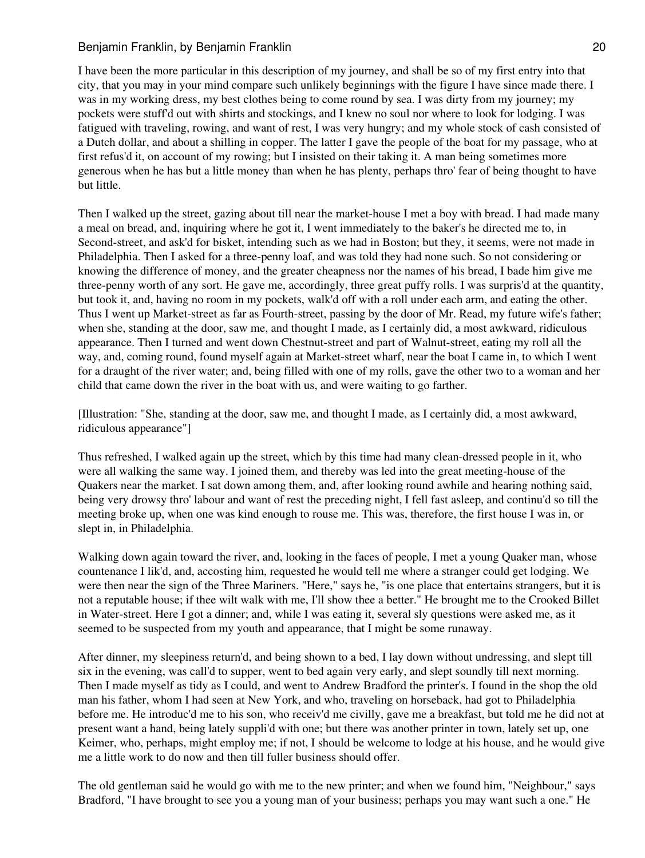I have been the more particular in this description of my journey, and shall be so of my first entry into that city, that you may in your mind compare such unlikely beginnings with the figure I have since made there. I was in my working dress, my best clothes being to come round by sea. I was dirty from my journey; my pockets were stuff'd out with shirts and stockings, and I knew no soul nor where to look for lodging. I was fatigued with traveling, rowing, and want of rest, I was very hungry; and my whole stock of cash consisted of a Dutch dollar, and about a shilling in copper. The latter I gave the people of the boat for my passage, who at first refus'd it, on account of my rowing; but I insisted on their taking it. A man being sometimes more generous when he has but a little money than when he has plenty, perhaps thro' fear of being thought to have but little.

Then I walked up the street, gazing about till near the market-house I met a boy with bread. I had made many a meal on bread, and, inquiring where he got it, I went immediately to the baker's he directed me to, in Second-street, and ask'd for bisket, intending such as we had in Boston; but they, it seems, were not made in Philadelphia. Then I asked for a three-penny loaf, and was told they had none such. So not considering or knowing the difference of money, and the greater cheapness nor the names of his bread, I bade him give me three-penny worth of any sort. He gave me, accordingly, three great puffy rolls. I was surpris'd at the quantity, but took it, and, having no room in my pockets, walk'd off with a roll under each arm, and eating the other. Thus I went up Market-street as far as Fourth-street, passing by the door of Mr. Read, my future wife's father; when she, standing at the door, saw me, and thought I made, as I certainly did, a most awkward, ridiculous appearance. Then I turned and went down Chestnut-street and part of Walnut-street, eating my roll all the way, and, coming round, found myself again at Market-street wharf, near the boat I came in, to which I went for a draught of the river water; and, being filled with one of my rolls, gave the other two to a woman and her child that came down the river in the boat with us, and were waiting to go farther.

[Illustration: "She, standing at the door, saw me, and thought I made, as I certainly did, a most awkward, ridiculous appearance"]

Thus refreshed, I walked again up the street, which by this time had many clean-dressed people in it, who were all walking the same way. I joined them, and thereby was led into the great meeting-house of the Quakers near the market. I sat down among them, and, after looking round awhile and hearing nothing said, being very drowsy thro' labour and want of rest the preceding night, I fell fast asleep, and continu'd so till the meeting broke up, when one was kind enough to rouse me. This was, therefore, the first house I was in, or slept in, in Philadelphia.

Walking down again toward the river, and, looking in the faces of people, I met a young Quaker man, whose countenance I lik'd, and, accosting him, requested he would tell me where a stranger could get lodging. We were then near the sign of the Three Mariners. "Here," says he, "is one place that entertains strangers, but it is not a reputable house; if thee wilt walk with me, I'll show thee a better." He brought me to the Crooked Billet in Water-street. Here I got a dinner; and, while I was eating it, several sly questions were asked me, as it seemed to be suspected from my youth and appearance, that I might be some runaway.

After dinner, my sleepiness return'd, and being shown to a bed, I lay down without undressing, and slept till six in the evening, was call'd to supper, went to bed again very early, and slept soundly till next morning. Then I made myself as tidy as I could, and went to Andrew Bradford the printer's. I found in the shop the old man his father, whom I had seen at New York, and who, traveling on horseback, had got to Philadelphia before me. He introduc'd me to his son, who receiv'd me civilly, gave me a breakfast, but told me he did not at present want a hand, being lately suppli'd with one; but there was another printer in town, lately set up, one Keimer, who, perhaps, might employ me; if not, I should be welcome to lodge at his house, and he would give me a little work to do now and then till fuller business should offer.

The old gentleman said he would go with me to the new printer; and when we found him, "Neighbour," says Bradford, "I have brought to see you a young man of your business; perhaps you may want such a one." He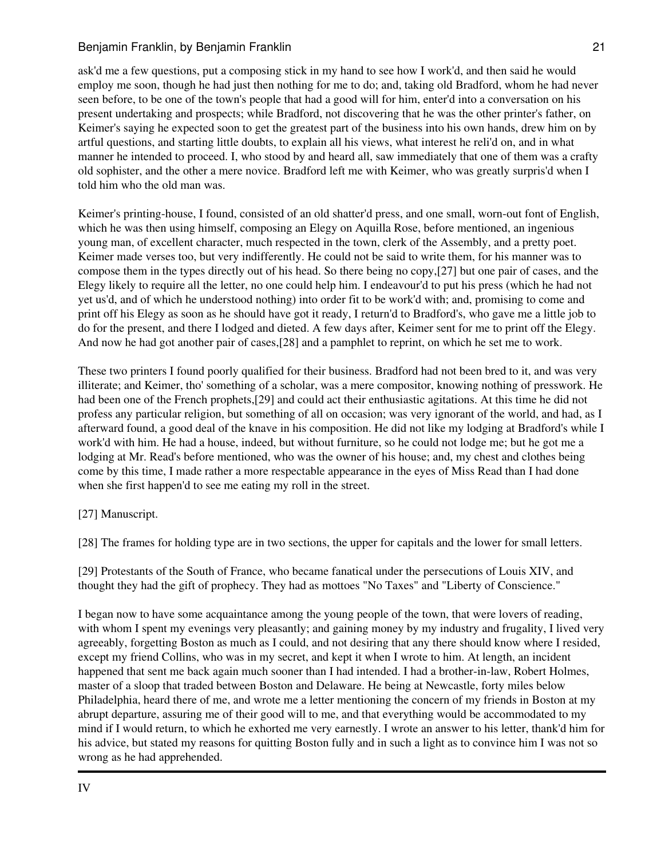ask'd me a few questions, put a composing stick in my hand to see how I work'd, and then said he would employ me soon, though he had just then nothing for me to do; and, taking old Bradford, whom he had never seen before, to be one of the town's people that had a good will for him, enter'd into a conversation on his present undertaking and prospects; while Bradford, not discovering that he was the other printer's father, on Keimer's saying he expected soon to get the greatest part of the business into his own hands, drew him on by artful questions, and starting little doubts, to explain all his views, what interest he reli'd on, and in what manner he intended to proceed. I, who stood by and heard all, saw immediately that one of them was a crafty old sophister, and the other a mere novice. Bradford left me with Keimer, who was greatly surpris'd when I told him who the old man was.

Keimer's printing-house, I found, consisted of an old shatter'd press, and one small, worn-out font of English, which he was then using himself, composing an Elegy on Aquilla Rose, before mentioned, an ingenious young man, of excellent character, much respected in the town, clerk of the Assembly, and a pretty poet. Keimer made verses too, but very indifferently. He could not be said to write them, for his manner was to compose them in the types directly out of his head. So there being no copy,[27] but one pair of cases, and the Elegy likely to require all the letter, no one could help him. I endeavour'd to put his press (which he had not yet us'd, and of which he understood nothing) into order fit to be work'd with; and, promising to come and print off his Elegy as soon as he should have got it ready, I return'd to Bradford's, who gave me a little job to do for the present, and there I lodged and dieted. A few days after, Keimer sent for me to print off the Elegy. And now he had got another pair of cases,[28] and a pamphlet to reprint, on which he set me to work.

These two printers I found poorly qualified for their business. Bradford had not been bred to it, and was very illiterate; and Keimer, tho' something of a scholar, was a mere compositor, knowing nothing of presswork. He had been one of the French prophets,[29] and could act their enthusiastic agitations. At this time he did not profess any particular religion, but something of all on occasion; was very ignorant of the world, and had, as I afterward found, a good deal of the knave in his composition. He did not like my lodging at Bradford's while I work'd with him. He had a house, indeed, but without furniture, so he could not lodge me; but he got me a lodging at Mr. Read's before mentioned, who was the owner of his house; and, my chest and clothes being come by this time, I made rather a more respectable appearance in the eyes of Miss Read than I had done when she first happen'd to see me eating my roll in the street.

[27] Manuscript.

[28] The frames for holding type are in two sections, the upper for capitals and the lower for small letters.

[29] Protestants of the South of France, who became fanatical under the persecutions of Louis XIV, and thought they had the gift of prophecy. They had as mottoes "No Taxes" and "Liberty of Conscience."

I began now to have some acquaintance among the young people of the town, that were lovers of reading, with whom I spent my evenings very pleasantly; and gaining money by my industry and frugality, I lived very agreeably, forgetting Boston as much as I could, and not desiring that any there should know where I resided, except my friend Collins, who was in my secret, and kept it when I wrote to him. At length, an incident happened that sent me back again much sooner than I had intended. I had a brother-in-law, Robert Holmes, master of a sloop that traded between Boston and Delaware. He being at Newcastle, forty miles below Philadelphia, heard there of me, and wrote me a letter mentioning the concern of my friends in Boston at my abrupt departure, assuring me of their good will to me, and that everything would be accommodated to my mind if I would return, to which he exhorted me very earnestly. I wrote an answer to his letter, thank'd him for his advice, but stated my reasons for quitting Boston fully and in such a light as to convince him I was not so wrong as he had apprehended.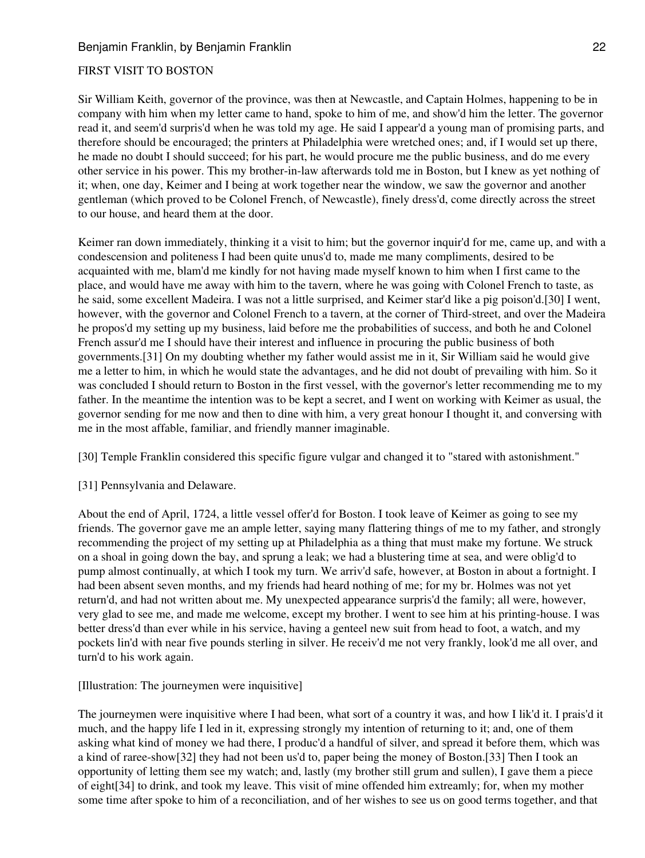# FIRST VISIT TO BOSTON

Sir William Keith, governor of the province, was then at Newcastle, and Captain Holmes, happening to be in company with him when my letter came to hand, spoke to him of me, and show'd him the letter. The governor read it, and seem'd surpris'd when he was told my age. He said I appear'd a young man of promising parts, and therefore should be encouraged; the printers at Philadelphia were wretched ones; and, if I would set up there, he made no doubt I should succeed; for his part, he would procure me the public business, and do me every other service in his power. This my brother-in-law afterwards told me in Boston, but I knew as yet nothing of it; when, one day, Keimer and I being at work together near the window, we saw the governor and another gentleman (which proved to be Colonel French, of Newcastle), finely dress'd, come directly across the street to our house, and heard them at the door.

Keimer ran down immediately, thinking it a visit to him; but the governor inquir'd for me, came up, and with a condescension and politeness I had been quite unus'd to, made me many compliments, desired to be acquainted with me, blam'd me kindly for not having made myself known to him when I first came to the place, and would have me away with him to the tavern, where he was going with Colonel French to taste, as he said, some excellent Madeira. I was not a little surprised, and Keimer star'd like a pig poison'd.[30] I went, however, with the governor and Colonel French to a tavern, at the corner of Third-street, and over the Madeira he propos'd my setting up my business, laid before me the probabilities of success, and both he and Colonel French assur'd me I should have their interest and influence in procuring the public business of both governments.[31] On my doubting whether my father would assist me in it, Sir William said he would give me a letter to him, in which he would state the advantages, and he did not doubt of prevailing with him. So it was concluded I should return to Boston in the first vessel, with the governor's letter recommending me to my father. In the meantime the intention was to be kept a secret, and I went on working with Keimer as usual, the governor sending for me now and then to dine with him, a very great honour I thought it, and conversing with me in the most affable, familiar, and friendly manner imaginable.

[30] Temple Franklin considered this specific figure vulgar and changed it to "stared with astonishment."

[31] Pennsylvania and Delaware.

About the end of April, 1724, a little vessel offer'd for Boston. I took leave of Keimer as going to see my friends. The governor gave me an ample letter, saying many flattering things of me to my father, and strongly recommending the project of my setting up at Philadelphia as a thing that must make my fortune. We struck on a shoal in going down the bay, and sprung a leak; we had a blustering time at sea, and were oblig'd to pump almost continually, at which I took my turn. We arriv'd safe, however, at Boston in about a fortnight. I had been absent seven months, and my friends had heard nothing of me; for my br. Holmes was not yet return'd, and had not written about me. My unexpected appearance surpris'd the family; all were, however, very glad to see me, and made me welcome, except my brother. I went to see him at his printing-house. I was better dress'd than ever while in his service, having a genteel new suit from head to foot, a watch, and my pockets lin'd with near five pounds sterling in silver. He receiv'd me not very frankly, look'd me all over, and turn'd to his work again.

[Illustration: The journeymen were inquisitive]

The journeymen were inquisitive where I had been, what sort of a country it was, and how I lik'd it. I prais'd it much, and the happy life I led in it, expressing strongly my intention of returning to it; and, one of them asking what kind of money we had there, I produc'd a handful of silver, and spread it before them, which was a kind of raree-show[32] they had not been us'd to, paper being the money of Boston.[33] Then I took an opportunity of letting them see my watch; and, lastly (my brother still grum and sullen), I gave them a piece of eight[34] to drink, and took my leave. This visit of mine offended him extreamly; for, when my mother some time after spoke to him of a reconciliation, and of her wishes to see us on good terms together, and that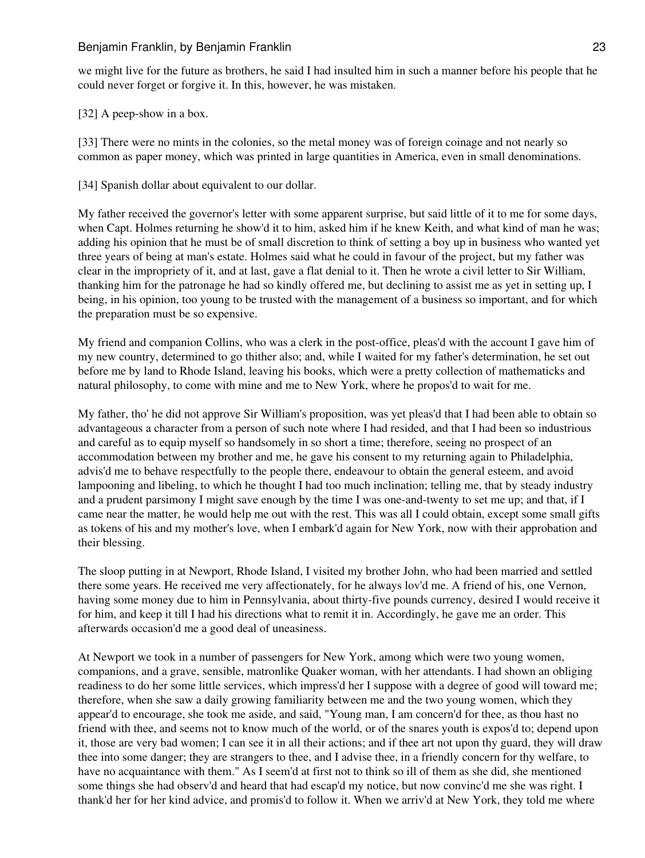we might live for the future as brothers, he said I had insulted him in such a manner before his people that he could never forget or forgive it. In this, however, he was mistaken.

[32] A peep-show in a box.

[33] There were no mints in the colonies, so the metal money was of foreign coinage and not nearly so common as paper money, which was printed in large quantities in America, even in small denominations.

[34] Spanish dollar about equivalent to our dollar.

My father received the governor's letter with some apparent surprise, but said little of it to me for some days, when Capt. Holmes returning he show'd it to him, asked him if he knew Keith, and what kind of man he was; adding his opinion that he must be of small discretion to think of setting a boy up in business who wanted yet three years of being at man's estate. Holmes said what he could in favour of the project, but my father was clear in the impropriety of it, and at last, gave a flat denial to it. Then he wrote a civil letter to Sir William, thanking him for the patronage he had so kindly offered me, but declining to assist me as yet in setting up, I being, in his opinion, too young to be trusted with the management of a business so important, and for which the preparation must be so expensive.

My friend and companion Collins, who was a clerk in the post-office, pleas'd with the account I gave him of my new country, determined to go thither also; and, while I waited for my father's determination, he set out before me by land to Rhode Island, leaving his books, which were a pretty collection of mathematicks and natural philosophy, to come with mine and me to New York, where he propos'd to wait for me.

My father, tho' he did not approve Sir William's proposition, was yet pleas'd that I had been able to obtain so advantageous a character from a person of such note where I had resided, and that I had been so industrious and careful as to equip myself so handsomely in so short a time; therefore, seeing no prospect of an accommodation between my brother and me, he gave his consent to my returning again to Philadelphia, advis'd me to behave respectfully to the people there, endeavour to obtain the general esteem, and avoid lampooning and libeling, to which he thought I had too much inclination; telling me, that by steady industry and a prudent parsimony I might save enough by the time I was one-and-twenty to set me up; and that, if I came near the matter, he would help me out with the rest. This was all I could obtain, except some small gifts as tokens of his and my mother's love, when I embark'd again for New York, now with their approbation and their blessing.

The sloop putting in at Newport, Rhode Island, I visited my brother John, who had been married and settled there some years. He received me very affectionately, for he always lov'd me. A friend of his, one Vernon, having some money due to him in Pennsylvania, about thirty-five pounds currency, desired I would receive it for him, and keep it till I had his directions what to remit it in. Accordingly, he gave me an order. This afterwards occasion'd me a good deal of uneasiness.

At Newport we took in a number of passengers for New York, among which were two young women, companions, and a grave, sensible, matronlike Quaker woman, with her attendants. I had shown an obliging readiness to do her some little services, which impress'd her I suppose with a degree of good will toward me; therefore, when she saw a daily growing familiarity between me and the two young women, which they appear'd to encourage, she took me aside, and said, "Young man, I am concern'd for thee, as thou hast no friend with thee, and seems not to know much of the world, or of the snares youth is expos'd to; depend upon it, those are very bad women; I can see it in all their actions; and if thee art not upon thy guard, they will draw thee into some danger; they are strangers to thee, and I advise thee, in a friendly concern for thy welfare, to have no acquaintance with them." As I seem'd at first not to think so ill of them as she did, she mentioned some things she had observ'd and heard that had escap'd my notice, but now convinc'd me she was right. I thank'd her for her kind advice, and promis'd to follow it. When we arriv'd at New York, they told me where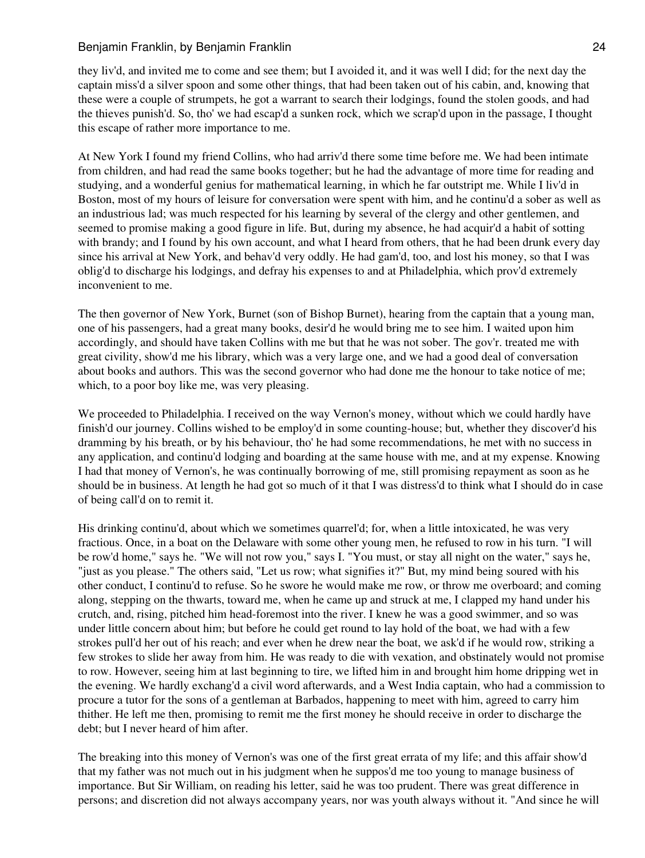they liv'd, and invited me to come and see them; but I avoided it, and it was well I did; for the next day the captain miss'd a silver spoon and some other things, that had been taken out of his cabin, and, knowing that these were a couple of strumpets, he got a warrant to search their lodgings, found the stolen goods, and had the thieves punish'd. So, tho' we had escap'd a sunken rock, which we scrap'd upon in the passage, I thought this escape of rather more importance to me.

At New York I found my friend Collins, who had arriv'd there some time before me. We had been intimate from children, and had read the same books together; but he had the advantage of more time for reading and studying, and a wonderful genius for mathematical learning, in which he far outstript me. While I liv'd in Boston, most of my hours of leisure for conversation were spent with him, and he continu'd a sober as well as an industrious lad; was much respected for his learning by several of the clergy and other gentlemen, and seemed to promise making a good figure in life. But, during my absence, he had acquir'd a habit of sotting with brandy; and I found by his own account, and what I heard from others, that he had been drunk every day since his arrival at New York, and behav'd very oddly. He had gam'd, too, and lost his money, so that I was oblig'd to discharge his lodgings, and defray his expenses to and at Philadelphia, which prov'd extremely inconvenient to me.

The then governor of New York, Burnet (son of Bishop Burnet), hearing from the captain that a young man, one of his passengers, had a great many books, desir'd he would bring me to see him. I waited upon him accordingly, and should have taken Collins with me but that he was not sober. The gov'r. treated me with great civility, show'd me his library, which was a very large one, and we had a good deal of conversation about books and authors. This was the second governor who had done me the honour to take notice of me; which, to a poor boy like me, was very pleasing.

We proceeded to Philadelphia. I received on the way Vernon's money, without which we could hardly have finish'd our journey. Collins wished to be employ'd in some counting-house; but, whether they discover'd his dramming by his breath, or by his behaviour, tho' he had some recommendations, he met with no success in any application, and continu'd lodging and boarding at the same house with me, and at my expense. Knowing I had that money of Vernon's, he was continually borrowing of me, still promising repayment as soon as he should be in business. At length he had got so much of it that I was distress'd to think what I should do in case of being call'd on to remit it.

His drinking continu'd, about which we sometimes quarrel'd; for, when a little intoxicated, he was very fractious. Once, in a boat on the Delaware with some other young men, he refused to row in his turn. "I will be row'd home," says he. "We will not row you," says I. "You must, or stay all night on the water," says he, "just as you please." The others said, "Let us row; what signifies it?" But, my mind being soured with his other conduct, I continu'd to refuse. So he swore he would make me row, or throw me overboard; and coming along, stepping on the thwarts, toward me, when he came up and struck at me, I clapped my hand under his crutch, and, rising, pitched him head-foremost into the river. I knew he was a good swimmer, and so was under little concern about him; but before he could get round to lay hold of the boat, we had with a few strokes pull'd her out of his reach; and ever when he drew near the boat, we ask'd if he would row, striking a few strokes to slide her away from him. He was ready to die with vexation, and obstinately would not promise to row. However, seeing him at last beginning to tire, we lifted him in and brought him home dripping wet in the evening. We hardly exchang'd a civil word afterwards, and a West India captain, who had a commission to procure a tutor for the sons of a gentleman at Barbados, happening to meet with him, agreed to carry him thither. He left me then, promising to remit me the first money he should receive in order to discharge the debt; but I never heard of him after.

The breaking into this money of Vernon's was one of the first great errata of my life; and this affair show'd that my father was not much out in his judgment when he suppos'd me too young to manage business of importance. But Sir William, on reading his letter, said he was too prudent. There was great difference in persons; and discretion did not always accompany years, nor was youth always without it. "And since he will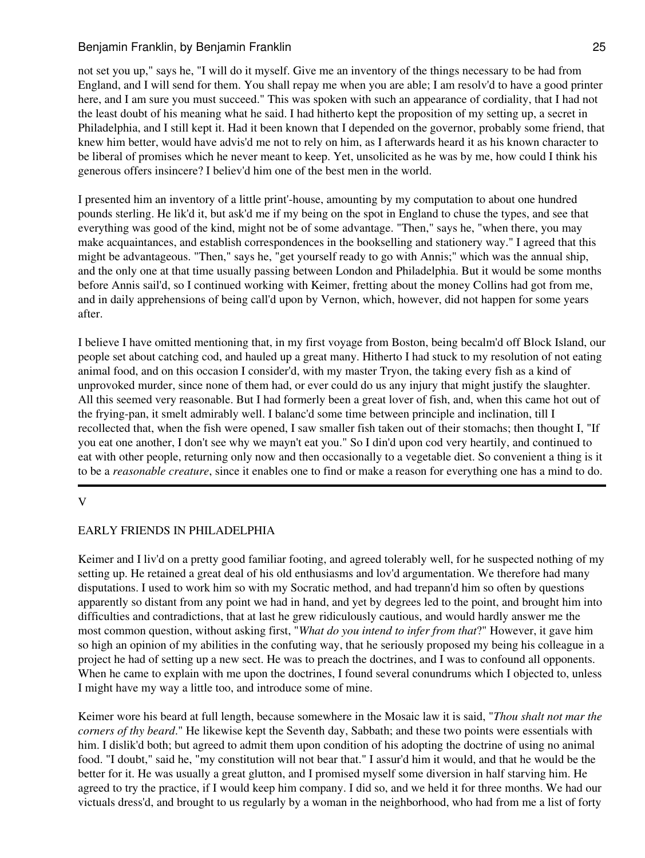not set you up," says he, "I will do it myself. Give me an inventory of the things necessary to be had from England, and I will send for them. You shall repay me when you are able; I am resolv'd to have a good printer here, and I am sure you must succeed." This was spoken with such an appearance of cordiality, that I had not the least doubt of his meaning what he said. I had hitherto kept the proposition of my setting up, a secret in Philadelphia, and I still kept it. Had it been known that I depended on the governor, probably some friend, that knew him better, would have advis'd me not to rely on him, as I afterwards heard it as his known character to be liberal of promises which he never meant to keep. Yet, unsolicited as he was by me, how could I think his generous offers insincere? I believ'd him one of the best men in the world.

I presented him an inventory of a little print'-house, amounting by my computation to about one hundred pounds sterling. He lik'd it, but ask'd me if my being on the spot in England to chuse the types, and see that everything was good of the kind, might not be of some advantage. "Then," says he, "when there, you may make acquaintances, and establish correspondences in the bookselling and stationery way." I agreed that this might be advantageous. "Then," says he, "get yourself ready to go with Annis;" which was the annual ship, and the only one at that time usually passing between London and Philadelphia. But it would be some months before Annis sail'd, so I continued working with Keimer, fretting about the money Collins had got from me, and in daily apprehensions of being call'd upon by Vernon, which, however, did not happen for some years after.

I believe I have omitted mentioning that, in my first voyage from Boston, being becalm'd off Block Island, our people set about catching cod, and hauled up a great many. Hitherto I had stuck to my resolution of not eating animal food, and on this occasion I consider'd, with my master Tryon, the taking every fish as a kind of unprovoked murder, since none of them had, or ever could do us any injury that might justify the slaughter. All this seemed very reasonable. But I had formerly been a great lover of fish, and, when this came hot out of the frying-pan, it smelt admirably well. I balanc'd some time between principle and inclination, till I recollected that, when the fish were opened, I saw smaller fish taken out of their stomachs; then thought I, "If you eat one another, I don't see why we mayn't eat you." So I din'd upon cod very heartily, and continued to eat with other people, returning only now and then occasionally to a vegetable diet. So convenient a thing is it to be a *reasonable creature*, since it enables one to find or make a reason for everything one has a mind to do.

V

# EARLY FRIENDS IN PHILADELPHIA

Keimer and I liv'd on a pretty good familiar footing, and agreed tolerably well, for he suspected nothing of my setting up. He retained a great deal of his old enthusiasms and lov'd argumentation. We therefore had many disputations. I used to work him so with my Socratic method, and had trepann'd him so often by questions apparently so distant from any point we had in hand, and yet by degrees led to the point, and brought him into difficulties and contradictions, that at last he grew ridiculously cautious, and would hardly answer me the most common question, without asking first, "*What do you intend to infer from that*?" However, it gave him so high an opinion of my abilities in the confuting way, that he seriously proposed my being his colleague in a project he had of setting up a new sect. He was to preach the doctrines, and I was to confound all opponents. When he came to explain with me upon the doctrines, I found several conundrums which I objected to, unless I might have my way a little too, and introduce some of mine.

Keimer wore his beard at full length, because somewhere in the Mosaic law it is said, "*Thou shalt not mar the corners of thy beard*." He likewise kept the Seventh day, Sabbath; and these two points were essentials with him. I dislik'd both; but agreed to admit them upon condition of his adopting the doctrine of using no animal food. "I doubt," said he, "my constitution will not bear that." I assur'd him it would, and that he would be the better for it. He was usually a great glutton, and I promised myself some diversion in half starving him. He agreed to try the practice, if I would keep him company. I did so, and we held it for three months. We had our victuals dress'd, and brought to us regularly by a woman in the neighborhood, who had from me a list of forty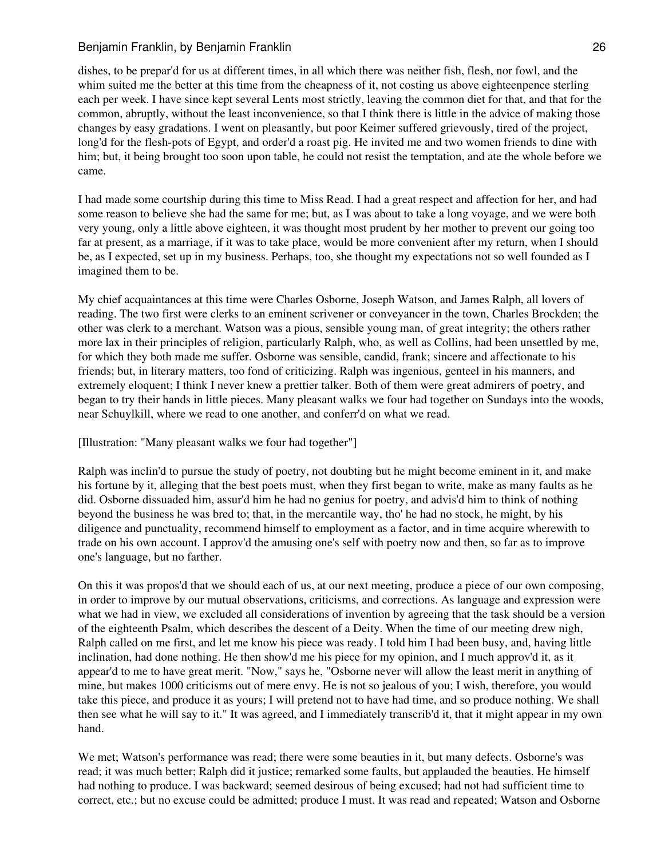dishes, to be prepar'd for us at different times, in all which there was neither fish, flesh, nor fowl, and the whim suited me the better at this time from the cheapness of it, not costing us above eighteenpence sterling each per week. I have since kept several Lents most strictly, leaving the common diet for that, and that for the common, abruptly, without the least inconvenience, so that I think there is little in the advice of making those changes by easy gradations. I went on pleasantly, but poor Keimer suffered grievously, tired of the project, long'd for the flesh-pots of Egypt, and order'd a roast pig. He invited me and two women friends to dine with him; but, it being brought too soon upon table, he could not resist the temptation, and ate the whole before we came.

I had made some courtship during this time to Miss Read. I had a great respect and affection for her, and had some reason to believe she had the same for me; but, as I was about to take a long voyage, and we were both very young, only a little above eighteen, it was thought most prudent by her mother to prevent our going too far at present, as a marriage, if it was to take place, would be more convenient after my return, when I should be, as I expected, set up in my business. Perhaps, too, she thought my expectations not so well founded as I imagined them to be.

My chief acquaintances at this time were Charles Osborne, Joseph Watson, and James Ralph, all lovers of reading. The two first were clerks to an eminent scrivener or conveyancer in the town, Charles Brockden; the other was clerk to a merchant. Watson was a pious, sensible young man, of great integrity; the others rather more lax in their principles of religion, particularly Ralph, who, as well as Collins, had been unsettled by me, for which they both made me suffer. Osborne was sensible, candid, frank; sincere and affectionate to his friends; but, in literary matters, too fond of criticizing. Ralph was ingenious, genteel in his manners, and extremely eloquent; I think I never knew a prettier talker. Both of them were great admirers of poetry, and began to try their hands in little pieces. Many pleasant walks we four had together on Sundays into the woods, near Schuylkill, where we read to one another, and conferr'd on what we read.

[Illustration: "Many pleasant walks we four had together"]

Ralph was inclin'd to pursue the study of poetry, not doubting but he might become eminent in it, and make his fortune by it, alleging that the best poets must, when they first began to write, make as many faults as he did. Osborne dissuaded him, assur'd him he had no genius for poetry, and advis'd him to think of nothing beyond the business he was bred to; that, in the mercantile way, tho' he had no stock, he might, by his diligence and punctuality, recommend himself to employment as a factor, and in time acquire wherewith to trade on his own account. I approv'd the amusing one's self with poetry now and then, so far as to improve one's language, but no farther.

On this it was propos'd that we should each of us, at our next meeting, produce a piece of our own composing, in order to improve by our mutual observations, criticisms, and corrections. As language and expression were what we had in view, we excluded all considerations of invention by agreeing that the task should be a version of the eighteenth Psalm, which describes the descent of a Deity. When the time of our meeting drew nigh, Ralph called on me first, and let me know his piece was ready. I told him I had been busy, and, having little inclination, had done nothing. He then show'd me his piece for my opinion, and I much approv'd it, as it appear'd to me to have great merit. "Now," says he, "Osborne never will allow the least merit in anything of mine, but makes 1000 criticisms out of mere envy. He is not so jealous of you; I wish, therefore, you would take this piece, and produce it as yours; I will pretend not to have had time, and so produce nothing. We shall then see what he will say to it." It was agreed, and I immediately transcrib'd it, that it might appear in my own hand.

We met; Watson's performance was read; there were some beauties in it, but many defects. Osborne's was read; it was much better; Ralph did it justice; remarked some faults, but applauded the beauties. He himself had nothing to produce. I was backward; seemed desirous of being excused; had not had sufficient time to correct, etc.; but no excuse could be admitted; produce I must. It was read and repeated; Watson and Osborne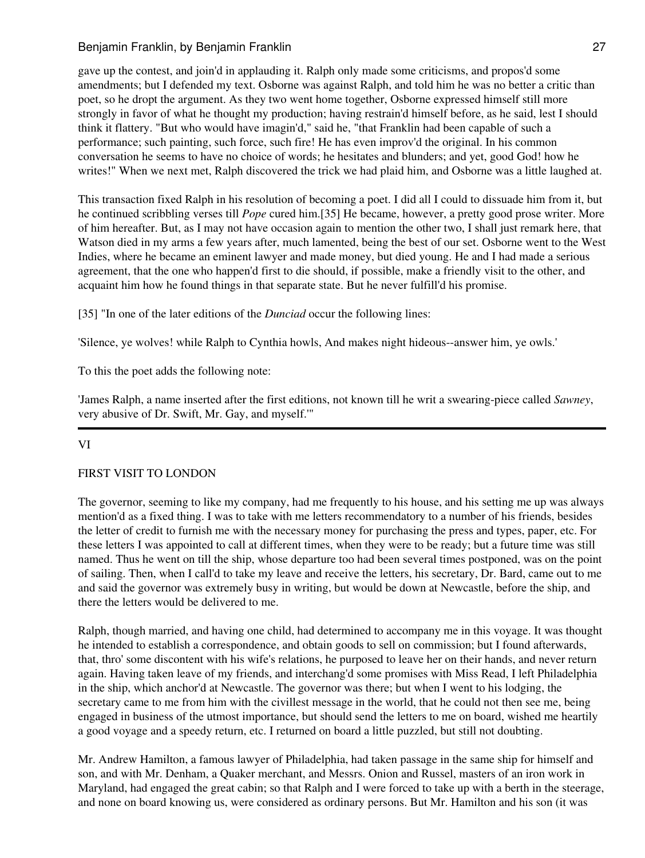gave up the contest, and join'd in applauding it. Ralph only made some criticisms, and propos'd some amendments; but I defended my text. Osborne was against Ralph, and told him he was no better a critic than poet, so he dropt the argument. As they two went home together, Osborne expressed himself still more strongly in favor of what he thought my production; having restrain'd himself before, as he said, lest I should think it flattery. "But who would have imagin'd," said he, "that Franklin had been capable of such a performance; such painting, such force, such fire! He has even improv'd the original. In his common conversation he seems to have no choice of words; he hesitates and blunders; and yet, good God! how he writes!" When we next met, Ralph discovered the trick we had plaid him, and Osborne was a little laughed at.

This transaction fixed Ralph in his resolution of becoming a poet. I did all I could to dissuade him from it, but he continued scribbling verses till *Pope* cured him.[35] He became, however, a pretty good prose writer. More of him hereafter. But, as I may not have occasion again to mention the other two, I shall just remark here, that Watson died in my arms a few years after, much lamented, being the best of our set. Osborne went to the West Indies, where he became an eminent lawyer and made money, but died young. He and I had made a serious agreement, that the one who happen'd first to die should, if possible, make a friendly visit to the other, and acquaint him how he found things in that separate state. But he never fulfill'd his promise.

[35] "In one of the later editions of the *Dunciad* occur the following lines:

'Silence, ye wolves! while Ralph to Cynthia howls, And makes night hideous--answer him, ye owls.'

To this the poet adds the following note:

'James Ralph, a name inserted after the first editions, not known till he writ a swearing-piece called *Sawney*, very abusive of Dr. Swift, Mr. Gay, and myself.'"

# VI

# FIRST VISIT TO LONDON

The governor, seeming to like my company, had me frequently to his house, and his setting me up was always mention'd as a fixed thing. I was to take with me letters recommendatory to a number of his friends, besides the letter of credit to furnish me with the necessary money for purchasing the press and types, paper, etc. For these letters I was appointed to call at different times, when they were to be ready; but a future time was still named. Thus he went on till the ship, whose departure too had been several times postponed, was on the point of sailing. Then, when I call'd to take my leave and receive the letters, his secretary, Dr. Bard, came out to me and said the governor was extremely busy in writing, but would be down at Newcastle, before the ship, and there the letters would be delivered to me.

Ralph, though married, and having one child, had determined to accompany me in this voyage. It was thought he intended to establish a correspondence, and obtain goods to sell on commission; but I found afterwards, that, thro' some discontent with his wife's relations, he purposed to leave her on their hands, and never return again. Having taken leave of my friends, and interchang'd some promises with Miss Read, I left Philadelphia in the ship, which anchor'd at Newcastle. The governor was there; but when I went to his lodging, the secretary came to me from him with the civillest message in the world, that he could not then see me, being engaged in business of the utmost importance, but should send the letters to me on board, wished me heartily a good voyage and a speedy return, etc. I returned on board a little puzzled, but still not doubting.

Mr. Andrew Hamilton, a famous lawyer of Philadelphia, had taken passage in the same ship for himself and son, and with Mr. Denham, a Quaker merchant, and Messrs. Onion and Russel, masters of an iron work in Maryland, had engaged the great cabin; so that Ralph and I were forced to take up with a berth in the steerage, and none on board knowing us, were considered as ordinary persons. But Mr. Hamilton and his son (it was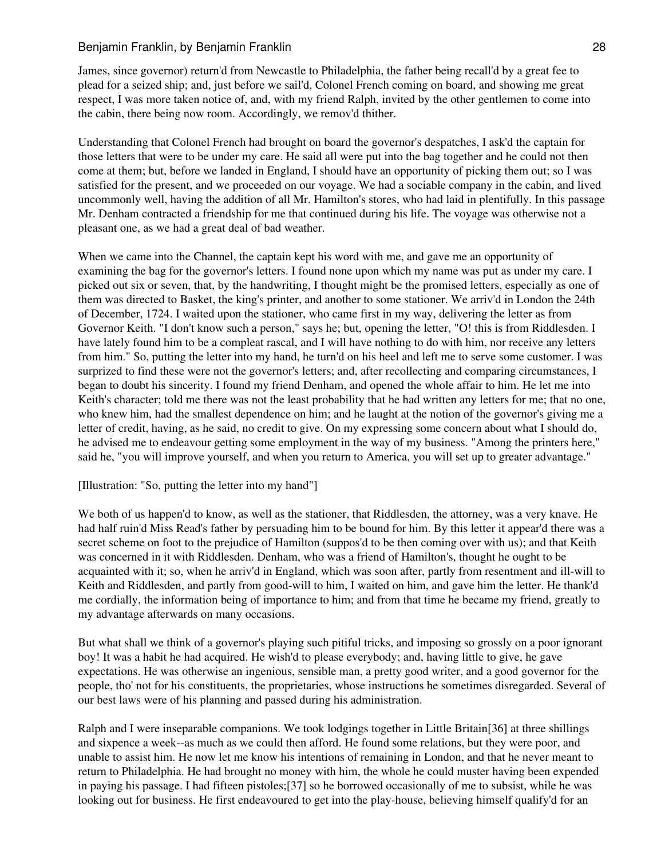James, since governor) return'd from Newcastle to Philadelphia, the father being recall'd by a great fee to plead for a seized ship; and, just before we sail'd, Colonel French coming on board, and showing me great respect, I was more taken notice of, and, with my friend Ralph, invited by the other gentlemen to come into the cabin, there being now room. Accordingly, we remov'd thither.

Understanding that Colonel French had brought on board the governor's despatches, I ask'd the captain for those letters that were to be under my care. He said all were put into the bag together and he could not then come at them; but, before we landed in England, I should have an opportunity of picking them out; so I was satisfied for the present, and we proceeded on our voyage. We had a sociable company in the cabin, and lived uncommonly well, having the addition of all Mr. Hamilton's stores, who had laid in plentifully. In this passage Mr. Denham contracted a friendship for me that continued during his life. The voyage was otherwise not a pleasant one, as we had a great deal of bad weather.

When we came into the Channel, the captain kept his word with me, and gave me an opportunity of examining the bag for the governor's letters. I found none upon which my name was put as under my care. I picked out six or seven, that, by the handwriting, I thought might be the promised letters, especially as one of them was directed to Basket, the king's printer, and another to some stationer. We arriv'd in London the 24th of December, 1724. I waited upon the stationer, who came first in my way, delivering the letter as from Governor Keith. "I don't know such a person," says he; but, opening the letter, "O! this is from Riddlesden. I have lately found him to be a compleat rascal, and I will have nothing to do with him, nor receive any letters from him." So, putting the letter into my hand, he turn'd on his heel and left me to serve some customer. I was surprized to find these were not the governor's letters; and, after recollecting and comparing circumstances, I began to doubt his sincerity. I found my friend Denham, and opened the whole affair to him. He let me into Keith's character; told me there was not the least probability that he had written any letters for me; that no one, who knew him, had the smallest dependence on him; and he laught at the notion of the governor's giving me a letter of credit, having, as he said, no credit to give. On my expressing some concern about what I should do, he advised me to endeavour getting some employment in the way of my business. "Among the printers here," said he, "you will improve yourself, and when you return to America, you will set up to greater advantage."

## [Illustration: "So, putting the letter into my hand"]

We both of us happen'd to know, as well as the stationer, that Riddlesden, the attorney, was a very knave. He had half ruin'd Miss Read's father by persuading him to be bound for him. By this letter it appear'd there was a secret scheme on foot to the prejudice of Hamilton (suppos'd to be then coming over with us); and that Keith was concerned in it with Riddlesden. Denham, who was a friend of Hamilton's, thought he ought to be acquainted with it; so, when he arriv'd in England, which was soon after, partly from resentment and ill-will to Keith and Riddlesden, and partly from good-will to him, I waited on him, and gave him the letter. He thank'd me cordially, the information being of importance to him; and from that time he became my friend, greatly to my advantage afterwards on many occasions.

But what shall we think of a governor's playing such pitiful tricks, and imposing so grossly on a poor ignorant boy! It was a habit he had acquired. He wish'd to please everybody; and, having little to give, he gave expectations. He was otherwise an ingenious, sensible man, a pretty good writer, and a good governor for the people, tho' not for his constituents, the proprietaries, whose instructions he sometimes disregarded. Several of our best laws were of his planning and passed during his administration.

Ralph and I were inseparable companions. We took lodgings together in Little Britain[36] at three shillings and sixpence a week--as much as we could then afford. He found some relations, but they were poor, and unable to assist him. He now let me know his intentions of remaining in London, and that he never meant to return to Philadelphia. He had brought no money with him, the whole he could muster having been expended in paying his passage. I had fifteen pistoles;[37] so he borrowed occasionally of me to subsist, while he was looking out for business. He first endeavoured to get into the play-house, believing himself qualify'd for an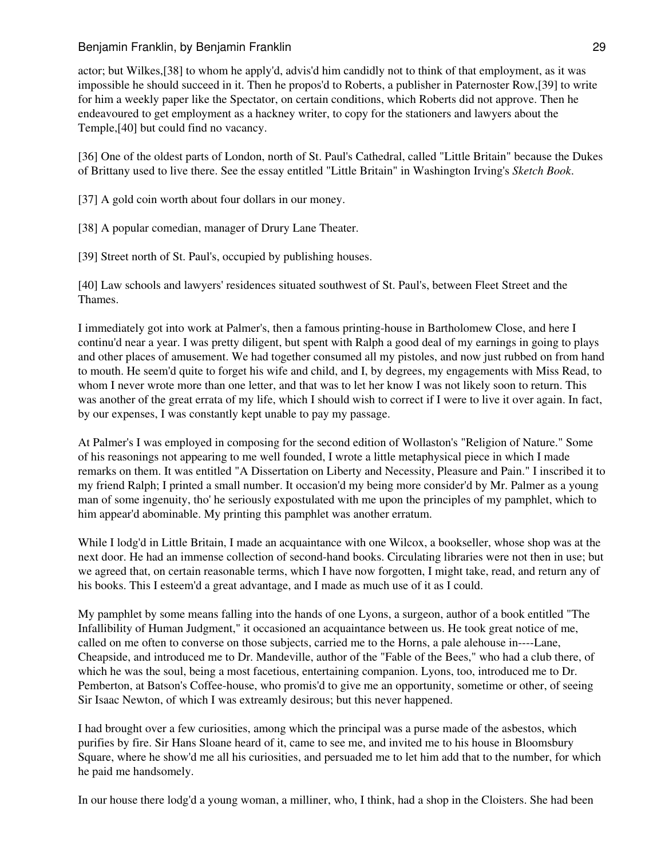actor; but Wilkes,[38] to whom he apply'd, advis'd him candidly not to think of that employment, as it was impossible he should succeed in it. Then he propos'd to Roberts, a publisher in Paternoster Row,[39] to write for him a weekly paper like the Spectator, on certain conditions, which Roberts did not approve. Then he endeavoured to get employment as a hackney writer, to copy for the stationers and lawyers about the Temple,[40] but could find no vacancy.

[36] One of the oldest parts of London, north of St. Paul's Cathedral, called "Little Britain" because the Dukes of Brittany used to live there. See the essay entitled "Little Britain" in Washington Irving's *Sketch Book*.

[37] A gold coin worth about four dollars in our money.

[38] A popular comedian, manager of Drury Lane Theater.

[39] Street north of St. Paul's, occupied by publishing houses.

[40] Law schools and lawyers' residences situated southwest of St. Paul's, between Fleet Street and the Thames.

I immediately got into work at Palmer's, then a famous printing-house in Bartholomew Close, and here I continu'd near a year. I was pretty diligent, but spent with Ralph a good deal of my earnings in going to plays and other places of amusement. We had together consumed all my pistoles, and now just rubbed on from hand to mouth. He seem'd quite to forget his wife and child, and I, by degrees, my engagements with Miss Read, to whom I never wrote more than one letter, and that was to let her know I was not likely soon to return. This was another of the great errata of my life, which I should wish to correct if I were to live it over again. In fact, by our expenses, I was constantly kept unable to pay my passage.

At Palmer's I was employed in composing for the second edition of Wollaston's "Religion of Nature." Some of his reasonings not appearing to me well founded, I wrote a little metaphysical piece in which I made remarks on them. It was entitled "A Dissertation on Liberty and Necessity, Pleasure and Pain." I inscribed it to my friend Ralph; I printed a small number. It occasion'd my being more consider'd by Mr. Palmer as a young man of some ingenuity, tho' he seriously expostulated with me upon the principles of my pamphlet, which to him appear'd abominable. My printing this pamphlet was another erratum.

While I lodg'd in Little Britain, I made an acquaintance with one Wilcox, a bookseller, whose shop was at the next door. He had an immense collection of second-hand books. Circulating libraries were not then in use; but we agreed that, on certain reasonable terms, which I have now forgotten, I might take, read, and return any of his books. This I esteem'd a great advantage, and I made as much use of it as I could.

My pamphlet by some means falling into the hands of one Lyons, a surgeon, author of a book entitled "The Infallibility of Human Judgment," it occasioned an acquaintance between us. He took great notice of me, called on me often to converse on those subjects, carried me to the Horns, a pale alehouse in----Lane, Cheapside, and introduced me to Dr. Mandeville, author of the "Fable of the Bees," who had a club there, of which he was the soul, being a most facetious, entertaining companion. Lyons, too, introduced me to Dr. Pemberton, at Batson's Coffee-house, who promis'd to give me an opportunity, sometime or other, of seeing Sir Isaac Newton, of which I was extreamly desirous; but this never happened.

I had brought over a few curiosities, among which the principal was a purse made of the asbestos, which purifies by fire. Sir Hans Sloane heard of it, came to see me, and invited me to his house in Bloomsbury Square, where he show'd me all his curiosities, and persuaded me to let him add that to the number, for which he paid me handsomely.

In our house there lodg'd a young woman, a milliner, who, I think, had a shop in the Cloisters. She had been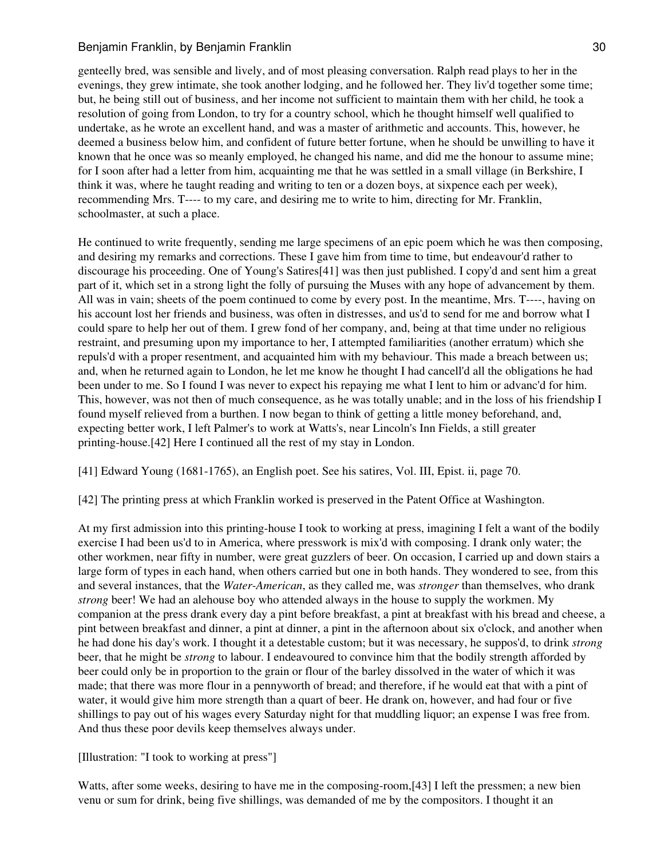# Benjamin Franklin, by Benjamin Franklin 30 and 30 and 30 and 30 and 30 and 30 and 30 and 30 and 30 and 30 and 30 and 30 and 30 and 30 and 30 and 30 and 30 and 30 and 30 and 30 and 30 and 30 and 30 and 30 and 30 and 30 and

genteelly bred, was sensible and lively, and of most pleasing conversation. Ralph read plays to her in the evenings, they grew intimate, she took another lodging, and he followed her. They liv'd together some time; but, he being still out of business, and her income not sufficient to maintain them with her child, he took a resolution of going from London, to try for a country school, which he thought himself well qualified to undertake, as he wrote an excellent hand, and was a master of arithmetic and accounts. This, however, he deemed a business below him, and confident of future better fortune, when he should be unwilling to have it known that he once was so meanly employed, he changed his name, and did me the honour to assume mine; for I soon after had a letter from him, acquainting me that he was settled in a small village (in Berkshire, I think it was, where he taught reading and writing to ten or a dozen boys, at sixpence each per week), recommending Mrs. T---- to my care, and desiring me to write to him, directing for Mr. Franklin, schoolmaster, at such a place.

He continued to write frequently, sending me large specimens of an epic poem which he was then composing, and desiring my remarks and corrections. These I gave him from time to time, but endeavour'd rather to discourage his proceeding. One of Young's Satires[41] was then just published. I copy'd and sent him a great part of it, which set in a strong light the folly of pursuing the Muses with any hope of advancement by them. All was in vain; sheets of the poem continued to come by every post. In the meantime, Mrs. T----, having on his account lost her friends and business, was often in distresses, and us'd to send for me and borrow what I could spare to help her out of them. I grew fond of her company, and, being at that time under no religious restraint, and presuming upon my importance to her, I attempted familiarities (another erratum) which she repuls'd with a proper resentment, and acquainted him with my behaviour. This made a breach between us; and, when he returned again to London, he let me know he thought I had cancell'd all the obligations he had been under to me. So I found I was never to expect his repaying me what I lent to him or advanc'd for him. This, however, was not then of much consequence, as he was totally unable; and in the loss of his friendship I found myself relieved from a burthen. I now began to think of getting a little money beforehand, and, expecting better work, I left Palmer's to work at Watts's, near Lincoln's Inn Fields, a still greater printing-house.[42] Here I continued all the rest of my stay in London.

[41] Edward Young (1681-1765), an English poet. See his satires, Vol. III, Epist. ii, page 70.

[42] The printing press at which Franklin worked is preserved in the Patent Office at Washington.

At my first admission into this printing-house I took to working at press, imagining I felt a want of the bodily exercise I had been us'd to in America, where presswork is mix'd with composing. I drank only water; the other workmen, near fifty in number, were great guzzlers of beer. On occasion, I carried up and down stairs a large form of types in each hand, when others carried but one in both hands. They wondered to see, from this and several instances, that the *Water-American*, as they called me, was *stronger* than themselves, who drank *strong* beer! We had an alehouse boy who attended always in the house to supply the workmen. My companion at the press drank every day a pint before breakfast, a pint at breakfast with his bread and cheese, a pint between breakfast and dinner, a pint at dinner, a pint in the afternoon about six o'clock, and another when he had done his day's work. I thought it a detestable custom; but it was necessary, he suppos'd, to drink *strong* beer, that he might be *strong* to labour. I endeavoured to convince him that the bodily strength afforded by beer could only be in proportion to the grain or flour of the barley dissolved in the water of which it was made; that there was more flour in a pennyworth of bread; and therefore, if he would eat that with a pint of water, it would give him more strength than a quart of beer. He drank on, however, and had four or five shillings to pay out of his wages every Saturday night for that muddling liquor; an expense I was free from. And thus these poor devils keep themselves always under.

[Illustration: "I took to working at press"]

Watts, after some weeks, desiring to have me in the composing-room,[43] I left the pressmen; a new bien venu or sum for drink, being five shillings, was demanded of me by the compositors. I thought it an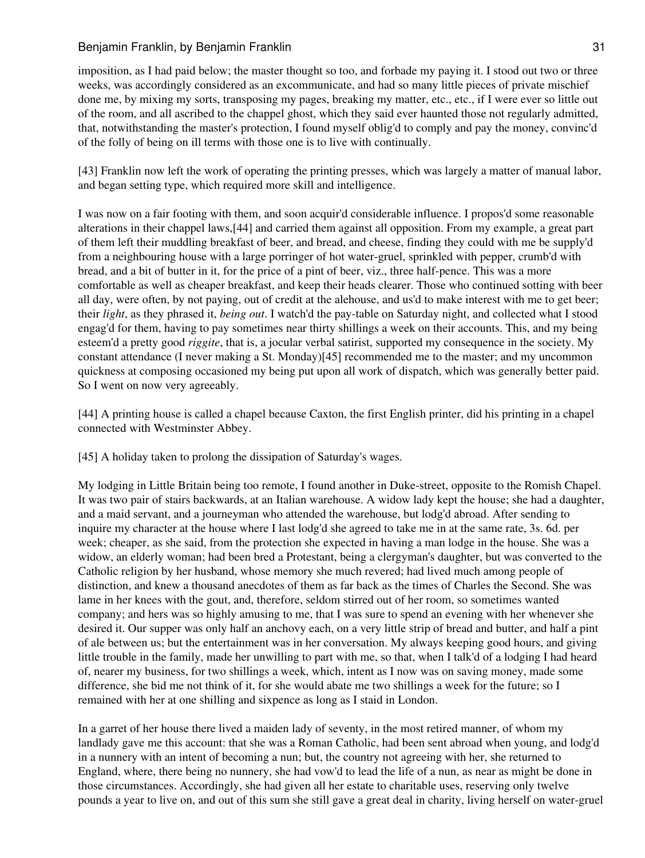imposition, as I had paid below; the master thought so too, and forbade my paying it. I stood out two or three weeks, was accordingly considered as an excommunicate, and had so many little pieces of private mischief done me, by mixing my sorts, transposing my pages, breaking my matter, etc., etc., if I were ever so little out of the room, and all ascribed to the chappel ghost, which they said ever haunted those not regularly admitted, that, notwithstanding the master's protection, I found myself oblig'd to comply and pay the money, convinc'd of the folly of being on ill terms with those one is to live with continually.

[43] Franklin now left the work of operating the printing presses, which was largely a matter of manual labor, and began setting type, which required more skill and intelligence.

I was now on a fair footing with them, and soon acquir'd considerable influence. I propos'd some reasonable alterations in their chappel laws,[44] and carried them against all opposition. From my example, a great part of them left their muddling breakfast of beer, and bread, and cheese, finding they could with me be supply'd from a neighbouring house with a large porringer of hot water-gruel, sprinkled with pepper, crumb'd with bread, and a bit of butter in it, for the price of a pint of beer, viz., three half-pence. This was a more comfortable as well as cheaper breakfast, and keep their heads clearer. Those who continued sotting with beer all day, were often, by not paying, out of credit at the alehouse, and us'd to make interest with me to get beer; their *light*, as they phrased it, *being out*. I watch'd the pay-table on Saturday night, and collected what I stood engag'd for them, having to pay sometimes near thirty shillings a week on their accounts. This, and my being esteem'd a pretty good *riggite*, that is, a jocular verbal satirist, supported my consequence in the society. My constant attendance (I never making a St. Monday)[45] recommended me to the master; and my uncommon quickness at composing occasioned my being put upon all work of dispatch, which was generally better paid. So I went on now very agreeably.

[44] A printing house is called a chapel because Caxton, the first English printer, did his printing in a chapel connected with Westminster Abbey.

[45] A holiday taken to prolong the dissipation of Saturday's wages.

My lodging in Little Britain being too remote, I found another in Duke-street, opposite to the Romish Chapel. It was two pair of stairs backwards, at an Italian warehouse. A widow lady kept the house; she had a daughter, and a maid servant, and a journeyman who attended the warehouse, but lodg'd abroad. After sending to inquire my character at the house where I last lodg'd she agreed to take me in at the same rate, 3s. 6d. per week; cheaper, as she said, from the protection she expected in having a man lodge in the house. She was a widow, an elderly woman; had been bred a Protestant, being a clergyman's daughter, but was converted to the Catholic religion by her husband, whose memory she much revered; had lived much among people of distinction, and knew a thousand anecdotes of them as far back as the times of Charles the Second. She was lame in her knees with the gout, and, therefore, seldom stirred out of her room, so sometimes wanted company; and hers was so highly amusing to me, that I was sure to spend an evening with her whenever she desired it. Our supper was only half an anchovy each, on a very little strip of bread and butter, and half a pint of ale between us; but the entertainment was in her conversation. My always keeping good hours, and giving little trouble in the family, made her unwilling to part with me, so that, when I talk'd of a lodging I had heard of, nearer my business, for two shillings a week, which, intent as I now was on saving money, made some difference, she bid me not think of it, for she would abate me two shillings a week for the future; so I remained with her at one shilling and sixpence as long as I staid in London.

In a garret of her house there lived a maiden lady of seventy, in the most retired manner, of whom my landlady gave me this account: that she was a Roman Catholic, had been sent abroad when young, and lodg'd in a nunnery with an intent of becoming a nun; but, the country not agreeing with her, she returned to England, where, there being no nunnery, she had vow'd to lead the life of a nun, as near as might be done in those circumstances. Accordingly, she had given all her estate to charitable uses, reserving only twelve pounds a year to live on, and out of this sum she still gave a great deal in charity, living herself on water-gruel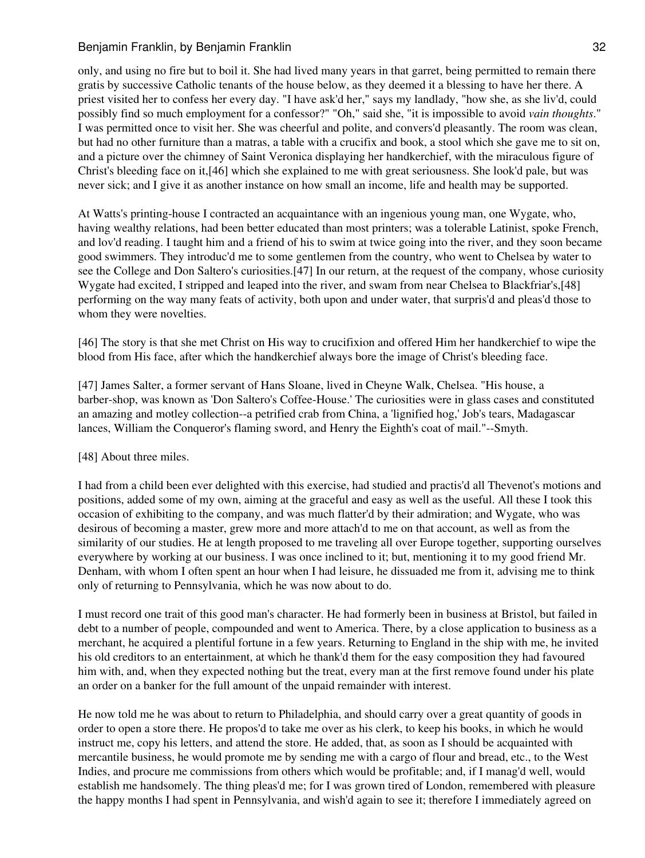only, and using no fire but to boil it. She had lived many years in that garret, being permitted to remain there gratis by successive Catholic tenants of the house below, as they deemed it a blessing to have her there. A priest visited her to confess her every day. "I have ask'd her," says my landlady, "how she, as she liv'd, could possibly find so much employment for a confessor?" "Oh," said she, "it is impossible to avoid *vain thoughts*." I was permitted once to visit her. She was cheerful and polite, and convers'd pleasantly. The room was clean, but had no other furniture than a matras, a table with a crucifix and book, a stool which she gave me to sit on, and a picture over the chimney of Saint Veronica displaying her handkerchief, with the miraculous figure of Christ's bleeding face on it,[46] which she explained to me with great seriousness. She look'd pale, but was never sick; and I give it as another instance on how small an income, life and health may be supported.

At Watts's printing-house I contracted an acquaintance with an ingenious young man, one Wygate, who, having wealthy relations, had been better educated than most printers; was a tolerable Latinist, spoke French, and lov'd reading. I taught him and a friend of his to swim at twice going into the river, and they soon became good swimmers. They introduc'd me to some gentlemen from the country, who went to Chelsea by water to see the College and Don Saltero's curiosities.[47] In our return, at the request of the company, whose curiosity Wygate had excited, I stripped and leaped into the river, and swam from near Chelsea to Blackfriar's,[48] performing on the way many feats of activity, both upon and under water, that surpris'd and pleas'd those to whom they were novelties.

[46] The story is that she met Christ on His way to crucifixion and offered Him her handkerchief to wipe the blood from His face, after which the handkerchief always bore the image of Christ's bleeding face.

[47] James Salter, a former servant of Hans Sloane, lived in Cheyne Walk, Chelsea. "His house, a barber-shop, was known as 'Don Saltero's Coffee-House.' The curiosities were in glass cases and constituted an amazing and motley collection--a petrified crab from China, a 'lignified hog,' Job's tears, Madagascar lances, William the Conqueror's flaming sword, and Henry the Eighth's coat of mail."--Smyth.

## [48] About three miles.

I had from a child been ever delighted with this exercise, had studied and practis'd all Thevenot's motions and positions, added some of my own, aiming at the graceful and easy as well as the useful. All these I took this occasion of exhibiting to the company, and was much flatter'd by their admiration; and Wygate, who was desirous of becoming a master, grew more and more attach'd to me on that account, as well as from the similarity of our studies. He at length proposed to me traveling all over Europe together, supporting ourselves everywhere by working at our business. I was once inclined to it; but, mentioning it to my good friend Mr. Denham, with whom I often spent an hour when I had leisure, he dissuaded me from it, advising me to think only of returning to Pennsylvania, which he was now about to do.

I must record one trait of this good man's character. He had formerly been in business at Bristol, but failed in debt to a number of people, compounded and went to America. There, by a close application to business as a merchant, he acquired a plentiful fortune in a few years. Returning to England in the ship with me, he invited his old creditors to an entertainment, at which he thank'd them for the easy composition they had favoured him with, and, when they expected nothing but the treat, every man at the first remove found under his plate an order on a banker for the full amount of the unpaid remainder with interest.

He now told me he was about to return to Philadelphia, and should carry over a great quantity of goods in order to open a store there. He propos'd to take me over as his clerk, to keep his books, in which he would instruct me, copy his letters, and attend the store. He added, that, as soon as I should be acquainted with mercantile business, he would promote me by sending me with a cargo of flour and bread, etc., to the West Indies, and procure me commissions from others which would be profitable; and, if I manag'd well, would establish me handsomely. The thing pleas'd me; for I was grown tired of London, remembered with pleasure the happy months I had spent in Pennsylvania, and wish'd again to see it; therefore I immediately agreed on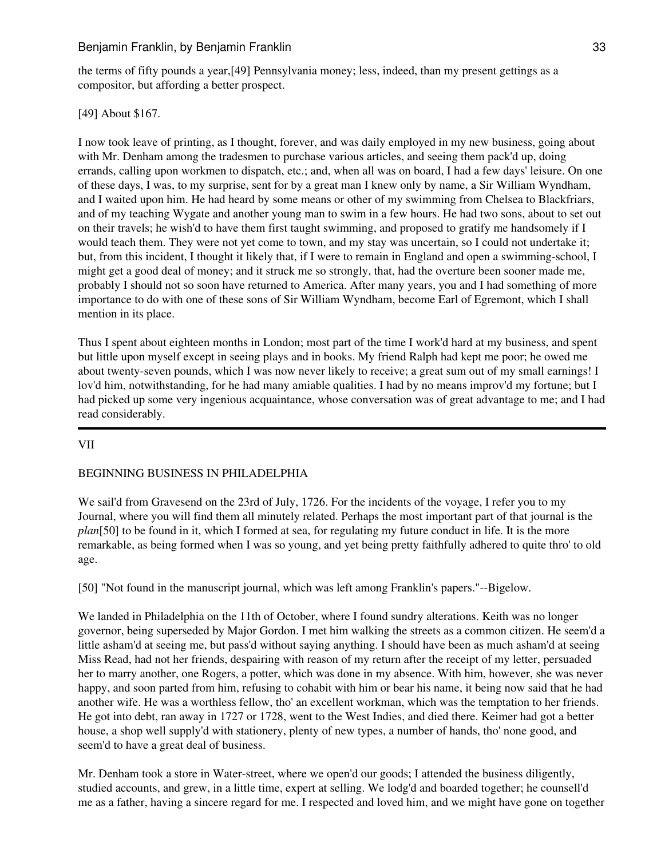the terms of fifty pounds a year,[49] Pennsylvania money; less, indeed, than my present gettings as a compositor, but affording a better prospect.

# [49] About \$167.

I now took leave of printing, as I thought, forever, and was daily employed in my new business, going about with Mr. Denham among the tradesmen to purchase various articles, and seeing them pack'd up, doing errands, calling upon workmen to dispatch, etc.; and, when all was on board, I had a few days' leisure. On one of these days, I was, to my surprise, sent for by a great man I knew only by name, a Sir William Wyndham, and I waited upon him. He had heard by some means or other of my swimming from Chelsea to Blackfriars, and of my teaching Wygate and another young man to swim in a few hours. He had two sons, about to set out on their travels; he wish'd to have them first taught swimming, and proposed to gratify me handsomely if I would teach them. They were not yet come to town, and my stay was uncertain, so I could not undertake it; but, from this incident, I thought it likely that, if I were to remain in England and open a swimming-school, I might get a good deal of money; and it struck me so strongly, that, had the overture been sooner made me, probably I should not so soon have returned to America. After many years, you and I had something of more importance to do with one of these sons of Sir William Wyndham, become Earl of Egremont, which I shall mention in its place.

Thus I spent about eighteen months in London; most part of the time I work'd hard at my business, and spent but little upon myself except in seeing plays and in books. My friend Ralph had kept me poor; he owed me about twenty-seven pounds, which I was now never likely to receive; a great sum out of my small earnings! I lov'd him, notwithstanding, for he had many amiable qualities. I had by no means improv'd my fortune; but I had picked up some very ingenious acquaintance, whose conversation was of great advantage to me; and I had read considerably.

# VII

# BEGINNING BUSINESS IN PHILADELPHIA

We sail'd from Gravesend on the 23rd of July, 1726. For the incidents of the voyage, I refer you to my Journal, where you will find them all minutely related. Perhaps the most important part of that journal is the *plan*[50] to be found in it, which I formed at sea, for regulating my future conduct in life. It is the more remarkable, as being formed when I was so young, and yet being pretty faithfully adhered to quite thro' to old age.

[50] "Not found in the manuscript journal, which was left among Franklin's papers."--Bigelow.

We landed in Philadelphia on the 11th of October, where I found sundry alterations. Keith was no longer governor, being superseded by Major Gordon. I met him walking the streets as a common citizen. He seem'd a little asham'd at seeing me, but pass'd without saying anything. I should have been as much asham'd at seeing Miss Read, had not her friends, despairing with reason of my return after the receipt of my letter, persuaded her to marry another, one Rogers, a potter, which was done in my absence. With him, however, she was never happy, and soon parted from him, refusing to cohabit with him or bear his name, it being now said that he had another wife. He was a worthless fellow, tho' an excellent workman, which was the temptation to her friends. He got into debt, ran away in 1727 or 1728, went to the West Indies, and died there. Keimer had got a better house, a shop well supply'd with stationery, plenty of new types, a number of hands, tho' none good, and seem'd to have a great deal of business.

Mr. Denham took a store in Water-street, where we open'd our goods; I attended the business diligently, studied accounts, and grew, in a little time, expert at selling. We lodg'd and boarded together; he counsell'd me as a father, having a sincere regard for me. I respected and loved him, and we might have gone on together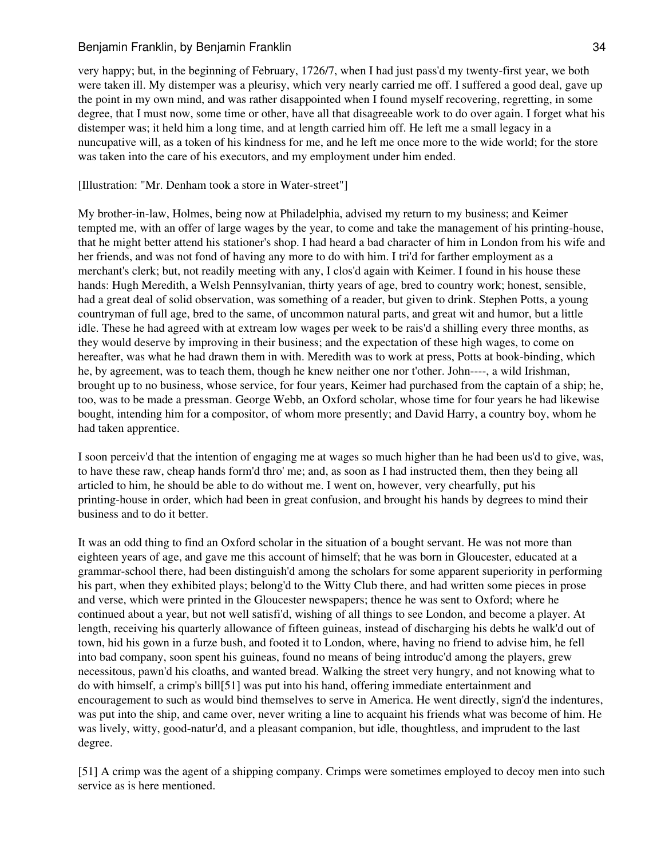very happy; but, in the beginning of February, 1726/7, when I had just pass'd my twenty-first year, we both were taken ill. My distemper was a pleurisy, which very nearly carried me off. I suffered a good deal, gave up the point in my own mind, and was rather disappointed when I found myself recovering, regretting, in some degree, that I must now, some time or other, have all that disagreeable work to do over again. I forget what his distemper was; it held him a long time, and at length carried him off. He left me a small legacy in a nuncupative will, as a token of his kindness for me, and he left me once more to the wide world; for the store was taken into the care of his executors, and my employment under him ended.

## [Illustration: "Mr. Denham took a store in Water-street"]

My brother-in-law, Holmes, being now at Philadelphia, advised my return to my business; and Keimer tempted me, with an offer of large wages by the year, to come and take the management of his printing-house, that he might better attend his stationer's shop. I had heard a bad character of him in London from his wife and her friends, and was not fond of having any more to do with him. I tri'd for farther employment as a merchant's clerk; but, not readily meeting with any, I clos'd again with Keimer. I found in his house these hands: Hugh Meredith, a Welsh Pennsylvanian, thirty years of age, bred to country work; honest, sensible, had a great deal of solid observation, was something of a reader, but given to drink. Stephen Potts, a young countryman of full age, bred to the same, of uncommon natural parts, and great wit and humor, but a little idle. These he had agreed with at extream low wages per week to be rais'd a shilling every three months, as they would deserve by improving in their business; and the expectation of these high wages, to come on hereafter, was what he had drawn them in with. Meredith was to work at press, Potts at book-binding, which he, by agreement, was to teach them, though he knew neither one nor t'other. John----, a wild Irishman, brought up to no business, whose service, for four years, Keimer had purchased from the captain of a ship; he, too, was to be made a pressman. George Webb, an Oxford scholar, whose time for four years he had likewise bought, intending him for a compositor, of whom more presently; and David Harry, a country boy, whom he had taken apprentice.

I soon perceiv'd that the intention of engaging me at wages so much higher than he had been us'd to give, was, to have these raw, cheap hands form'd thro' me; and, as soon as I had instructed them, then they being all articled to him, he should be able to do without me. I went on, however, very chearfully, put his printing-house in order, which had been in great confusion, and brought his hands by degrees to mind their business and to do it better.

It was an odd thing to find an Oxford scholar in the situation of a bought servant. He was not more than eighteen years of age, and gave me this account of himself; that he was born in Gloucester, educated at a grammar-school there, had been distinguish'd among the scholars for some apparent superiority in performing his part, when they exhibited plays; belong'd to the Witty Club there, and had written some pieces in prose and verse, which were printed in the Gloucester newspapers; thence he was sent to Oxford; where he continued about a year, but not well satisfi'd, wishing of all things to see London, and become a player. At length, receiving his quarterly allowance of fifteen guineas, instead of discharging his debts he walk'd out of town, hid his gown in a furze bush, and footed it to London, where, having no friend to advise him, he fell into bad company, soon spent his guineas, found no means of being introduc'd among the players, grew necessitous, pawn'd his cloaths, and wanted bread. Walking the street very hungry, and not knowing what to do with himself, a crimp's bill[51] was put into his hand, offering immediate entertainment and encouragement to such as would bind themselves to serve in America. He went directly, sign'd the indentures, was put into the ship, and came over, never writing a line to acquaint his friends what was become of him. He was lively, witty, good-natur'd, and a pleasant companion, but idle, thoughtless, and imprudent to the last degree.

[51] A crimp was the agent of a shipping company. Crimps were sometimes employed to decoy men into such service as is here mentioned.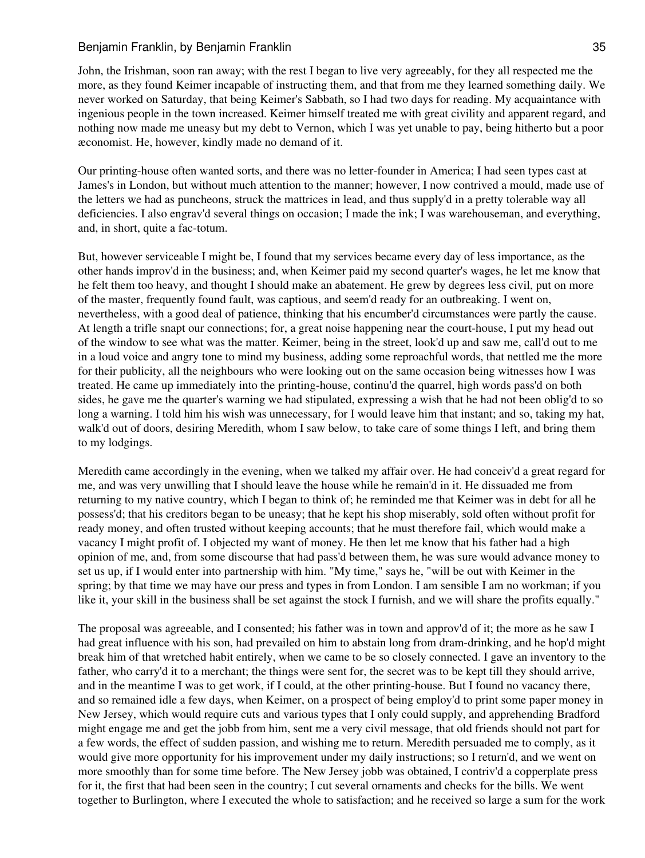John, the Irishman, soon ran away; with the rest I began to live very agreeably, for they all respected me the more, as they found Keimer incapable of instructing them, and that from me they learned something daily. We never worked on Saturday, that being Keimer's Sabbath, so I had two days for reading. My acquaintance with ingenious people in the town increased. Keimer himself treated me with great civility and apparent regard, and nothing now made me uneasy but my debt to Vernon, which I was yet unable to pay, being hitherto but a poor æconomist. He, however, kindly made no demand of it.

Our printing-house often wanted sorts, and there was no letter-founder in America; I had seen types cast at James's in London, but without much attention to the manner; however, I now contrived a mould, made use of the letters we had as puncheons, struck the mattrices in lead, and thus supply'd in a pretty tolerable way all deficiencies. I also engrav'd several things on occasion; I made the ink; I was warehouseman, and everything, and, in short, quite a fac-totum.

But, however serviceable I might be, I found that my services became every day of less importance, as the other hands improv'd in the business; and, when Keimer paid my second quarter's wages, he let me know that he felt them too heavy, and thought I should make an abatement. He grew by degrees less civil, put on more of the master, frequently found fault, was captious, and seem'd ready for an outbreaking. I went on, nevertheless, with a good deal of patience, thinking that his encumber'd circumstances were partly the cause. At length a trifle snapt our connections; for, a great noise happening near the court-house, I put my head out of the window to see what was the matter. Keimer, being in the street, look'd up and saw me, call'd out to me in a loud voice and angry tone to mind my business, adding some reproachful words, that nettled me the more for their publicity, all the neighbours who were looking out on the same occasion being witnesses how I was treated. He came up immediately into the printing-house, continu'd the quarrel, high words pass'd on both sides, he gave me the quarter's warning we had stipulated, expressing a wish that he had not been oblig'd to so long a warning. I told him his wish was unnecessary, for I would leave him that instant; and so, taking my hat, walk'd out of doors, desiring Meredith, whom I saw below, to take care of some things I left, and bring them to my lodgings.

Meredith came accordingly in the evening, when we talked my affair over. He had conceiv'd a great regard for me, and was very unwilling that I should leave the house while he remain'd in it. He dissuaded me from returning to my native country, which I began to think of; he reminded me that Keimer was in debt for all he possess'd; that his creditors began to be uneasy; that he kept his shop miserably, sold often without profit for ready money, and often trusted without keeping accounts; that he must therefore fail, which would make a vacancy I might profit of. I objected my want of money. He then let me know that his father had a high opinion of me, and, from some discourse that had pass'd between them, he was sure would advance money to set us up, if I would enter into partnership with him. "My time," says he, "will be out with Keimer in the spring; by that time we may have our press and types in from London. I am sensible I am no workman; if you like it, your skill in the business shall be set against the stock I furnish, and we will share the profits equally."

The proposal was agreeable, and I consented; his father was in town and approv'd of it; the more as he saw I had great influence with his son, had prevailed on him to abstain long from dram-drinking, and he hop'd might break him of that wretched habit entirely, when we came to be so closely connected. I gave an inventory to the father, who carry'd it to a merchant; the things were sent for, the secret was to be kept till they should arrive, and in the meantime I was to get work, if I could, at the other printing-house. But I found no vacancy there, and so remained idle a few days, when Keimer, on a prospect of being employ'd to print some paper money in New Jersey, which would require cuts and various types that I only could supply, and apprehending Bradford might engage me and get the jobb from him, sent me a very civil message, that old friends should not part for a few words, the effect of sudden passion, and wishing me to return. Meredith persuaded me to comply, as it would give more opportunity for his improvement under my daily instructions; so I return'd, and we went on more smoothly than for some time before. The New Jersey jobb was obtained, I contriv'd a copperplate press for it, the first that had been seen in the country; I cut several ornaments and checks for the bills. We went together to Burlington, where I executed the whole to satisfaction; and he received so large a sum for the work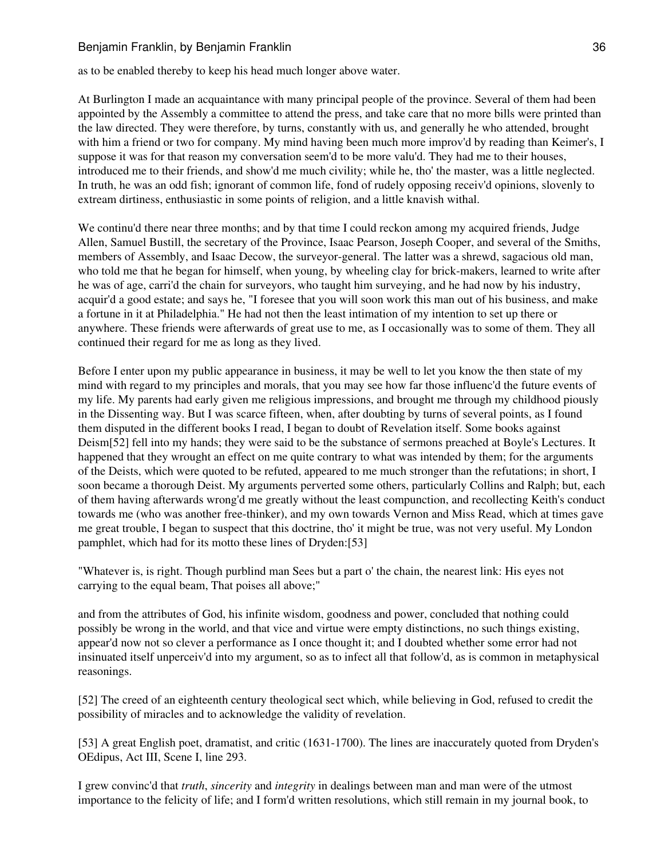as to be enabled thereby to keep his head much longer above water.

At Burlington I made an acquaintance with many principal people of the province. Several of them had been appointed by the Assembly a committee to attend the press, and take care that no more bills were printed than the law directed. They were therefore, by turns, constantly with us, and generally he who attended, brought with him a friend or two for company. My mind having been much more improv'd by reading than Keimer's, I suppose it was for that reason my conversation seem'd to be more valu'd. They had me to their houses, introduced me to their friends, and show'd me much civility; while he, tho' the master, was a little neglected. In truth, he was an odd fish; ignorant of common life, fond of rudely opposing receiv'd opinions, slovenly to extream dirtiness, enthusiastic in some points of religion, and a little knavish withal.

We continu'd there near three months; and by that time I could reckon among my acquired friends, Judge Allen, Samuel Bustill, the secretary of the Province, Isaac Pearson, Joseph Cooper, and several of the Smiths, members of Assembly, and Isaac Decow, the surveyor-general. The latter was a shrewd, sagacious old man, who told me that he began for himself, when young, by wheeling clay for brick-makers, learned to write after he was of age, carri'd the chain for surveyors, who taught him surveying, and he had now by his industry, acquir'd a good estate; and says he, "I foresee that you will soon work this man out of his business, and make a fortune in it at Philadelphia." He had not then the least intimation of my intention to set up there or anywhere. These friends were afterwards of great use to me, as I occasionally was to some of them. They all continued their regard for me as long as they lived.

Before I enter upon my public appearance in business, it may be well to let you know the then state of my mind with regard to my principles and morals, that you may see how far those influenc'd the future events of my life. My parents had early given me religious impressions, and brought me through my childhood piously in the Dissenting way. But I was scarce fifteen, when, after doubting by turns of several points, as I found them disputed in the different books I read, I began to doubt of Revelation itself. Some books against Deism[52] fell into my hands; they were said to be the substance of sermons preached at Boyle's Lectures. It happened that they wrought an effect on me quite contrary to what was intended by them; for the arguments of the Deists, which were quoted to be refuted, appeared to me much stronger than the refutations; in short, I soon became a thorough Deist. My arguments perverted some others, particularly Collins and Ralph; but, each of them having afterwards wrong'd me greatly without the least compunction, and recollecting Keith's conduct towards me (who was another free-thinker), and my own towards Vernon and Miss Read, which at times gave me great trouble, I began to suspect that this doctrine, tho' it might be true, was not very useful. My London pamphlet, which had for its motto these lines of Dryden:[53]

"Whatever is, is right. Though purblind man Sees but a part o' the chain, the nearest link: His eyes not carrying to the equal beam, That poises all above;"

and from the attributes of God, his infinite wisdom, goodness and power, concluded that nothing could possibly be wrong in the world, and that vice and virtue were empty distinctions, no such things existing, appear'd now not so clever a performance as I once thought it; and I doubted whether some error had not insinuated itself unperceiv'd into my argument, so as to infect all that follow'd, as is common in metaphysical reasonings.

[52] The creed of an eighteenth century theological sect which, while believing in God, refused to credit the possibility of miracles and to acknowledge the validity of revelation.

[53] A great English poet, dramatist, and critic (1631-1700). The lines are inaccurately quoted from Dryden's OEdipus, Act III, Scene I, line 293.

I grew convinc'd that *truth*, *sincerity* and *integrity* in dealings between man and man were of the utmost importance to the felicity of life; and I form'd written resolutions, which still remain in my journal book, to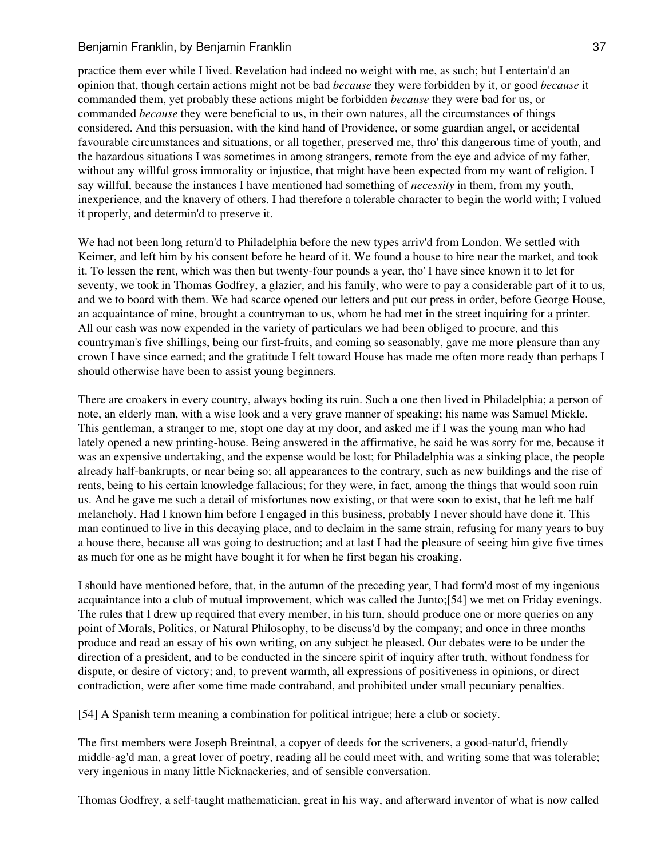practice them ever while I lived. Revelation had indeed no weight with me, as such; but I entertain'd an opinion that, though certain actions might not be bad *because* they were forbidden by it, or good *because* it commanded them, yet probably these actions might be forbidden *because* they were bad for us, or commanded *because* they were beneficial to us, in their own natures, all the circumstances of things considered. And this persuasion, with the kind hand of Providence, or some guardian angel, or accidental favourable circumstances and situations, or all together, preserved me, thro' this dangerous time of youth, and the hazardous situations I was sometimes in among strangers, remote from the eye and advice of my father, without any willful gross immorality or injustice, that might have been expected from my want of religion. I say willful, because the instances I have mentioned had something of *necessity* in them, from my youth, inexperience, and the knavery of others. I had therefore a tolerable character to begin the world with; I valued it properly, and determin'd to preserve it.

We had not been long return'd to Philadelphia before the new types arriv'd from London. We settled with Keimer, and left him by his consent before he heard of it. We found a house to hire near the market, and took it. To lessen the rent, which was then but twenty-four pounds a year, tho' I have since known it to let for seventy, we took in Thomas Godfrey, a glazier, and his family, who were to pay a considerable part of it to us, and we to board with them. We had scarce opened our letters and put our press in order, before George House, an acquaintance of mine, brought a countryman to us, whom he had met in the street inquiring for a printer. All our cash was now expended in the variety of particulars we had been obliged to procure, and this countryman's five shillings, being our first-fruits, and coming so seasonably, gave me more pleasure than any crown I have since earned; and the gratitude I felt toward House has made me often more ready than perhaps I should otherwise have been to assist young beginners.

There are croakers in every country, always boding its ruin. Such a one then lived in Philadelphia; a person of note, an elderly man, with a wise look and a very grave manner of speaking; his name was Samuel Mickle. This gentleman, a stranger to me, stopt one day at my door, and asked me if I was the young man who had lately opened a new printing-house. Being answered in the affirmative, he said he was sorry for me, because it was an expensive undertaking, and the expense would be lost; for Philadelphia was a sinking place, the people already half-bankrupts, or near being so; all appearances to the contrary, such as new buildings and the rise of rents, being to his certain knowledge fallacious; for they were, in fact, among the things that would soon ruin us. And he gave me such a detail of misfortunes now existing, or that were soon to exist, that he left me half melancholy. Had I known him before I engaged in this business, probably I never should have done it. This man continued to live in this decaying place, and to declaim in the same strain, refusing for many years to buy a house there, because all was going to destruction; and at last I had the pleasure of seeing him give five times as much for one as he might have bought it for when he first began his croaking.

I should have mentioned before, that, in the autumn of the preceding year, I had form'd most of my ingenious acquaintance into a club of mutual improvement, which was called the Junto;[54] we met on Friday evenings. The rules that I drew up required that every member, in his turn, should produce one or more queries on any point of Morals, Politics, or Natural Philosophy, to be discuss'd by the company; and once in three months produce and read an essay of his own writing, on any subject he pleased. Our debates were to be under the direction of a president, and to be conducted in the sincere spirit of inquiry after truth, without fondness for dispute, or desire of victory; and, to prevent warmth, all expressions of positiveness in opinions, or direct contradiction, were after some time made contraband, and prohibited under small pecuniary penalties.

[54] A Spanish term meaning a combination for political intrigue; here a club or society.

The first members were Joseph Breintnal, a copyer of deeds for the scriveners, a good-natur'd, friendly middle-ag'd man, a great lover of poetry, reading all he could meet with, and writing some that was tolerable; very ingenious in many little Nicknackeries, and of sensible conversation.

Thomas Godfrey, a self-taught mathematician, great in his way, and afterward inventor of what is now called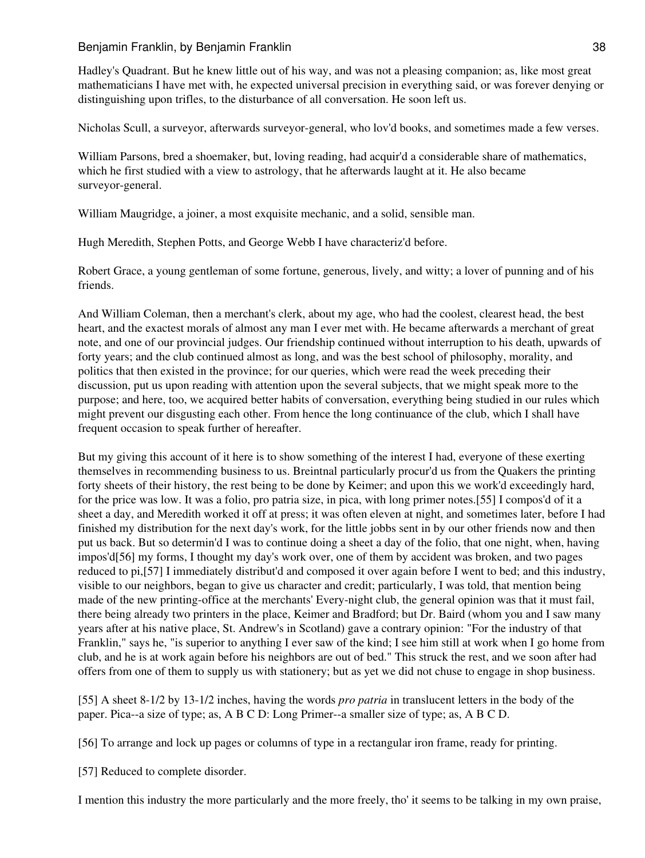Hadley's Quadrant. But he knew little out of his way, and was not a pleasing companion; as, like most great mathematicians I have met with, he expected universal precision in everything said, or was forever denying or distinguishing upon trifles, to the disturbance of all conversation. He soon left us.

Nicholas Scull, a surveyor, afterwards surveyor-general, who lov'd books, and sometimes made a few verses.

William Parsons, bred a shoemaker, but, loving reading, had acquir'd a considerable share of mathematics, which he first studied with a view to astrology, that he afterwards laught at it. He also became surveyor-general.

William Maugridge, a joiner, a most exquisite mechanic, and a solid, sensible man.

Hugh Meredith, Stephen Potts, and George Webb I have characteriz'd before.

Robert Grace, a young gentleman of some fortune, generous, lively, and witty; a lover of punning and of his friends.

And William Coleman, then a merchant's clerk, about my age, who had the coolest, clearest head, the best heart, and the exactest morals of almost any man I ever met with. He became afterwards a merchant of great note, and one of our provincial judges. Our friendship continued without interruption to his death, upwards of forty years; and the club continued almost as long, and was the best school of philosophy, morality, and politics that then existed in the province; for our queries, which were read the week preceding their discussion, put us upon reading with attention upon the several subjects, that we might speak more to the purpose; and here, too, we acquired better habits of conversation, everything being studied in our rules which might prevent our disgusting each other. From hence the long continuance of the club, which I shall have frequent occasion to speak further of hereafter.

But my giving this account of it here is to show something of the interest I had, everyone of these exerting themselves in recommending business to us. Breintnal particularly procur'd us from the Quakers the printing forty sheets of their history, the rest being to be done by Keimer; and upon this we work'd exceedingly hard, for the price was low. It was a folio, pro patria size, in pica, with long primer notes.[55] I compos'd of it a sheet a day, and Meredith worked it off at press; it was often eleven at night, and sometimes later, before I had finished my distribution for the next day's work, for the little jobbs sent in by our other friends now and then put us back. But so determin'd I was to continue doing a sheet a day of the folio, that one night, when, having impos'd[56] my forms, I thought my day's work over, one of them by accident was broken, and two pages reduced to pi,[57] I immediately distribut'd and composed it over again before I went to bed; and this industry, visible to our neighbors, began to give us character and credit; particularly, I was told, that mention being made of the new printing-office at the merchants' Every-night club, the general opinion was that it must fail, there being already two printers in the place, Keimer and Bradford; but Dr. Baird (whom you and I saw many years after at his native place, St. Andrew's in Scotland) gave a contrary opinion: "For the industry of that Franklin," says he, "is superior to anything I ever saw of the kind; I see him still at work when I go home from club, and he is at work again before his neighbors are out of bed." This struck the rest, and we soon after had offers from one of them to supply us with stationery; but as yet we did not chuse to engage in shop business.

[55] A sheet 8-1/2 by 13-1/2 inches, having the words *pro patria* in translucent letters in the body of the paper. Pica--a size of type; as, A B C D: Long Primer--a smaller size of type; as, A B C D.

[56] To arrange and lock up pages or columns of type in a rectangular iron frame, ready for printing.

[57] Reduced to complete disorder.

I mention this industry the more particularly and the more freely, tho' it seems to be talking in my own praise,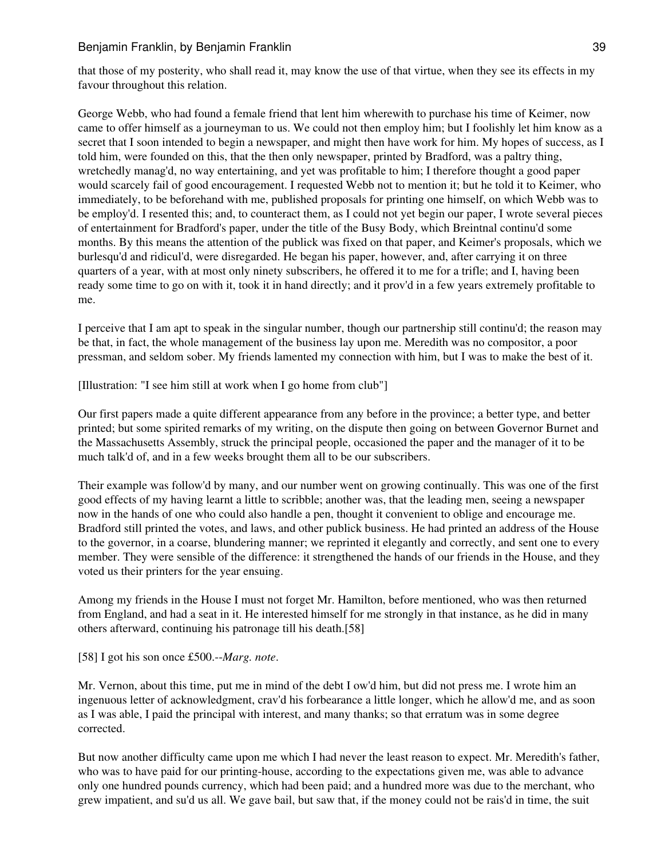that those of my posterity, who shall read it, may know the use of that virtue, when they see its effects in my favour throughout this relation.

George Webb, who had found a female friend that lent him wherewith to purchase his time of Keimer, now came to offer himself as a journeyman to us. We could not then employ him; but I foolishly let him know as a secret that I soon intended to begin a newspaper, and might then have work for him. My hopes of success, as I told him, were founded on this, that the then only newspaper, printed by Bradford, was a paltry thing, wretchedly manag'd, no way entertaining, and yet was profitable to him; I therefore thought a good paper would scarcely fail of good encouragement. I requested Webb not to mention it; but he told it to Keimer, who immediately, to be beforehand with me, published proposals for printing one himself, on which Webb was to be employ'd. I resented this; and, to counteract them, as I could not yet begin our paper, I wrote several pieces of entertainment for Bradford's paper, under the title of the Busy Body, which Breintnal continu'd some months. By this means the attention of the publick was fixed on that paper, and Keimer's proposals, which we burlesqu'd and ridicul'd, were disregarded. He began his paper, however, and, after carrying it on three quarters of a year, with at most only ninety subscribers, he offered it to me for a trifle; and I, having been ready some time to go on with it, took it in hand directly; and it prov'd in a few years extremely profitable to me.

I perceive that I am apt to speak in the singular number, though our partnership still continu'd; the reason may be that, in fact, the whole management of the business lay upon me. Meredith was no compositor, a poor pressman, and seldom sober. My friends lamented my connection with him, but I was to make the best of it.

[Illustration: "I see him still at work when I go home from club"]

Our first papers made a quite different appearance from any before in the province; a better type, and better printed; but some spirited remarks of my writing, on the dispute then going on between Governor Burnet and the Massachusetts Assembly, struck the principal people, occasioned the paper and the manager of it to be much talk'd of, and in a few weeks brought them all to be our subscribers.

Their example was follow'd by many, and our number went on growing continually. This was one of the first good effects of my having learnt a little to scribble; another was, that the leading men, seeing a newspaper now in the hands of one who could also handle a pen, thought it convenient to oblige and encourage me. Bradford still printed the votes, and laws, and other publick business. He had printed an address of the House to the governor, in a coarse, blundering manner; we reprinted it elegantly and correctly, and sent one to every member. They were sensible of the difference: it strengthened the hands of our friends in the House, and they voted us their printers for the year ensuing.

Among my friends in the House I must not forget Mr. Hamilton, before mentioned, who was then returned from England, and had a seat in it. He interested himself for me strongly in that instance, as he did in many others afterward, continuing his patronage till his death.[58]

[58] I got his son once £500.--*Marg. note*.

Mr. Vernon, about this time, put me in mind of the debt I ow'd him, but did not press me. I wrote him an ingenuous letter of acknowledgment, crav'd his forbearance a little longer, which he allow'd me, and as soon as I was able, I paid the principal with interest, and many thanks; so that erratum was in some degree corrected.

But now another difficulty came upon me which I had never the least reason to expect. Mr. Meredith's father, who was to have paid for our printing-house, according to the expectations given me, was able to advance only one hundred pounds currency, which had been paid; and a hundred more was due to the merchant, who grew impatient, and su'd us all. We gave bail, but saw that, if the money could not be rais'd in time, the suit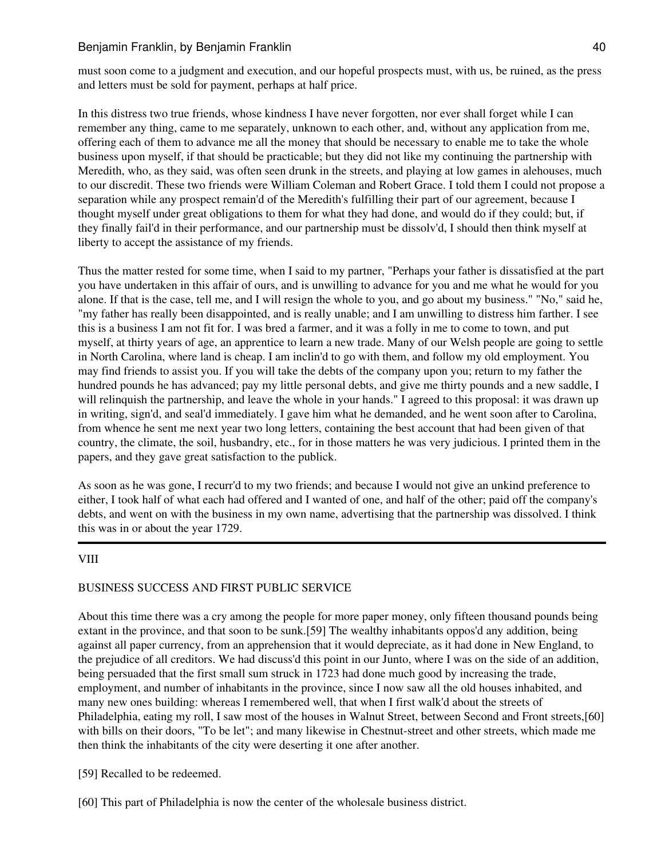# Benjamin Franklin, by Benjamin Franklin **Australian Communist Communist Communist Communist Communist Communist Communist Communist Communist Communist Communist Communist Communist Communist Communist Communist Communist**

must soon come to a judgment and execution, and our hopeful prospects must, with us, be ruined, as the press and letters must be sold for payment, perhaps at half price.

In this distress two true friends, whose kindness I have never forgotten, nor ever shall forget while I can remember any thing, came to me separately, unknown to each other, and, without any application from me, offering each of them to advance me all the money that should be necessary to enable me to take the whole business upon myself, if that should be practicable; but they did not like my continuing the partnership with Meredith, who, as they said, was often seen drunk in the streets, and playing at low games in alehouses, much to our discredit. These two friends were William Coleman and Robert Grace. I told them I could not propose a separation while any prospect remain'd of the Meredith's fulfilling their part of our agreement, because I thought myself under great obligations to them for what they had done, and would do if they could; but, if they finally fail'd in their performance, and our partnership must be dissolv'd, I should then think myself at liberty to accept the assistance of my friends.

Thus the matter rested for some time, when I said to my partner, "Perhaps your father is dissatisfied at the part you have undertaken in this affair of ours, and is unwilling to advance for you and me what he would for you alone. If that is the case, tell me, and I will resign the whole to you, and go about my business." "No," said he, "my father has really been disappointed, and is really unable; and I am unwilling to distress him farther. I see this is a business I am not fit for. I was bred a farmer, and it was a folly in me to come to town, and put myself, at thirty years of age, an apprentice to learn a new trade. Many of our Welsh people are going to settle in North Carolina, where land is cheap. I am inclin'd to go with them, and follow my old employment. You may find friends to assist you. If you will take the debts of the company upon you; return to my father the hundred pounds he has advanced; pay my little personal debts, and give me thirty pounds and a new saddle, I will relinquish the partnership, and leave the whole in your hands." I agreed to this proposal: it was drawn up in writing, sign'd, and seal'd immediately. I gave him what he demanded, and he went soon after to Carolina, from whence he sent me next year two long letters, containing the best account that had been given of that country, the climate, the soil, husbandry, etc., for in those matters he was very judicious. I printed them in the papers, and they gave great satisfaction to the publick.

As soon as he was gone, I recurr'd to my two friends; and because I would not give an unkind preference to either, I took half of what each had offered and I wanted of one, and half of the other; paid off the company's debts, and went on with the business in my own name, advertising that the partnership was dissolved. I think this was in or about the year 1729.

### VIII

# BUSINESS SUCCESS AND FIRST PUBLIC SERVICE

About this time there was a cry among the people for more paper money, only fifteen thousand pounds being extant in the province, and that soon to be sunk.[59] The wealthy inhabitants oppos'd any addition, being against all paper currency, from an apprehension that it would depreciate, as it had done in New England, to the prejudice of all creditors. We had discuss'd this point in our Junto, where I was on the side of an addition, being persuaded that the first small sum struck in 1723 had done much good by increasing the trade, employment, and number of inhabitants in the province, since I now saw all the old houses inhabited, and many new ones building: whereas I remembered well, that when I first walk'd about the streets of Philadelphia, eating my roll, I saw most of the houses in Walnut Street, between Second and Front streets,[60] with bills on their doors, "To be let"; and many likewise in Chestnut-street and other streets, which made me then think the inhabitants of the city were deserting it one after another.

[59] Recalled to be redeemed.

[60] This part of Philadelphia is now the center of the wholesale business district.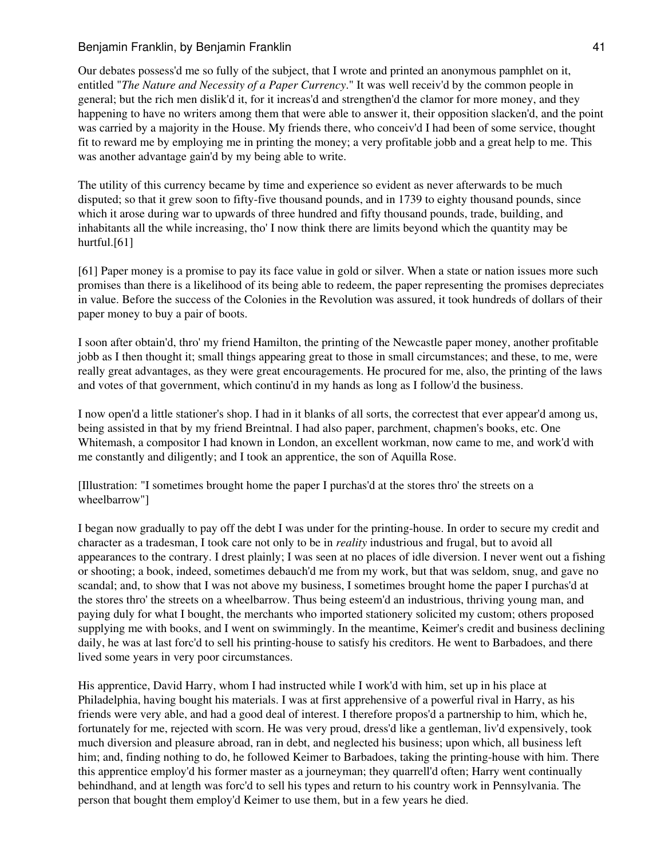Our debates possess'd me so fully of the subject, that I wrote and printed an anonymous pamphlet on it, entitled "*The Nature and Necessity of a Paper Currency*." It was well receiv'd by the common people in general; but the rich men dislik'd it, for it increas'd and strengthen'd the clamor for more money, and they happening to have no writers among them that were able to answer it, their opposition slacken'd, and the point was carried by a majority in the House. My friends there, who conceiv'd I had been of some service, thought fit to reward me by employing me in printing the money; a very profitable jobb and a great help to me. This was another advantage gain'd by my being able to write.

The utility of this currency became by time and experience so evident as never afterwards to be much disputed; so that it grew soon to fifty-five thousand pounds, and in 1739 to eighty thousand pounds, since which it arose during war to upwards of three hundred and fifty thousand pounds, trade, building, and inhabitants all the while increasing, tho' I now think there are limits beyond which the quantity may be hurtful.<sup>[61]</sup>

[61] Paper money is a promise to pay its face value in gold or silver. When a state or nation issues more such promises than there is a likelihood of its being able to redeem, the paper representing the promises depreciates in value. Before the success of the Colonies in the Revolution was assured, it took hundreds of dollars of their paper money to buy a pair of boots.

I soon after obtain'd, thro' my friend Hamilton, the printing of the Newcastle paper money, another profitable jobb as I then thought it; small things appearing great to those in small circumstances; and these, to me, were really great advantages, as they were great encouragements. He procured for me, also, the printing of the laws and votes of that government, which continu'd in my hands as long as I follow'd the business.

I now open'd a little stationer's shop. I had in it blanks of all sorts, the correctest that ever appear'd among us, being assisted in that by my friend Breintnal. I had also paper, parchment, chapmen's books, etc. One Whitemash, a compositor I had known in London, an excellent workman, now came to me, and work'd with me constantly and diligently; and I took an apprentice, the son of Aquilla Rose.

[Illustration: "I sometimes brought home the paper I purchas'd at the stores thro' the streets on a wheelbarrow"]

I began now gradually to pay off the debt I was under for the printing-house. In order to secure my credit and character as a tradesman, I took care not only to be in *reality* industrious and frugal, but to avoid all appearances to the contrary. I drest plainly; I was seen at no places of idle diversion. I never went out a fishing or shooting; a book, indeed, sometimes debauch'd me from my work, but that was seldom, snug, and gave no scandal; and, to show that I was not above my business, I sometimes brought home the paper I purchas'd at the stores thro' the streets on a wheelbarrow. Thus being esteem'd an industrious, thriving young man, and paying duly for what I bought, the merchants who imported stationery solicited my custom; others proposed supplying me with books, and I went on swimmingly. In the meantime, Keimer's credit and business declining daily, he was at last forc'd to sell his printing-house to satisfy his creditors. He went to Barbadoes, and there lived some years in very poor circumstances.

His apprentice, David Harry, whom I had instructed while I work'd with him, set up in his place at Philadelphia, having bought his materials. I was at first apprehensive of a powerful rival in Harry, as his friends were very able, and had a good deal of interest. I therefore propos'd a partnership to him, which he, fortunately for me, rejected with scorn. He was very proud, dress'd like a gentleman, liv'd expensively, took much diversion and pleasure abroad, ran in debt, and neglected his business; upon which, all business left him; and, finding nothing to do, he followed Keimer to Barbadoes, taking the printing-house with him. There this apprentice employ'd his former master as a journeyman; they quarrell'd often; Harry went continually behindhand, and at length was forc'd to sell his types and return to his country work in Pennsylvania. The person that bought them employ'd Keimer to use them, but in a few years he died.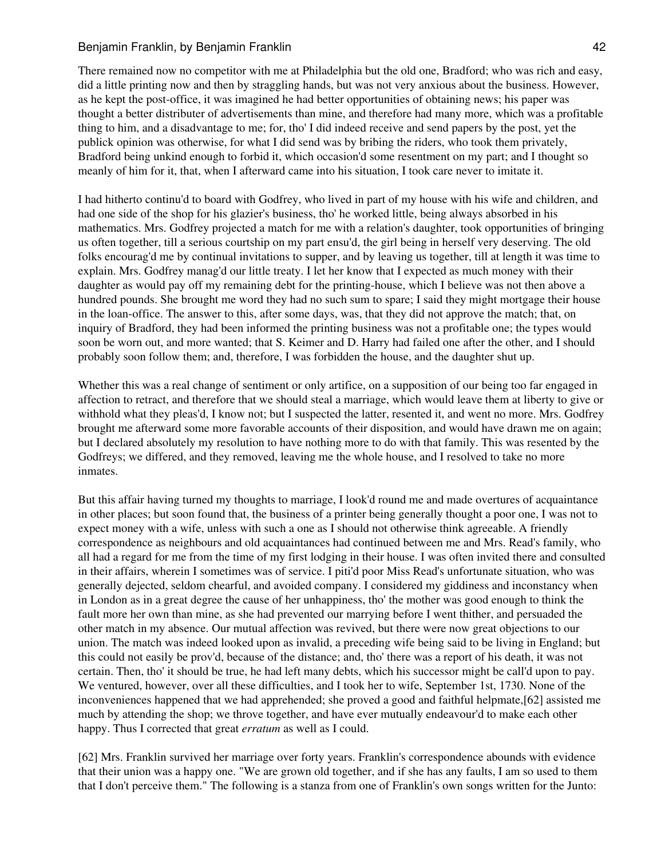There remained now no competitor with me at Philadelphia but the old one, Bradford; who was rich and easy, did a little printing now and then by straggling hands, but was not very anxious about the business. However, as he kept the post-office, it was imagined he had better opportunities of obtaining news; his paper was thought a better distributer of advertisements than mine, and therefore had many more, which was a profitable thing to him, and a disadvantage to me; for, tho' I did indeed receive and send papers by the post, yet the publick opinion was otherwise, for what I did send was by bribing the riders, who took them privately, Bradford being unkind enough to forbid it, which occasion'd some resentment on my part; and I thought so meanly of him for it, that, when I afterward came into his situation, I took care never to imitate it.

I had hitherto continu'd to board with Godfrey, who lived in part of my house with his wife and children, and had one side of the shop for his glazier's business, tho' he worked little, being always absorbed in his mathematics. Mrs. Godfrey projected a match for me with a relation's daughter, took opportunities of bringing us often together, till a serious courtship on my part ensu'd, the girl being in herself very deserving. The old folks encourag'd me by continual invitations to supper, and by leaving us together, till at length it was time to explain. Mrs. Godfrey manag'd our little treaty. I let her know that I expected as much money with their daughter as would pay off my remaining debt for the printing-house, which I believe was not then above a hundred pounds. She brought me word they had no such sum to spare; I said they might mortgage their house in the loan-office. The answer to this, after some days, was, that they did not approve the match; that, on inquiry of Bradford, they had been informed the printing business was not a profitable one; the types would soon be worn out, and more wanted; that S. Keimer and D. Harry had failed one after the other, and I should probably soon follow them; and, therefore, I was forbidden the house, and the daughter shut up.

Whether this was a real change of sentiment or only artifice, on a supposition of our being too far engaged in affection to retract, and therefore that we should steal a marriage, which would leave them at liberty to give or withhold what they pleas'd, I know not; but I suspected the latter, resented it, and went no more. Mrs. Godfrey brought me afterward some more favorable accounts of their disposition, and would have drawn me on again; but I declared absolutely my resolution to have nothing more to do with that family. This was resented by the Godfreys; we differed, and they removed, leaving me the whole house, and I resolved to take no more inmates.

But this affair having turned my thoughts to marriage, I look'd round me and made overtures of acquaintance in other places; but soon found that, the business of a printer being generally thought a poor one, I was not to expect money with a wife, unless with such a one as I should not otherwise think agreeable. A friendly correspondence as neighbours and old acquaintances had continued between me and Mrs. Read's family, who all had a regard for me from the time of my first lodging in their house. I was often invited there and consulted in their affairs, wherein I sometimes was of service. I piti'd poor Miss Read's unfortunate situation, who was generally dejected, seldom chearful, and avoided company. I considered my giddiness and inconstancy when in London as in a great degree the cause of her unhappiness, tho' the mother was good enough to think the fault more her own than mine, as she had prevented our marrying before I went thither, and persuaded the other match in my absence. Our mutual affection was revived, but there were now great objections to our union. The match was indeed looked upon as invalid, a preceding wife being said to be living in England; but this could not easily be prov'd, because of the distance; and, tho' there was a report of his death, it was not certain. Then, tho' it should be true, he had left many debts, which his successor might be call'd upon to pay. We ventured, however, over all these difficulties, and I took her to wife, September 1st, 1730. None of the inconveniences happened that we had apprehended; she proved a good and faithful helpmate,[62] assisted me much by attending the shop; we throve together, and have ever mutually endeavour'd to make each other happy. Thus I corrected that great *erratum* as well as I could.

[62] Mrs. Franklin survived her marriage over forty years. Franklin's correspondence abounds with evidence that their union was a happy one. "We are grown old together, and if she has any faults, I am so used to them that I don't perceive them." The following is a stanza from one of Franklin's own songs written for the Junto: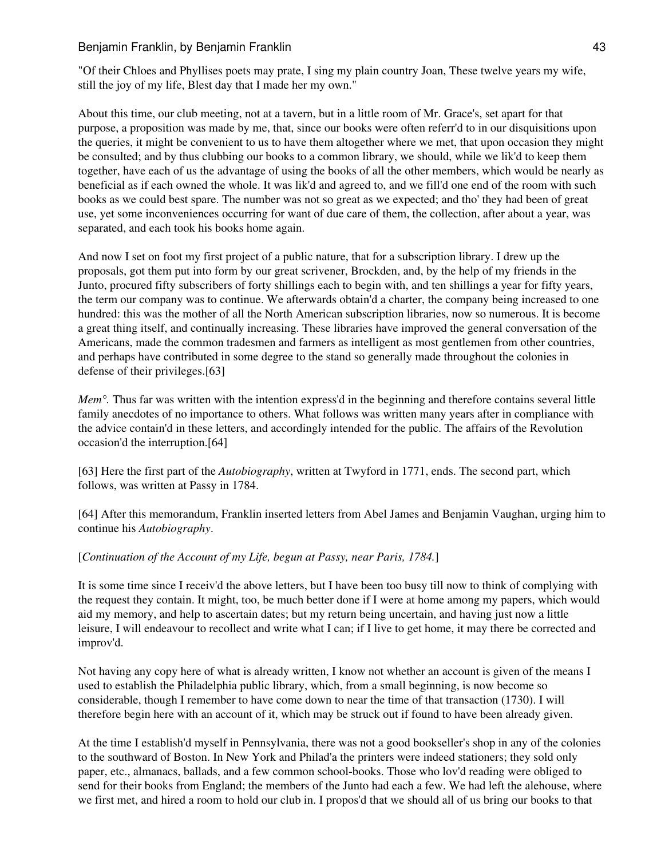"Of their Chloes and Phyllises poets may prate, I sing my plain country Joan, These twelve years my wife, still the joy of my life, Blest day that I made her my own."

About this time, our club meeting, not at a tavern, but in a little room of Mr. Grace's, set apart for that purpose, a proposition was made by me, that, since our books were often referr'd to in our disquisitions upon the queries, it might be convenient to us to have them altogether where we met, that upon occasion they might be consulted; and by thus clubbing our books to a common library, we should, while we lik'd to keep them together, have each of us the advantage of using the books of all the other members, which would be nearly as beneficial as if each owned the whole. It was lik'd and agreed to, and we fill'd one end of the room with such books as we could best spare. The number was not so great as we expected; and tho' they had been of great use, yet some inconveniences occurring for want of due care of them, the collection, after about a year, was separated, and each took his books home again.

And now I set on foot my first project of a public nature, that for a subscription library. I drew up the proposals, got them put into form by our great scrivener, Brockden, and, by the help of my friends in the Junto, procured fifty subscribers of forty shillings each to begin with, and ten shillings a year for fifty years, the term our company was to continue. We afterwards obtain'd a charter, the company being increased to one hundred: this was the mother of all the North American subscription libraries, now so numerous. It is become a great thing itself, and continually increasing. These libraries have improved the general conversation of the Americans, made the common tradesmen and farmers as intelligent as most gentlemen from other countries, and perhaps have contributed in some degree to the stand so generally made throughout the colonies in defense of their privileges.[63]

*Mem°.* Thus far was written with the intention express'd in the beginning and therefore contains several little family anecdotes of no importance to others. What follows was written many years after in compliance with the advice contain'd in these letters, and accordingly intended for the public. The affairs of the Revolution occasion'd the interruption.[64]

[63] Here the first part of the *Autobiography*, written at Twyford in 1771, ends. The second part, which follows, was written at Passy in 1784.

[64] After this memorandum, Franklin inserted letters from Abel James and Benjamin Vaughan, urging him to continue his *Autobiography*.

# [*Continuation of the Account of my Life, begun at Passy, near Paris, 1784.*]

It is some time since I receiv'd the above letters, but I have been too busy till now to think of complying with the request they contain. It might, too, be much better done if I were at home among my papers, which would aid my memory, and help to ascertain dates; but my return being uncertain, and having just now a little leisure, I will endeavour to recollect and write what I can; if I live to get home, it may there be corrected and improv'd.

Not having any copy here of what is already written, I know not whether an account is given of the means I used to establish the Philadelphia public library, which, from a small beginning, is now become so considerable, though I remember to have come down to near the time of that transaction (1730). I will therefore begin here with an account of it, which may be struck out if found to have been already given.

At the time I establish'd myself in Pennsylvania, there was not a good bookseller's shop in any of the colonies to the southward of Boston. In New York and Philad'a the printers were indeed stationers; they sold only paper, etc., almanacs, ballads, and a few common school-books. Those who lov'd reading were obliged to send for their books from England; the members of the Junto had each a few. We had left the alehouse, where we first met, and hired a room to hold our club in. I propos'd that we should all of us bring our books to that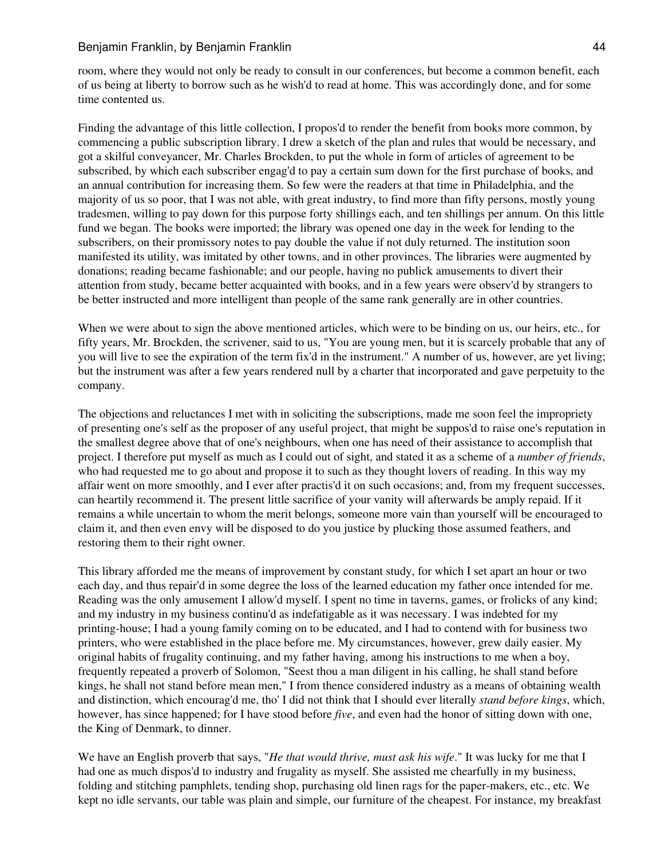room, where they would not only be ready to consult in our conferences, but become a common benefit, each of us being at liberty to borrow such as he wish'd to read at home. This was accordingly done, and for some time contented us.

Finding the advantage of this little collection, I propos'd to render the benefit from books more common, by commencing a public subscription library. I drew a sketch of the plan and rules that would be necessary, and got a skilful conveyancer, Mr. Charles Brockden, to put the whole in form of articles of agreement to be subscribed, by which each subscriber engag'd to pay a certain sum down for the first purchase of books, and an annual contribution for increasing them. So few were the readers at that time in Philadelphia, and the majority of us so poor, that I was not able, with great industry, to find more than fifty persons, mostly young tradesmen, willing to pay down for this purpose forty shillings each, and ten shillings per annum. On this little fund we began. The books were imported; the library was opened one day in the week for lending to the subscribers, on their promissory notes to pay double the value if not duly returned. The institution soon manifested its utility, was imitated by other towns, and in other provinces. The libraries were augmented by donations; reading became fashionable; and our people, having no publick amusements to divert their attention from study, became better acquainted with books, and in a few years were observ'd by strangers to be better instructed and more intelligent than people of the same rank generally are in other countries.

When we were about to sign the above mentioned articles, which were to be binding on us, our heirs, etc., for fifty years, Mr. Brockden, the scrivener, said to us, "You are young men, but it is scarcely probable that any of you will live to see the expiration of the term fix'd in the instrument." A number of us, however, are yet living; but the instrument was after a few years rendered null by a charter that incorporated and gave perpetuity to the company.

The objections and reluctances I met with in soliciting the subscriptions, made me soon feel the impropriety of presenting one's self as the proposer of any useful project, that might be suppos'd to raise one's reputation in the smallest degree above that of one's neighbours, when one has need of their assistance to accomplish that project. I therefore put myself as much as I could out of sight, and stated it as a scheme of a *number of friends*, who had requested me to go about and propose it to such as they thought lovers of reading. In this way my affair went on more smoothly, and I ever after practis'd it on such occasions; and, from my frequent successes, can heartily recommend it. The present little sacrifice of your vanity will afterwards be amply repaid. If it remains a while uncertain to whom the merit belongs, someone more vain than yourself will be encouraged to claim it, and then even envy will be disposed to do you justice by plucking those assumed feathers, and restoring them to their right owner.

This library afforded me the means of improvement by constant study, for which I set apart an hour or two each day, and thus repair'd in some degree the loss of the learned education my father once intended for me. Reading was the only amusement I allow'd myself. I spent no time in taverns, games, or frolicks of any kind; and my industry in my business continu'd as indefatigable as it was necessary. I was indebted for my printing-house; I had a young family coming on to be educated, and I had to contend with for business two printers, who were established in the place before me. My circumstances, however, grew daily easier. My original habits of frugality continuing, and my father having, among his instructions to me when a boy, frequently repeated a proverb of Solomon, "Seest thou a man diligent in his calling, he shall stand before kings, he shall not stand before mean men," I from thence considered industry as a means of obtaining wealth and distinction, which encourag'd me, tho' I did not think that I should ever literally *stand before kings*, which, however, has since happened; for I have stood before *five*, and even had the honor of sitting down with one, the King of Denmark, to dinner.

We have an English proverb that says, "*He that would thrive, must ask his wife*." It was lucky for me that I had one as much dispos'd to industry and frugality as myself. She assisted me chearfully in my business, folding and stitching pamphlets, tending shop, purchasing old linen rags for the paper-makers, etc., etc. We kept no idle servants, our table was plain and simple, our furniture of the cheapest. For instance, my breakfast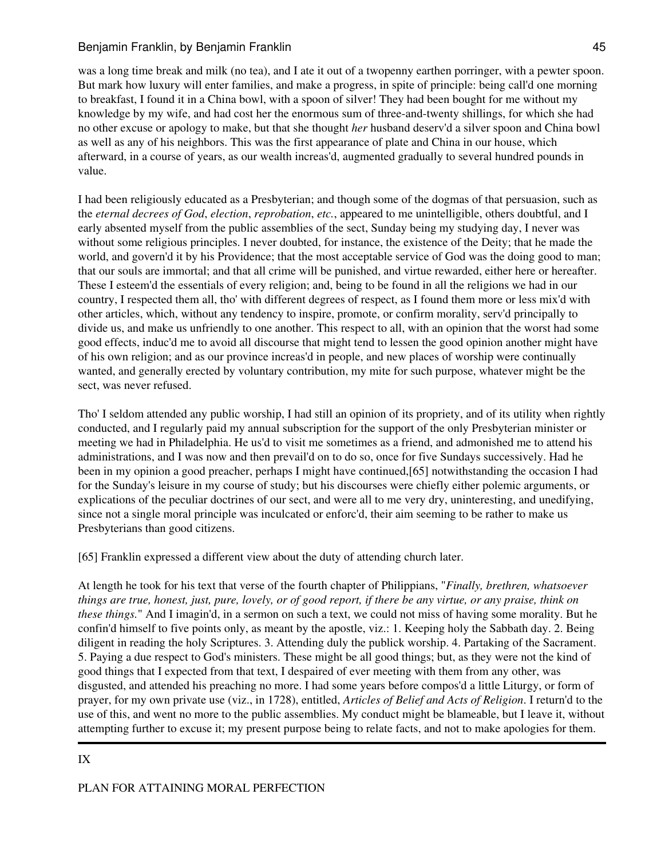was a long time break and milk (no tea), and I ate it out of a twopenny earthen porringer, with a pewter spoon. But mark how luxury will enter families, and make a progress, in spite of principle: being call'd one morning to breakfast, I found it in a China bowl, with a spoon of silver! They had been bought for me without my knowledge by my wife, and had cost her the enormous sum of three-and-twenty shillings, for which she had no other excuse or apology to make, but that she thought *her* husband deserv'd a silver spoon and China bowl as well as any of his neighbors. This was the first appearance of plate and China in our house, which afterward, in a course of years, as our wealth increas'd, augmented gradually to several hundred pounds in value.

I had been religiously educated as a Presbyterian; and though some of the dogmas of that persuasion, such as the *eternal decrees of God*, *election*, *reprobation*, *etc.*, appeared to me unintelligible, others doubtful, and I early absented myself from the public assemblies of the sect, Sunday being my studying day, I never was without some religious principles. I never doubted, for instance, the existence of the Deity; that he made the world, and govern'd it by his Providence; that the most acceptable service of God was the doing good to man; that our souls are immortal; and that all crime will be punished, and virtue rewarded, either here or hereafter. These I esteem'd the essentials of every religion; and, being to be found in all the religions we had in our country, I respected them all, tho' with different degrees of respect, as I found them more or less mix'd with other articles, which, without any tendency to inspire, promote, or confirm morality, serv'd principally to divide us, and make us unfriendly to one another. This respect to all, with an opinion that the worst had some good effects, induc'd me to avoid all discourse that might tend to lessen the good opinion another might have of his own religion; and as our province increas'd in people, and new places of worship were continually wanted, and generally erected by voluntary contribution, my mite for such purpose, whatever might be the sect, was never refused.

Tho' I seldom attended any public worship, I had still an opinion of its propriety, and of its utility when rightly conducted, and I regularly paid my annual subscription for the support of the only Presbyterian minister or meeting we had in Philadelphia. He us'd to visit me sometimes as a friend, and admonished me to attend his administrations, and I was now and then prevail'd on to do so, once for five Sundays successively. Had he been in my opinion a good preacher, perhaps I might have continued,[65] notwithstanding the occasion I had for the Sunday's leisure in my course of study; but his discourses were chiefly either polemic arguments, or explications of the peculiar doctrines of our sect, and were all to me very dry, uninteresting, and unedifying, since not a single moral principle was inculcated or enforc'd, their aim seeming to be rather to make us Presbyterians than good citizens.

[65] Franklin expressed a different view about the duty of attending church later.

At length he took for his text that verse of the fourth chapter of Philippians, "*Finally, brethren, whatsoever things are true, honest, just, pure, lovely, or of good report, if there be any virtue, or any praise, think on these things.*" And I imagin'd, in a sermon on such a text, we could not miss of having some morality. But he confin'd himself to five points only, as meant by the apostle, viz.: 1. Keeping holy the Sabbath day. 2. Being diligent in reading the holy Scriptures. 3. Attending duly the publick worship. 4. Partaking of the Sacrament. 5. Paying a due respect to God's ministers. These might be all good things; but, as they were not the kind of good things that I expected from that text, I despaired of ever meeting with them from any other, was disgusted, and attended his preaching no more. I had some years before compos'd a little Liturgy, or form of prayer, for my own private use (viz., in 1728), entitled, *Articles of Belief and Acts of Religion*. I return'd to the use of this, and went no more to the public assemblies. My conduct might be blameable, but I leave it, without attempting further to excuse it; my present purpose being to relate facts, and not to make apologies for them.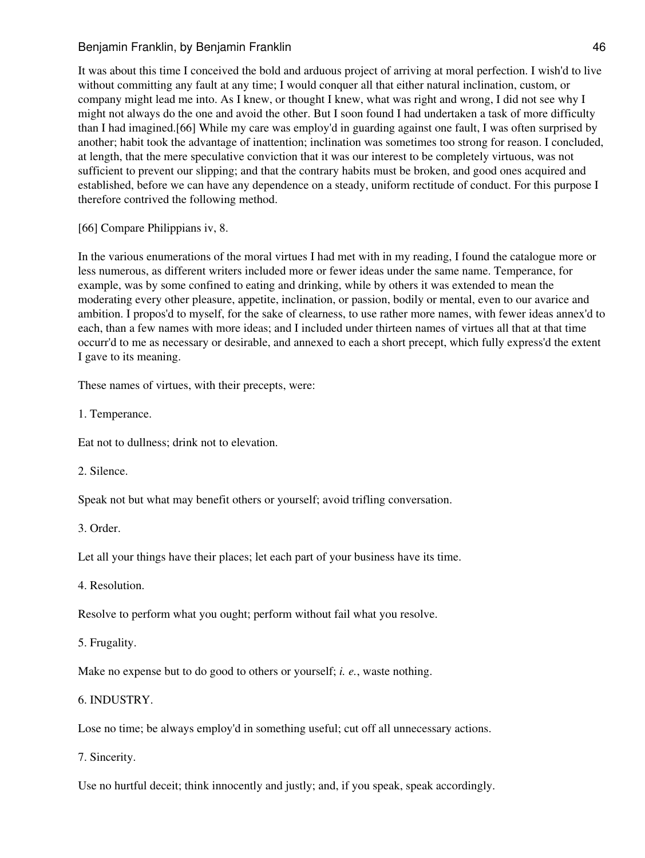It was about this time I conceived the bold and arduous project of arriving at moral perfection. I wish'd to live without committing any fault at any time; I would conquer all that either natural inclination, custom, or company might lead me into. As I knew, or thought I knew, what was right and wrong, I did not see why I might not always do the one and avoid the other. But I soon found I had undertaken a task of more difficulty than I had imagined.[66] While my care was employ'd in guarding against one fault, I was often surprised by another; habit took the advantage of inattention; inclination was sometimes too strong for reason. I concluded, at length, that the mere speculative conviction that it was our interest to be completely virtuous, was not sufficient to prevent our slipping; and that the contrary habits must be broken, and good ones acquired and established, before we can have any dependence on a steady, uniform rectitude of conduct. For this purpose I therefore contrived the following method.

[66] Compare Philippians iv, 8.

In the various enumerations of the moral virtues I had met with in my reading, I found the catalogue more or less numerous, as different writers included more or fewer ideas under the same name. Temperance, for example, was by some confined to eating and drinking, while by others it was extended to mean the moderating every other pleasure, appetite, inclination, or passion, bodily or mental, even to our avarice and ambition. I propos'd to myself, for the sake of clearness, to use rather more names, with fewer ideas annex'd to each, than a few names with more ideas; and I included under thirteen names of virtues all that at that time occurr'd to me as necessary or desirable, and annexed to each a short precept, which fully express'd the extent I gave to its meaning.

These names of virtues, with their precepts, were:

1. Temperance.

Eat not to dullness; drink not to elevation.

2. Silence.

Speak not but what may benefit others or yourself; avoid trifling conversation.

3. Order.

Let all your things have their places; let each part of your business have its time.

4. Resolution.

Resolve to perform what you ought; perform without fail what you resolve.

5. Frugality.

Make no expense but to do good to others or yourself; *i. e.*, waste nothing.

6. INDUSTRY.

Lose no time; be always employ'd in something useful; cut off all unnecessary actions.

7. Sincerity.

Use no hurtful deceit; think innocently and justly; and, if you speak, speak accordingly.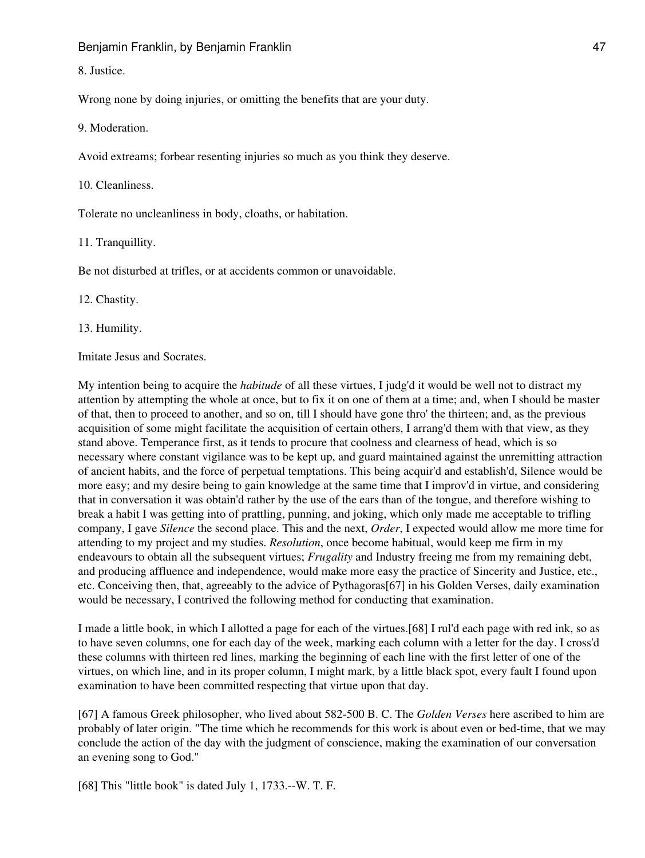Benjamin Franklin, by Benjamin Franklin **American** American American American American American American American

8. Justice.

Wrong none by doing injuries, or omitting the benefits that are your duty.

9. Moderation.

Avoid extreams; forbear resenting injuries so much as you think they deserve.

10. Cleanliness.

Tolerate no uncleanliness in body, cloaths, or habitation.

11. Tranquillity.

Be not disturbed at trifles, or at accidents common or unavoidable.

12. Chastity.

13. Humility.

Imitate Jesus and Socrates.

My intention being to acquire the *habitude* of all these virtues, I judg'd it would be well not to distract my attention by attempting the whole at once, but to fix it on one of them at a time; and, when I should be master of that, then to proceed to another, and so on, till I should have gone thro' the thirteen; and, as the previous acquisition of some might facilitate the acquisition of certain others, I arrang'd them with that view, as they stand above. Temperance first, as it tends to procure that coolness and clearness of head, which is so necessary where constant vigilance was to be kept up, and guard maintained against the unremitting attraction of ancient habits, and the force of perpetual temptations. This being acquir'd and establish'd, Silence would be more easy; and my desire being to gain knowledge at the same time that I improv'd in virtue, and considering that in conversation it was obtain'd rather by the use of the ears than of the tongue, and therefore wishing to break a habit I was getting into of prattling, punning, and joking, which only made me acceptable to trifling company, I gave *Silence* the second place. This and the next, *Order*, I expected would allow me more time for attending to my project and my studies. *Resolution*, once become habitual, would keep me firm in my endeavours to obtain all the subsequent virtues; *Frugality* and Industry freeing me from my remaining debt, and producing affluence and independence, would make more easy the practice of Sincerity and Justice, etc., etc. Conceiving then, that, agreeably to the advice of Pythagoras[67] in his Golden Verses, daily examination would be necessary, I contrived the following method for conducting that examination.

I made a little book, in which I allotted a page for each of the virtues.[68] I rul'd each page with red ink, so as to have seven columns, one for each day of the week, marking each column with a letter for the day. I cross'd these columns with thirteen red lines, marking the beginning of each line with the first letter of one of the virtues, on which line, and in its proper column, I might mark, by a little black spot, every fault I found upon examination to have been committed respecting that virtue upon that day.

[67] A famous Greek philosopher, who lived about 582-500 B. C. The *Golden Verses* here ascribed to him are probably of later origin. "The time which he recommends for this work is about even or bed-time, that we may conclude the action of the day with the judgment of conscience, making the examination of our conversation an evening song to God."

[68] This "little book" is dated July 1, 1733.--W. T. F.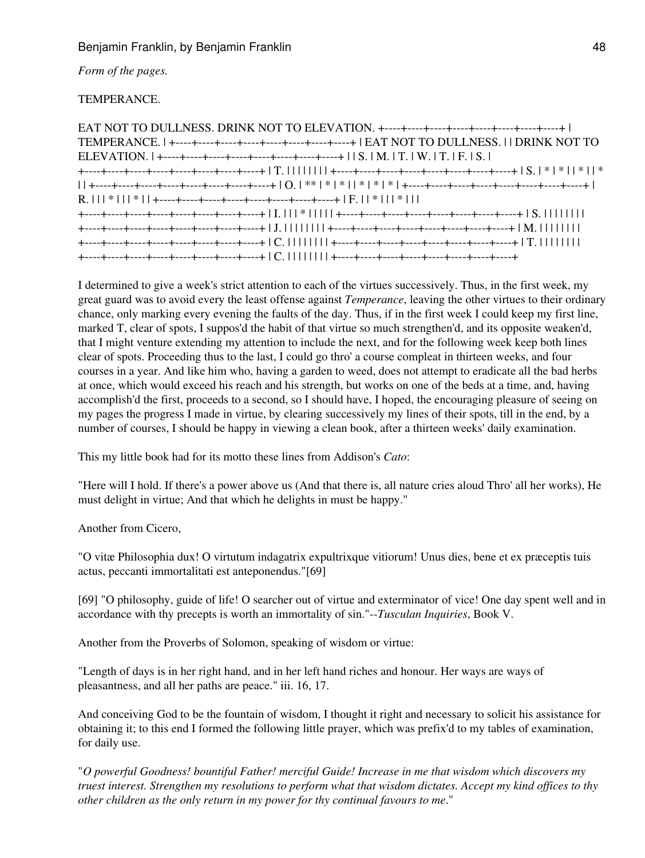*Form of the pages.*

# TEMPERANCE.

I determined to give a week's strict attention to each of the virtues successively. Thus, in the first week, my great guard was to avoid every the least offense against *Temperance*, leaving the other virtues to their ordinary chance, only marking every evening the faults of the day. Thus, if in the first week I could keep my first line, marked T, clear of spots, I suppos'd the habit of that virtue so much strengthen'd, and its opposite weaken'd, that I might venture extending my attention to include the next, and for the following week keep both lines clear of spots. Proceeding thus to the last, I could go thro' a course compleat in thirteen weeks, and four courses in a year. And like him who, having a garden to weed, does not attempt to eradicate all the bad herbs at once, which would exceed his reach and his strength, but works on one of the beds at a time, and, having accomplish'd the first, proceeds to a second, so I should have, I hoped, the encouraging pleasure of seeing on my pages the progress I made in virtue, by clearing successively my lines of their spots, till in the end, by a number of courses, I should be happy in viewing a clean book, after a thirteen weeks' daily examination.

This my little book had for its motto these lines from Addison's *Cato*:

"Here will I hold. If there's a power above us (And that there is, all nature cries aloud Thro' all her works), He must delight in virtue; And that which he delights in must be happy."

Another from Cicero,

"O vitæ Philosophia dux! O virtutum indagatrix expultrixque vitiorum! Unus dies, bene et ex præceptis tuis actus, peccanti immortalitati est anteponendus."[69]

[69] "O philosophy, guide of life! O searcher out of virtue and exterminator of vice! One day spent well and in accordance with thy precepts is worth an immortality of sin."--*Tusculan Inquiries*, Book V.

Another from the Proverbs of Solomon, speaking of wisdom or virtue:

"Length of days is in her right hand, and in her left hand riches and honour. Her ways are ways of pleasantness, and all her paths are peace." iii. 16, 17.

And conceiving God to be the fountain of wisdom, I thought it right and necessary to solicit his assistance for obtaining it; to this end I formed the following little prayer, which was prefix'd to my tables of examination, for daily use.

"*O powerful Goodness! bountiful Father! merciful Guide! Increase in me that wisdom which discovers my truest interest. Strengthen my resolutions to perform what that wisdom dictates. Accept my kind offices to thy other children as the only return in my power for thy continual favours to me*."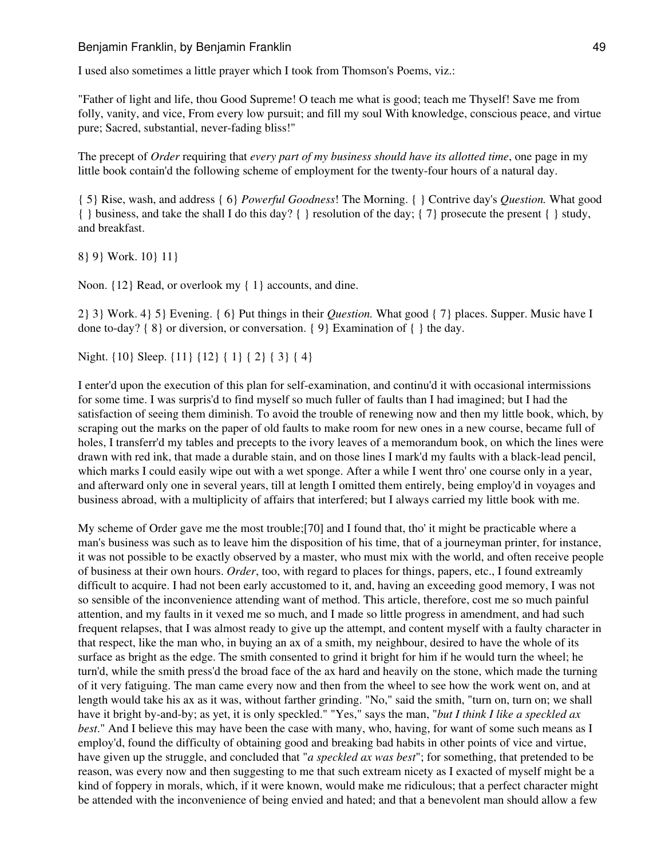I used also sometimes a little prayer which I took from Thomson's Poems, viz.:

"Father of light and life, thou Good Supreme! O teach me what is good; teach me Thyself! Save me from folly, vanity, and vice, From every low pursuit; and fill my soul With knowledge, conscious peace, and virtue pure; Sacred, substantial, never-fading bliss!"

The precept of *Order* requiring that *every part of my business should have its allotted time*, one page in my little book contain'd the following scheme of employment for the twenty-four hours of a natural day.

{ 5} Rise, wash, and address { 6} *Powerful Goodness*! The Morning. { } Contrive day's *Question.* What good  $\{\}$  business, and take the shall I do this day?  $\{\}$  resolution of the day;  $\{7\}$  prosecute the present  $\{\}$  study, and breakfast.

8} 9} Work. 10} 11}

Noon. {12} Read, or overlook my { 1} accounts, and dine.

2} 3} Work. 4} 5} Evening. { 6} Put things in their *Question.* What good { 7} places. Supper. Music have I done to-day? { 8} or diversion, or conversation. { 9} Examination of { } the day.

Night. {10} Sleep. {11} {12} { 1} { 2} { 3} { 4}

I enter'd upon the execution of this plan for self-examination, and continu'd it with occasional intermissions for some time. I was surpris'd to find myself so much fuller of faults than I had imagined; but I had the satisfaction of seeing them diminish. To avoid the trouble of renewing now and then my little book, which, by scraping out the marks on the paper of old faults to make room for new ones in a new course, became full of holes, I transferr'd my tables and precepts to the ivory leaves of a memorandum book, on which the lines were drawn with red ink, that made a durable stain, and on those lines I mark'd my faults with a black-lead pencil, which marks I could easily wipe out with a wet sponge. After a while I went thro' one course only in a year, and afterward only one in several years, till at length I omitted them entirely, being employ'd in voyages and business abroad, with a multiplicity of affairs that interfered; but I always carried my little book with me.

My scheme of Order gave me the most trouble;[70] and I found that, tho' it might be practicable where a man's business was such as to leave him the disposition of his time, that of a journeyman printer, for instance, it was not possible to be exactly observed by a master, who must mix with the world, and often receive people of business at their own hours. *Order*, too, with regard to places for things, papers, etc., I found extreamly difficult to acquire. I had not been early accustomed to it, and, having an exceeding good memory, I was not so sensible of the inconvenience attending want of method. This article, therefore, cost me so much painful attention, and my faults in it vexed me so much, and I made so little progress in amendment, and had such frequent relapses, that I was almost ready to give up the attempt, and content myself with a faulty character in that respect, like the man who, in buying an ax of a smith, my neighbour, desired to have the whole of its surface as bright as the edge. The smith consented to grind it bright for him if he would turn the wheel; he turn'd, while the smith press'd the broad face of the ax hard and heavily on the stone, which made the turning of it very fatiguing. The man came every now and then from the wheel to see how the work went on, and at length would take his ax as it was, without farther grinding. "No," said the smith, "turn on, turn on; we shall have it bright by-and-by; as yet, it is only speckled." "Yes," says the man, "*but I think I like a speckled ax best*." And I believe this may have been the case with many, who, having, for want of some such means as I employ'd, found the difficulty of obtaining good and breaking bad habits in other points of vice and virtue, have given up the struggle, and concluded that "*a speckled ax was best*"; for something, that pretended to be reason, was every now and then suggesting to me that such extream nicety as I exacted of myself might be a kind of foppery in morals, which, if it were known, would make me ridiculous; that a perfect character might be attended with the inconvenience of being envied and hated; and that a benevolent man should allow a few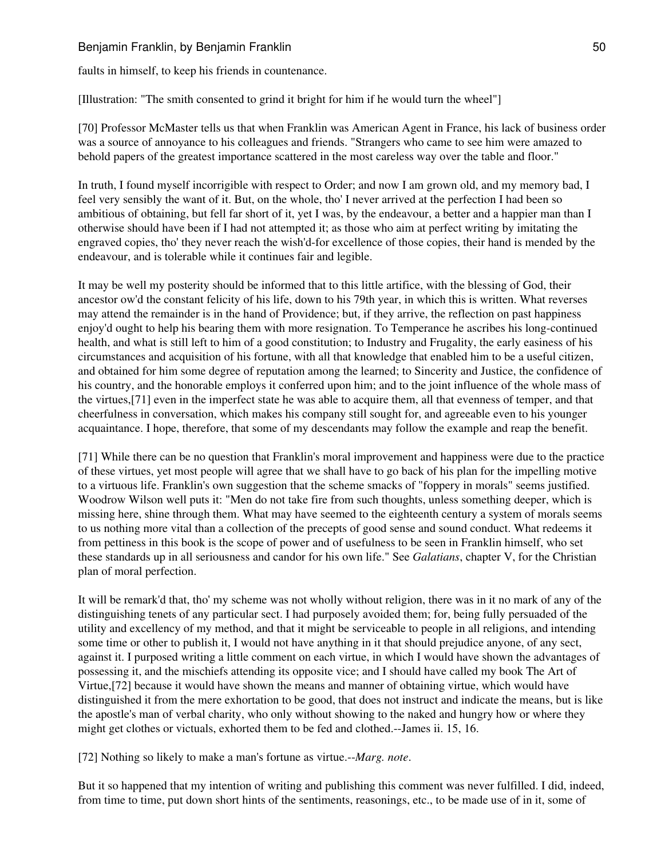# Benjamin Franklin, by Benjamin Franklin 50 and 50 and 50 and 50 and 50 and 50 and 50 and 50 and 50 and 50 and 50 and 50 and 50 and 50 and 50 and 50 and 50 and 50 and 50 and 50 and 50 and 50 and 50 and 50 and 50 and 50 and

faults in himself, to keep his friends in countenance.

[Illustration: "The smith consented to grind it bright for him if he would turn the wheel"]

[70] Professor McMaster tells us that when Franklin was American Agent in France, his lack of business order was a source of annoyance to his colleagues and friends. "Strangers who came to see him were amazed to behold papers of the greatest importance scattered in the most careless way over the table and floor."

In truth, I found myself incorrigible with respect to Order; and now I am grown old, and my memory bad, I feel very sensibly the want of it. But, on the whole, tho' I never arrived at the perfection I had been so ambitious of obtaining, but fell far short of it, yet I was, by the endeavour, a better and a happier man than I otherwise should have been if I had not attempted it; as those who aim at perfect writing by imitating the engraved copies, tho' they never reach the wish'd-for excellence of those copies, their hand is mended by the endeavour, and is tolerable while it continues fair and legible.

It may be well my posterity should be informed that to this little artifice, with the blessing of God, their ancestor ow'd the constant felicity of his life, down to his 79th year, in which this is written. What reverses may attend the remainder is in the hand of Providence; but, if they arrive, the reflection on past happiness enjoy'd ought to help his bearing them with more resignation. To Temperance he ascribes his long-continued health, and what is still left to him of a good constitution; to Industry and Frugality, the early easiness of his circumstances and acquisition of his fortune, with all that knowledge that enabled him to be a useful citizen, and obtained for him some degree of reputation among the learned; to Sincerity and Justice, the confidence of his country, and the honorable employs it conferred upon him; and to the joint influence of the whole mass of the virtues,[71] even in the imperfect state he was able to acquire them, all that evenness of temper, and that cheerfulness in conversation, which makes his company still sought for, and agreeable even to his younger acquaintance. I hope, therefore, that some of my descendants may follow the example and reap the benefit.

[71] While there can be no question that Franklin's moral improvement and happiness were due to the practice of these virtues, yet most people will agree that we shall have to go back of his plan for the impelling motive to a virtuous life. Franklin's own suggestion that the scheme smacks of "foppery in morals" seems justified. Woodrow Wilson well puts it: "Men do not take fire from such thoughts, unless something deeper, which is missing here, shine through them. What may have seemed to the eighteenth century a system of morals seems to us nothing more vital than a collection of the precepts of good sense and sound conduct. What redeems it from pettiness in this book is the scope of power and of usefulness to be seen in Franklin himself, who set these standards up in all seriousness and candor for his own life." See *Galatians*, chapter V, for the Christian plan of moral perfection.

It will be remark'd that, tho' my scheme was not wholly without religion, there was in it no mark of any of the distinguishing tenets of any particular sect. I had purposely avoided them; for, being fully persuaded of the utility and excellency of my method, and that it might be serviceable to people in all religions, and intending some time or other to publish it, I would not have anything in it that should prejudice anyone, of any sect, against it. I purposed writing a little comment on each virtue, in which I would have shown the advantages of possessing it, and the mischiefs attending its opposite vice; and I should have called my book The Art of Virtue,[72] because it would have shown the means and manner of obtaining virtue, which would have distinguished it from the mere exhortation to be good, that does not instruct and indicate the means, but is like the apostle's man of verbal charity, who only without showing to the naked and hungry how or where they might get clothes or victuals, exhorted them to be fed and clothed.--James ii. 15, 16.

[72] Nothing so likely to make a man's fortune as virtue.--*Marg. note*.

But it so happened that my intention of writing and publishing this comment was never fulfilled. I did, indeed, from time to time, put down short hints of the sentiments, reasonings, etc., to be made use of in it, some of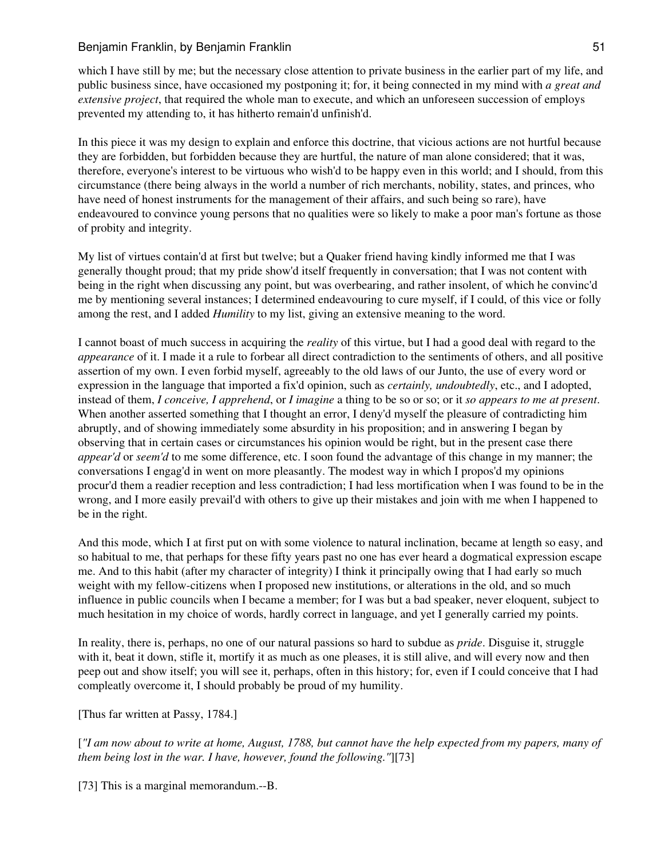which I have still by me; but the necessary close attention to private business in the earlier part of my life, and public business since, have occasioned my postponing it; for, it being connected in my mind with *a great and extensive project*, that required the whole man to execute, and which an unforeseen succession of employs prevented my attending to, it has hitherto remain'd unfinish'd.

In this piece it was my design to explain and enforce this doctrine, that vicious actions are not hurtful because they are forbidden, but forbidden because they are hurtful, the nature of man alone considered; that it was, therefore, everyone's interest to be virtuous who wish'd to be happy even in this world; and I should, from this circumstance (there being always in the world a number of rich merchants, nobility, states, and princes, who have need of honest instruments for the management of their affairs, and such being so rare), have endeavoured to convince young persons that no qualities were so likely to make a poor man's fortune as those of probity and integrity.

My list of virtues contain'd at first but twelve; but a Quaker friend having kindly informed me that I was generally thought proud; that my pride show'd itself frequently in conversation; that I was not content with being in the right when discussing any point, but was overbearing, and rather insolent, of which he convinc'd me by mentioning several instances; I determined endeavouring to cure myself, if I could, of this vice or folly among the rest, and I added *Humility* to my list, giving an extensive meaning to the word.

I cannot boast of much success in acquiring the *reality* of this virtue, but I had a good deal with regard to the *appearance* of it. I made it a rule to forbear all direct contradiction to the sentiments of others, and all positive assertion of my own. I even forbid myself, agreeably to the old laws of our Junto, the use of every word or expression in the language that imported a fix'd opinion, such as *certainly, undoubtedly*, etc., and I adopted, instead of them, *I conceive, I apprehend*, or *I imagine* a thing to be so or so; or it *so appears to me at present*. When another asserted something that I thought an error, I deny'd myself the pleasure of contradicting him abruptly, and of showing immediately some absurdity in his proposition; and in answering I began by observing that in certain cases or circumstances his opinion would be right, but in the present case there *appear'd* or *seem'd* to me some difference, etc. I soon found the advantage of this change in my manner; the conversations I engag'd in went on more pleasantly. The modest way in which I propos'd my opinions procur'd them a readier reception and less contradiction; I had less mortification when I was found to be in the wrong, and I more easily prevail'd with others to give up their mistakes and join with me when I happened to be in the right.

And this mode, which I at first put on with some violence to natural inclination, became at length so easy, and so habitual to me, that perhaps for these fifty years past no one has ever heard a dogmatical expression escape me. And to this habit (after my character of integrity) I think it principally owing that I had early so much weight with my fellow-citizens when I proposed new institutions, or alterations in the old, and so much influence in public councils when I became a member; for I was but a bad speaker, never eloquent, subject to much hesitation in my choice of words, hardly correct in language, and yet I generally carried my points.

In reality, there is, perhaps, no one of our natural passions so hard to subdue as *pride*. Disguise it, struggle with it, beat it down, stifle it, mortify it as much as one pleases, it is still alive, and will every now and then peep out and show itself; you will see it, perhaps, often in this history; for, even if I could conceive that I had compleatly overcome it, I should probably be proud of my humility.

[Thus far written at Passy, 1784.]

[*"I am now about to write at home, August, 1788, but cannot have the help expected from my papers, many of them being lost in the war. I have, however, found the following."*][73]

[73] This is a marginal memorandum.--B.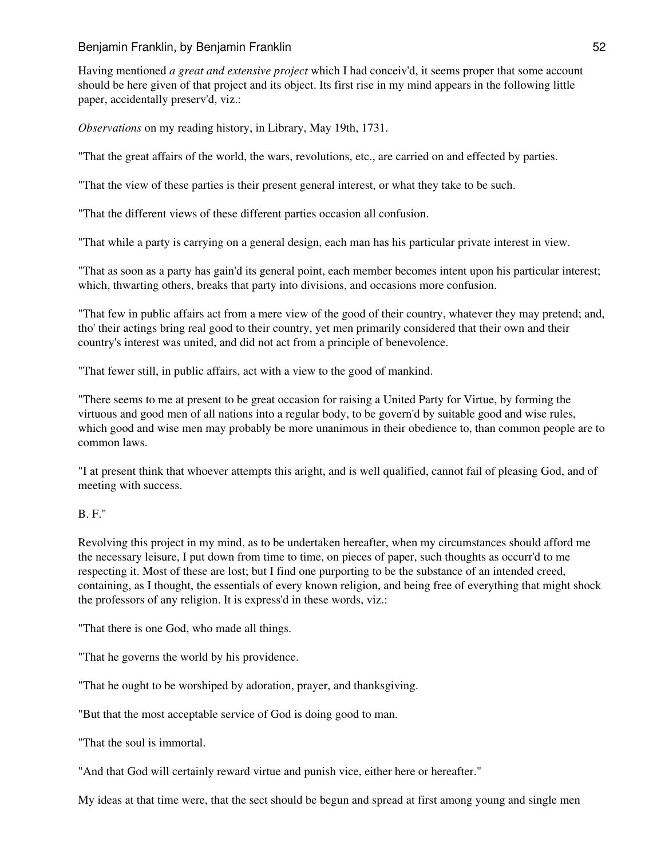Having mentioned *a great and extensive project* which I had conceiv'd, it seems proper that some account should be here given of that project and its object. Its first rise in my mind appears in the following little paper, accidentally preserv'd, viz.:

*Observations* on my reading history, in Library, May 19th, 1731.

"That the great affairs of the world, the wars, revolutions, etc., are carried on and effected by parties.

"That the view of these parties is their present general interest, or what they take to be such.

"That the different views of these different parties occasion all confusion.

"That while a party is carrying on a general design, each man has his particular private interest in view.

"That as soon as a party has gain'd its general point, each member becomes intent upon his particular interest; which, thwarting others, breaks that party into divisions, and occasions more confusion.

"That few in public affairs act from a mere view of the good of their country, whatever they may pretend; and, tho' their actings bring real good to their country, yet men primarily considered that their own and their country's interest was united, and did not act from a principle of benevolence.

"That fewer still, in public affairs, act with a view to the good of mankind.

"There seems to me at present to be great occasion for raising a United Party for Virtue, by forming the virtuous and good men of all nations into a regular body, to be govern'd by suitable good and wise rules, which good and wise men may probably be more unanimous in their obedience to, than common people are to common laws.

"I at present think that whoever attempts this aright, and is well qualified, cannot fail of pleasing God, and of meeting with success.

### B. F."

Revolving this project in my mind, as to be undertaken hereafter, when my circumstances should afford me the necessary leisure, I put down from time to time, on pieces of paper, such thoughts as occurr'd to me respecting it. Most of these are lost; but I find one purporting to be the substance of an intended creed, containing, as I thought, the essentials of every known religion, and being free of everything that might shock the professors of any religion. It is express'd in these words, viz.:

"That there is one God, who made all things.

"That he governs the world by his providence.

"That he ought to be worshiped by adoration, prayer, and thanksgiving.

"But that the most acceptable service of God is doing good to man.

"That the soul is immortal.

"And that God will certainly reward virtue and punish vice, either here or hereafter."

My ideas at that time were, that the sect should be begun and spread at first among young and single men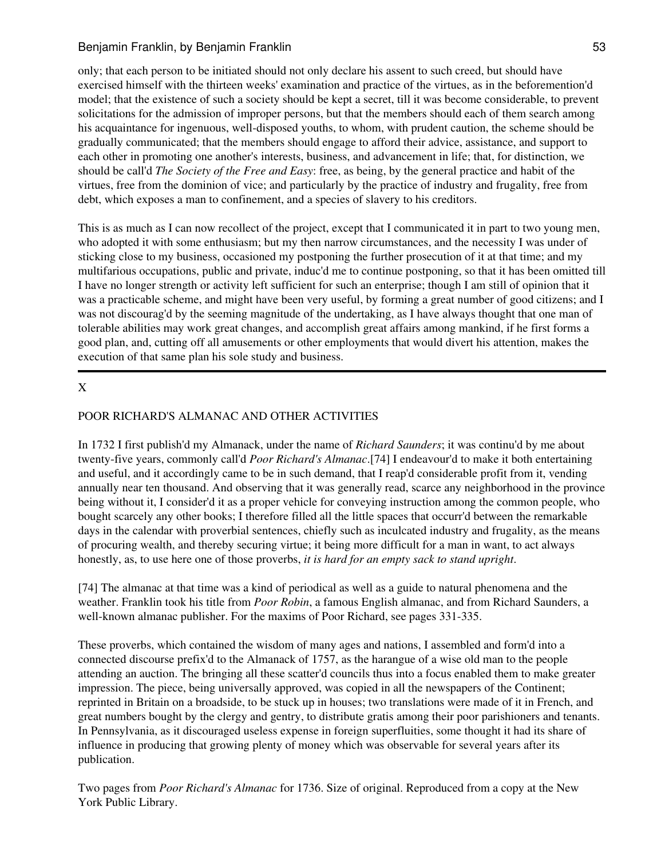only; that each person to be initiated should not only declare his assent to such creed, but should have exercised himself with the thirteen weeks' examination and practice of the virtues, as in the beforemention'd model; that the existence of such a society should be kept a secret, till it was become considerable, to prevent solicitations for the admission of improper persons, but that the members should each of them search among his acquaintance for ingenuous, well-disposed youths, to whom, with prudent caution, the scheme should be gradually communicated; that the members should engage to afford their advice, assistance, and support to each other in promoting one another's interests, business, and advancement in life; that, for distinction, we should be call'd *The Society of the Free and Easy*: free, as being, by the general practice and habit of the virtues, free from the dominion of vice; and particularly by the practice of industry and frugality, free from debt, which exposes a man to confinement, and a species of slavery to his creditors.

This is as much as I can now recollect of the project, except that I communicated it in part to two young men, who adopted it with some enthusiasm; but my then narrow circumstances, and the necessity I was under of sticking close to my business, occasioned my postponing the further prosecution of it at that time; and my multifarious occupations, public and private, induc'd me to continue postponing, so that it has been omitted till I have no longer strength or activity left sufficient for such an enterprise; though I am still of opinion that it was a practicable scheme, and might have been very useful, by forming a great number of good citizens; and I was not discourag'd by the seeming magnitude of the undertaking, as I have always thought that one man of tolerable abilities may work great changes, and accomplish great affairs among mankind, if he first forms a good plan, and, cutting off all amusements or other employments that would divert his attention, makes the execution of that same plan his sole study and business.

# X

# POOR RICHARD'S ALMANAC AND OTHER ACTIVITIES

In 1732 I first publish'd my Almanack, under the name of *Richard Saunders*; it was continu'd by me about twenty-five years, commonly call'd *Poor Richard's Almanac*.[74] I endeavour'd to make it both entertaining and useful, and it accordingly came to be in such demand, that I reap'd considerable profit from it, vending annually near ten thousand. And observing that it was generally read, scarce any neighborhood in the province being without it, I consider'd it as a proper vehicle for conveying instruction among the common people, who bought scarcely any other books; I therefore filled all the little spaces that occurr'd between the remarkable days in the calendar with proverbial sentences, chiefly such as inculcated industry and frugality, as the means of procuring wealth, and thereby securing virtue; it being more difficult for a man in want, to act always honestly, as, to use here one of those proverbs, *it is hard for an empty sack to stand upright*.

[74] The almanac at that time was a kind of periodical as well as a guide to natural phenomena and the weather. Franklin took his title from *Poor Robin*, a famous English almanac, and from Richard Saunders, a well-known almanac publisher. For the maxims of Poor Richard, see pages 331-335.

These proverbs, which contained the wisdom of many ages and nations, I assembled and form'd into a connected discourse prefix'd to the Almanack of 1757, as the harangue of a wise old man to the people attending an auction. The bringing all these scatter'd councils thus into a focus enabled them to make greater impression. The piece, being universally approved, was copied in all the newspapers of the Continent; reprinted in Britain on a broadside, to be stuck up in houses; two translations were made of it in French, and great numbers bought by the clergy and gentry, to distribute gratis among their poor parishioners and tenants. In Pennsylvania, as it discouraged useless expense in foreign superfluities, some thought it had its share of influence in producing that growing plenty of money which was observable for several years after its publication.

Two pages from *Poor Richard's Almanac* for 1736. Size of original. Reproduced from a copy at the New York Public Library.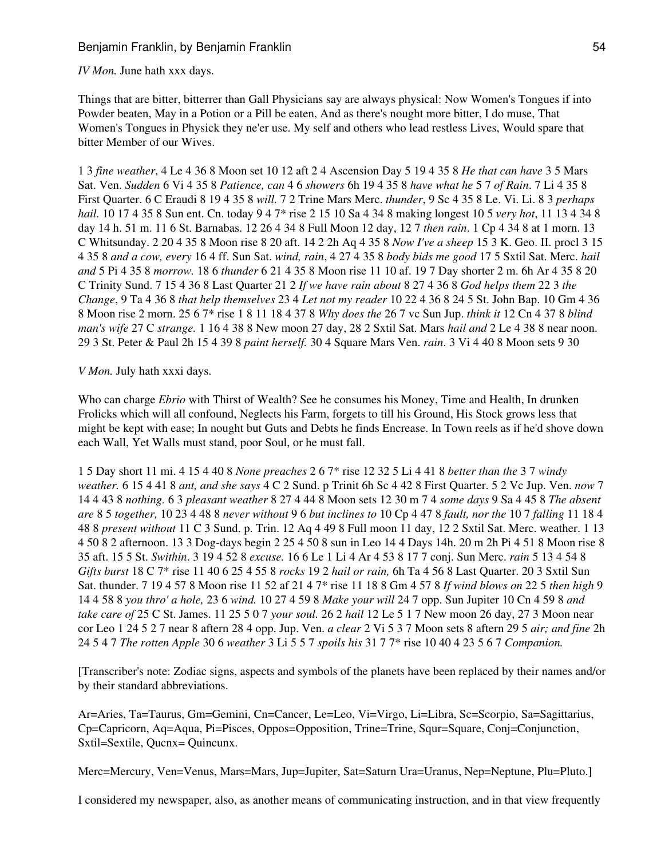### *IV Mon.* June hath xxx days.

Things that are bitter, bitterrer than Gall Physicians say are always physical: Now Women's Tongues if into Powder beaten, May in a Potion or a Pill be eaten, And as there's nought more bitter, I do muse, That Women's Tongues in Physick they ne'er use. My self and others who lead restless Lives, Would spare that bitter Member of our Wives.

1 3 *fine weather*, 4 Le 4 36 8 Moon set 10 12 aft 2 4 Ascension Day 5 19 4 35 8 *He that can have* 3 5 Mars Sat. Ven. *Sudden* 6 Vi 4 35 8 *Patience, can* 4 6 *showers* 6h 19 4 35 8 *have what he* 5 7 *of Rain*. 7 Li 4 35 8 First Quarter. 6 C Eraudi 8 19 4 35 8 *will.* 7 2 Trine Mars Merc. *thunder*, 9 Sc 4 35 8 Le. Vi. Li. 8 3 *perhaps hail.* 10 17 4 35 8 Sun ent. Cn. today 9 4 7\* rise 2 15 10 Sa 4 34 8 making longest 10 5 *very hot*, 11 13 4 34 8 day 14 h. 51 m. 11 6 St. Barnabas. 12 26 4 34 8 Full Moon 12 day, 12 7 *then rain*. 1 Cp 4 34 8 at 1 morn. 13 C Whitsunday. 2 20 4 35 8 Moon rise 8 20 aft. 14 2 2h Aq 4 35 8 *Now I've a sheep* 15 3 K. Geo. II. procl 3 15 4 35 8 *and a cow, every* 16 4 ff. Sun Sat. *wind, rain*, 4 27 4 35 8 *body bids me good* 17 5 Sxtil Sat. Merc. *hail and* 5 Pi 4 35 8 *morrow.* 18 6 *thunder* 6 21 4 35 8 Moon rise 11 10 af. 19 7 Day shorter 2 m. 6h Ar 4 35 8 20 C Trinity Sund. 7 15 4 36 8 Last Quarter 21 2 *If we have rain about* 8 27 4 36 8 *God helps them* 22 3 *the Change*, 9 Ta 4 36 8 *that help themselves* 23 4 *Let not my reader* 10 22 4 36 8 24 5 St. John Bap. 10 Gm 4 36 8 Moon rise 2 morn. 25 6 7\* rise 1 8 11 18 4 37 8 *Why does the* 26 7 vc Sun Jup. *think it* 12 Cn 4 37 8 *blind man's wife* 27 C *strange.* 1 16 4 38 8 New moon 27 day, 28 2 Sxtil Sat. Mars *hail and* 2 Le 4 38 8 near noon. 29 3 St. Peter & Paul 2h 15 4 39 8 *paint herself.* 30 4 Square Mars Ven. *rain*. 3 Vi 4 40 8 Moon sets 9 30

#### *V Mon.* July hath xxxi days.

Who can charge *Ebrio* with Thirst of Wealth? See he consumes his Money, Time and Health, In drunken Frolicks which will all confound, Neglects his Farm, forgets to till his Ground, His Stock grows less that might be kept with ease; In nought but Guts and Debts he finds Encrease. In Town reels as if he'd shove down each Wall, Yet Walls must stand, poor Soul, or he must fall.

1 5 Day short 11 mi. 4 15 4 40 8 *None preaches* 2 6 7\* rise 12 32 5 Li 4 41 8 *better than the* 3 7 *windy weather.* 6 15 4 41 8 *ant, and she says* 4 C 2 Sund. p Trinit 6h Sc 4 42 8 First Quarter. 5 2 Vc Jup. Ven. *now* 7 14 4 43 8 *nothing.* 6 3 *pleasant weather* 8 27 4 44 8 Moon sets 12 30 m 7 4 *some days* 9 Sa 4 45 8 *The absent are* 8 5 *together,* 10 23 4 48 8 *never without* 9 6 *but inclines to* 10 Cp 4 47 8 *fault, nor the* 10 7 *falling* 11 18 4 48 8 *present without* 11 C 3 Sund. p. Trin. 12 Aq 4 49 8 Full moon 11 day, 12 2 Sxtil Sat. Merc. weather. 1 13 4 50 8 2 afternoon. 13 3 Dog-days begin 2 25 4 50 8 sun in Leo 14 4 Days 14h. 20 m 2h Pi 4 51 8 Moon rise 8 35 aft. 15 5 St. *Swithin*. 3 19 4 52 8 *excuse.* 16 6 Le 1 Li 4 Ar 4 53 8 17 7 conj. Sun Merc. *rain* 5 13 4 54 8 *Gifts burst* 18 C 7\* rise 11 40 6 25 4 55 8 *rocks* 19 2 *hail or rain,* 6h Ta 4 56 8 Last Quarter. 20 3 Sxtil Sun Sat. thunder. 7 19 4 57 8 Moon rise 11 52 af 21 4 7\* rise 11 18 8 Gm 4 57 8 *If wind blows on* 22 5 *then high* 9 14 4 58 8 *you thro' a hole,* 23 6 *wind.* 10 27 4 59 8 *Make your will* 24 7 opp. Sun Jupiter 10 Cn 4 59 8 *and take care of* 25 C St. James. 11 25 5 0 7 *your soul.* 26 2 *hail* 12 Le 5 1 7 New moon 26 day, 27 3 Moon near cor Leo 1 24 5 2 7 near 8 aftern 28 4 opp. Jup. Ven. *a clear* 2 Vi 5 3 7 Moon sets 8 aftern 29 5 *air; and fine* 2h 24 5 4 7 *The rotten Apple* 30 6 *weather* 3 Li 5 5 7 *spoils his* 31 7 7\* rise 10 40 4 23 5 6 7 *Companion.*

[Transcriber's note: Zodiac signs, aspects and symbols of the planets have been replaced by their names and/or by their standard abbreviations.

Ar=Aries, Ta=Taurus, Gm=Gemini, Cn=Cancer, Le=Leo, Vi=Virgo, Li=Libra, Sc=Scorpio, Sa=Sagittarius, Cp=Capricorn, Aq=Aqua, Pi=Pisces, Oppos=Opposition, Trine=Trine, Squr=Square, Conj=Conjunction, Sxtil=Sextile, Qucnx= Quincunx.

Merc=Mercury, Ven=Venus, Mars=Mars, Jup=Jupiter, Sat=Saturn Ura=Uranus, Nep=Neptune, Plu=Pluto.]

I considered my newspaper, also, as another means of communicating instruction, and in that view frequently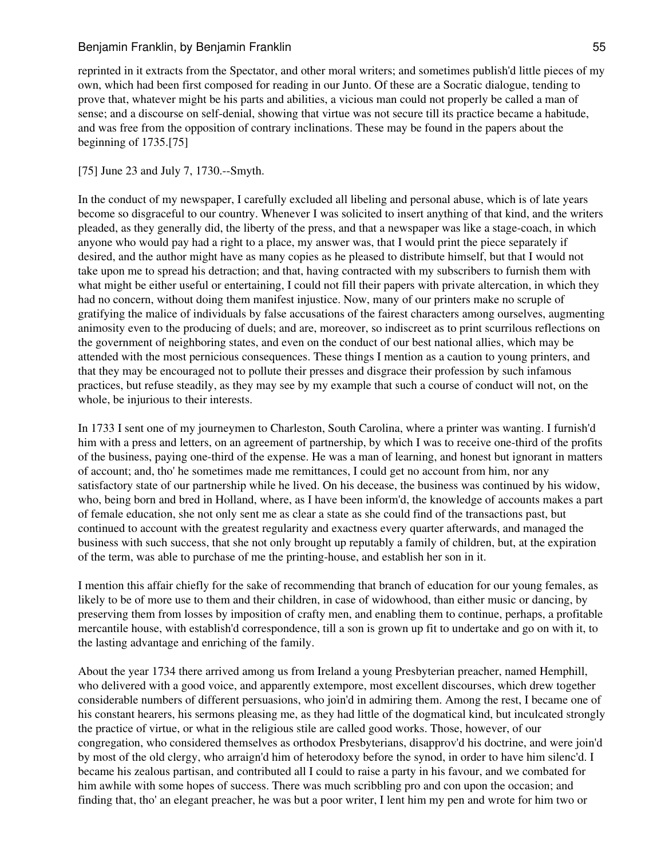reprinted in it extracts from the Spectator, and other moral writers; and sometimes publish'd little pieces of my own, which had been first composed for reading in our Junto. Of these are a Socratic dialogue, tending to prove that, whatever might be his parts and abilities, a vicious man could not properly be called a man of sense; and a discourse on self-denial, showing that virtue was not secure till its practice became a habitude, and was free from the opposition of contrary inclinations. These may be found in the papers about the beginning of 1735.[75]

## [75] June 23 and July 7, 1730.--Smyth.

In the conduct of my newspaper, I carefully excluded all libeling and personal abuse, which is of late years become so disgraceful to our country. Whenever I was solicited to insert anything of that kind, and the writers pleaded, as they generally did, the liberty of the press, and that a newspaper was like a stage-coach, in which anyone who would pay had a right to a place, my answer was, that I would print the piece separately if desired, and the author might have as many copies as he pleased to distribute himself, but that I would not take upon me to spread his detraction; and that, having contracted with my subscribers to furnish them with what might be either useful or entertaining, I could not fill their papers with private altercation, in which they had no concern, without doing them manifest injustice. Now, many of our printers make no scruple of gratifying the malice of individuals by false accusations of the fairest characters among ourselves, augmenting animosity even to the producing of duels; and are, moreover, so indiscreet as to print scurrilous reflections on the government of neighboring states, and even on the conduct of our best national allies, which may be attended with the most pernicious consequences. These things I mention as a caution to young printers, and that they may be encouraged not to pollute their presses and disgrace their profession by such infamous practices, but refuse steadily, as they may see by my example that such a course of conduct will not, on the whole, be injurious to their interests.

In 1733 I sent one of my journeymen to Charleston, South Carolina, where a printer was wanting. I furnish'd him with a press and letters, on an agreement of partnership, by which I was to receive one-third of the profits of the business, paying one-third of the expense. He was a man of learning, and honest but ignorant in matters of account; and, tho' he sometimes made me remittances, I could get no account from him, nor any satisfactory state of our partnership while he lived. On his decease, the business was continued by his widow, who, being born and bred in Holland, where, as I have been inform'd, the knowledge of accounts makes a part of female education, she not only sent me as clear a state as she could find of the transactions past, but continued to account with the greatest regularity and exactness every quarter afterwards, and managed the business with such success, that she not only brought up reputably a family of children, but, at the expiration of the term, was able to purchase of me the printing-house, and establish her son in it.

I mention this affair chiefly for the sake of recommending that branch of education for our young females, as likely to be of more use to them and their children, in case of widowhood, than either music or dancing, by preserving them from losses by imposition of crafty men, and enabling them to continue, perhaps, a profitable mercantile house, with establish'd correspondence, till a son is grown up fit to undertake and go on with it, to the lasting advantage and enriching of the family.

About the year 1734 there arrived among us from Ireland a young Presbyterian preacher, named Hemphill, who delivered with a good voice, and apparently extempore, most excellent discourses, which drew together considerable numbers of different persuasions, who join'd in admiring them. Among the rest, I became one of his constant hearers, his sermons pleasing me, as they had little of the dogmatical kind, but inculcated strongly the practice of virtue, or what in the religious stile are called good works. Those, however, of our congregation, who considered themselves as orthodox Presbyterians, disapprov'd his doctrine, and were join'd by most of the old clergy, who arraign'd him of heterodoxy before the synod, in order to have him silenc'd. I became his zealous partisan, and contributed all I could to raise a party in his favour, and we combated for him awhile with some hopes of success. There was much scribbling pro and con upon the occasion; and finding that, tho' an elegant preacher, he was but a poor writer, I lent him my pen and wrote for him two or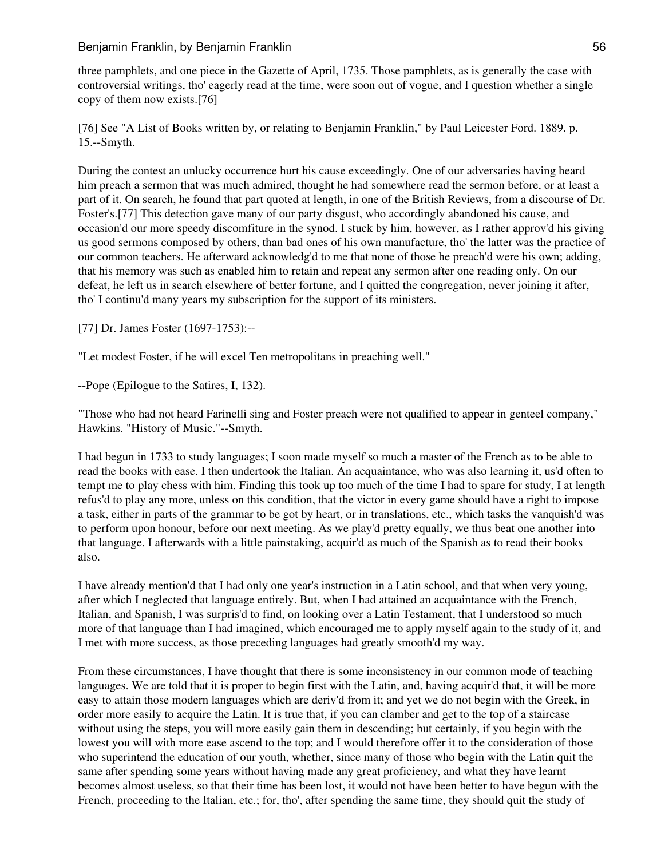## Benjamin Franklin, by Benjamin Franklin 56 benjamin 56 benjamin 56 benjamin 56 benjamin 56 benjamin 56 benjami

three pamphlets, and one piece in the Gazette of April, 1735. Those pamphlets, as is generally the case with controversial writings, tho' eagerly read at the time, were soon out of vogue, and I question whether a single copy of them now exists.[76]

[76] See "A List of Books written by, or relating to Benjamin Franklin," by Paul Leicester Ford. 1889. p. 15.--Smyth.

During the contest an unlucky occurrence hurt his cause exceedingly. One of our adversaries having heard him preach a sermon that was much admired, thought he had somewhere read the sermon before, or at least a part of it. On search, he found that part quoted at length, in one of the British Reviews, from a discourse of Dr. Foster's.[77] This detection gave many of our party disgust, who accordingly abandoned his cause, and occasion'd our more speedy discomfiture in the synod. I stuck by him, however, as I rather approv'd his giving us good sermons composed by others, than bad ones of his own manufacture, tho' the latter was the practice of our common teachers. He afterward acknowledg'd to me that none of those he preach'd were his own; adding, that his memory was such as enabled him to retain and repeat any sermon after one reading only. On our defeat, he left us in search elsewhere of better fortune, and I quitted the congregation, never joining it after, tho' I continu'd many years my subscription for the support of its ministers.

[77] Dr. James Foster (1697-1753):--

"Let modest Foster, if he will excel Ten metropolitans in preaching well."

--Pope (Epilogue to the Satires, I, 132).

"Those who had not heard Farinelli sing and Foster preach were not qualified to appear in genteel company," Hawkins. "History of Music."--Smyth.

I had begun in 1733 to study languages; I soon made myself so much a master of the French as to be able to read the books with ease. I then undertook the Italian. An acquaintance, who was also learning it, us'd often to tempt me to play chess with him. Finding this took up too much of the time I had to spare for study, I at length refus'd to play any more, unless on this condition, that the victor in every game should have a right to impose a task, either in parts of the grammar to be got by heart, or in translations, etc., which tasks the vanquish'd was to perform upon honour, before our next meeting. As we play'd pretty equally, we thus beat one another into that language. I afterwards with a little painstaking, acquir'd as much of the Spanish as to read their books also.

I have already mention'd that I had only one year's instruction in a Latin school, and that when very young, after which I neglected that language entirely. But, when I had attained an acquaintance with the French, Italian, and Spanish, I was surpris'd to find, on looking over a Latin Testament, that I understood so much more of that language than I had imagined, which encouraged me to apply myself again to the study of it, and I met with more success, as those preceding languages had greatly smooth'd my way.

From these circumstances, I have thought that there is some inconsistency in our common mode of teaching languages. We are told that it is proper to begin first with the Latin, and, having acquir'd that, it will be more easy to attain those modern languages which are deriv'd from it; and yet we do not begin with the Greek, in order more easily to acquire the Latin. It is true that, if you can clamber and get to the top of a staircase without using the steps, you will more easily gain them in descending; but certainly, if you begin with the lowest you will with more ease ascend to the top; and I would therefore offer it to the consideration of those who superintend the education of our youth, whether, since many of those who begin with the Latin quit the same after spending some years without having made any great proficiency, and what they have learnt becomes almost useless, so that their time has been lost, it would not have been better to have begun with the French, proceeding to the Italian, etc.; for, tho', after spending the same time, they should quit the study of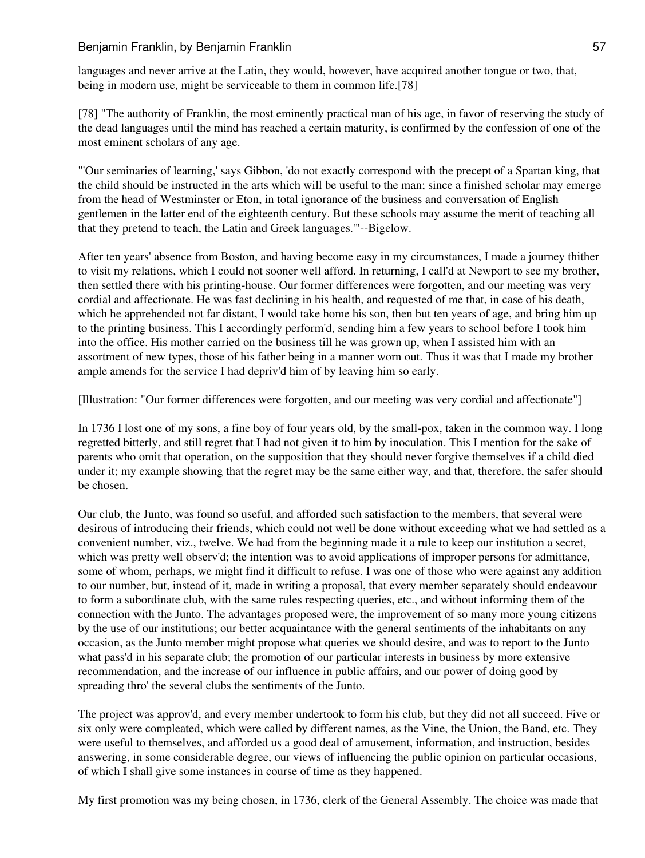languages and never arrive at the Latin, they would, however, have acquired another tongue or two, that, being in modern use, might be serviceable to them in common life.[78]

[78] "The authority of Franklin, the most eminently practical man of his age, in favor of reserving the study of the dead languages until the mind has reached a certain maturity, is confirmed by the confession of one of the most eminent scholars of any age.

"'Our seminaries of learning,' says Gibbon, 'do not exactly correspond with the precept of a Spartan king, that the child should be instructed in the arts which will be useful to the man; since a finished scholar may emerge from the head of Westminster or Eton, in total ignorance of the business and conversation of English gentlemen in the latter end of the eighteenth century. But these schools may assume the merit of teaching all that they pretend to teach, the Latin and Greek languages.'"--Bigelow.

After ten years' absence from Boston, and having become easy in my circumstances, I made a journey thither to visit my relations, which I could not sooner well afford. In returning, I call'd at Newport to see my brother, then settled there with his printing-house. Our former differences were forgotten, and our meeting was very cordial and affectionate. He was fast declining in his health, and requested of me that, in case of his death, which he apprehended not far distant, I would take home his son, then but ten years of age, and bring him up to the printing business. This I accordingly perform'd, sending him a few years to school before I took him into the office. His mother carried on the business till he was grown up, when I assisted him with an assortment of new types, those of his father being in a manner worn out. Thus it was that I made my brother ample amends for the service I had depriv'd him of by leaving him so early.

[Illustration: "Our former differences were forgotten, and our meeting was very cordial and affectionate"]

In 1736 I lost one of my sons, a fine boy of four years old, by the small-pox, taken in the common way. I long regretted bitterly, and still regret that I had not given it to him by inoculation. This I mention for the sake of parents who omit that operation, on the supposition that they should never forgive themselves if a child died under it; my example showing that the regret may be the same either way, and that, therefore, the safer should be chosen.

Our club, the Junto, was found so useful, and afforded such satisfaction to the members, that several were desirous of introducing their friends, which could not well be done without exceeding what we had settled as a convenient number, viz., twelve. We had from the beginning made it a rule to keep our institution a secret, which was pretty well observ'd; the intention was to avoid applications of improper persons for admittance, some of whom, perhaps, we might find it difficult to refuse. I was one of those who were against any addition to our number, but, instead of it, made in writing a proposal, that every member separately should endeavour to form a subordinate club, with the same rules respecting queries, etc., and without informing them of the connection with the Junto. The advantages proposed were, the improvement of so many more young citizens by the use of our institutions; our better acquaintance with the general sentiments of the inhabitants on any occasion, as the Junto member might propose what queries we should desire, and was to report to the Junto what pass'd in his separate club; the promotion of our particular interests in business by more extensive recommendation, and the increase of our influence in public affairs, and our power of doing good by spreading thro' the several clubs the sentiments of the Junto.

The project was approv'd, and every member undertook to form his club, but they did not all succeed. Five or six only were compleated, which were called by different names, as the Vine, the Union, the Band, etc. They were useful to themselves, and afforded us a good deal of amusement, information, and instruction, besides answering, in some considerable degree, our views of influencing the public opinion on particular occasions, of which I shall give some instances in course of time as they happened.

My first promotion was my being chosen, in 1736, clerk of the General Assembly. The choice was made that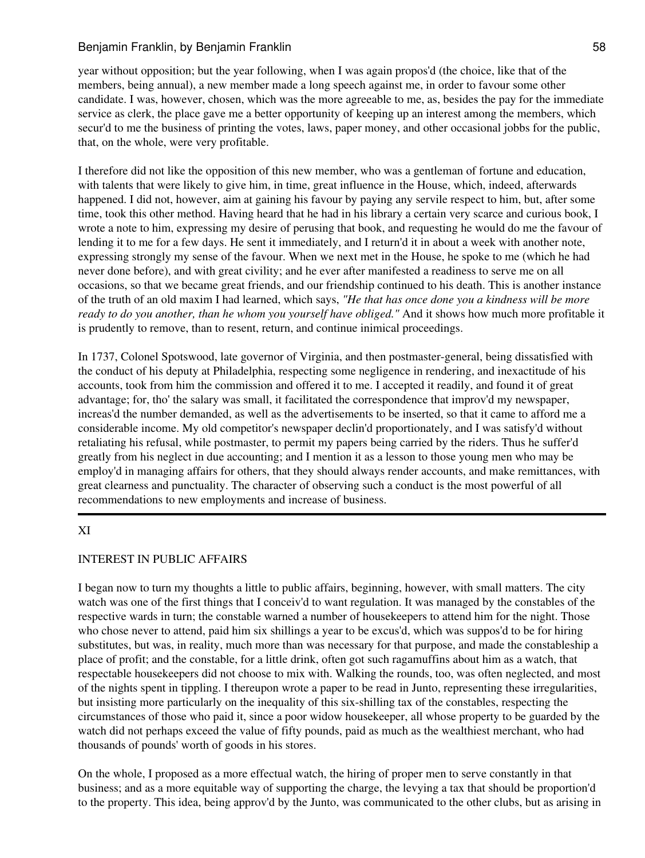## Benjamin Franklin, by Benjamin Franklin 58 and 58 and 58

year without opposition; but the year following, when I was again propos'd (the choice, like that of the members, being annual), a new member made a long speech against me, in order to favour some other candidate. I was, however, chosen, which was the more agreeable to me, as, besides the pay for the immediate service as clerk, the place gave me a better opportunity of keeping up an interest among the members, which secur'd to me the business of printing the votes, laws, paper money, and other occasional jobbs for the public, that, on the whole, were very profitable.

I therefore did not like the opposition of this new member, who was a gentleman of fortune and education, with talents that were likely to give him, in time, great influence in the House, which, indeed, afterwards happened. I did not, however, aim at gaining his favour by paying any servile respect to him, but, after some time, took this other method. Having heard that he had in his library a certain very scarce and curious book, I wrote a note to him, expressing my desire of perusing that book, and requesting he would do me the favour of lending it to me for a few days. He sent it immediately, and I return'd it in about a week with another note, expressing strongly my sense of the favour. When we next met in the House, he spoke to me (which he had never done before), and with great civility; and he ever after manifested a readiness to serve me on all occasions, so that we became great friends, and our friendship continued to his death. This is another instance of the truth of an old maxim I had learned, which says, *"He that has once done you a kindness will be more ready to do you another, than he whom you yourself have obliged."* And it shows how much more profitable it is prudently to remove, than to resent, return, and continue inimical proceedings.

In 1737, Colonel Spotswood, late governor of Virginia, and then postmaster-general, being dissatisfied with the conduct of his deputy at Philadelphia, respecting some negligence in rendering, and inexactitude of his accounts, took from him the commission and offered it to me. I accepted it readily, and found it of great advantage; for, tho' the salary was small, it facilitated the correspondence that improv'd my newspaper, increas'd the number demanded, as well as the advertisements to be inserted, so that it came to afford me a considerable income. My old competitor's newspaper declin'd proportionately, and I was satisfy'd without retaliating his refusal, while postmaster, to permit my papers being carried by the riders. Thus he suffer'd greatly from his neglect in due accounting; and I mention it as a lesson to those young men who may be employ'd in managing affairs for others, that they should always render accounts, and make remittances, with great clearness and punctuality. The character of observing such a conduct is the most powerful of all recommendations to new employments and increase of business.

# XI

### INTEREST IN PUBLIC AFFAIRS

I began now to turn my thoughts a little to public affairs, beginning, however, with small matters. The city watch was one of the first things that I conceiv'd to want regulation. It was managed by the constables of the respective wards in turn; the constable warned a number of housekeepers to attend him for the night. Those who chose never to attend, paid him six shillings a year to be excus'd, which was suppos'd to be for hiring substitutes, but was, in reality, much more than was necessary for that purpose, and made the constableship a place of profit; and the constable, for a little drink, often got such ragamuffins about him as a watch, that respectable housekeepers did not choose to mix with. Walking the rounds, too, was often neglected, and most of the nights spent in tippling. I thereupon wrote a paper to be read in Junto, representing these irregularities, but insisting more particularly on the inequality of this six-shilling tax of the constables, respecting the circumstances of those who paid it, since a poor widow housekeeper, all whose property to be guarded by the watch did not perhaps exceed the value of fifty pounds, paid as much as the wealthiest merchant, who had thousands of pounds' worth of goods in his stores.

On the whole, I proposed as a more effectual watch, the hiring of proper men to serve constantly in that business; and as a more equitable way of supporting the charge, the levying a tax that should be proportion'd to the property. This idea, being approv'd by the Junto, was communicated to the other clubs, but as arising in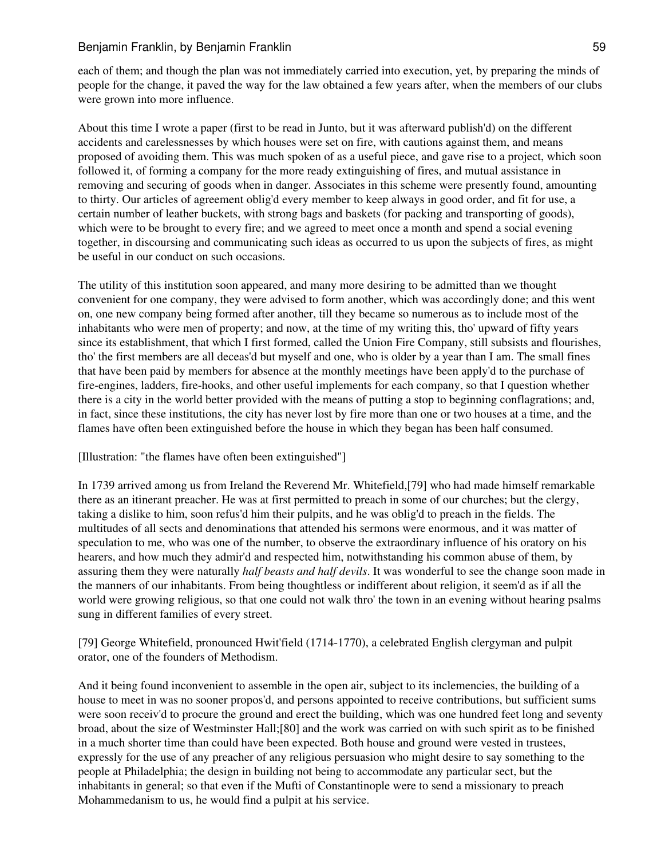### Benjamin Franklin, by Benjamin Franklin 59 benjamin 59

each of them; and though the plan was not immediately carried into execution, yet, by preparing the minds of people for the change, it paved the way for the law obtained a few years after, when the members of our clubs were grown into more influence.

About this time I wrote a paper (first to be read in Junto, but it was afterward publish'd) on the different accidents and carelessnesses by which houses were set on fire, with cautions against them, and means proposed of avoiding them. This was much spoken of as a useful piece, and gave rise to a project, which soon followed it, of forming a company for the more ready extinguishing of fires, and mutual assistance in removing and securing of goods when in danger. Associates in this scheme were presently found, amounting to thirty. Our articles of agreement oblig'd every member to keep always in good order, and fit for use, a certain number of leather buckets, with strong bags and baskets (for packing and transporting of goods), which were to be brought to every fire; and we agreed to meet once a month and spend a social evening together, in discoursing and communicating such ideas as occurred to us upon the subjects of fires, as might be useful in our conduct on such occasions.

The utility of this institution soon appeared, and many more desiring to be admitted than we thought convenient for one company, they were advised to form another, which was accordingly done; and this went on, one new company being formed after another, till they became so numerous as to include most of the inhabitants who were men of property; and now, at the time of my writing this, tho' upward of fifty years since its establishment, that which I first formed, called the Union Fire Company, still subsists and flourishes, tho' the first members are all deceas'd but myself and one, who is older by a year than I am. The small fines that have been paid by members for absence at the monthly meetings have been apply'd to the purchase of fire-engines, ladders, fire-hooks, and other useful implements for each company, so that I question whether there is a city in the world better provided with the means of putting a stop to beginning conflagrations; and, in fact, since these institutions, the city has never lost by fire more than one or two houses at a time, and the flames have often been extinguished before the house in which they began has been half consumed.

### [Illustration: "the flames have often been extinguished"]

In 1739 arrived among us from Ireland the Reverend Mr. Whitefield,[79] who had made himself remarkable there as an itinerant preacher. He was at first permitted to preach in some of our churches; but the clergy, taking a dislike to him, soon refus'd him their pulpits, and he was oblig'd to preach in the fields. The multitudes of all sects and denominations that attended his sermons were enormous, and it was matter of speculation to me, who was one of the number, to observe the extraordinary influence of his oratory on his hearers, and how much they admir'd and respected him, notwithstanding his common abuse of them, by assuring them they were naturally *half beasts and half devils*. It was wonderful to see the change soon made in the manners of our inhabitants. From being thoughtless or indifferent about religion, it seem'd as if all the world were growing religious, so that one could not walk thro' the town in an evening without hearing psalms sung in different families of every street.

[79] George Whitefield, pronounced Hwit'field (1714-1770), a celebrated English clergyman and pulpit orator, one of the founders of Methodism.

And it being found inconvenient to assemble in the open air, subject to its inclemencies, the building of a house to meet in was no sooner propos'd, and persons appointed to receive contributions, but sufficient sums were soon receiv'd to procure the ground and erect the building, which was one hundred feet long and seventy broad, about the size of Westminster Hall;[80] and the work was carried on with such spirit as to be finished in a much shorter time than could have been expected. Both house and ground were vested in trustees, expressly for the use of any preacher of any religious persuasion who might desire to say something to the people at Philadelphia; the design in building not being to accommodate any particular sect, but the inhabitants in general; so that even if the Mufti of Constantinople were to send a missionary to preach Mohammedanism to us, he would find a pulpit at his service.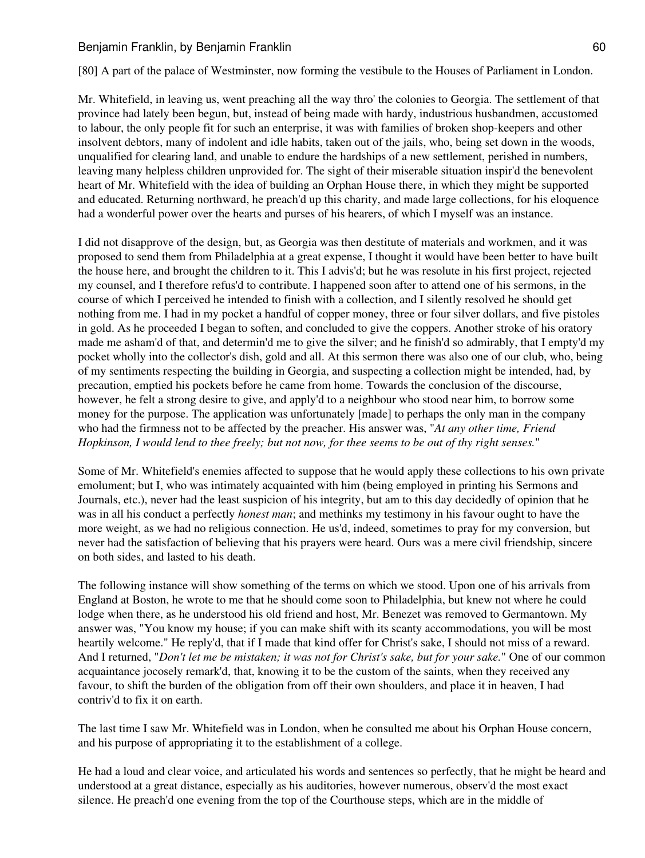### Benjamin Franklin, by Benjamin Franklin **Example 1988** 60

[80] A part of the palace of Westminster, now forming the vestibule to the Houses of Parliament in London.

Mr. Whitefield, in leaving us, went preaching all the way thro' the colonies to Georgia. The settlement of that province had lately been begun, but, instead of being made with hardy, industrious husbandmen, accustomed to labour, the only people fit for such an enterprise, it was with families of broken shop-keepers and other insolvent debtors, many of indolent and idle habits, taken out of the jails, who, being set down in the woods, unqualified for clearing land, and unable to endure the hardships of a new settlement, perished in numbers, leaving many helpless children unprovided for. The sight of their miserable situation inspir'd the benevolent heart of Mr. Whitefield with the idea of building an Orphan House there, in which they might be supported and educated. Returning northward, he preach'd up this charity, and made large collections, for his eloquence had a wonderful power over the hearts and purses of his hearers, of which I myself was an instance.

I did not disapprove of the design, but, as Georgia was then destitute of materials and workmen, and it was proposed to send them from Philadelphia at a great expense, I thought it would have been better to have built the house here, and brought the children to it. This I advis'd; but he was resolute in his first project, rejected my counsel, and I therefore refus'd to contribute. I happened soon after to attend one of his sermons, in the course of which I perceived he intended to finish with a collection, and I silently resolved he should get nothing from me. I had in my pocket a handful of copper money, three or four silver dollars, and five pistoles in gold. As he proceeded I began to soften, and concluded to give the coppers. Another stroke of his oratory made me asham'd of that, and determin'd me to give the silver; and he finish'd so admirably, that I empty'd my pocket wholly into the collector's dish, gold and all. At this sermon there was also one of our club, who, being of my sentiments respecting the building in Georgia, and suspecting a collection might be intended, had, by precaution, emptied his pockets before he came from home. Towards the conclusion of the discourse, however, he felt a strong desire to give, and apply'd to a neighbour who stood near him, to borrow some money for the purpose. The application was unfortunately [made] to perhaps the only man in the company who had the firmness not to be affected by the preacher. His answer was, "*At any other time, Friend Hopkinson, I would lend to thee freely; but not now, for thee seems to be out of thy right senses.*"

Some of Mr. Whitefield's enemies affected to suppose that he would apply these collections to his own private emolument; but I, who was intimately acquainted with him (being employed in printing his Sermons and Journals, etc.), never had the least suspicion of his integrity, but am to this day decidedly of opinion that he was in all his conduct a perfectly *honest man*; and methinks my testimony in his favour ought to have the more weight, as we had no religious connection. He us'd, indeed, sometimes to pray for my conversion, but never had the satisfaction of believing that his prayers were heard. Ours was a mere civil friendship, sincere on both sides, and lasted to his death.

The following instance will show something of the terms on which we stood. Upon one of his arrivals from England at Boston, he wrote to me that he should come soon to Philadelphia, but knew not where he could lodge when there, as he understood his old friend and host, Mr. Benezet was removed to Germantown. My answer was, "You know my house; if you can make shift with its scanty accommodations, you will be most heartily welcome." He reply'd, that if I made that kind offer for Christ's sake, I should not miss of a reward. And I returned, "*Don't let me be mistaken; it was not for Christ's sake, but for your sake.*" One of our common acquaintance jocosely remark'd, that, knowing it to be the custom of the saints, when they received any favour, to shift the burden of the obligation from off their own shoulders, and place it in heaven, I had contriv'd to fix it on earth.

The last time I saw Mr. Whitefield was in London, when he consulted me about his Orphan House concern, and his purpose of appropriating it to the establishment of a college.

He had a loud and clear voice, and articulated his words and sentences so perfectly, that he might be heard and understood at a great distance, especially as his auditories, however numerous, observ'd the most exact silence. He preach'd one evening from the top of the Courthouse steps, which are in the middle of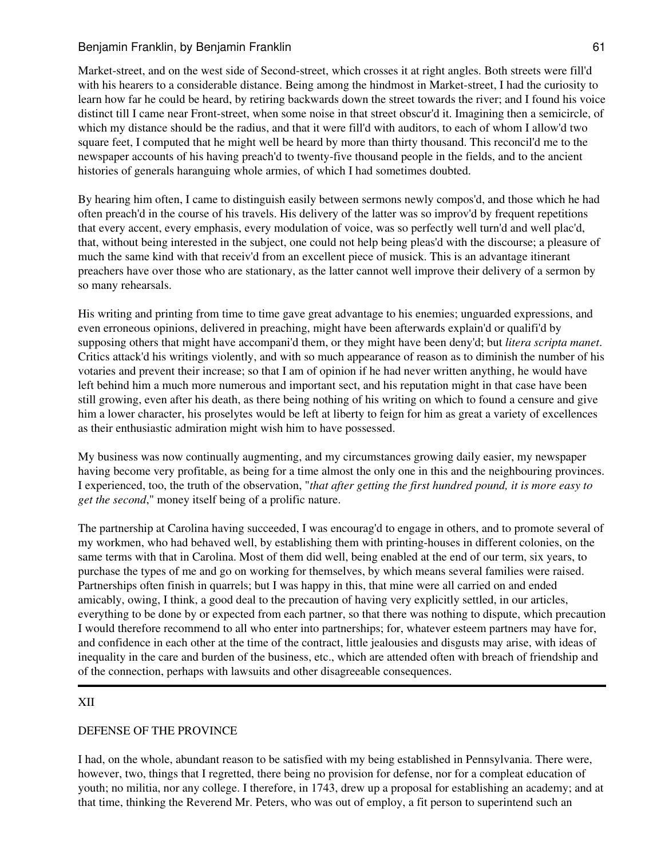Market-street, and on the west side of Second-street, which crosses it at right angles. Both streets were fill'd with his hearers to a considerable distance. Being among the hindmost in Market-street, I had the curiosity to learn how far he could be heard, by retiring backwards down the street towards the river; and I found his voice distinct till I came near Front-street, when some noise in that street obscur'd it. Imagining then a semicircle, of which my distance should be the radius, and that it were fill'd with auditors, to each of whom I allow'd two square feet, I computed that he might well be heard by more than thirty thousand. This reconcil'd me to the newspaper accounts of his having preach'd to twenty-five thousand people in the fields, and to the ancient histories of generals haranguing whole armies, of which I had sometimes doubted.

By hearing him often, I came to distinguish easily between sermons newly compos'd, and those which he had often preach'd in the course of his travels. His delivery of the latter was so improv'd by frequent repetitions that every accent, every emphasis, every modulation of voice, was so perfectly well turn'd and well plac'd, that, without being interested in the subject, one could not help being pleas'd with the discourse; a pleasure of much the same kind with that receiv'd from an excellent piece of musick. This is an advantage itinerant preachers have over those who are stationary, as the latter cannot well improve their delivery of a sermon by so many rehearsals.

His writing and printing from time to time gave great advantage to his enemies; unguarded expressions, and even erroneous opinions, delivered in preaching, might have been afterwards explain'd or qualifi'd by supposing others that might have accompani'd them, or they might have been deny'd; but *litera scripta manet*. Critics attack'd his writings violently, and with so much appearance of reason as to diminish the number of his votaries and prevent their increase; so that I am of opinion if he had never written anything, he would have left behind him a much more numerous and important sect, and his reputation might in that case have been still growing, even after his death, as there being nothing of his writing on which to found a censure and give him a lower character, his proselytes would be left at liberty to feign for him as great a variety of excellences as their enthusiastic admiration might wish him to have possessed.

My business was now continually augmenting, and my circumstances growing daily easier, my newspaper having become very profitable, as being for a time almost the only one in this and the neighbouring provinces. I experienced, too, the truth of the observation, "*that after getting the first hundred pound, it is more easy to get the second*," money itself being of a prolific nature.

The partnership at Carolina having succeeded, I was encourag'd to engage in others, and to promote several of my workmen, who had behaved well, by establishing them with printing-houses in different colonies, on the same terms with that in Carolina. Most of them did well, being enabled at the end of our term, six years, to purchase the types of me and go on working for themselves, by which means several families were raised. Partnerships often finish in quarrels; but I was happy in this, that mine were all carried on and ended amicably, owing, I think, a good deal to the precaution of having very explicitly settled, in our articles, everything to be done by or expected from each partner, so that there was nothing to dispute, which precaution I would therefore recommend to all who enter into partnerships; for, whatever esteem partners may have for, and confidence in each other at the time of the contract, little jealousies and disgusts may arise, with ideas of inequality in the care and burden of the business, etc., which are attended often with breach of friendship and of the connection, perhaps with lawsuits and other disagreeable consequences.

# XII

# DEFENSE OF THE PROVINCE

I had, on the whole, abundant reason to be satisfied with my being established in Pennsylvania. There were, however, two, things that I regretted, there being no provision for defense, nor for a compleat education of youth; no militia, nor any college. I therefore, in 1743, drew up a proposal for establishing an academy; and at that time, thinking the Reverend Mr. Peters, who was out of employ, a fit person to superintend such an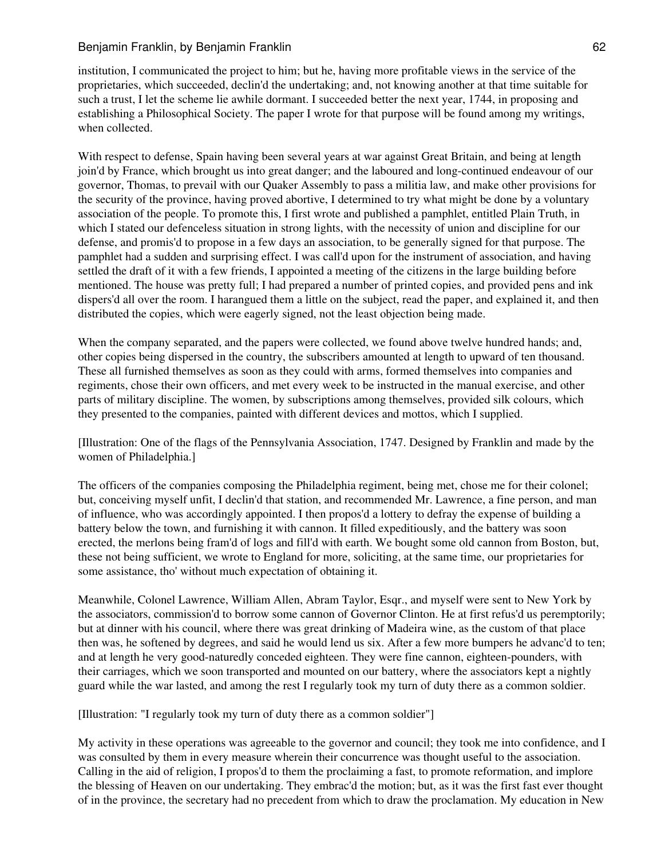### Benjamin Franklin, by Benjamin Franklin **62** benjamin 62

institution, I communicated the project to him; but he, having more profitable views in the service of the proprietaries, which succeeded, declin'd the undertaking; and, not knowing another at that time suitable for such a trust, I let the scheme lie awhile dormant. I succeeded better the next year, 1744, in proposing and establishing a Philosophical Society. The paper I wrote for that purpose will be found among my writings, when collected.

With respect to defense, Spain having been several years at war against Great Britain, and being at length join'd by France, which brought us into great danger; and the laboured and long-continued endeavour of our governor, Thomas, to prevail with our Quaker Assembly to pass a militia law, and make other provisions for the security of the province, having proved abortive, I determined to try what might be done by a voluntary association of the people. To promote this, I first wrote and published a pamphlet, entitled Plain Truth, in which I stated our defenceless situation in strong lights, with the necessity of union and discipline for our defense, and promis'd to propose in a few days an association, to be generally signed for that purpose. The pamphlet had a sudden and surprising effect. I was call'd upon for the instrument of association, and having settled the draft of it with a few friends, I appointed a meeting of the citizens in the large building before mentioned. The house was pretty full; I had prepared a number of printed copies, and provided pens and ink dispers'd all over the room. I harangued them a little on the subject, read the paper, and explained it, and then distributed the copies, which were eagerly signed, not the least objection being made.

When the company separated, and the papers were collected, we found above twelve hundred hands; and, other copies being dispersed in the country, the subscribers amounted at length to upward of ten thousand. These all furnished themselves as soon as they could with arms, formed themselves into companies and regiments, chose their own officers, and met every week to be instructed in the manual exercise, and other parts of military discipline. The women, by subscriptions among themselves, provided silk colours, which they presented to the companies, painted with different devices and mottos, which I supplied.

[Illustration: One of the flags of the Pennsylvania Association, 1747. Designed by Franklin and made by the women of Philadelphia.]

The officers of the companies composing the Philadelphia regiment, being met, chose me for their colonel; but, conceiving myself unfit, I declin'd that station, and recommended Mr. Lawrence, a fine person, and man of influence, who was accordingly appointed. I then propos'd a lottery to defray the expense of building a battery below the town, and furnishing it with cannon. It filled expeditiously, and the battery was soon erected, the merlons being fram'd of logs and fill'd with earth. We bought some old cannon from Boston, but, these not being sufficient, we wrote to England for more, soliciting, at the same time, our proprietaries for some assistance, tho' without much expectation of obtaining it.

Meanwhile, Colonel Lawrence, William Allen, Abram Taylor, Esqr., and myself were sent to New York by the associators, commission'd to borrow some cannon of Governor Clinton. He at first refus'd us peremptorily; but at dinner with his council, where there was great drinking of Madeira wine, as the custom of that place then was, he softened by degrees, and said he would lend us six. After a few more bumpers he advanc'd to ten; and at length he very good-naturedly conceded eighteen. They were fine cannon, eighteen-pounders, with their carriages, which we soon transported and mounted on our battery, where the associators kept a nightly guard while the war lasted, and among the rest I regularly took my turn of duty there as a common soldier.

[Illustration: "I regularly took my turn of duty there as a common soldier"]

My activity in these operations was agreeable to the governor and council; they took me into confidence, and I was consulted by them in every measure wherein their concurrence was thought useful to the association. Calling in the aid of religion, I propos'd to them the proclaiming a fast, to promote reformation, and implore the blessing of Heaven on our undertaking. They embrac'd the motion; but, as it was the first fast ever thought of in the province, the secretary had no precedent from which to draw the proclamation. My education in New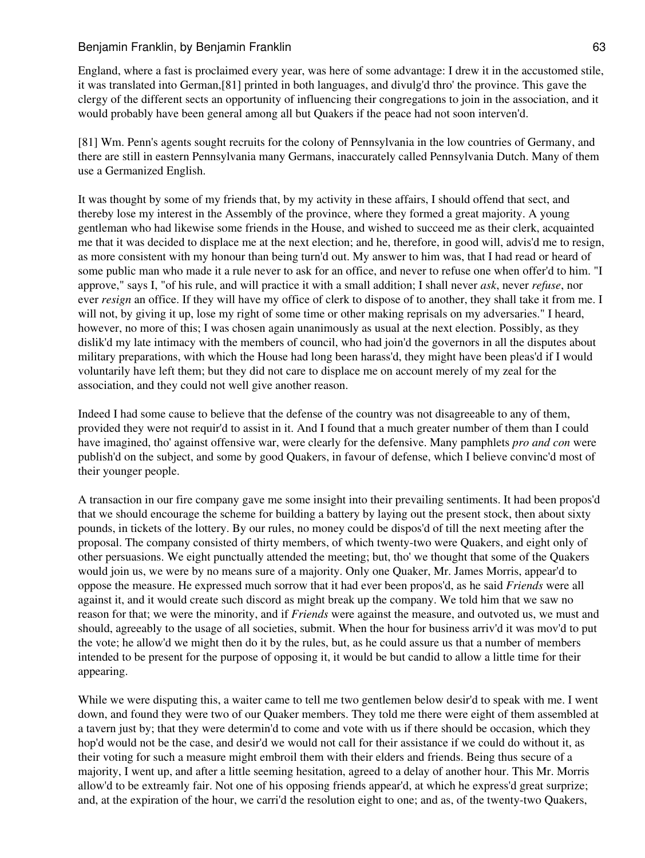### Benjamin Franklin, by Benjamin Franklin **Example 1988** 63

England, where a fast is proclaimed every year, was here of some advantage: I drew it in the accustomed stile, it was translated into German,[81] printed in both languages, and divulg'd thro' the province. This gave the clergy of the different sects an opportunity of influencing their congregations to join in the association, and it would probably have been general among all but Quakers if the peace had not soon interven'd.

[81] Wm. Penn's agents sought recruits for the colony of Pennsylvania in the low countries of Germany, and there are still in eastern Pennsylvania many Germans, inaccurately called Pennsylvania Dutch. Many of them use a Germanized English.

It was thought by some of my friends that, by my activity in these affairs, I should offend that sect, and thereby lose my interest in the Assembly of the province, where they formed a great majority. A young gentleman who had likewise some friends in the House, and wished to succeed me as their clerk, acquainted me that it was decided to displace me at the next election; and he, therefore, in good will, advis'd me to resign, as more consistent with my honour than being turn'd out. My answer to him was, that I had read or heard of some public man who made it a rule never to ask for an office, and never to refuse one when offer'd to him. "I approve," says I, "of his rule, and will practice it with a small addition; I shall never *ask*, never *refuse*, nor ever *resign* an office. If they will have my office of clerk to dispose of to another, they shall take it from me. I will not, by giving it up, lose my right of some time or other making reprisals on my adversaries." I heard, however, no more of this; I was chosen again unanimously as usual at the next election. Possibly, as they dislik'd my late intimacy with the members of council, who had join'd the governors in all the disputes about military preparations, with which the House had long been harass'd, they might have been pleas'd if I would voluntarily have left them; but they did not care to displace me on account merely of my zeal for the association, and they could not well give another reason.

Indeed I had some cause to believe that the defense of the country was not disagreeable to any of them, provided they were not requir'd to assist in it. And I found that a much greater number of them than I could have imagined, tho' against offensive war, were clearly for the defensive. Many pamphlets *pro and con* were publish'd on the subject, and some by good Quakers, in favour of defense, which I believe convinc'd most of their younger people.

A transaction in our fire company gave me some insight into their prevailing sentiments. It had been propos'd that we should encourage the scheme for building a battery by laying out the present stock, then about sixty pounds, in tickets of the lottery. By our rules, no money could be dispos'd of till the next meeting after the proposal. The company consisted of thirty members, of which twenty-two were Quakers, and eight only of other persuasions. We eight punctually attended the meeting; but, tho' we thought that some of the Quakers would join us, we were by no means sure of a majority. Only one Quaker, Mr. James Morris, appear'd to oppose the measure. He expressed much sorrow that it had ever been propos'd, as he said *Friends* were all against it, and it would create such discord as might break up the company. We told him that we saw no reason for that; we were the minority, and if *Friends* were against the measure, and outvoted us, we must and should, agreeably to the usage of all societies, submit. When the hour for business arriv'd it was mov'd to put the vote; he allow'd we might then do it by the rules, but, as he could assure us that a number of members intended to be present for the purpose of opposing it, it would be but candid to allow a little time for their appearing.

While we were disputing this, a waiter came to tell me two gentlemen below desir'd to speak with me. I went down, and found they were two of our Quaker members. They told me there were eight of them assembled at a tavern just by; that they were determin'd to come and vote with us if there should be occasion, which they hop'd would not be the case, and desir'd we would not call for their assistance if we could do without it, as their voting for such a measure might embroil them with their elders and friends. Being thus secure of a majority, I went up, and after a little seeming hesitation, agreed to a delay of another hour. This Mr. Morris allow'd to be extreamly fair. Not one of his opposing friends appear'd, at which he express'd great surprize; and, at the expiration of the hour, we carri'd the resolution eight to one; and as, of the twenty-two Quakers,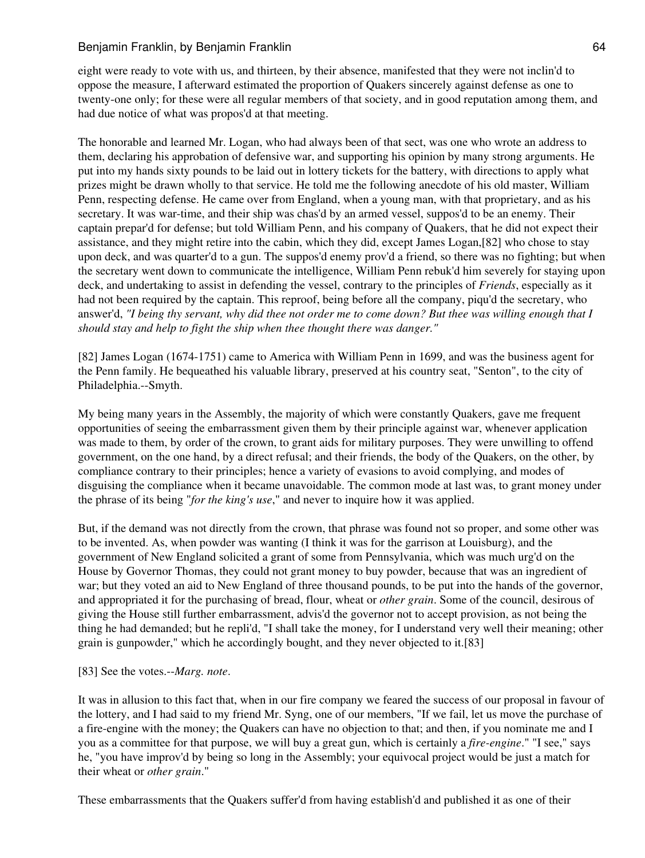eight were ready to vote with us, and thirteen, by their absence, manifested that they were not inclin'd to oppose the measure, I afterward estimated the proportion of Quakers sincerely against defense as one to twenty-one only; for these were all regular members of that society, and in good reputation among them, and had due notice of what was propos'd at that meeting.

The honorable and learned Mr. Logan, who had always been of that sect, was one who wrote an address to them, declaring his approbation of defensive war, and supporting his opinion by many strong arguments. He put into my hands sixty pounds to be laid out in lottery tickets for the battery, with directions to apply what prizes might be drawn wholly to that service. He told me the following anecdote of his old master, William Penn, respecting defense. He came over from England, when a young man, with that proprietary, and as his secretary. It was war-time, and their ship was chas'd by an armed vessel, suppos'd to be an enemy. Their captain prepar'd for defense; but told William Penn, and his company of Quakers, that he did not expect their assistance, and they might retire into the cabin, which they did, except James Logan,[82] who chose to stay upon deck, and was quarter'd to a gun. The suppos'd enemy prov'd a friend, so there was no fighting; but when the secretary went down to communicate the intelligence, William Penn rebuk'd him severely for staying upon deck, and undertaking to assist in defending the vessel, contrary to the principles of *Friends*, especially as it had not been required by the captain. This reproof, being before all the company, piqu'd the secretary, who answer'd, *"I being thy servant, why did thee not order me to come down? But thee was willing enough that I should stay and help to fight the ship when thee thought there was danger."*

[82] James Logan (1674-1751) came to America with William Penn in 1699, and was the business agent for the Penn family. He bequeathed his valuable library, preserved at his country seat, "Senton", to the city of Philadelphia.--Smyth.

My being many years in the Assembly, the majority of which were constantly Quakers, gave me frequent opportunities of seeing the embarrassment given them by their principle against war, whenever application was made to them, by order of the crown, to grant aids for military purposes. They were unwilling to offend government, on the one hand, by a direct refusal; and their friends, the body of the Quakers, on the other, by compliance contrary to their principles; hence a variety of evasions to avoid complying, and modes of disguising the compliance when it became unavoidable. The common mode at last was, to grant money under the phrase of its being "*for the king's use*," and never to inquire how it was applied.

But, if the demand was not directly from the crown, that phrase was found not so proper, and some other was to be invented. As, when powder was wanting (I think it was for the garrison at Louisburg), and the government of New England solicited a grant of some from Pennsylvania, which was much urg'd on the House by Governor Thomas, they could not grant money to buy powder, because that was an ingredient of war; but they voted an aid to New England of three thousand pounds, to be put into the hands of the governor, and appropriated it for the purchasing of bread, flour, wheat or *other grain*. Some of the council, desirous of giving the House still further embarrassment, advis'd the governor not to accept provision, as not being the thing he had demanded; but he repli'd, "I shall take the money, for I understand very well their meaning; other grain is gunpowder," which he accordingly bought, and they never objected to it.[83]

### [83] See the votes.--*Marg. note*.

It was in allusion to this fact that, when in our fire company we feared the success of our proposal in favour of the lottery, and I had said to my friend Mr. Syng, one of our members, "If we fail, let us move the purchase of a fire-engine with the money; the Quakers can have no objection to that; and then, if you nominate me and I you as a committee for that purpose, we will buy a great gun, which is certainly a *fire-engine*." "I see," says he, "you have improv'd by being so long in the Assembly; your equivocal project would be just a match for their wheat or *other grain*."

These embarrassments that the Quakers suffer'd from having establish'd and published it as one of their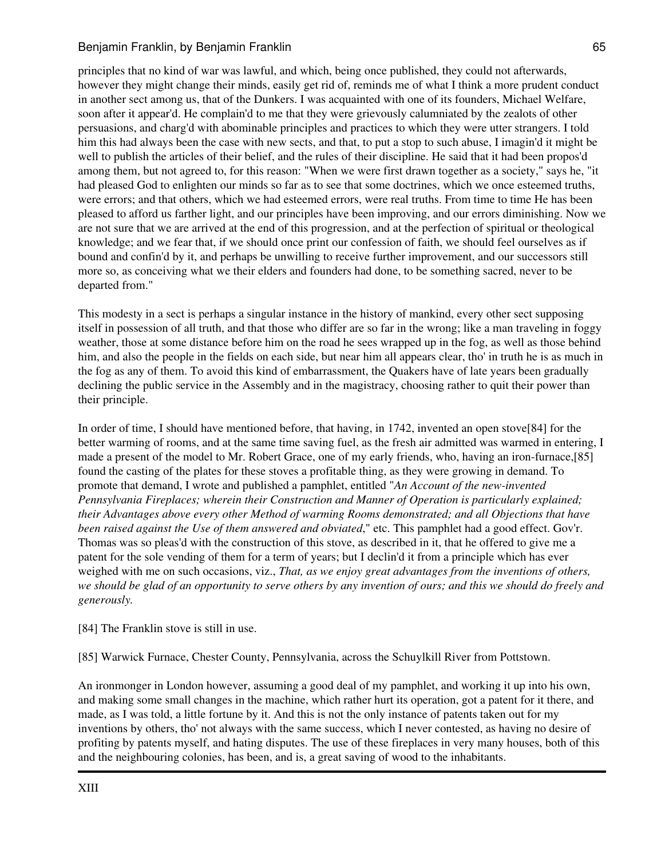principles that no kind of war was lawful, and which, being once published, they could not afterwards, however they might change their minds, easily get rid of, reminds me of what I think a more prudent conduct in another sect among us, that of the Dunkers. I was acquainted with one of its founders, Michael Welfare, soon after it appear'd. He complain'd to me that they were grievously calumniated by the zealots of other persuasions, and charg'd with abominable principles and practices to which they were utter strangers. I told him this had always been the case with new sects, and that, to put a stop to such abuse, I imagin'd it might be well to publish the articles of their belief, and the rules of their discipline. He said that it had been propos'd among them, but not agreed to, for this reason: "When we were first drawn together as a society," says he, "it had pleased God to enlighten our minds so far as to see that some doctrines, which we once esteemed truths, were errors; and that others, which we had esteemed errors, were real truths. From time to time He has been pleased to afford us farther light, and our principles have been improving, and our errors diminishing. Now we are not sure that we are arrived at the end of this progression, and at the perfection of spiritual or theological knowledge; and we fear that, if we should once print our confession of faith, we should feel ourselves as if bound and confin'd by it, and perhaps be unwilling to receive further improvement, and our successors still more so, as conceiving what we their elders and founders had done, to be something sacred, never to be departed from."

This modesty in a sect is perhaps a singular instance in the history of mankind, every other sect supposing itself in possession of all truth, and that those who differ are so far in the wrong; like a man traveling in foggy weather, those at some distance before him on the road he sees wrapped up in the fog, as well as those behind him, and also the people in the fields on each side, but near him all appears clear, tho' in truth he is as much in the fog as any of them. To avoid this kind of embarrassment, the Quakers have of late years been gradually declining the public service in the Assembly and in the magistracy, choosing rather to quit their power than their principle.

In order of time, I should have mentioned before, that having, in 1742, invented an open stove[84] for the better warming of rooms, and at the same time saving fuel, as the fresh air admitted was warmed in entering, I made a present of the model to Mr. Robert Grace, one of my early friends, who, having an iron-furnace,[85] found the casting of the plates for these stoves a profitable thing, as they were growing in demand. To promote that demand, I wrote and published a pamphlet, entitled "*An Account of the new-invented Pennsylvania Fireplaces; wherein their Construction and Manner of Operation is particularly explained; their Advantages above every other Method of warming Rooms demonstrated; and all Objections that have been raised against the Use of them answered and obviated*," etc. This pamphlet had a good effect. Gov'r. Thomas was so pleas'd with the construction of this stove, as described in it, that he offered to give me a patent for the sole vending of them for a term of years; but I declin'd it from a principle which has ever weighed with me on such occasions, viz., *That, as we enjoy great advantages from the inventions of others, we should be glad of an opportunity to serve others by any invention of ours; and this we should do freely and generously.*

[84] The Franklin stove is still in use.

[85] Warwick Furnace, Chester County, Pennsylvania, across the Schuylkill River from Pottstown.

An ironmonger in London however, assuming a good deal of my pamphlet, and working it up into his own, and making some small changes in the machine, which rather hurt its operation, got a patent for it there, and made, as I was told, a little fortune by it. And this is not the only instance of patents taken out for my inventions by others, tho' not always with the same success, which I never contested, as having no desire of profiting by patents myself, and hating disputes. The use of these fireplaces in very many houses, both of this and the neighbouring colonies, has been, and is, a great saving of wood to the inhabitants.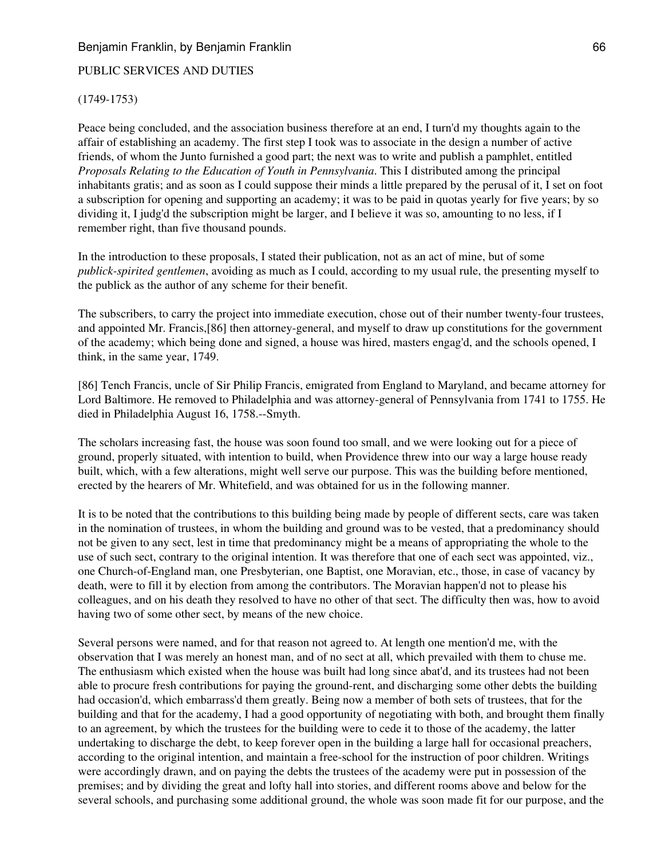## Benjamin Franklin, by Benjamin Franklin **Example 1988** 66

#### PUBLIC SERVICES AND DUTIES

#### (1749-1753)

Peace being concluded, and the association business therefore at an end, I turn'd my thoughts again to the affair of establishing an academy. The first step I took was to associate in the design a number of active friends, of whom the Junto furnished a good part; the next was to write and publish a pamphlet, entitled *Proposals Relating to the Education of Youth in Pennsylvania*. This I distributed among the principal inhabitants gratis; and as soon as I could suppose their minds a little prepared by the perusal of it, I set on foot a subscription for opening and supporting an academy; it was to be paid in quotas yearly for five years; by so dividing it, I judg'd the subscription might be larger, and I believe it was so, amounting to no less, if I remember right, than five thousand pounds.

In the introduction to these proposals, I stated their publication, not as an act of mine, but of some *publick-spirited gentlemen*, avoiding as much as I could, according to my usual rule, the presenting myself to the publick as the author of any scheme for their benefit.

The subscribers, to carry the project into immediate execution, chose out of their number twenty-four trustees, and appointed Mr. Francis,[86] then attorney-general, and myself to draw up constitutions for the government of the academy; which being done and signed, a house was hired, masters engag'd, and the schools opened, I think, in the same year, 1749.

[86] Tench Francis, uncle of Sir Philip Francis, emigrated from England to Maryland, and became attorney for Lord Baltimore. He removed to Philadelphia and was attorney-general of Pennsylvania from 1741 to 1755. He died in Philadelphia August 16, 1758.--Smyth.

The scholars increasing fast, the house was soon found too small, and we were looking out for a piece of ground, properly situated, with intention to build, when Providence threw into our way a large house ready built, which, with a few alterations, might well serve our purpose. This was the building before mentioned, erected by the hearers of Mr. Whitefield, and was obtained for us in the following manner.

It is to be noted that the contributions to this building being made by people of different sects, care was taken in the nomination of trustees, in whom the building and ground was to be vested, that a predominancy should not be given to any sect, lest in time that predominancy might be a means of appropriating the whole to the use of such sect, contrary to the original intention. It was therefore that one of each sect was appointed, viz., one Church-of-England man, one Presbyterian, one Baptist, one Moravian, etc., those, in case of vacancy by death, were to fill it by election from among the contributors. The Moravian happen'd not to please his colleagues, and on his death they resolved to have no other of that sect. The difficulty then was, how to avoid having two of some other sect, by means of the new choice.

Several persons were named, and for that reason not agreed to. At length one mention'd me, with the observation that I was merely an honest man, and of no sect at all, which prevailed with them to chuse me. The enthusiasm which existed when the house was built had long since abat'd, and its trustees had not been able to procure fresh contributions for paying the ground-rent, and discharging some other debts the building had occasion'd, which embarrass'd them greatly. Being now a member of both sets of trustees, that for the building and that for the academy, I had a good opportunity of negotiating with both, and brought them finally to an agreement, by which the trustees for the building were to cede it to those of the academy, the latter undertaking to discharge the debt, to keep forever open in the building a large hall for occasional preachers, according to the original intention, and maintain a free-school for the instruction of poor children. Writings were accordingly drawn, and on paying the debts the trustees of the academy were put in possession of the premises; and by dividing the great and lofty hall into stories, and different rooms above and below for the several schools, and purchasing some additional ground, the whole was soon made fit for our purpose, and the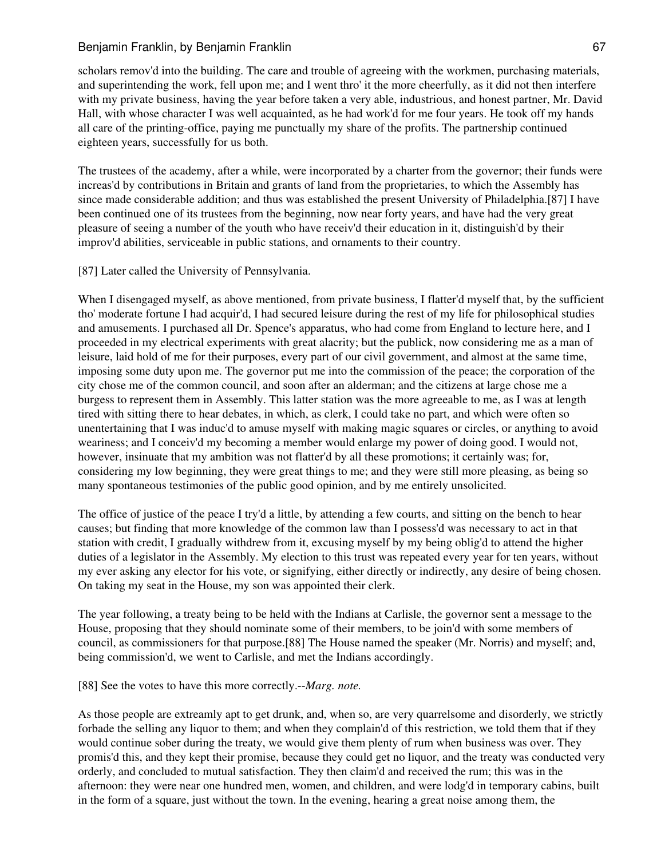scholars remov'd into the building. The care and trouble of agreeing with the workmen, purchasing materials, and superintending the work, fell upon me; and I went thro' it the more cheerfully, as it did not then interfere with my private business, having the year before taken a very able, industrious, and honest partner, Mr. David Hall, with whose character I was well acquainted, as he had work'd for me four years. He took off my hands all care of the printing-office, paying me punctually my share of the profits. The partnership continued eighteen years, successfully for us both.

The trustees of the academy, after a while, were incorporated by a charter from the governor; their funds were increas'd by contributions in Britain and grants of land from the proprietaries, to which the Assembly has since made considerable addition; and thus was established the present University of Philadelphia.[87] I have been continued one of its trustees from the beginning, now near forty years, and have had the very great pleasure of seeing a number of the youth who have receiv'd their education in it, distinguish'd by their improv'd abilities, serviceable in public stations, and ornaments to their country.

[87] Later called the University of Pennsylvania.

When I disengaged myself, as above mentioned, from private business, I flatter'd myself that, by the sufficient tho' moderate fortune I had acquir'd, I had secured leisure during the rest of my life for philosophical studies and amusements. I purchased all Dr. Spence's apparatus, who had come from England to lecture here, and I proceeded in my electrical experiments with great alacrity; but the publick, now considering me as a man of leisure, laid hold of me for their purposes, every part of our civil government, and almost at the same time, imposing some duty upon me. The governor put me into the commission of the peace; the corporation of the city chose me of the common council, and soon after an alderman; and the citizens at large chose me a burgess to represent them in Assembly. This latter station was the more agreeable to me, as I was at length tired with sitting there to hear debates, in which, as clerk, I could take no part, and which were often so unentertaining that I was induc'd to amuse myself with making magic squares or circles, or anything to avoid weariness; and I conceiv'd my becoming a member would enlarge my power of doing good. I would not, however, insinuate that my ambition was not flatter'd by all these promotions; it certainly was; for, considering my low beginning, they were great things to me; and they were still more pleasing, as being so many spontaneous testimonies of the public good opinion, and by me entirely unsolicited.

The office of justice of the peace I try'd a little, by attending a few courts, and sitting on the bench to hear causes; but finding that more knowledge of the common law than I possess'd was necessary to act in that station with credit, I gradually withdrew from it, excusing myself by my being oblig'd to attend the higher duties of a legislator in the Assembly. My election to this trust was repeated every year for ten years, without my ever asking any elector for his vote, or signifying, either directly or indirectly, any desire of being chosen. On taking my seat in the House, my son was appointed their clerk.

The year following, a treaty being to be held with the Indians at Carlisle, the governor sent a message to the House, proposing that they should nominate some of their members, to be join'd with some members of council, as commissioners for that purpose.[88] The House named the speaker (Mr. Norris) and myself; and, being commission'd, we went to Carlisle, and met the Indians accordingly.

[88] See the votes to have this more correctly.--*Marg. note.*

As those people are extreamly apt to get drunk, and, when so, are very quarrelsome and disorderly, we strictly forbade the selling any liquor to them; and when they complain'd of this restriction, we told them that if they would continue sober during the treaty, we would give them plenty of rum when business was over. They promis'd this, and they kept their promise, because they could get no liquor, and the treaty was conducted very orderly, and concluded to mutual satisfaction. They then claim'd and received the rum; this was in the afternoon: they were near one hundred men, women, and children, and were lodg'd in temporary cabins, built in the form of a square, just without the town. In the evening, hearing a great noise among them, the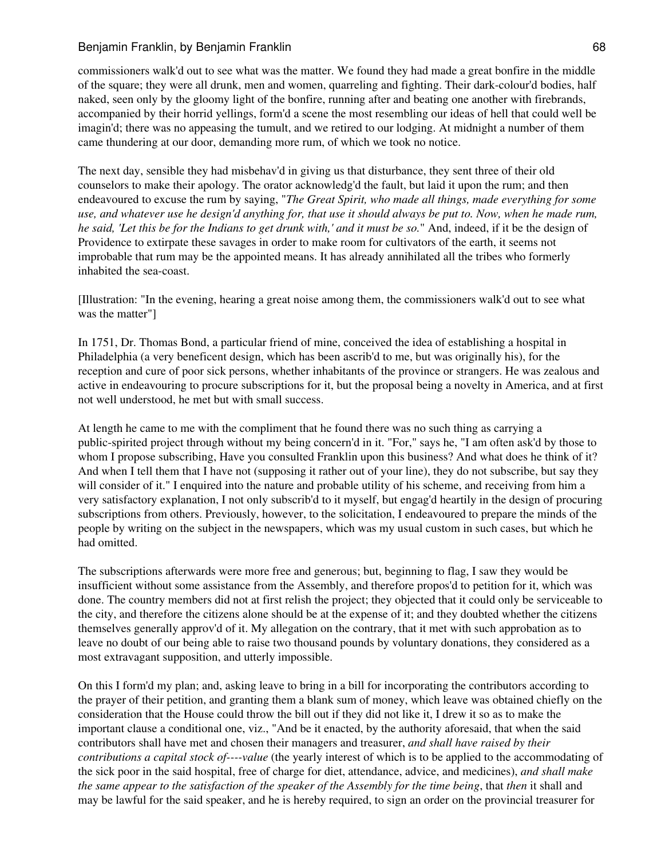## Benjamin Franklin, by Benjamin Franklin **Example 1988** 68

commissioners walk'd out to see what was the matter. We found they had made a great bonfire in the middle of the square; they were all drunk, men and women, quarreling and fighting. Their dark-colour'd bodies, half naked, seen only by the gloomy light of the bonfire, running after and beating one another with firebrands, accompanied by their horrid yellings, form'd a scene the most resembling our ideas of hell that could well be imagin'd; there was no appeasing the tumult, and we retired to our lodging. At midnight a number of them came thundering at our door, demanding more rum, of which we took no notice.

The next day, sensible they had misbehav'd in giving us that disturbance, they sent three of their old counselors to make their apology. The orator acknowledg'd the fault, but laid it upon the rum; and then endeavoured to excuse the rum by saying, "*The Great Spirit, who made all things, made everything for some use, and whatever use he design'd anything for, that use it should always be put to. Now, when he made rum, he said, 'Let this be for the Indians to get drunk with,' and it must be so.*" And, indeed, if it be the design of Providence to extirpate these savages in order to make room for cultivators of the earth, it seems not improbable that rum may be the appointed means. It has already annihilated all the tribes who formerly inhabited the sea-coast.

[Illustration: "In the evening, hearing a great noise among them, the commissioners walk'd out to see what was the matter"]

In 1751, Dr. Thomas Bond, a particular friend of mine, conceived the idea of establishing a hospital in Philadelphia (a very beneficent design, which has been ascrib'd to me, but was originally his), for the reception and cure of poor sick persons, whether inhabitants of the province or strangers. He was zealous and active in endeavouring to procure subscriptions for it, but the proposal being a novelty in America, and at first not well understood, he met but with small success.

At length he came to me with the compliment that he found there was no such thing as carrying a public-spirited project through without my being concern'd in it. "For," says he, "I am often ask'd by those to whom I propose subscribing, Have you consulted Franklin upon this business? And what does he think of it? And when I tell them that I have not (supposing it rather out of your line), they do not subscribe, but say they will consider of it." I enquired into the nature and probable utility of his scheme, and receiving from him a very satisfactory explanation, I not only subscrib'd to it myself, but engag'd heartily in the design of procuring subscriptions from others. Previously, however, to the solicitation, I endeavoured to prepare the minds of the people by writing on the subject in the newspapers, which was my usual custom in such cases, but which he had omitted.

The subscriptions afterwards were more free and generous; but, beginning to flag, I saw they would be insufficient without some assistance from the Assembly, and therefore propos'd to petition for it, which was done. The country members did not at first relish the project; they objected that it could only be serviceable to the city, and therefore the citizens alone should be at the expense of it; and they doubted whether the citizens themselves generally approv'd of it. My allegation on the contrary, that it met with such approbation as to leave no doubt of our being able to raise two thousand pounds by voluntary donations, they considered as a most extravagant supposition, and utterly impossible.

On this I form'd my plan; and, asking leave to bring in a bill for incorporating the contributors according to the prayer of their petition, and granting them a blank sum of money, which leave was obtained chiefly on the consideration that the House could throw the bill out if they did not like it, I drew it so as to make the important clause a conditional one, viz., "And be it enacted, by the authority aforesaid, that when the said contributors shall have met and chosen their managers and treasurer, *and shall have raised by their contributions a capital stock of----value* (the yearly interest of which is to be applied to the accommodating of the sick poor in the said hospital, free of charge for diet, attendance, advice, and medicines), *and shall make the same appear to the satisfaction of the speaker of the Assembly for the time being*, that *then* it shall and may be lawful for the said speaker, and he is hereby required, to sign an order on the provincial treasurer for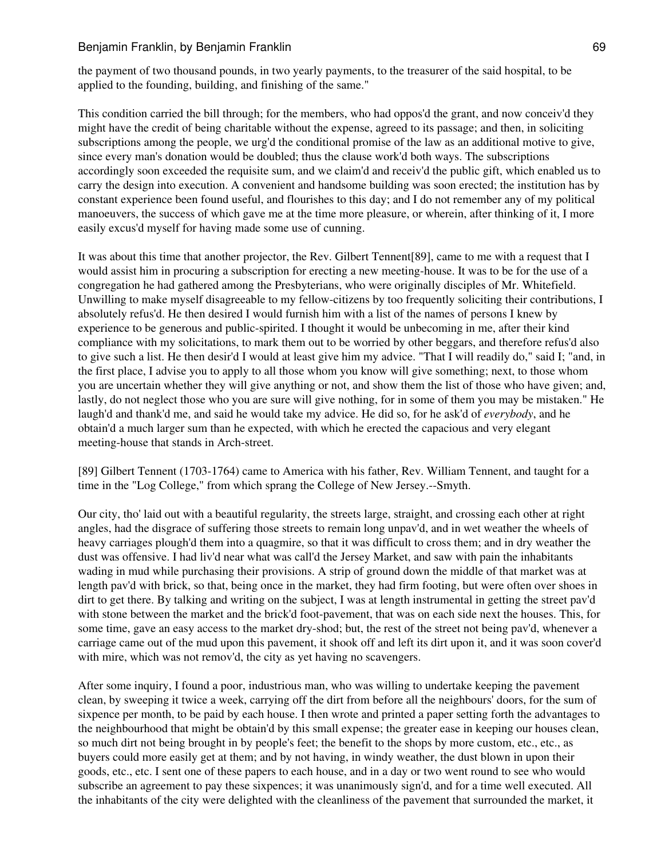### Benjamin Franklin, by Benjamin Franklin **Example 1988** 69

the payment of two thousand pounds, in two yearly payments, to the treasurer of the said hospital, to be applied to the founding, building, and finishing of the same."

This condition carried the bill through; for the members, who had oppos'd the grant, and now conceiv'd they might have the credit of being charitable without the expense, agreed to its passage; and then, in soliciting subscriptions among the people, we urg'd the conditional promise of the law as an additional motive to give, since every man's donation would be doubled; thus the clause work'd both ways. The subscriptions accordingly soon exceeded the requisite sum, and we claim'd and receiv'd the public gift, which enabled us to carry the design into execution. A convenient and handsome building was soon erected; the institution has by constant experience been found useful, and flourishes to this day; and I do not remember any of my political manoeuvers, the success of which gave me at the time more pleasure, or wherein, after thinking of it, I more easily excus'd myself for having made some use of cunning.

It was about this time that another projector, the Rev. Gilbert Tennent[89], came to me with a request that I would assist him in procuring a subscription for erecting a new meeting-house. It was to be for the use of a congregation he had gathered among the Presbyterians, who were originally disciples of Mr. Whitefield. Unwilling to make myself disagreeable to my fellow-citizens by too frequently soliciting their contributions, I absolutely refus'd. He then desired I would furnish him with a list of the names of persons I knew by experience to be generous and public-spirited. I thought it would be unbecoming in me, after their kind compliance with my solicitations, to mark them out to be worried by other beggars, and therefore refus'd also to give such a list. He then desir'd I would at least give him my advice. "That I will readily do," said I; "and, in the first place, I advise you to apply to all those whom you know will give something; next, to those whom you are uncertain whether they will give anything or not, and show them the list of those who have given; and, lastly, do not neglect those who you are sure will give nothing, for in some of them you may be mistaken." He laugh'd and thank'd me, and said he would take my advice. He did so, for he ask'd of *everybody*, and he obtain'd a much larger sum than he expected, with which he erected the capacious and very elegant meeting-house that stands in Arch-street.

[89] Gilbert Tennent (1703-1764) came to America with his father, Rev. William Tennent, and taught for a time in the "Log College," from which sprang the College of New Jersey.--Smyth.

Our city, tho' laid out with a beautiful regularity, the streets large, straight, and crossing each other at right angles, had the disgrace of suffering those streets to remain long unpav'd, and in wet weather the wheels of heavy carriages plough'd them into a quagmire, so that it was difficult to cross them; and in dry weather the dust was offensive. I had liv'd near what was call'd the Jersey Market, and saw with pain the inhabitants wading in mud while purchasing their provisions. A strip of ground down the middle of that market was at length pav'd with brick, so that, being once in the market, they had firm footing, but were often over shoes in dirt to get there. By talking and writing on the subject, I was at length instrumental in getting the street pav'd with stone between the market and the brick'd foot-pavement, that was on each side next the houses. This, for some time, gave an easy access to the market dry-shod; but, the rest of the street not being pav'd, whenever a carriage came out of the mud upon this pavement, it shook off and left its dirt upon it, and it was soon cover'd with mire, which was not remov'd, the city as yet having no scavengers.

After some inquiry, I found a poor, industrious man, who was willing to undertake keeping the pavement clean, by sweeping it twice a week, carrying off the dirt from before all the neighbours' doors, for the sum of sixpence per month, to be paid by each house. I then wrote and printed a paper setting forth the advantages to the neighbourhood that might be obtain'd by this small expense; the greater ease in keeping our houses clean, so much dirt not being brought in by people's feet; the benefit to the shops by more custom, etc., etc., as buyers could more easily get at them; and by not having, in windy weather, the dust blown in upon their goods, etc., etc. I sent one of these papers to each house, and in a day or two went round to see who would subscribe an agreement to pay these sixpences; it was unanimously sign'd, and for a time well executed. All the inhabitants of the city were delighted with the cleanliness of the pavement that surrounded the market, it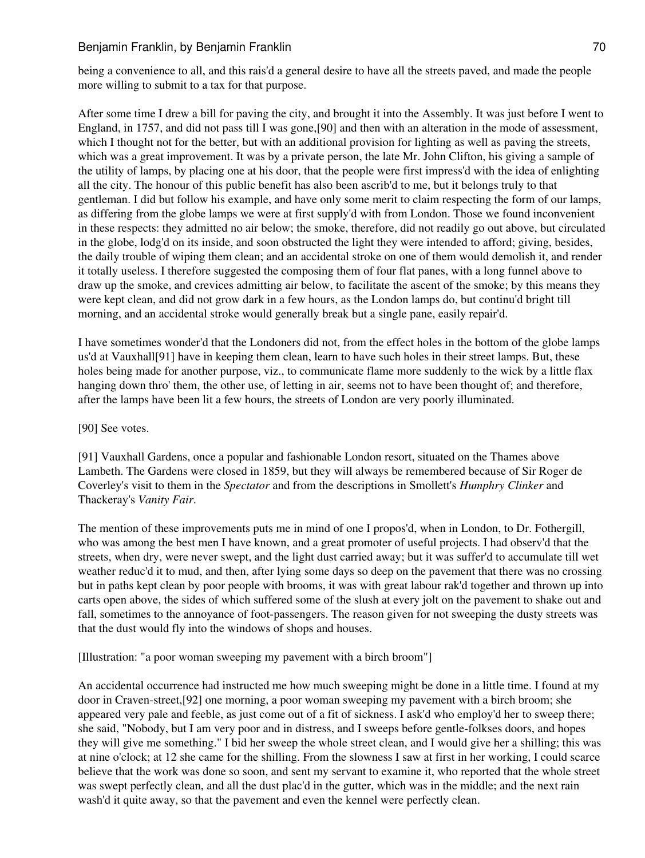being a convenience to all, and this rais'd a general desire to have all the streets paved, and made the people more willing to submit to a tax for that purpose.

After some time I drew a bill for paving the city, and brought it into the Assembly. It was just before I went to England, in 1757, and did not pass till I was gone,[90] and then with an alteration in the mode of assessment, which I thought not for the better, but with an additional provision for lighting as well as paving the streets, which was a great improvement. It was by a private person, the late Mr. John Clifton, his giving a sample of the utility of lamps, by placing one at his door, that the people were first impress'd with the idea of enlighting all the city. The honour of this public benefit has also been ascrib'd to me, but it belongs truly to that gentleman. I did but follow his example, and have only some merit to claim respecting the form of our lamps, as differing from the globe lamps we were at first supply'd with from London. Those we found inconvenient in these respects: they admitted no air below; the smoke, therefore, did not readily go out above, but circulated in the globe, lodg'd on its inside, and soon obstructed the light they were intended to afford; giving, besides, the daily trouble of wiping them clean; and an accidental stroke on one of them would demolish it, and render it totally useless. I therefore suggested the composing them of four flat panes, with a long funnel above to draw up the smoke, and crevices admitting air below, to facilitate the ascent of the smoke; by this means they were kept clean, and did not grow dark in a few hours, as the London lamps do, but continu'd bright till morning, and an accidental stroke would generally break but a single pane, easily repair'd.

I have sometimes wonder'd that the Londoners did not, from the effect holes in the bottom of the globe lamps us'd at Vauxhall[91] have in keeping them clean, learn to have such holes in their street lamps. But, these holes being made for another purpose, viz., to communicate flame more suddenly to the wick by a little flax hanging down thro' them, the other use, of letting in air, seems not to have been thought of; and therefore, after the lamps have been lit a few hours, the streets of London are very poorly illuminated.

#### [90] See votes.

[91] Vauxhall Gardens, once a popular and fashionable London resort, situated on the Thames above Lambeth. The Gardens were closed in 1859, but they will always be remembered because of Sir Roger de Coverley's visit to them in the *Spectator* and from the descriptions in Smollett's *Humphry Clinker* and Thackeray's *Vanity Fair*.

The mention of these improvements puts me in mind of one I propos'd, when in London, to Dr. Fothergill, who was among the best men I have known, and a great promoter of useful projects. I had observ'd that the streets, when dry, were never swept, and the light dust carried away; but it was suffer'd to accumulate till wet weather reduc'd it to mud, and then, after lying some days so deep on the pavement that there was no crossing but in paths kept clean by poor people with brooms, it was with great labour rak'd together and thrown up into carts open above, the sides of which suffered some of the slush at every jolt on the pavement to shake out and fall, sometimes to the annoyance of foot-passengers. The reason given for not sweeping the dusty streets was that the dust would fly into the windows of shops and houses.

[Illustration: "a poor woman sweeping my pavement with a birch broom"]

An accidental occurrence had instructed me how much sweeping might be done in a little time. I found at my door in Craven-street,[92] one morning, a poor woman sweeping my pavement with a birch broom; she appeared very pale and feeble, as just come out of a fit of sickness. I ask'd who employ'd her to sweep there; she said, "Nobody, but I am very poor and in distress, and I sweeps before gentle-folkses doors, and hopes they will give me something." I bid her sweep the whole street clean, and I would give her a shilling; this was at nine o'clock; at 12 she came for the shilling. From the slowness I saw at first in her working, I could scarce believe that the work was done so soon, and sent my servant to examine it, who reported that the whole street was swept perfectly clean, and all the dust plac'd in the gutter, which was in the middle; and the next rain wash'd it quite away, so that the pavement and even the kennel were perfectly clean.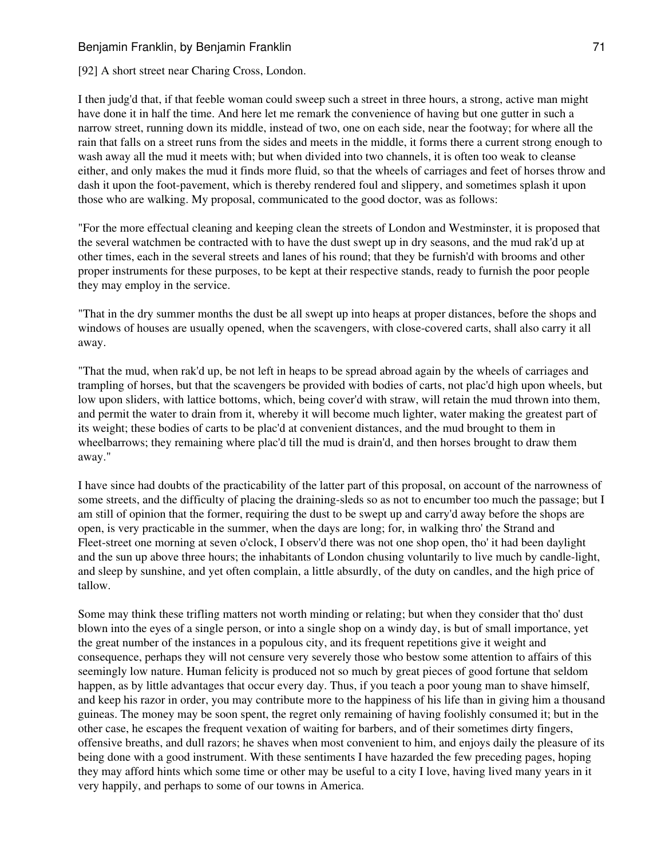[92] A short street near Charing Cross, London.

I then judg'd that, if that feeble woman could sweep such a street in three hours, a strong, active man might have done it in half the time. And here let me remark the convenience of having but one gutter in such a narrow street, running down its middle, instead of two, one on each side, near the footway; for where all the rain that falls on a street runs from the sides and meets in the middle, it forms there a current strong enough to wash away all the mud it meets with; but when divided into two channels, it is often too weak to cleanse either, and only makes the mud it finds more fluid, so that the wheels of carriages and feet of horses throw and dash it upon the foot-pavement, which is thereby rendered foul and slippery, and sometimes splash it upon those who are walking. My proposal, communicated to the good doctor, was as follows:

"For the more effectual cleaning and keeping clean the streets of London and Westminster, it is proposed that the several watchmen be contracted with to have the dust swept up in dry seasons, and the mud rak'd up at other times, each in the several streets and lanes of his round; that they be furnish'd with brooms and other proper instruments for these purposes, to be kept at their respective stands, ready to furnish the poor people they may employ in the service.

"That in the dry summer months the dust be all swept up into heaps at proper distances, before the shops and windows of houses are usually opened, when the scavengers, with close-covered carts, shall also carry it all away.

"That the mud, when rak'd up, be not left in heaps to be spread abroad again by the wheels of carriages and trampling of horses, but that the scavengers be provided with bodies of carts, not plac'd high upon wheels, but low upon sliders, with lattice bottoms, which, being cover'd with straw, will retain the mud thrown into them, and permit the water to drain from it, whereby it will become much lighter, water making the greatest part of its weight; these bodies of carts to be plac'd at convenient distances, and the mud brought to them in wheelbarrows; they remaining where plac'd till the mud is drain'd, and then horses brought to draw them away."

I have since had doubts of the practicability of the latter part of this proposal, on account of the narrowness of some streets, and the difficulty of placing the draining-sleds so as not to encumber too much the passage; but I am still of opinion that the former, requiring the dust to be swept up and carry'd away before the shops are open, is very practicable in the summer, when the days are long; for, in walking thro' the Strand and Fleet-street one morning at seven o'clock, I observ'd there was not one shop open, tho' it had been daylight and the sun up above three hours; the inhabitants of London chusing voluntarily to live much by candle-light, and sleep by sunshine, and yet often complain, a little absurdly, of the duty on candles, and the high price of tallow.

Some may think these trifling matters not worth minding or relating; but when they consider that tho' dust blown into the eyes of a single person, or into a single shop on a windy day, is but of small importance, yet the great number of the instances in a populous city, and its frequent repetitions give it weight and consequence, perhaps they will not censure very severely those who bestow some attention to affairs of this seemingly low nature. Human felicity is produced not so much by great pieces of good fortune that seldom happen, as by little advantages that occur every day. Thus, if you teach a poor young man to shave himself, and keep his razor in order, you may contribute more to the happiness of his life than in giving him a thousand guineas. The money may be soon spent, the regret only remaining of having foolishly consumed it; but in the other case, he escapes the frequent vexation of waiting for barbers, and of their sometimes dirty fingers, offensive breaths, and dull razors; he shaves when most convenient to him, and enjoys daily the pleasure of its being done with a good instrument. With these sentiments I have hazarded the few preceding pages, hoping they may afford hints which some time or other may be useful to a city I love, having lived many years in it very happily, and perhaps to some of our towns in America.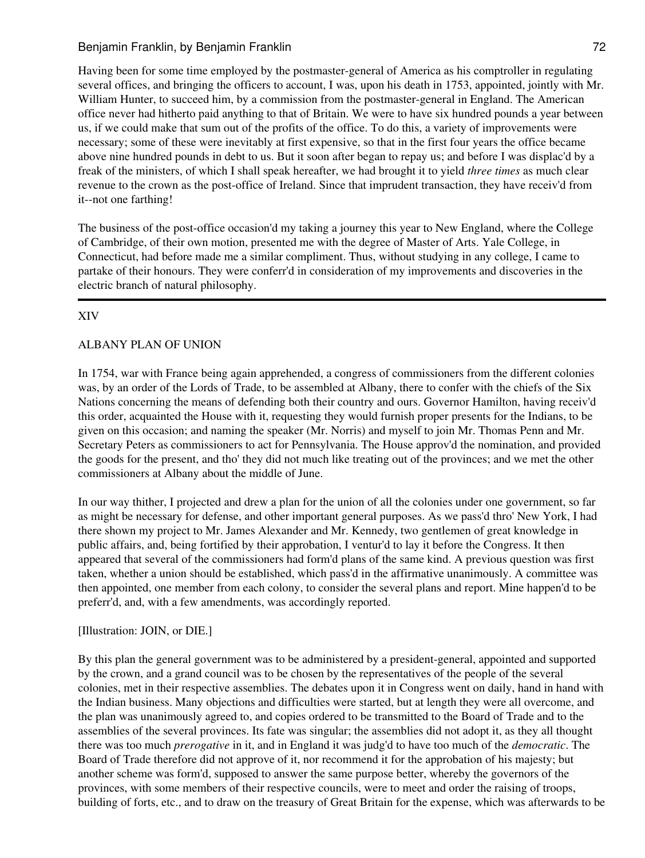Having been for some time employed by the postmaster-general of America as his comptroller in regulating several offices, and bringing the officers to account, I was, upon his death in 1753, appointed, jointly with Mr. William Hunter, to succeed him, by a commission from the postmaster-general in England. The American office never had hitherto paid anything to that of Britain. We were to have six hundred pounds a year between us, if we could make that sum out of the profits of the office. To do this, a variety of improvements were necessary; some of these were inevitably at first expensive, so that in the first four years the office became above nine hundred pounds in debt to us. But it soon after began to repay us; and before I was displac'd by a freak of the ministers, of which I shall speak hereafter, we had brought it to yield *three times* as much clear revenue to the crown as the post-office of Ireland. Since that imprudent transaction, they have receiv'd from it--not one farthing!

The business of the post-office occasion'd my taking a journey this year to New England, where the College of Cambridge, of their own motion, presented me with the degree of Master of Arts. Yale College, in Connecticut, had before made me a similar compliment. Thus, without studying in any college, I came to partake of their honours. They were conferr'd in consideration of my improvements and discoveries in the electric branch of natural philosophy.

# XIV

## ALBANY PLAN OF UNION

In 1754, war with France being again apprehended, a congress of commissioners from the different colonies was, by an order of the Lords of Trade, to be assembled at Albany, there to confer with the chiefs of the Six Nations concerning the means of defending both their country and ours. Governor Hamilton, having receiv'd this order, acquainted the House with it, requesting they would furnish proper presents for the Indians, to be given on this occasion; and naming the speaker (Mr. Norris) and myself to join Mr. Thomas Penn and Mr. Secretary Peters as commissioners to act for Pennsylvania. The House approv'd the nomination, and provided the goods for the present, and tho' they did not much like treating out of the provinces; and we met the other commissioners at Albany about the middle of June.

In our way thither, I projected and drew a plan for the union of all the colonies under one government, so far as might be necessary for defense, and other important general purposes. As we pass'd thro' New York, I had there shown my project to Mr. James Alexander and Mr. Kennedy, two gentlemen of great knowledge in public affairs, and, being fortified by their approbation, I ventur'd to lay it before the Congress. It then appeared that several of the commissioners had form'd plans of the same kind. A previous question was first taken, whether a union should be established, which pass'd in the affirmative unanimously. A committee was then appointed, one member from each colony, to consider the several plans and report. Mine happen'd to be preferr'd, and, with a few amendments, was accordingly reported.

### [Illustration: JOIN, or DIE.]

By this plan the general government was to be administered by a president-general, appointed and supported by the crown, and a grand council was to be chosen by the representatives of the people of the several colonies, met in their respective assemblies. The debates upon it in Congress went on daily, hand in hand with the Indian business. Many objections and difficulties were started, but at length they were all overcome, and the plan was unanimously agreed to, and copies ordered to be transmitted to the Board of Trade and to the assemblies of the several provinces. Its fate was singular; the assemblies did not adopt it, as they all thought there was too much *prerogative* in it, and in England it was judg'd to have too much of the *democratic*. The Board of Trade therefore did not approve of it, nor recommend it for the approbation of his majesty; but another scheme was form'd, supposed to answer the same purpose better, whereby the governors of the provinces, with some members of their respective councils, were to meet and order the raising of troops, building of forts, etc., and to draw on the treasury of Great Britain for the expense, which was afterwards to be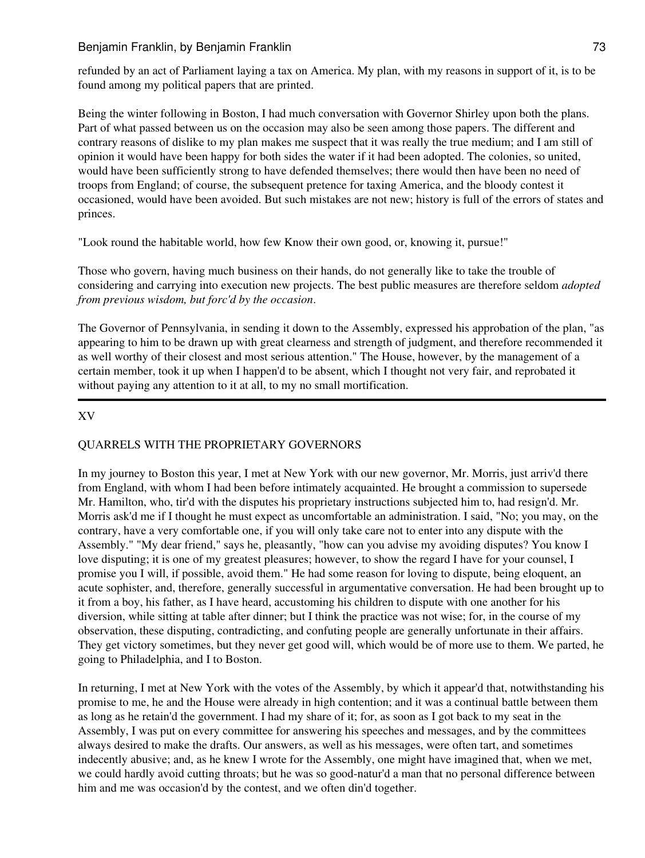refunded by an act of Parliament laying a tax on America. My plan, with my reasons in support of it, is to be found among my political papers that are printed.

Being the winter following in Boston, I had much conversation with Governor Shirley upon both the plans. Part of what passed between us on the occasion may also be seen among those papers. The different and contrary reasons of dislike to my plan makes me suspect that it was really the true medium; and I am still of opinion it would have been happy for both sides the water if it had been adopted. The colonies, so united, would have been sufficiently strong to have defended themselves; there would then have been no need of troops from England; of course, the subsequent pretence for taxing America, and the bloody contest it occasioned, would have been avoided. But such mistakes are not new; history is full of the errors of states and princes.

"Look round the habitable world, how few Know their own good, or, knowing it, pursue!"

Those who govern, having much business on their hands, do not generally like to take the trouble of considering and carrying into execution new projects. The best public measures are therefore seldom *adopted from previous wisdom, but forc'd by the occasion*.

The Governor of Pennsylvania, in sending it down to the Assembly, expressed his approbation of the plan, "as appearing to him to be drawn up with great clearness and strength of judgment, and therefore recommended it as well worthy of their closest and most serious attention." The House, however, by the management of a certain member, took it up when I happen'd to be absent, which I thought not very fair, and reprobated it without paying any attention to it at all, to my no small mortification.

# XV

# QUARRELS WITH THE PROPRIETARY GOVERNORS

In my journey to Boston this year, I met at New York with our new governor, Mr. Morris, just arriv'd there from England, with whom I had been before intimately acquainted. He brought a commission to supersede Mr. Hamilton, who, tir'd with the disputes his proprietary instructions subjected him to, had resign'd. Mr. Morris ask'd me if I thought he must expect as uncomfortable an administration. I said, "No; you may, on the contrary, have a very comfortable one, if you will only take care not to enter into any dispute with the Assembly." "My dear friend," says he, pleasantly, "how can you advise my avoiding disputes? You know I love disputing; it is one of my greatest pleasures; however, to show the regard I have for your counsel, I promise you I will, if possible, avoid them." He had some reason for loving to dispute, being eloquent, an acute sophister, and, therefore, generally successful in argumentative conversation. He had been brought up to it from a boy, his father, as I have heard, accustoming his children to dispute with one another for his diversion, while sitting at table after dinner; but I think the practice was not wise; for, in the course of my observation, these disputing, contradicting, and confuting people are generally unfortunate in their affairs. They get victory sometimes, but they never get good will, which would be of more use to them. We parted, he going to Philadelphia, and I to Boston.

In returning, I met at New York with the votes of the Assembly, by which it appear'd that, notwithstanding his promise to me, he and the House were already in high contention; and it was a continual battle between them as long as he retain'd the government. I had my share of it; for, as soon as I got back to my seat in the Assembly, I was put on every committee for answering his speeches and messages, and by the committees always desired to make the drafts. Our answers, as well as his messages, were often tart, and sometimes indecently abusive; and, as he knew I wrote for the Assembly, one might have imagined that, when we met, we could hardly avoid cutting throats; but he was so good-natur'd a man that no personal difference between him and me was occasion'd by the contest, and we often din'd together.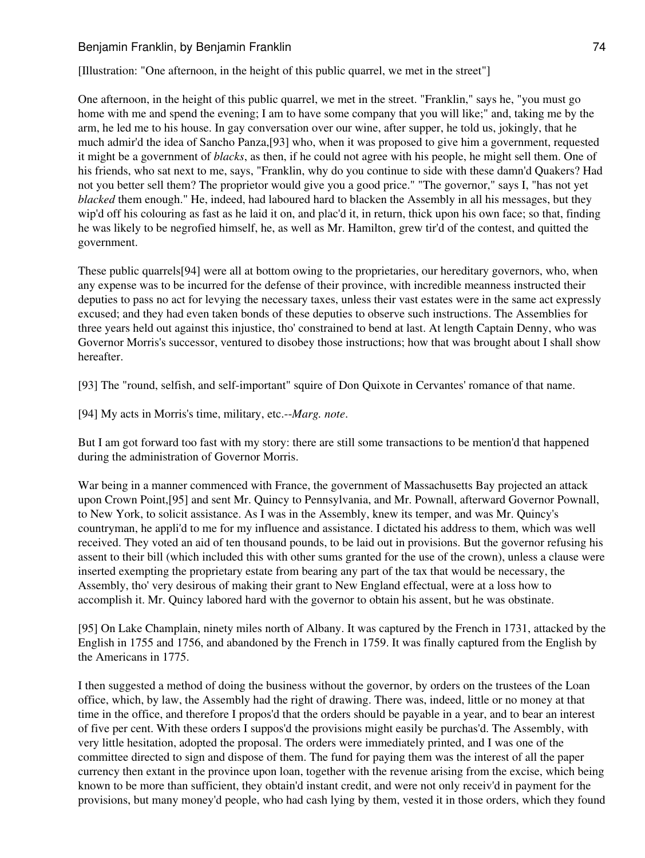[Illustration: "One afternoon, in the height of this public quarrel, we met in the street"]

One afternoon, in the height of this public quarrel, we met in the street. "Franklin," says he, "you must go home with me and spend the evening; I am to have some company that you will like;" and, taking me by the arm, he led me to his house. In gay conversation over our wine, after supper, he told us, jokingly, that he much admir'd the idea of Sancho Panza,[93] who, when it was proposed to give him a government, requested it might be a government of *blacks*, as then, if he could not agree with his people, he might sell them. One of his friends, who sat next to me, says, "Franklin, why do you continue to side with these damn'd Quakers? Had not you better sell them? The proprietor would give you a good price." "The governor," says I, "has not yet *blacked* them enough." He, indeed, had laboured hard to blacken the Assembly in all his messages, but they wip'd off his colouring as fast as he laid it on, and plac'd it, in return, thick upon his own face; so that, finding he was likely to be negrofied himself, he, as well as Mr. Hamilton, grew tir'd of the contest, and quitted the government.

These public quarrels[94] were all at bottom owing to the proprietaries, our hereditary governors, who, when any expense was to be incurred for the defense of their province, with incredible meanness instructed their deputies to pass no act for levying the necessary taxes, unless their vast estates were in the same act expressly excused; and they had even taken bonds of these deputies to observe such instructions. The Assemblies for three years held out against this injustice, tho' constrained to bend at last. At length Captain Denny, who was Governor Morris's successor, ventured to disobey those instructions; how that was brought about I shall show hereafter.

[93] The "round, selfish, and self-important" squire of Don Quixote in Cervantes' romance of that name.

[94] My acts in Morris's time, military, etc.--*Marg. note*.

But I am got forward too fast with my story: there are still some transactions to be mention'd that happened during the administration of Governor Morris.

War being in a manner commenced with France, the government of Massachusetts Bay projected an attack upon Crown Point,[95] and sent Mr. Quincy to Pennsylvania, and Mr. Pownall, afterward Governor Pownall, to New York, to solicit assistance. As I was in the Assembly, knew its temper, and was Mr. Quincy's countryman, he appli'd to me for my influence and assistance. I dictated his address to them, which was well received. They voted an aid of ten thousand pounds, to be laid out in provisions. But the governor refusing his assent to their bill (which included this with other sums granted for the use of the crown), unless a clause were inserted exempting the proprietary estate from bearing any part of the tax that would be necessary, the Assembly, tho' very desirous of making their grant to New England effectual, were at a loss how to accomplish it. Mr. Quincy labored hard with the governor to obtain his assent, but he was obstinate.

[95] On Lake Champlain, ninety miles north of Albany. It was captured by the French in 1731, attacked by the English in 1755 and 1756, and abandoned by the French in 1759. It was finally captured from the English by the Americans in 1775.

I then suggested a method of doing the business without the governor, by orders on the trustees of the Loan office, which, by law, the Assembly had the right of drawing. There was, indeed, little or no money at that time in the office, and therefore I propos'd that the orders should be payable in a year, and to bear an interest of five per cent. With these orders I suppos'd the provisions might easily be purchas'd. The Assembly, with very little hesitation, adopted the proposal. The orders were immediately printed, and I was one of the committee directed to sign and dispose of them. The fund for paying them was the interest of all the paper currency then extant in the province upon loan, together with the revenue arising from the excise, which being known to be more than sufficient, they obtain'd instant credit, and were not only receiv'd in payment for the provisions, but many money'd people, who had cash lying by them, vested it in those orders, which they found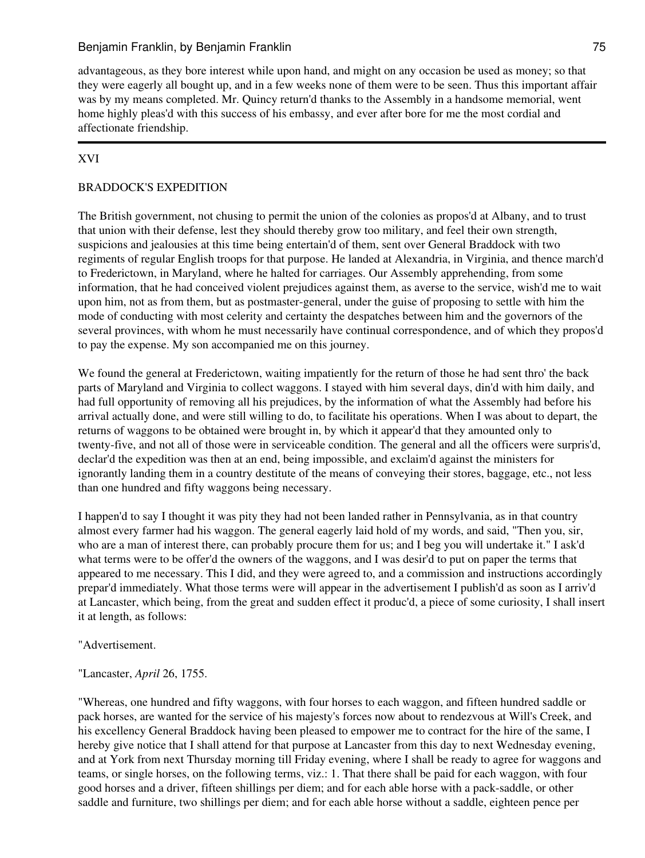advantageous, as they bore interest while upon hand, and might on any occasion be used as money; so that they were eagerly all bought up, and in a few weeks none of them were to be seen. Thus this important affair was by my means completed. Mr. Quincy return'd thanks to the Assembly in a handsome memorial, went home highly pleas'd with this success of his embassy, and ever after bore for me the most cordial and affectionate friendship.

# XVI

# BRADDOCK'S EXPEDITION

The British government, not chusing to permit the union of the colonies as propos'd at Albany, and to trust that union with their defense, lest they should thereby grow too military, and feel their own strength, suspicions and jealousies at this time being entertain'd of them, sent over General Braddock with two regiments of regular English troops for that purpose. He landed at Alexandria, in Virginia, and thence march'd to Frederictown, in Maryland, where he halted for carriages. Our Assembly apprehending, from some information, that he had conceived violent prejudices against them, as averse to the service, wish'd me to wait upon him, not as from them, but as postmaster-general, under the guise of proposing to settle with him the mode of conducting with most celerity and certainty the despatches between him and the governors of the several provinces, with whom he must necessarily have continual correspondence, and of which they propos'd to pay the expense. My son accompanied me on this journey.

We found the general at Frederictown, waiting impatiently for the return of those he had sent thro' the back parts of Maryland and Virginia to collect waggons. I stayed with him several days, din'd with him daily, and had full opportunity of removing all his prejudices, by the information of what the Assembly had before his arrival actually done, and were still willing to do, to facilitate his operations. When I was about to depart, the returns of waggons to be obtained were brought in, by which it appear'd that they amounted only to twenty-five, and not all of those were in serviceable condition. The general and all the officers were surpris'd, declar'd the expedition was then at an end, being impossible, and exclaim'd against the ministers for ignorantly landing them in a country destitute of the means of conveying their stores, baggage, etc., not less than one hundred and fifty waggons being necessary.

I happen'd to say I thought it was pity they had not been landed rather in Pennsylvania, as in that country almost every farmer had his waggon. The general eagerly laid hold of my words, and said, "Then you, sir, who are a man of interest there, can probably procure them for us; and I beg you will undertake it." I ask'd what terms were to be offer'd the owners of the waggons, and I was desir'd to put on paper the terms that appeared to me necessary. This I did, and they were agreed to, and a commission and instructions accordingly prepar'd immediately. What those terms were will appear in the advertisement I publish'd as soon as I arriv'd at Lancaster, which being, from the great and sudden effect it produc'd, a piece of some curiosity, I shall insert it at length, as follows:

"Advertisement.

"Lancaster, *April* 26, 1755.

"Whereas, one hundred and fifty waggons, with four horses to each waggon, and fifteen hundred saddle or pack horses, are wanted for the service of his majesty's forces now about to rendezvous at Will's Creek, and his excellency General Braddock having been pleased to empower me to contract for the hire of the same, I hereby give notice that I shall attend for that purpose at Lancaster from this day to next Wednesday evening, and at York from next Thursday morning till Friday evening, where I shall be ready to agree for waggons and teams, or single horses, on the following terms, viz.: 1. That there shall be paid for each waggon, with four good horses and a driver, fifteen shillings per diem; and for each able horse with a pack-saddle, or other saddle and furniture, two shillings per diem; and for each able horse without a saddle, eighteen pence per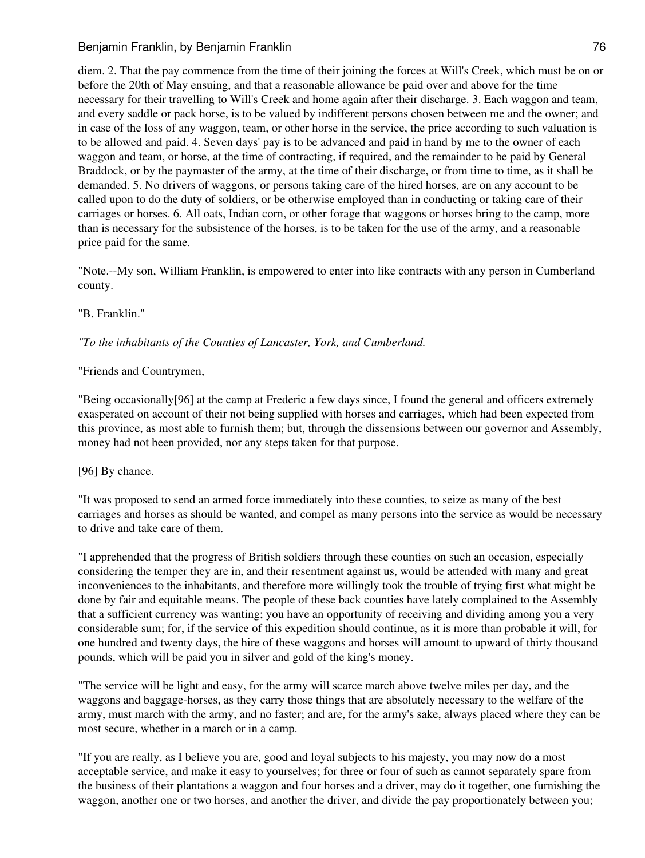diem. 2. That the pay commence from the time of their joining the forces at Will's Creek, which must be on or before the 20th of May ensuing, and that a reasonable allowance be paid over and above for the time necessary for their travelling to Will's Creek and home again after their discharge. 3. Each waggon and team, and every saddle or pack horse, is to be valued by indifferent persons chosen between me and the owner; and in case of the loss of any waggon, team, or other horse in the service, the price according to such valuation is to be allowed and paid. 4. Seven days' pay is to be advanced and paid in hand by me to the owner of each waggon and team, or horse, at the time of contracting, if required, and the remainder to be paid by General Braddock, or by the paymaster of the army, at the time of their discharge, or from time to time, as it shall be demanded. 5. No drivers of waggons, or persons taking care of the hired horses, are on any account to be called upon to do the duty of soldiers, or be otherwise employed than in conducting or taking care of their carriages or horses. 6. All oats, Indian corn, or other forage that waggons or horses bring to the camp, more than is necessary for the subsistence of the horses, is to be taken for the use of the army, and a reasonable price paid for the same.

"Note.--My son, William Franklin, is empowered to enter into like contracts with any person in Cumberland county.

"B. Franklin."

*"To the inhabitants of the Counties of Lancaster, York, and Cumberland.*

"Friends and Countrymen,

"Being occasionally[96] at the camp at Frederic a few days since, I found the general and officers extremely exasperated on account of their not being supplied with horses and carriages, which had been expected from this province, as most able to furnish them; but, through the dissensions between our governor and Assembly, money had not been provided, nor any steps taken for that purpose.

[96] By chance.

"It was proposed to send an armed force immediately into these counties, to seize as many of the best carriages and horses as should be wanted, and compel as many persons into the service as would be necessary to drive and take care of them.

"I apprehended that the progress of British soldiers through these counties on such an occasion, especially considering the temper they are in, and their resentment against us, would be attended with many and great inconveniences to the inhabitants, and therefore more willingly took the trouble of trying first what might be done by fair and equitable means. The people of these back counties have lately complained to the Assembly that a sufficient currency was wanting; you have an opportunity of receiving and dividing among you a very considerable sum; for, if the service of this expedition should continue, as it is more than probable it will, for one hundred and twenty days, the hire of these waggons and horses will amount to upward of thirty thousand pounds, which will be paid you in silver and gold of the king's money.

"The service will be light and easy, for the army will scarce march above twelve miles per day, and the waggons and baggage-horses, as they carry those things that are absolutely necessary to the welfare of the army, must march with the army, and no faster; and are, for the army's sake, always placed where they can be most secure, whether in a march or in a camp.

"If you are really, as I believe you are, good and loyal subjects to his majesty, you may now do a most acceptable service, and make it easy to yourselves; for three or four of such as cannot separately spare from the business of their plantations a waggon and four horses and a driver, may do it together, one furnishing the waggon, another one or two horses, and another the driver, and divide the pay proportionately between you;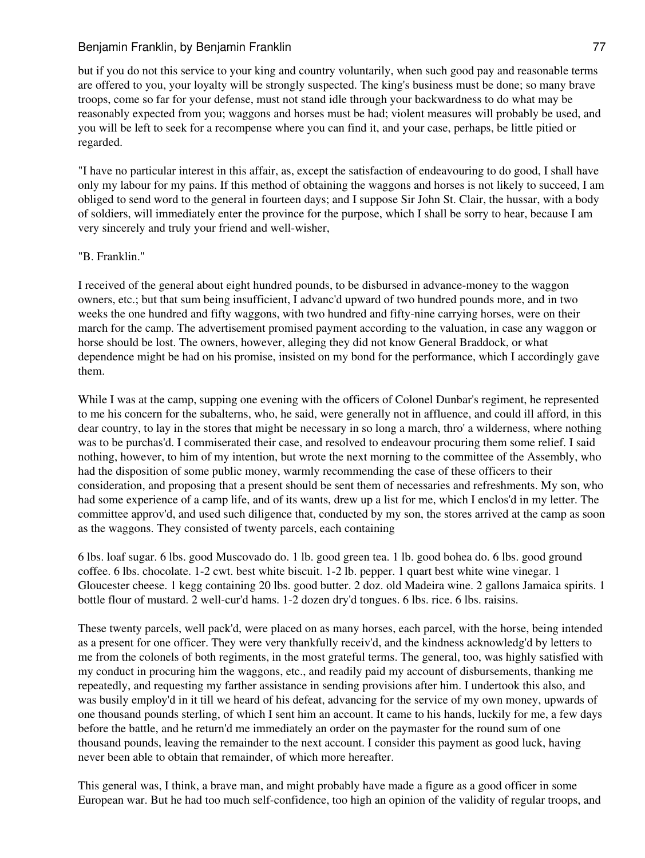but if you do not this service to your king and country voluntarily, when such good pay and reasonable terms are offered to you, your loyalty will be strongly suspected. The king's business must be done; so many brave troops, come so far for your defense, must not stand idle through your backwardness to do what may be reasonably expected from you; waggons and horses must be had; violent measures will probably be used, and you will be left to seek for a recompense where you can find it, and your case, perhaps, be little pitied or regarded.

"I have no particular interest in this affair, as, except the satisfaction of endeavouring to do good, I shall have only my labour for my pains. If this method of obtaining the waggons and horses is not likely to succeed, I am obliged to send word to the general in fourteen days; and I suppose Sir John St. Clair, the hussar, with a body of soldiers, will immediately enter the province for the purpose, which I shall be sorry to hear, because I am very sincerely and truly your friend and well-wisher,

### "B. Franklin."

I received of the general about eight hundred pounds, to be disbursed in advance-money to the waggon owners, etc.; but that sum being insufficient, I advanc'd upward of two hundred pounds more, and in two weeks the one hundred and fifty waggons, with two hundred and fifty-nine carrying horses, were on their march for the camp. The advertisement promised payment according to the valuation, in case any waggon or horse should be lost. The owners, however, alleging they did not know General Braddock, or what dependence might be had on his promise, insisted on my bond for the performance, which I accordingly gave them.

While I was at the camp, supping one evening with the officers of Colonel Dunbar's regiment, he represented to me his concern for the subalterns, who, he said, were generally not in affluence, and could ill afford, in this dear country, to lay in the stores that might be necessary in so long a march, thro' a wilderness, where nothing was to be purchas'd. I commiserated their case, and resolved to endeavour procuring them some relief. I said nothing, however, to him of my intention, but wrote the next morning to the committee of the Assembly, who had the disposition of some public money, warmly recommending the case of these officers to their consideration, and proposing that a present should be sent them of necessaries and refreshments. My son, who had some experience of a camp life, and of its wants, drew up a list for me, which I enclos'd in my letter. The committee approv'd, and used such diligence that, conducted by my son, the stores arrived at the camp as soon as the waggons. They consisted of twenty parcels, each containing

6 lbs. loaf sugar. 6 lbs. good Muscovado do. 1 lb. good green tea. 1 lb. good bohea do. 6 lbs. good ground coffee. 6 lbs. chocolate. 1-2 cwt. best white biscuit. 1-2 lb. pepper. 1 quart best white wine vinegar. 1 Gloucester cheese. 1 kegg containing 20 lbs. good butter. 2 doz. old Madeira wine. 2 gallons Jamaica spirits. 1 bottle flour of mustard. 2 well-cur'd hams. 1-2 dozen dry'd tongues. 6 lbs. rice. 6 lbs. raisins.

These twenty parcels, well pack'd, were placed on as many horses, each parcel, with the horse, being intended as a present for one officer. They were very thankfully receiv'd, and the kindness acknowledg'd by letters to me from the colonels of both regiments, in the most grateful terms. The general, too, was highly satisfied with my conduct in procuring him the waggons, etc., and readily paid my account of disbursements, thanking me repeatedly, and requesting my farther assistance in sending provisions after him. I undertook this also, and was busily employ'd in it till we heard of his defeat, advancing for the service of my own money, upwards of one thousand pounds sterling, of which I sent him an account. It came to his hands, luckily for me, a few days before the battle, and he return'd me immediately an order on the paymaster for the round sum of one thousand pounds, leaving the remainder to the next account. I consider this payment as good luck, having never been able to obtain that remainder, of which more hereafter.

This general was, I think, a brave man, and might probably have made a figure as a good officer in some European war. But he had too much self-confidence, too high an opinion of the validity of regular troops, and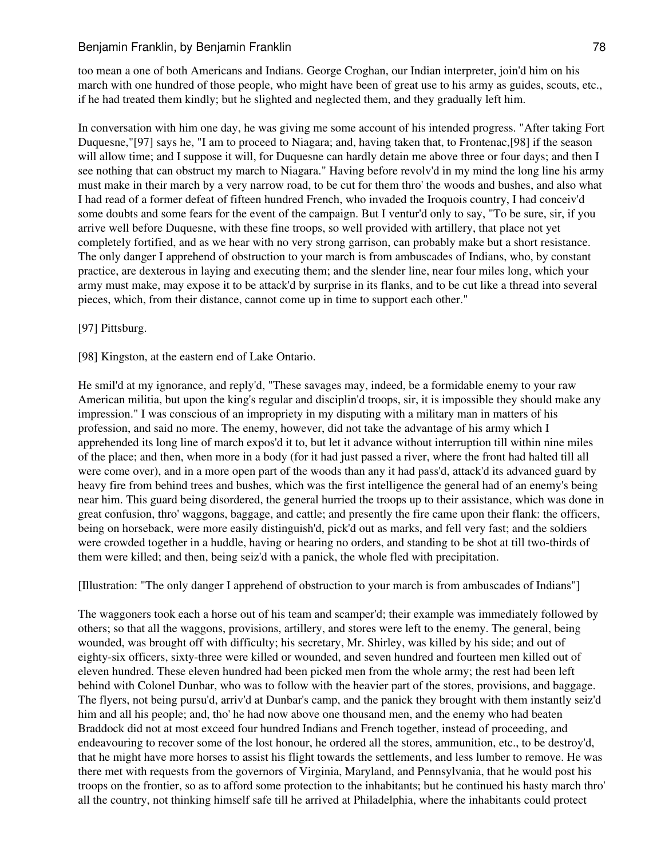too mean a one of both Americans and Indians. George Croghan, our Indian interpreter, join'd him on his march with one hundred of those people, who might have been of great use to his army as guides, scouts, etc., if he had treated them kindly; but he slighted and neglected them, and they gradually left him.

In conversation with him one day, he was giving me some account of his intended progress. "After taking Fort Duquesne,"[97] says he, "I am to proceed to Niagara; and, having taken that, to Frontenac,[98] if the season will allow time; and I suppose it will, for Duquesne can hardly detain me above three or four days; and then I see nothing that can obstruct my march to Niagara." Having before revolv'd in my mind the long line his army must make in their march by a very narrow road, to be cut for them thro' the woods and bushes, and also what I had read of a former defeat of fifteen hundred French, who invaded the Iroquois country, I had conceiv'd some doubts and some fears for the event of the campaign. But I ventur'd only to say, "To be sure, sir, if you arrive well before Duquesne, with these fine troops, so well provided with artillery, that place not yet completely fortified, and as we hear with no very strong garrison, can probably make but a short resistance. The only danger I apprehend of obstruction to your march is from ambuscades of Indians, who, by constant practice, are dexterous in laying and executing them; and the slender line, near four miles long, which your army must make, may expose it to be attack'd by surprise in its flanks, and to be cut like a thread into several pieces, which, from their distance, cannot come up in time to support each other."

#### [97] Pittsburg.

[98] Kingston, at the eastern end of Lake Ontario.

He smil'd at my ignorance, and reply'd, "These savages may, indeed, be a formidable enemy to your raw American militia, but upon the king's regular and disciplin'd troops, sir, it is impossible they should make any impression." I was conscious of an impropriety in my disputing with a military man in matters of his profession, and said no more. The enemy, however, did not take the advantage of his army which I apprehended its long line of march expos'd it to, but let it advance without interruption till within nine miles of the place; and then, when more in a body (for it had just passed a river, where the front had halted till all were come over), and in a more open part of the woods than any it had pass'd, attack'd its advanced guard by heavy fire from behind trees and bushes, which was the first intelligence the general had of an enemy's being near him. This guard being disordered, the general hurried the troops up to their assistance, which was done in great confusion, thro' waggons, baggage, and cattle; and presently the fire came upon their flank: the officers, being on horseback, were more easily distinguish'd, pick'd out as marks, and fell very fast; and the soldiers were crowded together in a huddle, having or hearing no orders, and standing to be shot at till two-thirds of them were killed; and then, being seiz'd with a panick, the whole fled with precipitation.

[Illustration: "The only danger I apprehend of obstruction to your march is from ambuscades of Indians"]

The waggoners took each a horse out of his team and scamper'd; their example was immediately followed by others; so that all the waggons, provisions, artillery, and stores were left to the enemy. The general, being wounded, was brought off with difficulty; his secretary, Mr. Shirley, was killed by his side; and out of eighty-six officers, sixty-three were killed or wounded, and seven hundred and fourteen men killed out of eleven hundred. These eleven hundred had been picked men from the whole army; the rest had been left behind with Colonel Dunbar, who was to follow with the heavier part of the stores, provisions, and baggage. The flyers, not being pursu'd, arriv'd at Dunbar's camp, and the panick they brought with them instantly seiz'd him and all his people; and, tho' he had now above one thousand men, and the enemy who had beaten Braddock did not at most exceed four hundred Indians and French together, instead of proceeding, and endeavouring to recover some of the lost honour, he ordered all the stores, ammunition, etc., to be destroy'd, that he might have more horses to assist his flight towards the settlements, and less lumber to remove. He was there met with requests from the governors of Virginia, Maryland, and Pennsylvania, that he would post his troops on the frontier, so as to afford some protection to the inhabitants; but he continued his hasty march thro' all the country, not thinking himself safe till he arrived at Philadelphia, where the inhabitants could protect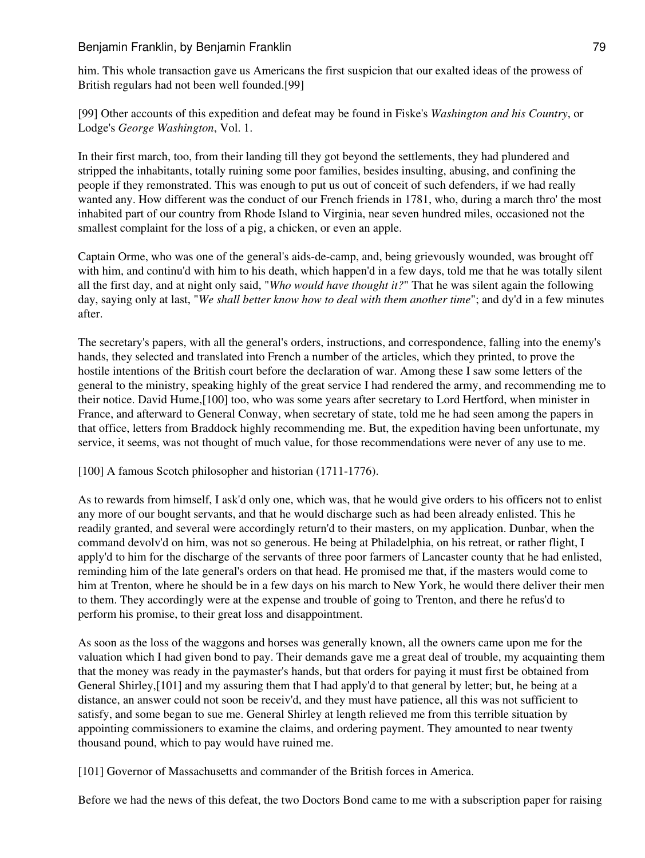him. This whole transaction gave us Americans the first suspicion that our exalted ideas of the prowess of British regulars had not been well founded.[99]

[99] Other accounts of this expedition and defeat may be found in Fiske's *Washington and his Country*, or Lodge's *George Washington*, Vol. 1.

In their first march, too, from their landing till they got beyond the settlements, they had plundered and stripped the inhabitants, totally ruining some poor families, besides insulting, abusing, and confining the people if they remonstrated. This was enough to put us out of conceit of such defenders, if we had really wanted any. How different was the conduct of our French friends in 1781, who, during a march thro' the most inhabited part of our country from Rhode Island to Virginia, near seven hundred miles, occasioned not the smallest complaint for the loss of a pig, a chicken, or even an apple.

Captain Orme, who was one of the general's aids-de-camp, and, being grievously wounded, was brought off with him, and continu'd with him to his death, which happen'd in a few days, told me that he was totally silent all the first day, and at night only said, "*Who would have thought it?*" That he was silent again the following day, saying only at last, "*We shall better know how to deal with them another time*"; and dy'd in a few minutes after.

The secretary's papers, with all the general's orders, instructions, and correspondence, falling into the enemy's hands, they selected and translated into French a number of the articles, which they printed, to prove the hostile intentions of the British court before the declaration of war. Among these I saw some letters of the general to the ministry, speaking highly of the great service I had rendered the army, and recommending me to their notice. David Hume,[100] too, who was some years after secretary to Lord Hertford, when minister in France, and afterward to General Conway, when secretary of state, told me he had seen among the papers in that office, letters from Braddock highly recommending me. But, the expedition having been unfortunate, my service, it seems, was not thought of much value, for those recommendations were never of any use to me.

[100] A famous Scotch philosopher and historian (1711-1776).

As to rewards from himself, I ask'd only one, which was, that he would give orders to his officers not to enlist any more of our bought servants, and that he would discharge such as had been already enlisted. This he readily granted, and several were accordingly return'd to their masters, on my application. Dunbar, when the command devolv'd on him, was not so generous. He being at Philadelphia, on his retreat, or rather flight, I apply'd to him for the discharge of the servants of three poor farmers of Lancaster county that he had enlisted, reminding him of the late general's orders on that head. He promised me that, if the masters would come to him at Trenton, where he should be in a few days on his march to New York, he would there deliver their men to them. They accordingly were at the expense and trouble of going to Trenton, and there he refus'd to perform his promise, to their great loss and disappointment.

As soon as the loss of the waggons and horses was generally known, all the owners came upon me for the valuation which I had given bond to pay. Their demands gave me a great deal of trouble, my acquainting them that the money was ready in the paymaster's hands, but that orders for paying it must first be obtained from General Shirley,[101] and my assuring them that I had apply'd to that general by letter; but, he being at a distance, an answer could not soon be receiv'd, and they must have patience, all this was not sufficient to satisfy, and some began to sue me. General Shirley at length relieved me from this terrible situation by appointing commissioners to examine the claims, and ordering payment. They amounted to near twenty thousand pound, which to pay would have ruined me.

[101] Governor of Massachusetts and commander of the British forces in America.

Before we had the news of this defeat, the two Doctors Bond came to me with a subscription paper for raising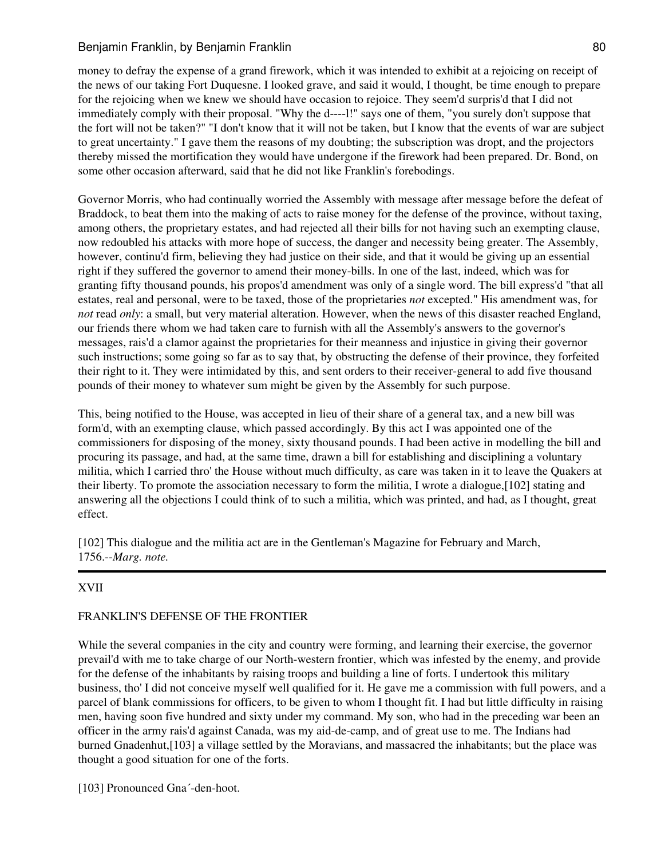# Benjamin Franklin, by Benjamin Franklin 80 and 1980 and 1980 and 1980 and 1980 and 1980 and 1980 and 1980 and 1

money to defray the expense of a grand firework, which it was intended to exhibit at a rejoicing on receipt of the news of our taking Fort Duquesne. I looked grave, and said it would, I thought, be time enough to prepare for the rejoicing when we knew we should have occasion to rejoice. They seem'd surpris'd that I did not immediately comply with their proposal. "Why the d----l!" says one of them, "you surely don't suppose that the fort will not be taken?" "I don't know that it will not be taken, but I know that the events of war are subject to great uncertainty." I gave them the reasons of my doubting; the subscription was dropt, and the projectors thereby missed the mortification they would have undergone if the firework had been prepared. Dr. Bond, on some other occasion afterward, said that he did not like Franklin's forebodings.

Governor Morris, who had continually worried the Assembly with message after message before the defeat of Braddock, to beat them into the making of acts to raise money for the defense of the province, without taxing, among others, the proprietary estates, and had rejected all their bills for not having such an exempting clause, now redoubled his attacks with more hope of success, the danger and necessity being greater. The Assembly, however, continu'd firm, believing they had justice on their side, and that it would be giving up an essential right if they suffered the governor to amend their money-bills. In one of the last, indeed, which was for granting fifty thousand pounds, his propos'd amendment was only of a single word. The bill express'd "that all estates, real and personal, were to be taxed, those of the proprietaries *not* excepted." His amendment was, for *not* read *only*: a small, but very material alteration. However, when the news of this disaster reached England, our friends there whom we had taken care to furnish with all the Assembly's answers to the governor's messages, rais'd a clamor against the proprietaries for their meanness and injustice in giving their governor such instructions; some going so far as to say that, by obstructing the defense of their province, they forfeited their right to it. They were intimidated by this, and sent orders to their receiver-general to add five thousand pounds of their money to whatever sum might be given by the Assembly for such purpose.

This, being notified to the House, was accepted in lieu of their share of a general tax, and a new bill was form'd, with an exempting clause, which passed accordingly. By this act I was appointed one of the commissioners for disposing of the money, sixty thousand pounds. I had been active in modelling the bill and procuring its passage, and had, at the same time, drawn a bill for establishing and disciplining a voluntary militia, which I carried thro' the House without much difficulty, as care was taken in it to leave the Quakers at their liberty. To promote the association necessary to form the militia, I wrote a dialogue,[102] stating and answering all the objections I could think of to such a militia, which was printed, and had, as I thought, great effect.

[102] This dialogue and the militia act are in the Gentleman's Magazine for February and March, 1756.--*Marg. note.*

# XVII

# FRANKLIN'S DEFENSE OF THE FRONTIER

While the several companies in the city and country were forming, and learning their exercise, the governor prevail'd with me to take charge of our North-western frontier, which was infested by the enemy, and provide for the defense of the inhabitants by raising troops and building a line of forts. I undertook this military business, tho' I did not conceive myself well qualified for it. He gave me a commission with full powers, and a parcel of blank commissions for officers, to be given to whom I thought fit. I had but little difficulty in raising men, having soon five hundred and sixty under my command. My son, who had in the preceding war been an officer in the army rais'd against Canada, was my aid-de-camp, and of great use to me. The Indians had burned Gnadenhut,[103] a village settled by the Moravians, and massacred the inhabitants; but the place was thought a good situation for one of the forts.

[103] Pronounced Gna'-den-hoot.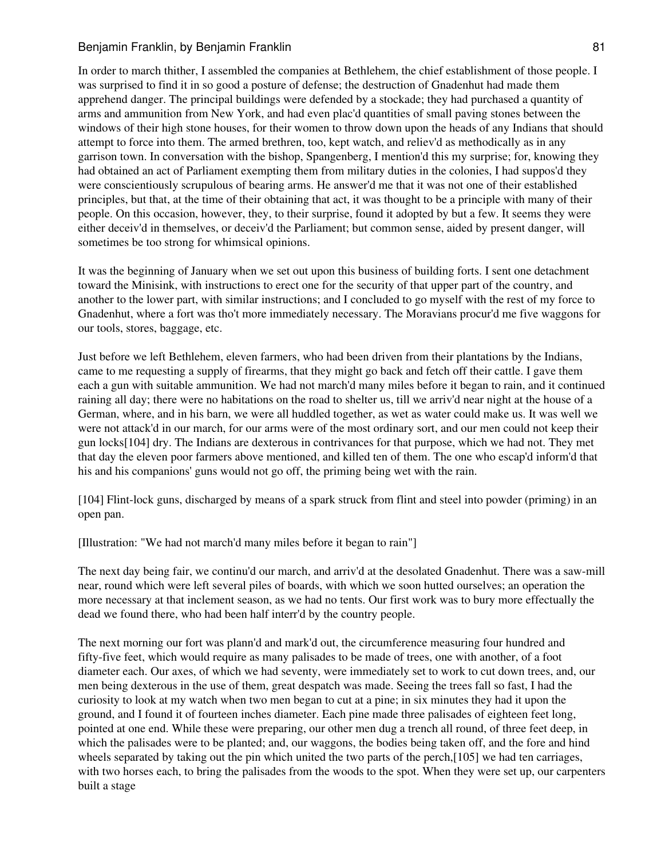In order to march thither, I assembled the companies at Bethlehem, the chief establishment of those people. I was surprised to find it in so good a posture of defense; the destruction of Gnadenhut had made them apprehend danger. The principal buildings were defended by a stockade; they had purchased a quantity of arms and ammunition from New York, and had even plac'd quantities of small paving stones between the windows of their high stone houses, for their women to throw down upon the heads of any Indians that should attempt to force into them. The armed brethren, too, kept watch, and reliev'd as methodically as in any garrison town. In conversation with the bishop, Spangenberg, I mention'd this my surprise; for, knowing they had obtained an act of Parliament exempting them from military duties in the colonies, I had suppos'd they were conscientiously scrupulous of bearing arms. He answer'd me that it was not one of their established principles, but that, at the time of their obtaining that act, it was thought to be a principle with many of their people. On this occasion, however, they, to their surprise, found it adopted by but a few. It seems they were either deceiv'd in themselves, or deceiv'd the Parliament; but common sense, aided by present danger, will sometimes be too strong for whimsical opinions.

It was the beginning of January when we set out upon this business of building forts. I sent one detachment toward the Minisink, with instructions to erect one for the security of that upper part of the country, and another to the lower part, with similar instructions; and I concluded to go myself with the rest of my force to Gnadenhut, where a fort was tho't more immediately necessary. The Moravians procur'd me five waggons for our tools, stores, baggage, etc.

Just before we left Bethlehem, eleven farmers, who had been driven from their plantations by the Indians, came to me requesting a supply of firearms, that they might go back and fetch off their cattle. I gave them each a gun with suitable ammunition. We had not march'd many miles before it began to rain, and it continued raining all day; there were no habitations on the road to shelter us, till we arriv'd near night at the house of a German, where, and in his barn, we were all huddled together, as wet as water could make us. It was well we were not attack'd in our march, for our arms were of the most ordinary sort, and our men could not keep their gun locks[104] dry. The Indians are dexterous in contrivances for that purpose, which we had not. They met that day the eleven poor farmers above mentioned, and killed ten of them. The one who escap'd inform'd that his and his companions' guns would not go off, the priming being wet with the rain.

[104] Flint-lock guns, discharged by means of a spark struck from flint and steel into powder (priming) in an open pan.

[Illustration: "We had not march'd many miles before it began to rain"]

The next day being fair, we continu'd our march, and arriv'd at the desolated Gnadenhut. There was a saw-mill near, round which were left several piles of boards, with which we soon hutted ourselves; an operation the more necessary at that inclement season, as we had no tents. Our first work was to bury more effectually the dead we found there, who had been half interr'd by the country people.

The next morning our fort was plann'd and mark'd out, the circumference measuring four hundred and fifty-five feet, which would require as many palisades to be made of trees, one with another, of a foot diameter each. Our axes, of which we had seventy, were immediately set to work to cut down trees, and, our men being dexterous in the use of them, great despatch was made. Seeing the trees fall so fast, I had the curiosity to look at my watch when two men began to cut at a pine; in six minutes they had it upon the ground, and I found it of fourteen inches diameter. Each pine made three palisades of eighteen feet long, pointed at one end. While these were preparing, our other men dug a trench all round, of three feet deep, in which the palisades were to be planted; and, our waggons, the bodies being taken off, and the fore and hind wheels separated by taking out the pin which united the two parts of the perch,[105] we had ten carriages, with two horses each, to bring the palisades from the woods to the spot. When they were set up, our carpenters built a stage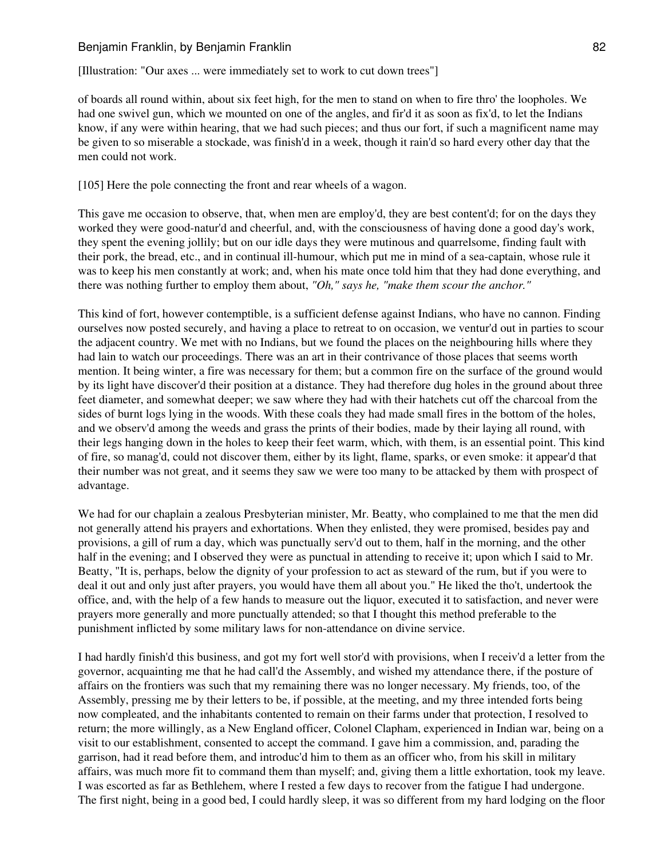[Illustration: "Our axes ... were immediately set to work to cut down trees"]

of boards all round within, about six feet high, for the men to stand on when to fire thro' the loopholes. We had one swivel gun, which we mounted on one of the angles, and fir'd it as soon as fix'd, to let the Indians know, if any were within hearing, that we had such pieces; and thus our fort, if such a magnificent name may be given to so miserable a stockade, was finish'd in a week, though it rain'd so hard every other day that the men could not work.

[105] Here the pole connecting the front and rear wheels of a wagon.

This gave me occasion to observe, that, when men are employ'd, they are best content'd; for on the days they worked they were good-natur'd and cheerful, and, with the consciousness of having done a good day's work, they spent the evening jollily; but on our idle days they were mutinous and quarrelsome, finding fault with their pork, the bread, etc., and in continual ill-humour, which put me in mind of a sea-captain, whose rule it was to keep his men constantly at work; and, when his mate once told him that they had done everything, and there was nothing further to employ them about, *"Oh," says he, "make them scour the anchor."*

This kind of fort, however contemptible, is a sufficient defense against Indians, who have no cannon. Finding ourselves now posted securely, and having a place to retreat to on occasion, we ventur'd out in parties to scour the adjacent country. We met with no Indians, but we found the places on the neighbouring hills where they had lain to watch our proceedings. There was an art in their contrivance of those places that seems worth mention. It being winter, a fire was necessary for them; but a common fire on the surface of the ground would by its light have discover'd their position at a distance. They had therefore dug holes in the ground about three feet diameter, and somewhat deeper; we saw where they had with their hatchets cut off the charcoal from the sides of burnt logs lying in the woods. With these coals they had made small fires in the bottom of the holes, and we observ'd among the weeds and grass the prints of their bodies, made by their laying all round, with their legs hanging down in the holes to keep their feet warm, which, with them, is an essential point. This kind of fire, so manag'd, could not discover them, either by its light, flame, sparks, or even smoke: it appear'd that their number was not great, and it seems they saw we were too many to be attacked by them with prospect of advantage.

We had for our chaplain a zealous Presbyterian minister, Mr. Beatty, who complained to me that the men did not generally attend his prayers and exhortations. When they enlisted, they were promised, besides pay and provisions, a gill of rum a day, which was punctually serv'd out to them, half in the morning, and the other half in the evening; and I observed they were as punctual in attending to receive it; upon which I said to Mr. Beatty, "It is, perhaps, below the dignity of your profession to act as steward of the rum, but if you were to deal it out and only just after prayers, you would have them all about you." He liked the tho't, undertook the office, and, with the help of a few hands to measure out the liquor, executed it to satisfaction, and never were prayers more generally and more punctually attended; so that I thought this method preferable to the punishment inflicted by some military laws for non-attendance on divine service.

I had hardly finish'd this business, and got my fort well stor'd with provisions, when I receiv'd a letter from the governor, acquainting me that he had call'd the Assembly, and wished my attendance there, if the posture of affairs on the frontiers was such that my remaining there was no longer necessary. My friends, too, of the Assembly, pressing me by their letters to be, if possible, at the meeting, and my three intended forts being now compleated, and the inhabitants contented to remain on their farms under that protection, I resolved to return; the more willingly, as a New England officer, Colonel Clapham, experienced in Indian war, being on a visit to our establishment, consented to accept the command. I gave him a commission, and, parading the garrison, had it read before them, and introduc'd him to them as an officer who, from his skill in military affairs, was much more fit to command them than myself; and, giving them a little exhortation, took my leave. I was escorted as far as Bethlehem, where I rested a few days to recover from the fatigue I had undergone. The first night, being in a good bed, I could hardly sleep, it was so different from my hard lodging on the floor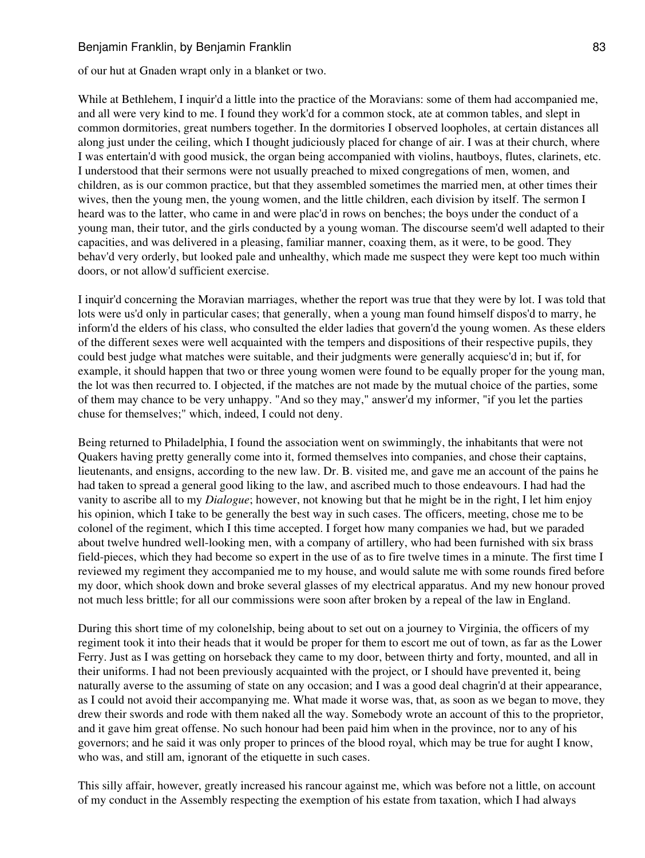of our hut at Gnaden wrapt only in a blanket or two.

While at Bethlehem, I inquir'd a little into the practice of the Moravians: some of them had accompanied me, and all were very kind to me. I found they work'd for a common stock, ate at common tables, and slept in common dormitories, great numbers together. In the dormitories I observed loopholes, at certain distances all along just under the ceiling, which I thought judiciously placed for change of air. I was at their church, where I was entertain'd with good musick, the organ being accompanied with violins, hautboys, flutes, clarinets, etc. I understood that their sermons were not usually preached to mixed congregations of men, women, and children, as is our common practice, but that they assembled sometimes the married men, at other times their wives, then the young men, the young women, and the little children, each division by itself. The sermon I heard was to the latter, who came in and were plac'd in rows on benches; the boys under the conduct of a young man, their tutor, and the girls conducted by a young woman. The discourse seem'd well adapted to their capacities, and was delivered in a pleasing, familiar manner, coaxing them, as it were, to be good. They behav'd very orderly, but looked pale and unhealthy, which made me suspect they were kept too much within doors, or not allow'd sufficient exercise.

I inquir'd concerning the Moravian marriages, whether the report was true that they were by lot. I was told that lots were us'd only in particular cases; that generally, when a young man found himself dispos'd to marry, he inform'd the elders of his class, who consulted the elder ladies that govern'd the young women. As these elders of the different sexes were well acquainted with the tempers and dispositions of their respective pupils, they could best judge what matches were suitable, and their judgments were generally acquiesc'd in; but if, for example, it should happen that two or three young women were found to be equally proper for the young man, the lot was then recurred to. I objected, if the matches are not made by the mutual choice of the parties, some of them may chance to be very unhappy. "And so they may," answer'd my informer, "if you let the parties chuse for themselves;" which, indeed, I could not deny.

Being returned to Philadelphia, I found the association went on swimmingly, the inhabitants that were not Quakers having pretty generally come into it, formed themselves into companies, and chose their captains, lieutenants, and ensigns, according to the new law. Dr. B. visited me, and gave me an account of the pains he had taken to spread a general good liking to the law, and ascribed much to those endeavours. I had had the vanity to ascribe all to my *Dialogue*; however, not knowing but that he might be in the right, I let him enjoy his opinion, which I take to be generally the best way in such cases. The officers, meeting, chose me to be colonel of the regiment, which I this time accepted. I forget how many companies we had, but we paraded about twelve hundred well-looking men, with a company of artillery, who had been furnished with six brass field-pieces, which they had become so expert in the use of as to fire twelve times in a minute. The first time I reviewed my regiment they accompanied me to my house, and would salute me with some rounds fired before my door, which shook down and broke several glasses of my electrical apparatus. And my new honour proved not much less brittle; for all our commissions were soon after broken by a repeal of the law in England.

During this short time of my colonelship, being about to set out on a journey to Virginia, the officers of my regiment took it into their heads that it would be proper for them to escort me out of town, as far as the Lower Ferry. Just as I was getting on horseback they came to my door, between thirty and forty, mounted, and all in their uniforms. I had not been previously acquainted with the project, or I should have prevented it, being naturally averse to the assuming of state on any occasion; and I was a good deal chagrin'd at their appearance, as I could not avoid their accompanying me. What made it worse was, that, as soon as we began to move, they drew their swords and rode with them naked all the way. Somebody wrote an account of this to the proprietor, and it gave him great offense. No such honour had been paid him when in the province, nor to any of his governors; and he said it was only proper to princes of the blood royal, which may be true for aught I know, who was, and still am, ignorant of the etiquette in such cases.

This silly affair, however, greatly increased his rancour against me, which was before not a little, on account of my conduct in the Assembly respecting the exemption of his estate from taxation, which I had always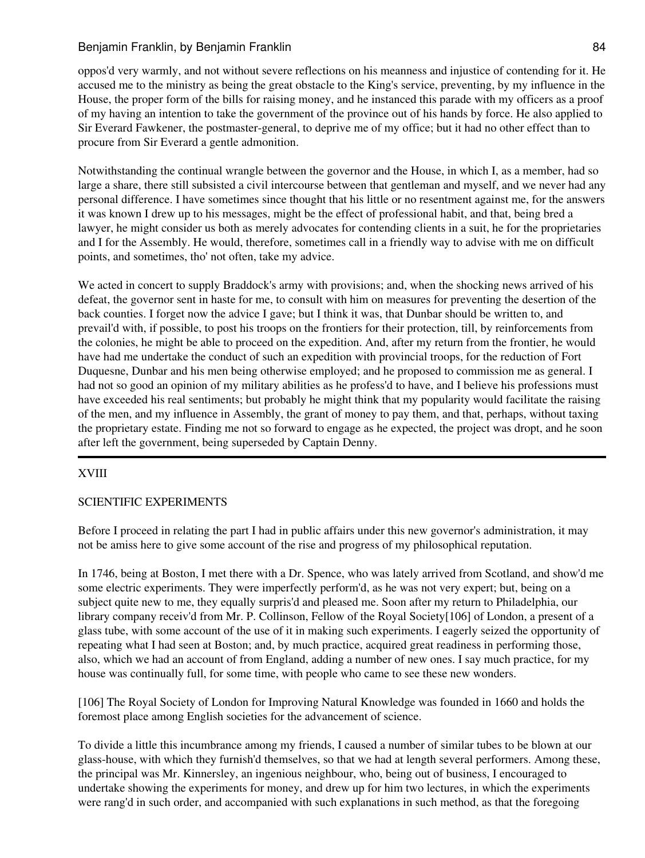oppos'd very warmly, and not without severe reflections on his meanness and injustice of contending for it. He accused me to the ministry as being the great obstacle to the King's service, preventing, by my influence in the House, the proper form of the bills for raising money, and he instanced this parade with my officers as a proof of my having an intention to take the government of the province out of his hands by force. He also applied to Sir Everard Fawkener, the postmaster-general, to deprive me of my office; but it had no other effect than to procure from Sir Everard a gentle admonition.

Notwithstanding the continual wrangle between the governor and the House, in which I, as a member, had so large a share, there still subsisted a civil intercourse between that gentleman and myself, and we never had any personal difference. I have sometimes since thought that his little or no resentment against me, for the answers it was known I drew up to his messages, might be the effect of professional habit, and that, being bred a lawyer, he might consider us both as merely advocates for contending clients in a suit, he for the proprietaries and I for the Assembly. He would, therefore, sometimes call in a friendly way to advise with me on difficult points, and sometimes, tho' not often, take my advice.

We acted in concert to supply Braddock's army with provisions; and, when the shocking news arrived of his defeat, the governor sent in haste for me, to consult with him on measures for preventing the desertion of the back counties. I forget now the advice I gave; but I think it was, that Dunbar should be written to, and prevail'd with, if possible, to post his troops on the frontiers for their protection, till, by reinforcements from the colonies, he might be able to proceed on the expedition. And, after my return from the frontier, he would have had me undertake the conduct of such an expedition with provincial troops, for the reduction of Fort Duquesne, Dunbar and his men being otherwise employed; and he proposed to commission me as general. I had not so good an opinion of my military abilities as he profess'd to have, and I believe his professions must have exceeded his real sentiments; but probably he might think that my popularity would facilitate the raising of the men, and my influence in Assembly, the grant of money to pay them, and that, perhaps, without taxing the proprietary estate. Finding me not so forward to engage as he expected, the project was dropt, and he soon after left the government, being superseded by Captain Denny.

# XVIII

#### SCIENTIFIC EXPERIMENTS

Before I proceed in relating the part I had in public affairs under this new governor's administration, it may not be amiss here to give some account of the rise and progress of my philosophical reputation.

In 1746, being at Boston, I met there with a Dr. Spence, who was lately arrived from Scotland, and show'd me some electric experiments. They were imperfectly perform'd, as he was not very expert; but, being on a subject quite new to me, they equally surpris'd and pleased me. Soon after my return to Philadelphia, our library company receiv'd from Mr. P. Collinson, Fellow of the Royal Society[106] of London, a present of a glass tube, with some account of the use of it in making such experiments. I eagerly seized the opportunity of repeating what I had seen at Boston; and, by much practice, acquired great readiness in performing those, also, which we had an account of from England, adding a number of new ones. I say much practice, for my house was continually full, for some time, with people who came to see these new wonders.

[106] The Royal Society of London for Improving Natural Knowledge was founded in 1660 and holds the foremost place among English societies for the advancement of science.

To divide a little this incumbrance among my friends, I caused a number of similar tubes to be blown at our glass-house, with which they furnish'd themselves, so that we had at length several performers. Among these, the principal was Mr. Kinnersley, an ingenious neighbour, who, being out of business, I encouraged to undertake showing the experiments for money, and drew up for him two lectures, in which the experiments were rang'd in such order, and accompanied with such explanations in such method, as that the foregoing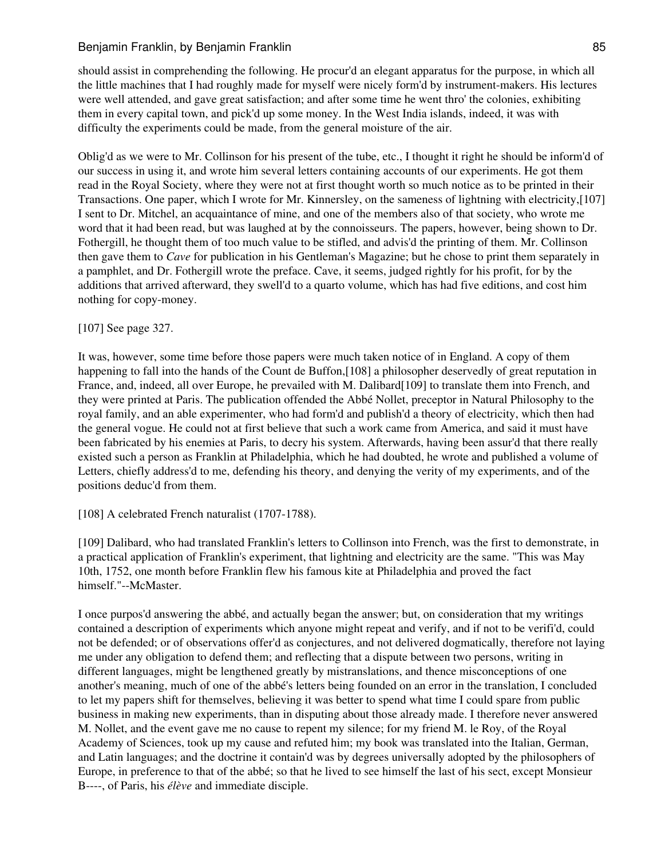should assist in comprehending the following. He procur'd an elegant apparatus for the purpose, in which all the little machines that I had roughly made for myself were nicely form'd by instrument-makers. His lectures were well attended, and gave great satisfaction; and after some time he went thro' the colonies, exhibiting them in every capital town, and pick'd up some money. In the West India islands, indeed, it was with difficulty the experiments could be made, from the general moisture of the air.

Oblig'd as we were to Mr. Collinson for his present of the tube, etc., I thought it right he should be inform'd of our success in using it, and wrote him several letters containing accounts of our experiments. He got them read in the Royal Society, where they were not at first thought worth so much notice as to be printed in their Transactions. One paper, which I wrote for Mr. Kinnersley, on the sameness of lightning with electricity,[107] I sent to Dr. Mitchel, an acquaintance of mine, and one of the members also of that society, who wrote me word that it had been read, but was laughed at by the connoisseurs. The papers, however, being shown to Dr. Fothergill, he thought them of too much value to be stifled, and advis'd the printing of them. Mr. Collinson then gave them to *Cave* for publication in his Gentleman's Magazine; but he chose to print them separately in a pamphlet, and Dr. Fothergill wrote the preface. Cave, it seems, judged rightly for his profit, for by the additions that arrived afterward, they swell'd to a quarto volume, which has had five editions, and cost him nothing for copy-money.

### [107] See page 327.

It was, however, some time before those papers were much taken notice of in England. A copy of them happening to fall into the hands of the Count de Buffon,[108] a philosopher deservedly of great reputation in France, and, indeed, all over Europe, he prevailed with M. Dalibard[109] to translate them into French, and they were printed at Paris. The publication offended the Abbé Nollet, preceptor in Natural Philosophy to the royal family, and an able experimenter, who had form'd and publish'd a theory of electricity, which then had the general vogue. He could not at first believe that such a work came from America, and said it must have been fabricated by his enemies at Paris, to decry his system. Afterwards, having been assur'd that there really existed such a person as Franklin at Philadelphia, which he had doubted, he wrote and published a volume of Letters, chiefly address'd to me, defending his theory, and denying the verity of my experiments, and of the positions deduc'd from them.

[108] A celebrated French naturalist (1707-1788).

[109] Dalibard, who had translated Franklin's letters to Collinson into French, was the first to demonstrate, in a practical application of Franklin's experiment, that lightning and electricity are the same. "This was May 10th, 1752, one month before Franklin flew his famous kite at Philadelphia and proved the fact himself."--McMaster.

I once purpos'd answering the abbé, and actually began the answer; but, on consideration that my writings contained a description of experiments which anyone might repeat and verify, and if not to be verifi'd, could not be defended; or of observations offer'd as conjectures, and not delivered dogmatically, therefore not laying me under any obligation to defend them; and reflecting that a dispute between two persons, writing in different languages, might be lengthened greatly by mistranslations, and thence misconceptions of one another's meaning, much of one of the abbé's letters being founded on an error in the translation, I concluded to let my papers shift for themselves, believing it was better to spend what time I could spare from public business in making new experiments, than in disputing about those already made. I therefore never answered M. Nollet, and the event gave me no cause to repent my silence; for my friend M. le Roy, of the Royal Academy of Sciences, took up my cause and refuted him; my book was translated into the Italian, German, and Latin languages; and the doctrine it contain'd was by degrees universally adopted by the philosophers of Europe, in preference to that of the abbé; so that he lived to see himself the last of his sect, except Monsieur B----, of Paris, his *élève* and immediate disciple.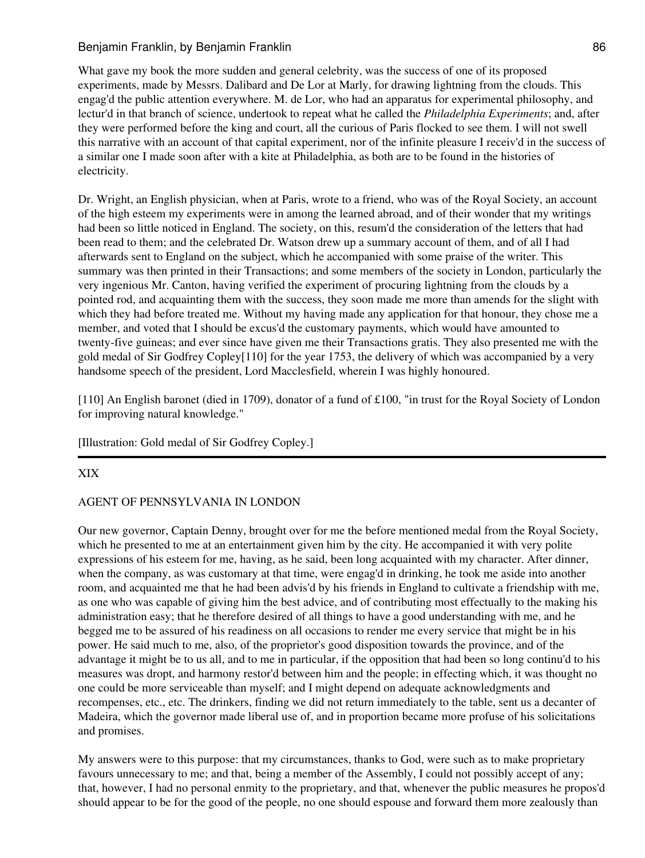What gave my book the more sudden and general celebrity, was the success of one of its proposed experiments, made by Messrs. Dalibard and De Lor at Marly, for drawing lightning from the clouds. This engag'd the public attention everywhere. M. de Lor, who had an apparatus for experimental philosophy, and lectur'd in that branch of science, undertook to repeat what he called the *Philadelphia Experiments*; and, after they were performed before the king and court, all the curious of Paris flocked to see them. I will not swell this narrative with an account of that capital experiment, nor of the infinite pleasure I receiv'd in the success of a similar one I made soon after with a kite at Philadelphia, as both are to be found in the histories of electricity.

Dr. Wright, an English physician, when at Paris, wrote to a friend, who was of the Royal Society, an account of the high esteem my experiments were in among the learned abroad, and of their wonder that my writings had been so little noticed in England. The society, on this, resum'd the consideration of the letters that had been read to them; and the celebrated Dr. Watson drew up a summary account of them, and of all I had afterwards sent to England on the subject, which he accompanied with some praise of the writer. This summary was then printed in their Transactions; and some members of the society in London, particularly the very ingenious Mr. Canton, having verified the experiment of procuring lightning from the clouds by a pointed rod, and acquainting them with the success, they soon made me more than amends for the slight with which they had before treated me. Without my having made any application for that honour, they chose me a member, and voted that I should be excus'd the customary payments, which would have amounted to twenty-five guineas; and ever since have given me their Transactions gratis. They also presented me with the gold medal of Sir Godfrey Copley[110] for the year 1753, the delivery of which was accompanied by a very handsome speech of the president, Lord Macclesfield, wherein I was highly honoured.

[110] An English baronet (died in 1709), donator of a fund of £100, "in trust for the Royal Society of London for improving natural knowledge."

#### [Illustration: Gold medal of Sir Godfrey Copley.]

#### XIX

### AGENT OF PENNSYLVANIA IN LONDON

Our new governor, Captain Denny, brought over for me the before mentioned medal from the Royal Society, which he presented to me at an entertainment given him by the city. He accompanied it with very polite expressions of his esteem for me, having, as he said, been long acquainted with my character. After dinner, when the company, as was customary at that time, were engag'd in drinking, he took me aside into another room, and acquainted me that he had been advis'd by his friends in England to cultivate a friendship with me, as one who was capable of giving him the best advice, and of contributing most effectually to the making his administration easy; that he therefore desired of all things to have a good understanding with me, and he begged me to be assured of his readiness on all occasions to render me every service that might be in his power. He said much to me, also, of the proprietor's good disposition towards the province, and of the advantage it might be to us all, and to me in particular, if the opposition that had been so long continu'd to his measures was dropt, and harmony restor'd between him and the people; in effecting which, it was thought no one could be more serviceable than myself; and I might depend on adequate acknowledgments and recompenses, etc., etc. The drinkers, finding we did not return immediately to the table, sent us a decanter of Madeira, which the governor made liberal use of, and in proportion became more profuse of his solicitations and promises.

My answers were to this purpose: that my circumstances, thanks to God, were such as to make proprietary favours unnecessary to me; and that, being a member of the Assembly, I could not possibly accept of any; that, however, I had no personal enmity to the proprietary, and that, whenever the public measures he propos'd should appear to be for the good of the people, no one should espouse and forward them more zealously than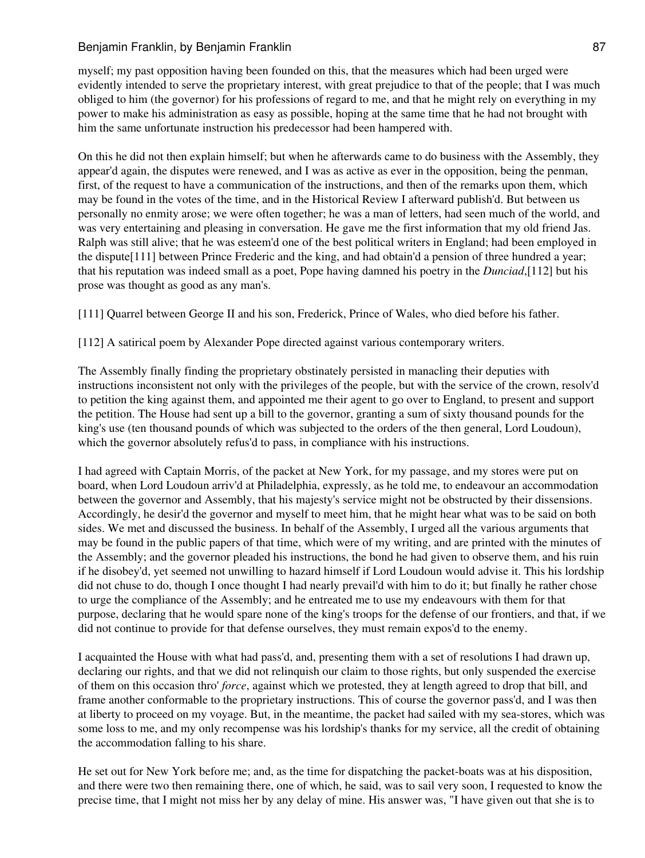myself; my past opposition having been founded on this, that the measures which had been urged were evidently intended to serve the proprietary interest, with great prejudice to that of the people; that I was much obliged to him (the governor) for his professions of regard to me, and that he might rely on everything in my power to make his administration as easy as possible, hoping at the same time that he had not brought with him the same unfortunate instruction his predecessor had been hampered with.

On this he did not then explain himself; but when he afterwards came to do business with the Assembly, they appear'd again, the disputes were renewed, and I was as active as ever in the opposition, being the penman, first, of the request to have a communication of the instructions, and then of the remarks upon them, which may be found in the votes of the time, and in the Historical Review I afterward publish'd. But between us personally no enmity arose; we were often together; he was a man of letters, had seen much of the world, and was very entertaining and pleasing in conversation. He gave me the first information that my old friend Jas. Ralph was still alive; that he was esteem'd one of the best political writers in England; had been employed in the dispute[111] between Prince Frederic and the king, and had obtain'd a pension of three hundred a year; that his reputation was indeed small as a poet, Pope having damned his poetry in the *Dunciad*,[112] but his prose was thought as good as any man's.

[111] Quarrel between George II and his son, Frederick, Prince of Wales, who died before his father.

[112] A satirical poem by Alexander Pope directed against various contemporary writers.

The Assembly finally finding the proprietary obstinately persisted in manacling their deputies with instructions inconsistent not only with the privileges of the people, but with the service of the crown, resolv'd to petition the king against them, and appointed me their agent to go over to England, to present and support the petition. The House had sent up a bill to the governor, granting a sum of sixty thousand pounds for the king's use (ten thousand pounds of which was subjected to the orders of the then general, Lord Loudoun), which the governor absolutely refus'd to pass, in compliance with his instructions.

I had agreed with Captain Morris, of the packet at New York, for my passage, and my stores were put on board, when Lord Loudoun arriv'd at Philadelphia, expressly, as he told me, to endeavour an accommodation between the governor and Assembly, that his majesty's service might not be obstructed by their dissensions. Accordingly, he desir'd the governor and myself to meet him, that he might hear what was to be said on both sides. We met and discussed the business. In behalf of the Assembly, I urged all the various arguments that may be found in the public papers of that time, which were of my writing, and are printed with the minutes of the Assembly; and the governor pleaded his instructions, the bond he had given to observe them, and his ruin if he disobey'd, yet seemed not unwilling to hazard himself if Lord Loudoun would advise it. This his lordship did not chuse to do, though I once thought I had nearly prevail'd with him to do it; but finally he rather chose to urge the compliance of the Assembly; and he entreated me to use my endeavours with them for that purpose, declaring that he would spare none of the king's troops for the defense of our frontiers, and that, if we did not continue to provide for that defense ourselves, they must remain expos'd to the enemy.

I acquainted the House with what had pass'd, and, presenting them with a set of resolutions I had drawn up, declaring our rights, and that we did not relinquish our claim to those rights, but only suspended the exercise of them on this occasion thro' *force*, against which we protested, they at length agreed to drop that bill, and frame another conformable to the proprietary instructions. This of course the governor pass'd, and I was then at liberty to proceed on my voyage. But, in the meantime, the packet had sailed with my sea-stores, which was some loss to me, and my only recompense was his lordship's thanks for my service, all the credit of obtaining the accommodation falling to his share.

He set out for New York before me; and, as the time for dispatching the packet-boats was at his disposition, and there were two then remaining there, one of which, he said, was to sail very soon, I requested to know the precise time, that I might not miss her by any delay of mine. His answer was, "I have given out that she is to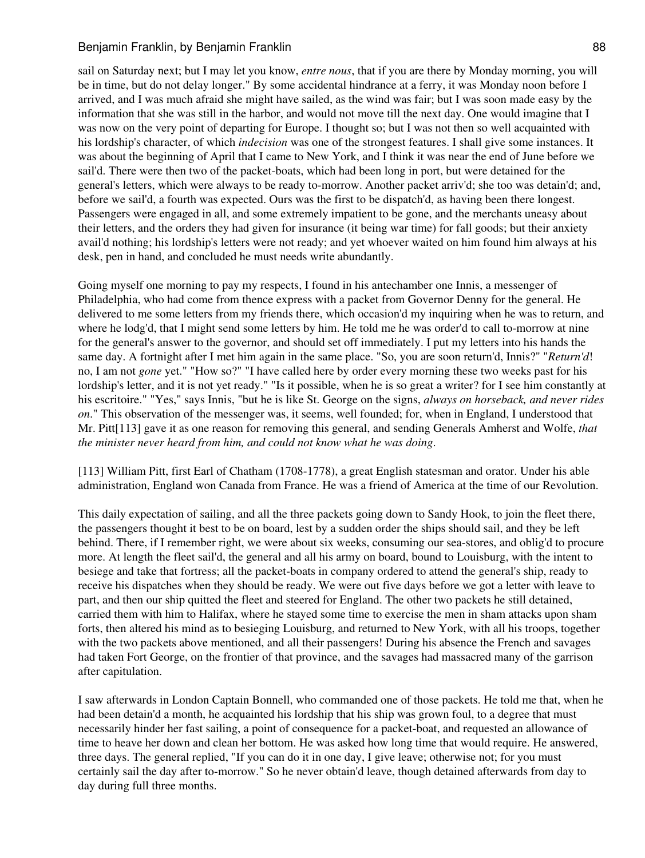### Benjamin Franklin, by Benjamin Franklin **Benjamin 88** 88

sail on Saturday next; but I may let you know, *entre nous*, that if you are there by Monday morning, you will be in time, but do not delay longer." By some accidental hindrance at a ferry, it was Monday noon before I arrived, and I was much afraid she might have sailed, as the wind was fair; but I was soon made easy by the information that she was still in the harbor, and would not move till the next day. One would imagine that I was now on the very point of departing for Europe. I thought so; but I was not then so well acquainted with his lordship's character, of which *indecision* was one of the strongest features. I shall give some instances. It was about the beginning of April that I came to New York, and I think it was near the end of June before we sail'd. There were then two of the packet-boats, which had been long in port, but were detained for the general's letters, which were always to be ready to-morrow. Another packet arriv'd; she too was detain'd; and, before we sail'd, a fourth was expected. Ours was the first to be dispatch'd, as having been there longest. Passengers were engaged in all, and some extremely impatient to be gone, and the merchants uneasy about their letters, and the orders they had given for insurance (it being war time) for fall goods; but their anxiety avail'd nothing; his lordship's letters were not ready; and yet whoever waited on him found him always at his desk, pen in hand, and concluded he must needs write abundantly.

Going myself one morning to pay my respects, I found in his antechamber one Innis, a messenger of Philadelphia, who had come from thence express with a packet from Governor Denny for the general. He delivered to me some letters from my friends there, which occasion'd my inquiring when he was to return, and where he lodg'd, that I might send some letters by him. He told me he was order'd to call to-morrow at nine for the general's answer to the governor, and should set off immediately. I put my letters into his hands the same day. A fortnight after I met him again in the same place. "So, you are soon return'd, Innis?" "*Return'd*! no, I am not *gone* yet." "How so?" "I have called here by order every morning these two weeks past for his lordship's letter, and it is not yet ready." "Is it possible, when he is so great a writer? for I see him constantly at his escritoire." "Yes," says Innis, "but he is like St. George on the signs, *always on horseback, and never rides on*." This observation of the messenger was, it seems, well founded; for, when in England, I understood that Mr. Pitt[113] gave it as one reason for removing this general, and sending Generals Amherst and Wolfe, *that the minister never heard from him, and could not know what he was doing*.

[113] William Pitt, first Earl of Chatham (1708-1778), a great English statesman and orator. Under his able administration, England won Canada from France. He was a friend of America at the time of our Revolution.

This daily expectation of sailing, and all the three packets going down to Sandy Hook, to join the fleet there, the passengers thought it best to be on board, lest by a sudden order the ships should sail, and they be left behind. There, if I remember right, we were about six weeks, consuming our sea-stores, and oblig'd to procure more. At length the fleet sail'd, the general and all his army on board, bound to Louisburg, with the intent to besiege and take that fortress; all the packet-boats in company ordered to attend the general's ship, ready to receive his dispatches when they should be ready. We were out five days before we got a letter with leave to part, and then our ship quitted the fleet and steered for England. The other two packets he still detained, carried them with him to Halifax, where he stayed some time to exercise the men in sham attacks upon sham forts, then altered his mind as to besieging Louisburg, and returned to New York, with all his troops, together with the two packets above mentioned, and all their passengers! During his absence the French and savages had taken Fort George, on the frontier of that province, and the savages had massacred many of the garrison after capitulation.

I saw afterwards in London Captain Bonnell, who commanded one of those packets. He told me that, when he had been detain'd a month, he acquainted his lordship that his ship was grown foul, to a degree that must necessarily hinder her fast sailing, a point of consequence for a packet-boat, and requested an allowance of time to heave her down and clean her bottom. He was asked how long time that would require. He answered, three days. The general replied, "If you can do it in one day, I give leave; otherwise not; for you must certainly sail the day after to-morrow." So he never obtain'd leave, though detained afterwards from day to day during full three months.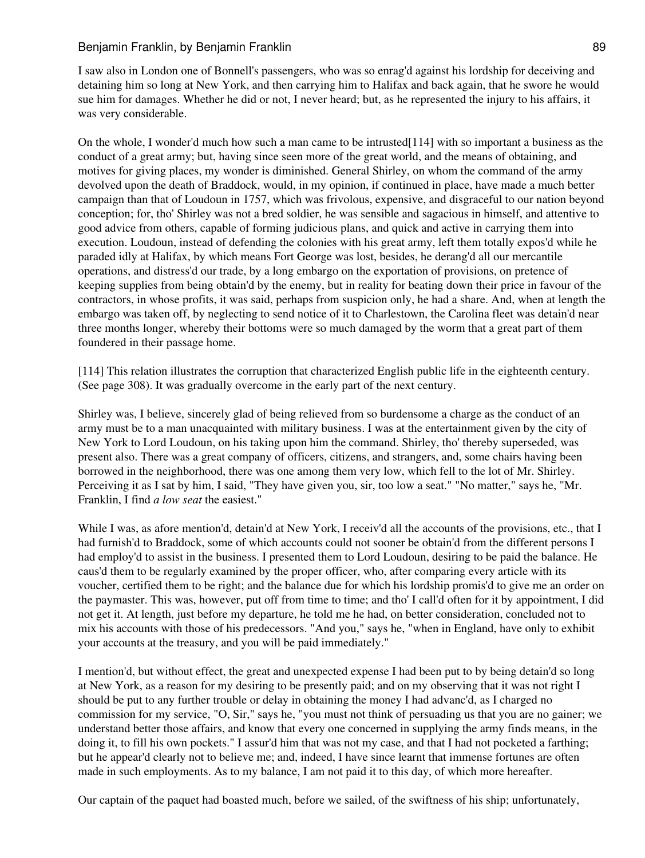### Benjamin Franklin, by Benjamin Franklin **Benjamin 89** 89

I saw also in London one of Bonnell's passengers, who was so enrag'd against his lordship for deceiving and detaining him so long at New York, and then carrying him to Halifax and back again, that he swore he would sue him for damages. Whether he did or not, I never heard; but, as he represented the injury to his affairs, it was very considerable.

On the whole, I wonder'd much how such a man came to be intrusted[114] with so important a business as the conduct of a great army; but, having since seen more of the great world, and the means of obtaining, and motives for giving places, my wonder is diminished. General Shirley, on whom the command of the army devolved upon the death of Braddock, would, in my opinion, if continued in place, have made a much better campaign than that of Loudoun in 1757, which was frivolous, expensive, and disgraceful to our nation beyond conception; for, tho' Shirley was not a bred soldier, he was sensible and sagacious in himself, and attentive to good advice from others, capable of forming judicious plans, and quick and active in carrying them into execution. Loudoun, instead of defending the colonies with his great army, left them totally expos'd while he paraded idly at Halifax, by which means Fort George was lost, besides, he derang'd all our mercantile operations, and distress'd our trade, by a long embargo on the exportation of provisions, on pretence of keeping supplies from being obtain'd by the enemy, but in reality for beating down their price in favour of the contractors, in whose profits, it was said, perhaps from suspicion only, he had a share. And, when at length the embargo was taken off, by neglecting to send notice of it to Charlestown, the Carolina fleet was detain'd near three months longer, whereby their bottoms were so much damaged by the worm that a great part of them foundered in their passage home.

[114] This relation illustrates the corruption that characterized English public life in the eighteenth century. (See page 308). It was gradually overcome in the early part of the next century.

Shirley was, I believe, sincerely glad of being relieved from so burdensome a charge as the conduct of an army must be to a man unacquainted with military business. I was at the entertainment given by the city of New York to Lord Loudoun, on his taking upon him the command. Shirley, tho' thereby superseded, was present also. There was a great company of officers, citizens, and strangers, and, some chairs having been borrowed in the neighborhood, there was one among them very low, which fell to the lot of Mr. Shirley. Perceiving it as I sat by him, I said, "They have given you, sir, too low a seat." "No matter," says he, "Mr. Franklin, I find *a low seat* the easiest."

While I was, as afore mention'd, detain'd at New York, I receiv'd all the accounts of the provisions, etc., that I had furnish'd to Braddock, some of which accounts could not sooner be obtain'd from the different persons I had employ'd to assist in the business. I presented them to Lord Loudoun, desiring to be paid the balance. He caus'd them to be regularly examined by the proper officer, who, after comparing every article with its voucher, certified them to be right; and the balance due for which his lordship promis'd to give me an order on the paymaster. This was, however, put off from time to time; and tho' I call'd often for it by appointment, I did not get it. At length, just before my departure, he told me he had, on better consideration, concluded not to mix his accounts with those of his predecessors. "And you," says he, "when in England, have only to exhibit your accounts at the treasury, and you will be paid immediately."

I mention'd, but without effect, the great and unexpected expense I had been put to by being detain'd so long at New York, as a reason for my desiring to be presently paid; and on my observing that it was not right I should be put to any further trouble or delay in obtaining the money I had advanc'd, as I charged no commission for my service, "O, Sir," says he, "you must not think of persuading us that you are no gainer; we understand better those affairs, and know that every one concerned in supplying the army finds means, in the doing it, to fill his own pockets." I assur'd him that was not my case, and that I had not pocketed a farthing; but he appear'd clearly not to believe me; and, indeed, I have since learnt that immense fortunes are often made in such employments. As to my balance, I am not paid it to this day, of which more hereafter.

Our captain of the paquet had boasted much, before we sailed, of the swiftness of his ship; unfortunately,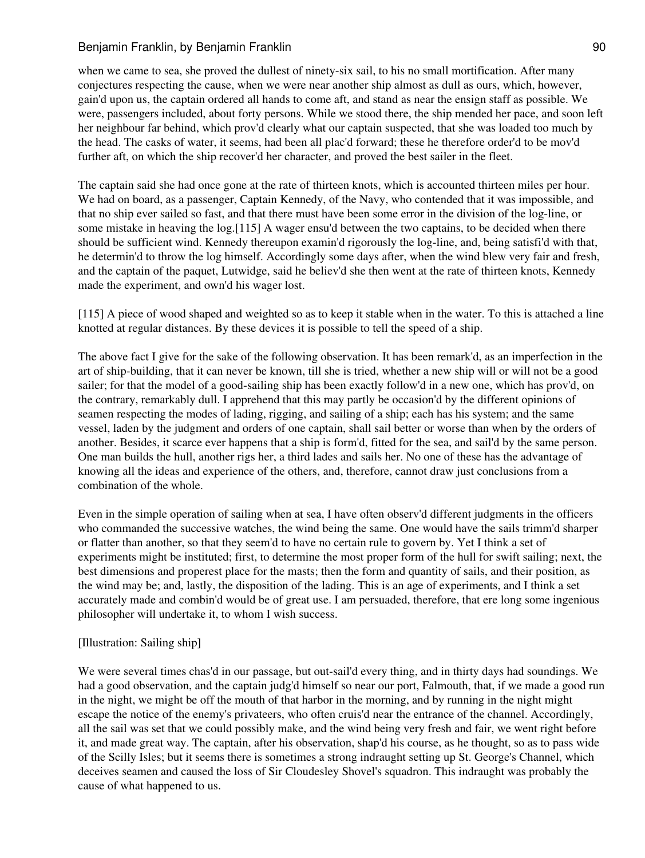when we came to sea, she proved the dullest of ninety-six sail, to his no small mortification. After many conjectures respecting the cause, when we were near another ship almost as dull as ours, which, however, gain'd upon us, the captain ordered all hands to come aft, and stand as near the ensign staff as possible. We were, passengers included, about forty persons. While we stood there, the ship mended her pace, and soon left her neighbour far behind, which prov'd clearly what our captain suspected, that she was loaded too much by the head. The casks of water, it seems, had been all plac'd forward; these he therefore order'd to be mov'd further aft, on which the ship recover'd her character, and proved the best sailer in the fleet.

The captain said she had once gone at the rate of thirteen knots, which is accounted thirteen miles per hour. We had on board, as a passenger, Captain Kennedy, of the Navy, who contended that it was impossible, and that no ship ever sailed so fast, and that there must have been some error in the division of the log-line, or some mistake in heaving the log.[115] A wager ensu'd between the two captains, to be decided when there should be sufficient wind. Kennedy thereupon examin'd rigorously the log-line, and, being satisfi'd with that, he determin'd to throw the log himself. Accordingly some days after, when the wind blew very fair and fresh, and the captain of the paquet, Lutwidge, said he believ'd she then went at the rate of thirteen knots, Kennedy made the experiment, and own'd his wager lost.

[115] A piece of wood shaped and weighted so as to keep it stable when in the water. To this is attached a line knotted at regular distances. By these devices it is possible to tell the speed of a ship.

The above fact I give for the sake of the following observation. It has been remark'd, as an imperfection in the art of ship-building, that it can never be known, till she is tried, whether a new ship will or will not be a good sailer; for that the model of a good-sailing ship has been exactly follow'd in a new one, which has prov'd, on the contrary, remarkably dull. I apprehend that this may partly be occasion'd by the different opinions of seamen respecting the modes of lading, rigging, and sailing of a ship; each has his system; and the same vessel, laden by the judgment and orders of one captain, shall sail better or worse than when by the orders of another. Besides, it scarce ever happens that a ship is form'd, fitted for the sea, and sail'd by the same person. One man builds the hull, another rigs her, a third lades and sails her. No one of these has the advantage of knowing all the ideas and experience of the others, and, therefore, cannot draw just conclusions from a combination of the whole.

Even in the simple operation of sailing when at sea, I have often observ'd different judgments in the officers who commanded the successive watches, the wind being the same. One would have the sails trimm'd sharper or flatter than another, so that they seem'd to have no certain rule to govern by. Yet I think a set of experiments might be instituted; first, to determine the most proper form of the hull for swift sailing; next, the best dimensions and properest place for the masts; then the form and quantity of sails, and their position, as the wind may be; and, lastly, the disposition of the lading. This is an age of experiments, and I think a set accurately made and combin'd would be of great use. I am persuaded, therefore, that ere long some ingenious philosopher will undertake it, to whom I wish success.

#### [Illustration: Sailing ship]

We were several times chas'd in our passage, but out-sail'd every thing, and in thirty days had soundings. We had a good observation, and the captain judg'd himself so near our port, Falmouth, that, if we made a good run in the night, we might be off the mouth of that harbor in the morning, and by running in the night might escape the notice of the enemy's privateers, who often cruis'd near the entrance of the channel. Accordingly, all the sail was set that we could possibly make, and the wind being very fresh and fair, we went right before it, and made great way. The captain, after his observation, shap'd his course, as he thought, so as to pass wide of the Scilly Isles; but it seems there is sometimes a strong indraught setting up St. George's Channel, which deceives seamen and caused the loss of Sir Cloudesley Shovel's squadron. This indraught was probably the cause of what happened to us.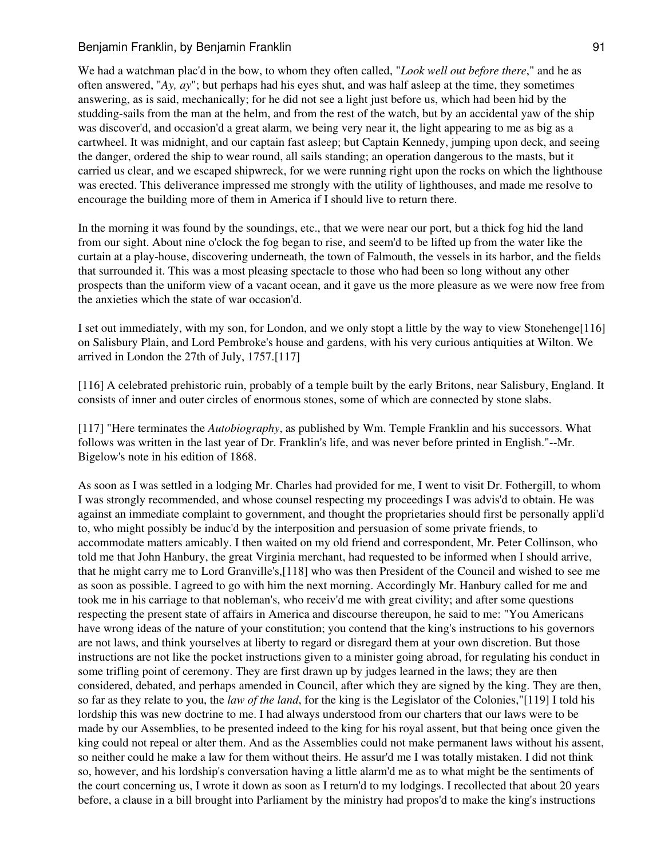We had a watchman plac'd in the bow, to whom they often called, "*Look well out before there*," and he as often answered, "*Ay, ay*"; but perhaps had his eyes shut, and was half asleep at the time, they sometimes answering, as is said, mechanically; for he did not see a light just before us, which had been hid by the studding-sails from the man at the helm, and from the rest of the watch, but by an accidental yaw of the ship was discover'd, and occasion'd a great alarm, we being very near it, the light appearing to me as big as a cartwheel. It was midnight, and our captain fast asleep; but Captain Kennedy, jumping upon deck, and seeing the danger, ordered the ship to wear round, all sails standing; an operation dangerous to the masts, but it carried us clear, and we escaped shipwreck, for we were running right upon the rocks on which the lighthouse was erected. This deliverance impressed me strongly with the utility of lighthouses, and made me resolve to encourage the building more of them in America if I should live to return there.

In the morning it was found by the soundings, etc., that we were near our port, but a thick fog hid the land from our sight. About nine o'clock the fog began to rise, and seem'd to be lifted up from the water like the curtain at a play-house, discovering underneath, the town of Falmouth, the vessels in its harbor, and the fields that surrounded it. This was a most pleasing spectacle to those who had been so long without any other prospects than the uniform view of a vacant ocean, and it gave us the more pleasure as we were now free from the anxieties which the state of war occasion'd.

I set out immediately, with my son, for London, and we only stopt a little by the way to view Stonehenge[116] on Salisbury Plain, and Lord Pembroke's house and gardens, with his very curious antiquities at Wilton. We arrived in London the 27th of July, 1757.[117]

[116] A celebrated prehistoric ruin, probably of a temple built by the early Britons, near Salisbury, England. It consists of inner and outer circles of enormous stones, some of which are connected by stone slabs.

[117] "Here terminates the *Autobiography*, as published by Wm. Temple Franklin and his successors. What follows was written in the last year of Dr. Franklin's life, and was never before printed in English."--Mr. Bigelow's note in his edition of 1868.

As soon as I was settled in a lodging Mr. Charles had provided for me, I went to visit Dr. Fothergill, to whom I was strongly recommended, and whose counsel respecting my proceedings I was advis'd to obtain. He was against an immediate complaint to government, and thought the proprietaries should first be personally appli'd to, who might possibly be induc'd by the interposition and persuasion of some private friends, to accommodate matters amicably. I then waited on my old friend and correspondent, Mr. Peter Collinson, who told me that John Hanbury, the great Virginia merchant, had requested to be informed when I should arrive, that he might carry me to Lord Granville's,[118] who was then President of the Council and wished to see me as soon as possible. I agreed to go with him the next morning. Accordingly Mr. Hanbury called for me and took me in his carriage to that nobleman's, who receiv'd me with great civility; and after some questions respecting the present state of affairs in America and discourse thereupon, he said to me: "You Americans have wrong ideas of the nature of your constitution; you contend that the king's instructions to his governors are not laws, and think yourselves at liberty to regard or disregard them at your own discretion. But those instructions are not like the pocket instructions given to a minister going abroad, for regulating his conduct in some trifling point of ceremony. They are first drawn up by judges learned in the laws; they are then considered, debated, and perhaps amended in Council, after which they are signed by the king. They are then, so far as they relate to you, the *law of the land*, for the king is the Legislator of the Colonies,"[119] I told his lordship this was new doctrine to me. I had always understood from our charters that our laws were to be made by our Assemblies, to be presented indeed to the king for his royal assent, but that being once given the king could not repeal or alter them. And as the Assemblies could not make permanent laws without his assent, so neither could he make a law for them without theirs. He assur'd me I was totally mistaken. I did not think so, however, and his lordship's conversation having a little alarm'd me as to what might be the sentiments of the court concerning us, I wrote it down as soon as I return'd to my lodgings. I recollected that about 20 years before, a clause in a bill brought into Parliament by the ministry had propos'd to make the king's instructions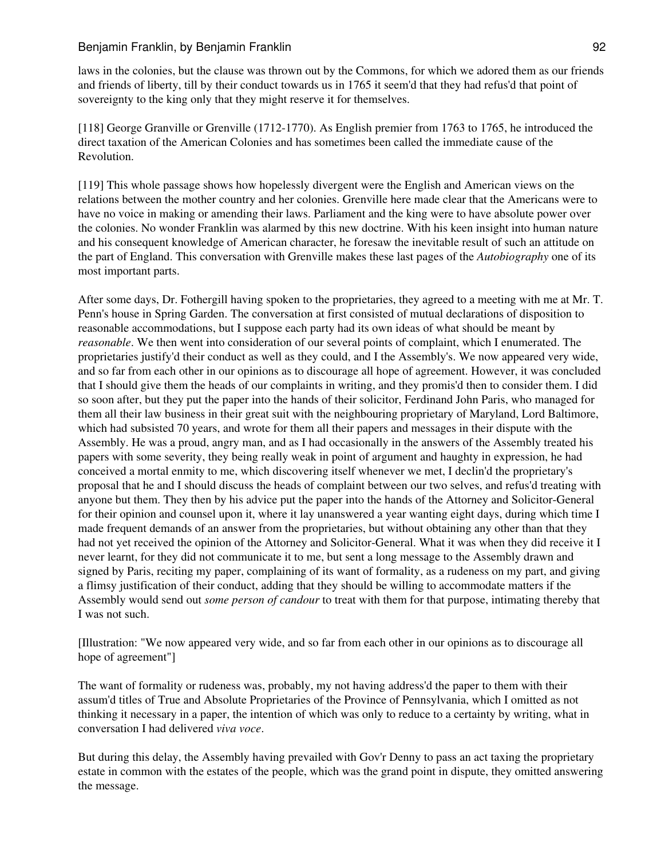laws in the colonies, but the clause was thrown out by the Commons, for which we adored them as our friends and friends of liberty, till by their conduct towards us in 1765 it seem'd that they had refus'd that point of sovereignty to the king only that they might reserve it for themselves.

[118] George Granville or Grenville (1712-1770). As English premier from 1763 to 1765, he introduced the direct taxation of the American Colonies and has sometimes been called the immediate cause of the Revolution.

[119] This whole passage shows how hopelessly divergent were the English and American views on the relations between the mother country and her colonies. Grenville here made clear that the Americans were to have no voice in making or amending their laws. Parliament and the king were to have absolute power over the colonies. No wonder Franklin was alarmed by this new doctrine. With his keen insight into human nature and his consequent knowledge of American character, he foresaw the inevitable result of such an attitude on the part of England. This conversation with Grenville makes these last pages of the *Autobiography* one of its most important parts.

After some days, Dr. Fothergill having spoken to the proprietaries, they agreed to a meeting with me at Mr. T. Penn's house in Spring Garden. The conversation at first consisted of mutual declarations of disposition to reasonable accommodations, but I suppose each party had its own ideas of what should be meant by *reasonable*. We then went into consideration of our several points of complaint, which I enumerated. The proprietaries justify'd their conduct as well as they could, and I the Assembly's. We now appeared very wide, and so far from each other in our opinions as to discourage all hope of agreement. However, it was concluded that I should give them the heads of our complaints in writing, and they promis'd then to consider them. I did so soon after, but they put the paper into the hands of their solicitor, Ferdinand John Paris, who managed for them all their law business in their great suit with the neighbouring proprietary of Maryland, Lord Baltimore, which had subsisted 70 years, and wrote for them all their papers and messages in their dispute with the Assembly. He was a proud, angry man, and as I had occasionally in the answers of the Assembly treated his papers with some severity, they being really weak in point of argument and haughty in expression, he had conceived a mortal enmity to me, which discovering itself whenever we met, I declin'd the proprietary's proposal that he and I should discuss the heads of complaint between our two selves, and refus'd treating with anyone but them. They then by his advice put the paper into the hands of the Attorney and Solicitor-General for their opinion and counsel upon it, where it lay unanswered a year wanting eight days, during which time I made frequent demands of an answer from the proprietaries, but without obtaining any other than that they had not yet received the opinion of the Attorney and Solicitor-General. What it was when they did receive it I never learnt, for they did not communicate it to me, but sent a long message to the Assembly drawn and signed by Paris, reciting my paper, complaining of its want of formality, as a rudeness on my part, and giving a flimsy justification of their conduct, adding that they should be willing to accommodate matters if the Assembly would send out *some person of candour* to treat with them for that purpose, intimating thereby that I was not such.

[Illustration: "We now appeared very wide, and so far from each other in our opinions as to discourage all hope of agreement"]

The want of formality or rudeness was, probably, my not having address'd the paper to them with their assum'd titles of True and Absolute Proprietaries of the Province of Pennsylvania, which I omitted as not thinking it necessary in a paper, the intention of which was only to reduce to a certainty by writing, what in conversation I had delivered *viva voce*.

But during this delay, the Assembly having prevailed with Gov'r Denny to pass an act taxing the proprietary estate in common with the estates of the people, which was the grand point in dispute, they omitted answering the message.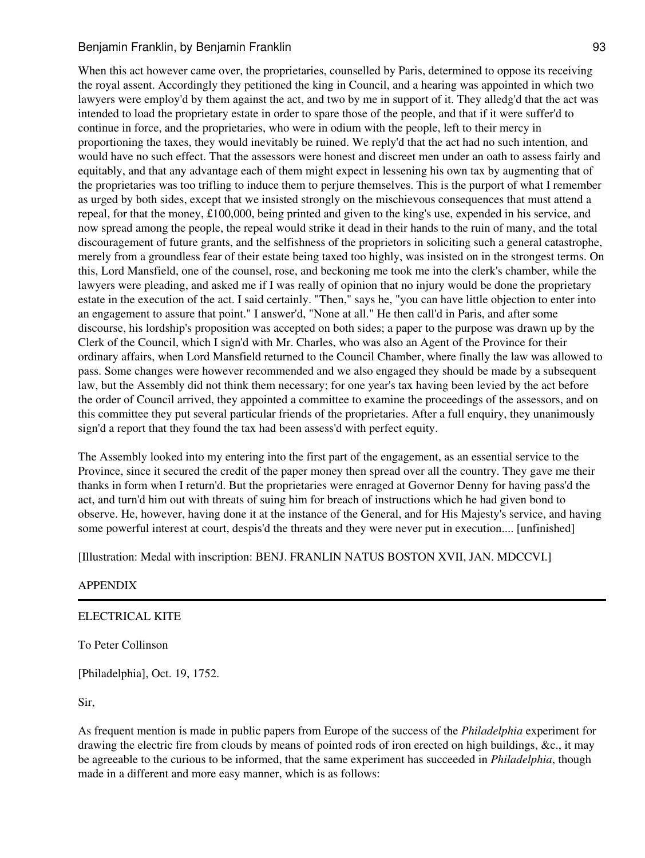When this act however came over, the proprietaries, counselled by Paris, determined to oppose its receiving the royal assent. Accordingly they petitioned the king in Council, and a hearing was appointed in which two lawyers were employ'd by them against the act, and two by me in support of it. They alledg'd that the act was intended to load the proprietary estate in order to spare those of the people, and that if it were suffer'd to continue in force, and the proprietaries, who were in odium with the people, left to their mercy in proportioning the taxes, they would inevitably be ruined. We reply'd that the act had no such intention, and would have no such effect. That the assessors were honest and discreet men under an oath to assess fairly and equitably, and that any advantage each of them might expect in lessening his own tax by augmenting that of the proprietaries was too trifling to induce them to perjure themselves. This is the purport of what I remember as urged by both sides, except that we insisted strongly on the mischievous consequences that must attend a repeal, for that the money, £100,000, being printed and given to the king's use, expended in his service, and now spread among the people, the repeal would strike it dead in their hands to the ruin of many, and the total discouragement of future grants, and the selfishness of the proprietors in soliciting such a general catastrophe, merely from a groundless fear of their estate being taxed too highly, was insisted on in the strongest terms. On this, Lord Mansfield, one of the counsel, rose, and beckoning me took me into the clerk's chamber, while the lawyers were pleading, and asked me if I was really of opinion that no injury would be done the proprietary estate in the execution of the act. I said certainly. "Then," says he, "you can have little objection to enter into an engagement to assure that point." I answer'd, "None at all." He then call'd in Paris, and after some discourse, his lordship's proposition was accepted on both sides; a paper to the purpose was drawn up by the Clerk of the Council, which I sign'd with Mr. Charles, who was also an Agent of the Province for their ordinary affairs, when Lord Mansfield returned to the Council Chamber, where finally the law was allowed to pass. Some changes were however recommended and we also engaged they should be made by a subsequent law, but the Assembly did not think them necessary; for one year's tax having been levied by the act before the order of Council arrived, they appointed a committee to examine the proceedings of the assessors, and on this committee they put several particular friends of the proprietaries. After a full enquiry, they unanimously sign'd a report that they found the tax had been assess'd with perfect equity.

The Assembly looked into my entering into the first part of the engagement, as an essential service to the Province, since it secured the credit of the paper money then spread over all the country. They gave me their thanks in form when I return'd. But the proprietaries were enraged at Governor Denny for having pass'd the act, and turn'd him out with threats of suing him for breach of instructions which he had given bond to observe. He, however, having done it at the instance of the General, and for His Majesty's service, and having some powerful interest at court, despis'd the threats and they were never put in execution.... [unfinished]

[Illustration: Medal with inscription: BENJ. FRANLIN NATUS BOSTON XVII, JAN. MDCCVI.]

#### APPENDIX

#### ELECTRICAL KITE

To Peter Collinson

[Philadelphia], Oct. 19, 1752.

Sir,

As frequent mention is made in public papers from Europe of the success of the *Philadelphia* experiment for drawing the electric fire from clouds by means of pointed rods of iron erected on high buildings, &c., it may be agreeable to the curious to be informed, that the same experiment has succeeded in *Philadelphia*, though made in a different and more easy manner, which is as follows: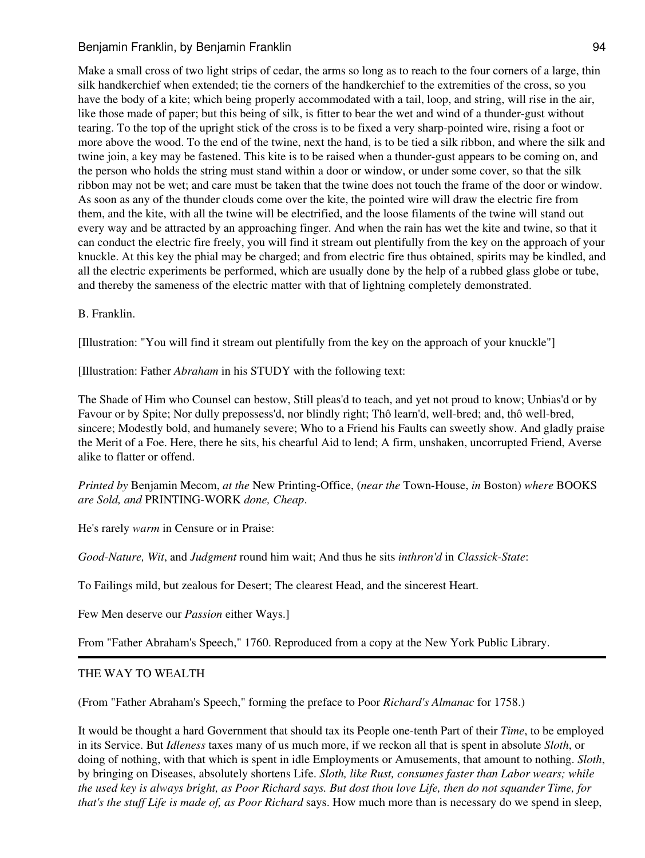Make a small cross of two light strips of cedar, the arms so long as to reach to the four corners of a large, thin silk handkerchief when extended; tie the corners of the handkerchief to the extremities of the cross, so you have the body of a kite; which being properly accommodated with a tail, loop, and string, will rise in the air, like those made of paper; but this being of silk, is fitter to bear the wet and wind of a thunder-gust without tearing. To the top of the upright stick of the cross is to be fixed a very sharp-pointed wire, rising a foot or more above the wood. To the end of the twine, next the hand, is to be tied a silk ribbon, and where the silk and twine join, a key may be fastened. This kite is to be raised when a thunder-gust appears to be coming on, and the person who holds the string must stand within a door or window, or under some cover, so that the silk ribbon may not be wet; and care must be taken that the twine does not touch the frame of the door or window. As soon as any of the thunder clouds come over the kite, the pointed wire will draw the electric fire from them, and the kite, with all the twine will be electrified, and the loose filaments of the twine will stand out every way and be attracted by an approaching finger. And when the rain has wet the kite and twine, so that it can conduct the electric fire freely, you will find it stream out plentifully from the key on the approach of your knuckle. At this key the phial may be charged; and from electric fire thus obtained, spirits may be kindled, and all the electric experiments be performed, which are usually done by the help of a rubbed glass globe or tube, and thereby the sameness of the electric matter with that of lightning completely demonstrated.

B. Franklin.

[Illustration: "You will find it stream out plentifully from the key on the approach of your knuckle"]

[Illustration: Father *Abraham* in his STUDY with the following text:

The Shade of Him who Counsel can bestow, Still pleas'd to teach, and yet not proud to know; Unbias'd or by Favour or by Spite; Nor dully prepossess'd, nor blindly right; Thô learn'd, well-bred; and, thô well-bred, sincere; Modestly bold, and humanely severe; Who to a Friend his Faults can sweetly show. And gladly praise the Merit of a Foe. Here, there he sits, his chearful Aid to lend; A firm, unshaken, uncorrupted Friend, Averse alike to flatter or offend.

*Printed by* Benjamin Mecom, *at the* New Printing-Office, (*near the* Town-House, *in* Boston) *where* BOOKS *are Sold, and* PRINTING-WORK *done, Cheap*.

He's rarely *warm* in Censure or in Praise:

*Good-Nature, Wit*, and *Judgment* round him wait; And thus he sits *inthron'd* in *Classick-State*:

To Failings mild, but zealous for Desert; The clearest Head, and the sincerest Heart.

Few Men deserve our *Passion* either Ways.]

From "Father Abraham's Speech," 1760. Reproduced from a copy at the New York Public Library.

# THE WAY TO WEALTH

(From "Father Abraham's Speech," forming the preface to Poor *Richard's Almanac* for 1758.)

It would be thought a hard Government that should tax its People one-tenth Part of their *Time*, to be employed in its Service. But *Idleness* taxes many of us much more, if we reckon all that is spent in absolute *Sloth*, or doing of nothing, with that which is spent in idle Employments or Amusements, that amount to nothing. *Sloth*, by bringing on Diseases, absolutely shortens Life. *Sloth, like Rust, consumes faster than Labor wears; while the used key is always bright, as Poor Richard says. But dost thou love Life, then do not squander Time, for that's the stuff Life is made of, as Poor Richard* says. How much more than is necessary do we spend in sleep,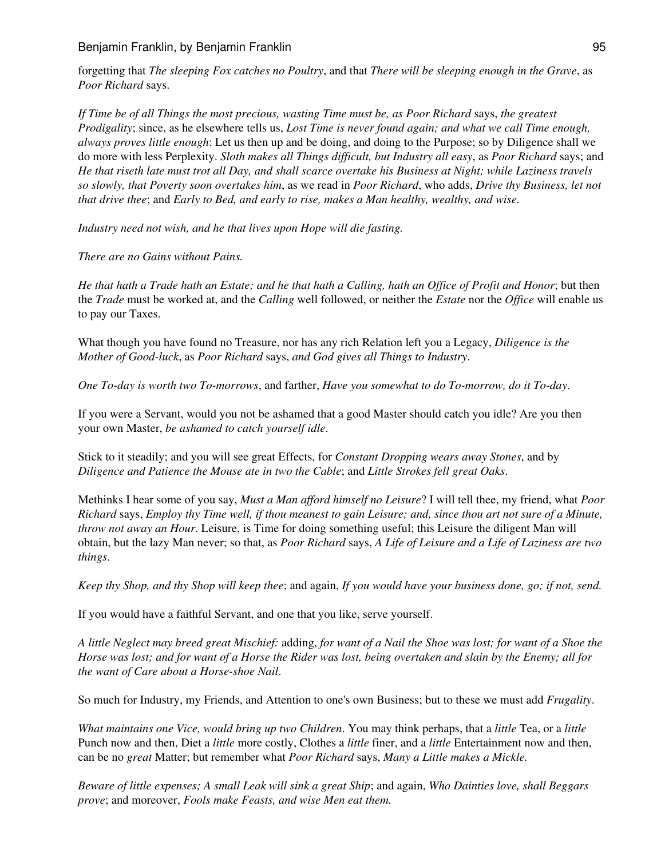forgetting that *The sleeping Fox catches no Poultry*, and that *There will be sleeping enough in the Grave*, as *Poor Richard* says.

*If Time be of all Things the most precious, wasting Time must be, as Poor Richard* says, *the greatest Prodigality*; since, as he elsewhere tells us, *Lost Time is never found again; and what we call Time enough, always proves little enough*: Let us then up and be doing, and doing to the Purpose; so by Diligence shall we do more with less Perplexity. *Sloth makes all Things difficult, but Industry all easy*, as *Poor Richard* says; and *He that riseth late must trot all Day, and shall scarce overtake his Business at Night; while Laziness travels so slowly, that Poverty soon overtakes him*, as we read in *Poor Richard*, who adds, *Drive thy Business, let not that drive thee*; and *Early to Bed, and early to rise, makes a Man healthy, wealthy, and wise.*

*Industry need not wish, and he that lives upon Hope will die fasting.*

*There are no Gains without Pains.*

*He that hath a Trade hath an Estate; and he that hath a Calling, hath an Office of Profit and Honor*; but then the *Trade* must be worked at, and the *Calling* well followed, or neither the *Estate* nor the *Office* will enable us to pay our Taxes.

What though you have found no Treasure, nor has any rich Relation left you a Legacy, *Diligence is the Mother of Good-luck*, as *Poor Richard* says, *and God gives all Things to Industry*.

*One To-day is worth two To-morrows*, and farther, *Have you somewhat to do To-morrow, do it To-day*.

If you were a Servant, would you not be ashamed that a good Master should catch you idle? Are you then your own Master, *be ashamed to catch yourself idle*.

Stick to it steadily; and you will see great Effects, for *Constant Dropping wears away Stones*, and by *Diligence and Patience the Mouse ate in two the Cable*; and *Little Strokes fell great Oaks*.

Methinks I hear some of you say, *Must a Man afford himself no Leisure*? I will tell thee, my friend, what *Poor Richard* says, *Employ thy Time well, if thou meanest to gain Leisure; and, since thou art not sure of a Minute, throw not away an Hour*. Leisure, is Time for doing something useful; this Leisure the diligent Man will obtain, but the lazy Man never; so that, as *Poor Richard* says, *A Life of Leisure and a Life of Laziness are two things*.

*Keep thy Shop, and thy Shop will keep thee*; and again, *If you would have your business done, go; if not, send.*

If you would have a faithful Servant, and one that you like, serve yourself.

*A little Neglect may breed great Mischief:* adding, *for want of a Nail the Shoe was lost; for want of a Shoe the Horse was lost; and for want of a Horse the Rider was lost, being overtaken and slain by the Enemy; all for the want of Care about a Horse-shoe Nail*.

So much for Industry, my Friends, and Attention to one's own Business; but to these we must add *Frugality*.

*What maintains one Vice, would bring up two Children*. You may think perhaps, that a *little* Tea, or a *little* Punch now and then, Diet a *little* more costly, Clothes a *little* finer, and a *little* Entertainment now and then, can be no *great* Matter; but remember what *Poor Richard* says, *Many a Little makes a Mickle.*

*Beware of little expenses; A small Leak will sink a great Ship*; and again, *Who Dainties love, shall Beggars prove*; and moreover, *Fools make Feasts, and wise Men eat them.*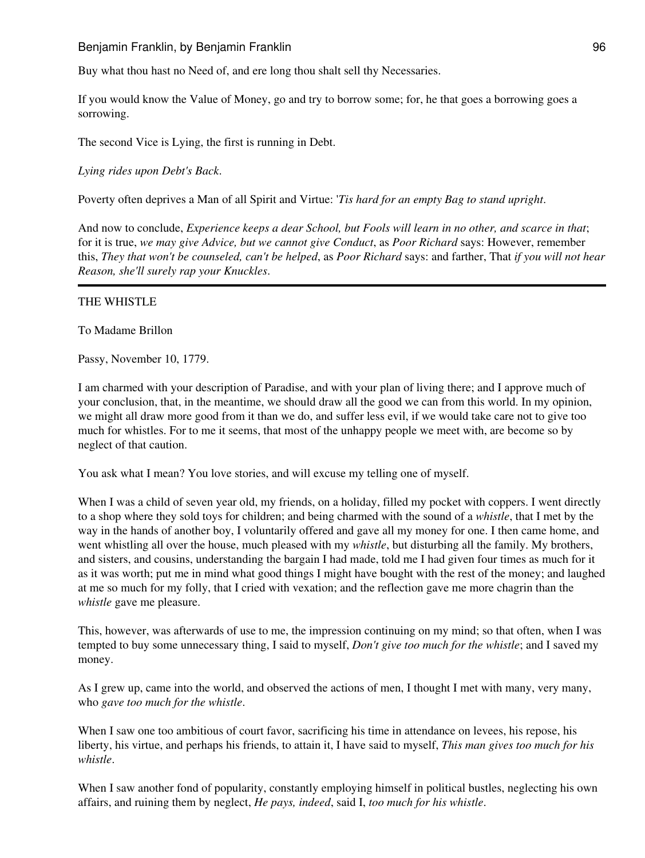Buy what thou hast no Need of, and ere long thou shalt sell thy Necessaries.

If you would know the Value of Money, go and try to borrow some; for, he that goes a borrowing goes a sorrowing.

The second Vice is Lying, the first is running in Debt.

*Lying rides upon Debt's Back*.

Poverty often deprives a Man of all Spirit and Virtue: '*Tis hard for an empty Bag to stand upright*.

And now to conclude, *Experience keeps a dear School, but Fools will learn in no other, and scarce in that*; for it is true, *we may give Advice, but we cannot give Conduct*, as *Poor Richard* says: However, remember this, *They that won't be counseled, can't be helped*, as *Poor Richard* says: and farther, That *if you will not hear Reason, she'll surely rap your Knuckles*.

### THE WHISTLE

To Madame Brillon

Passy, November 10, 1779.

I am charmed with your description of Paradise, and with your plan of living there; and I approve much of your conclusion, that, in the meantime, we should draw all the good we can from this world. In my opinion, we might all draw more good from it than we do, and suffer less evil, if we would take care not to give too much for whistles. For to me it seems, that most of the unhappy people we meet with, are become so by neglect of that caution.

You ask what I mean? You love stories, and will excuse my telling one of myself.

When I was a child of seven year old, my friends, on a holiday, filled my pocket with coppers. I went directly to a shop where they sold toys for children; and being charmed with the sound of a *whistle*, that I met by the way in the hands of another boy, I voluntarily offered and gave all my money for one. I then came home, and went whistling all over the house, much pleased with my *whistle*, but disturbing all the family. My brothers, and sisters, and cousins, understanding the bargain I had made, told me I had given four times as much for it as it was worth; put me in mind what good things I might have bought with the rest of the money; and laughed at me so much for my folly, that I cried with vexation; and the reflection gave me more chagrin than the *whistle* gave me pleasure.

This, however, was afterwards of use to me, the impression continuing on my mind; so that often, when I was tempted to buy some unnecessary thing, I said to myself, *Don't give too much for the whistle*; and I saved my money.

As I grew up, came into the world, and observed the actions of men, I thought I met with many, very many, who *gave too much for the whistle*.

When I saw one too ambitious of court favor, sacrificing his time in attendance on levees, his repose, his liberty, his virtue, and perhaps his friends, to attain it, I have said to myself, *This man gives too much for his whistle*.

When I saw another fond of popularity, constantly employing himself in political bustles, neglecting his own affairs, and ruining them by neglect, *He pays, indeed*, said I, *too much for his whistle*.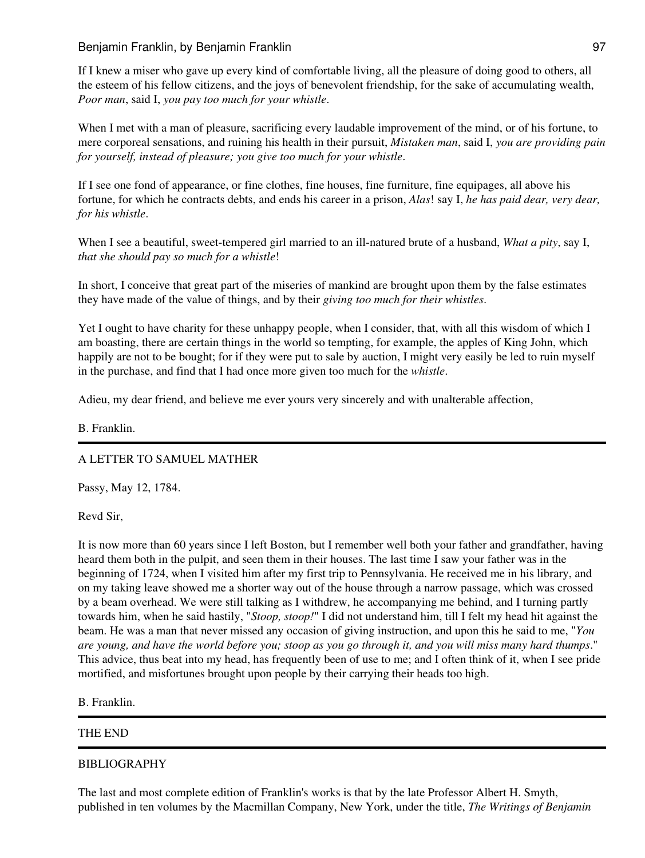If I knew a miser who gave up every kind of comfortable living, all the pleasure of doing good to others, all the esteem of his fellow citizens, and the joys of benevolent friendship, for the sake of accumulating wealth, *Poor man*, said I, *you pay too much for your whistle*.

When I met with a man of pleasure, sacrificing every laudable improvement of the mind, or of his fortune, to mere corporeal sensations, and ruining his health in their pursuit, *Mistaken man*, said I, *you are providing pain for yourself, instead of pleasure; you give too much for your whistle*.

If I see one fond of appearance, or fine clothes, fine houses, fine furniture, fine equipages, all above his fortune, for which he contracts debts, and ends his career in a prison, *Alas*! say I, *he has paid dear, very dear, for his whistle*.

When I see a beautiful, sweet-tempered girl married to an ill-natured brute of a husband, *What a pity*, say I, *that she should pay so much for a whistle*!

In short, I conceive that great part of the miseries of mankind are brought upon them by the false estimates they have made of the value of things, and by their *giving too much for their whistles*.

Yet I ought to have charity for these unhappy people, when I consider, that, with all this wisdom of which I am boasting, there are certain things in the world so tempting, for example, the apples of King John, which happily are not to be bought; for if they were put to sale by auction, I might very easily be led to ruin myself in the purchase, and find that I had once more given too much for the *whistle*.

Adieu, my dear friend, and believe me ever yours very sincerely and with unalterable affection,

### B. Franklin.

# A LETTER TO SAMUEL MATHER

Passy, May 12, 1784.

Revd Sir,

It is now more than 60 years since I left Boston, but I remember well both your father and grandfather, having heard them both in the pulpit, and seen them in their houses. The last time I saw your father was in the beginning of 1724, when I visited him after my first trip to Pennsylvania. He received me in his library, and on my taking leave showed me a shorter way out of the house through a narrow passage, which was crossed by a beam overhead. We were still talking as I withdrew, he accompanying me behind, and I turning partly towards him, when he said hastily, "*Stoop, stoop!*" I did not understand him, till I felt my head hit against the beam. He was a man that never missed any occasion of giving instruction, and upon this he said to me, "*You are young, and have the world before you; stoop as you go through it, and you will miss many hard thumps*." This advice, thus beat into my head, has frequently been of use to me; and I often think of it, when I see pride mortified, and misfortunes brought upon people by their carrying their heads too high.

B. Franklin.

# THE END

#### BIBLIOGRAPHY

The last and most complete edition of Franklin's works is that by the late Professor Albert H. Smyth, published in ten volumes by the Macmillan Company, New York, under the title, *The Writings of Benjamin*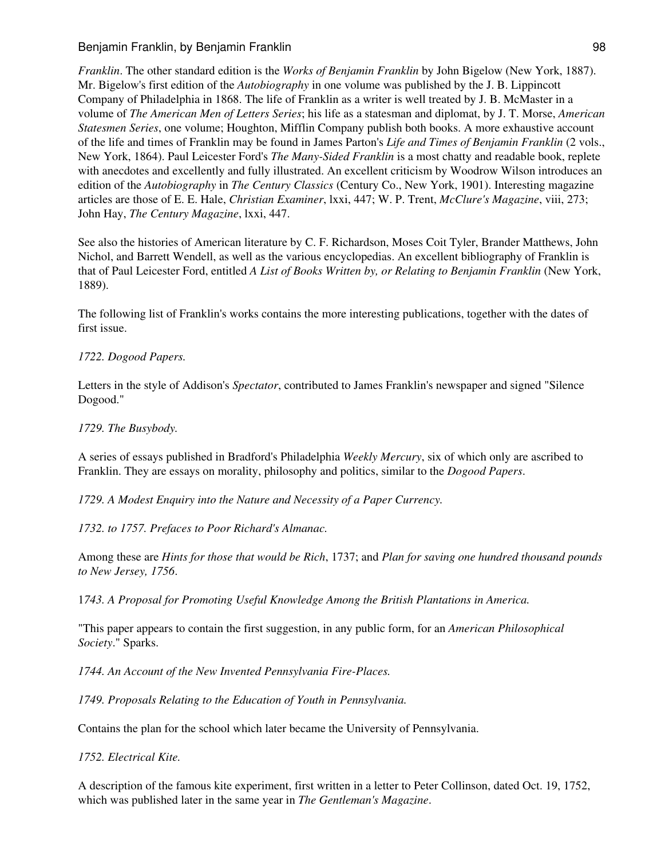Benjamin Franklin, by Benjamin Franklin **Example 1988** 98

*Franklin*. The other standard edition is the *Works of Benjamin Franklin* by John Bigelow (New York, 1887). Mr. Bigelow's first edition of the *Autobiography* in one volume was published by the J. B. Lippincott Company of Philadelphia in 1868. The life of Franklin as a writer is well treated by J. B. McMaster in a volume of *The American Men of Letters Series*; his life as a statesman and diplomat, by J. T. Morse, *American Statesmen Series*, one volume; Houghton, Mifflin Company publish both books. A more exhaustive account of the life and times of Franklin may be found in James Parton's *Life and Times of Benjamin Franklin* (2 vols., New York, 1864). Paul Leicester Ford's *The Many-Sided Franklin* is a most chatty and readable book, replete with anecdotes and excellently and fully illustrated. An excellent criticism by Woodrow Wilson introduces an edition of the *Autobiography* in *The Century Classics* (Century Co., New York, 1901). Interesting magazine articles are those of E. E. Hale, *Christian Examiner*, lxxi, 447; W. P. Trent, *McClure's Magazine*, viii, 273; John Hay, *The Century Magazine*, lxxi, 447.

See also the histories of American literature by C. F. Richardson, Moses Coit Tyler, Brander Matthews, John Nichol, and Barrett Wendell, as well as the various encyclopedias. An excellent bibliography of Franklin is that of Paul Leicester Ford, entitled *A List of Books Written by, or Relating to Benjamin Franklin* (New York, 1889).

The following list of Franklin's works contains the more interesting publications, together with the dates of first issue.

### *1722. Dogood Papers.*

Letters in the style of Addison's *Spectator*, contributed to James Franklin's newspaper and signed "Silence Dogood."

*1729. The Busybody.*

A series of essays published in Bradford's Philadelphia *Weekly Mercury*, six of which only are ascribed to Franklin. They are essays on morality, philosophy and politics, similar to the *Dogood Papers*.

*1729. A Modest Enquiry into the Nature and Necessity of a Paper Currency.*

*1732. to 1757. Prefaces to Poor Richard's Almanac.*

Among these are *Hints for those that would be Rich*, 1737; and *Plan for saving one hundred thousand pounds to New Jersey, 1756*.

1*743. A Proposal for Promoting Useful Knowledge Among the British Plantations in America.*

"This paper appears to contain the first suggestion, in any public form, for an *American Philosophical Society*." Sparks.

*1744. An Account of the New Invented Pennsylvania Fire-Places.*

*1749. Proposals Relating to the Education of Youth in Pennsylvania.*

Contains the plan for the school which later became the University of Pennsylvania.

*1752. Electrical Kite.*

A description of the famous kite experiment, first written in a letter to Peter Collinson, dated Oct. 19, 1752, which was published later in the same year in *The Gentleman's Magazine*.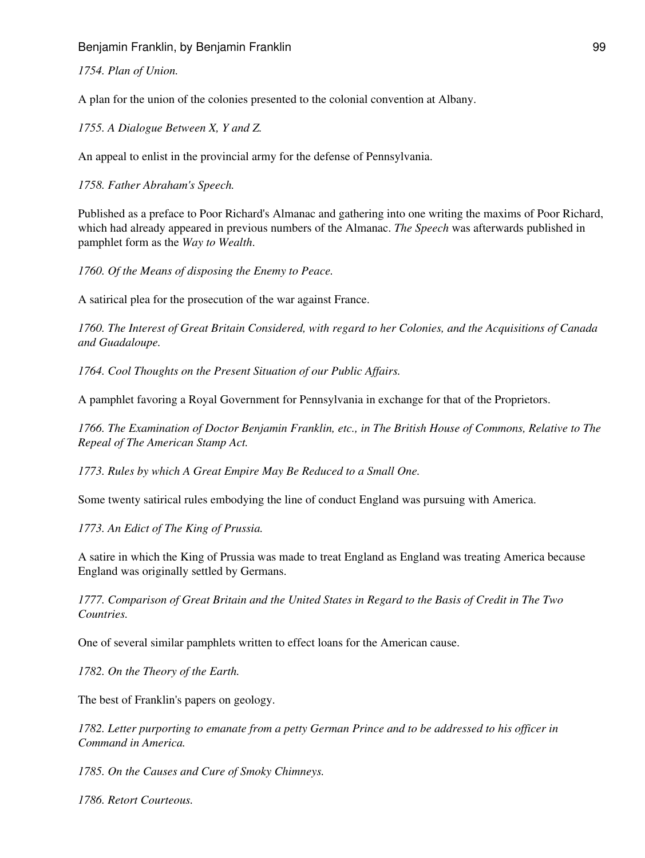Benjamin Franklin, by Benjamin Franklin **Example 1998** Senjamin Pranchin 99

*1754. Plan of Union.*

A plan for the union of the colonies presented to the colonial convention at Albany.

*1755. A Dialogue Between X, Y and Z.*

An appeal to enlist in the provincial army for the defense of Pennsylvania.

*1758. Father Abraham's Speech.*

Published as a preface to Poor Richard's Almanac and gathering into one writing the maxims of Poor Richard, which had already appeared in previous numbers of the Almanac. *The Speech* was afterwards published in pamphlet form as the *Way to Wealth*.

*1760. Of the Means of disposing the Enemy to Peace.*

A satirical plea for the prosecution of the war against France.

*1760. The Interest of Great Britain Considered, with regard to her Colonies, and the Acquisitions of Canada and Guadaloupe.*

*1764. Cool Thoughts on the Present Situation of our Public Affairs.*

A pamphlet favoring a Royal Government for Pennsylvania in exchange for that of the Proprietors.

*1766. The Examination of Doctor Benjamin Franklin, etc., in The British House of Commons, Relative to The Repeal of The American Stamp Act.*

*1773. Rules by which A Great Empire May Be Reduced to a Small One.*

Some twenty satirical rules embodying the line of conduct England was pursuing with America.

*1773. An Edict of The King of Prussia.*

A satire in which the King of Prussia was made to treat England as England was treating America because England was originally settled by Germans.

*1777. Comparison of Great Britain and the United States in Regard to the Basis of Credit in The Two Countries.*

One of several similar pamphlets written to effect loans for the American cause.

*1782. On the Theory of the Earth.*

The best of Franklin's papers on geology.

*1782. Letter purporting to emanate from a petty German Prince and to be addressed to his officer in Command in America.*

*1785. On the Causes and Cure of Smoky Chimneys.*

*1786. Retort Courteous.*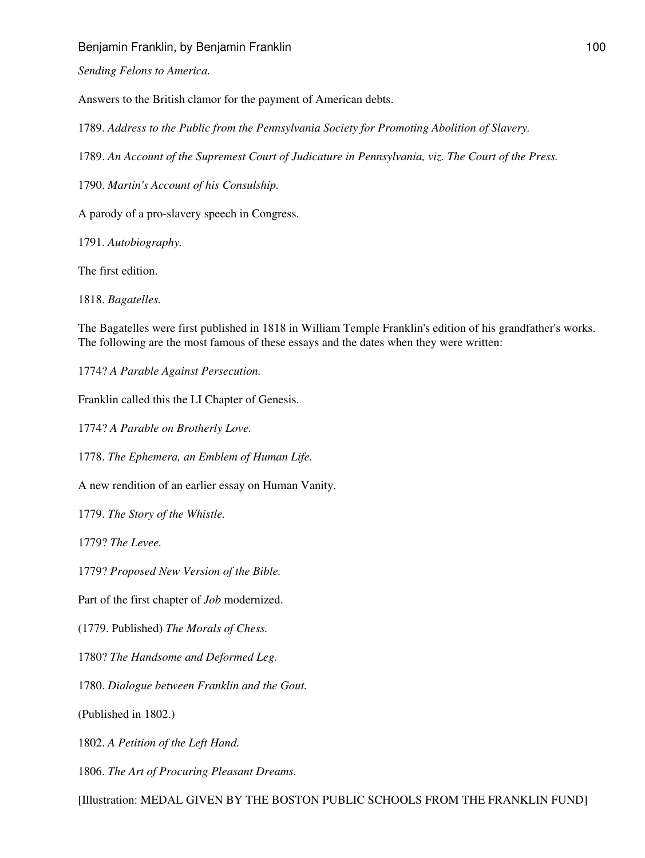*Sending Felons to America.*

Answers to the British clamor for the payment of American debts.

1789. *Address to the Public from the Pennsylvania Society for Promoting Abolition of Slavery.*

1789. *An Account of the Supremest Court of Judicature in Pennsylvania, viz. The Court of the Press.*

1790. *Martin's Account of his Consulship.*

A parody of a pro-slavery speech in Congress.

1791. *Autobiography.*

The first edition.

1818. *Bagatelles.*

The Bagatelles were first published in 1818 in William Temple Franklin's edition of his grandfather's works. The following are the most famous of these essays and the dates when they were written:

1774? *A Parable Against Persecution.*

Franklin called this the LI Chapter of Genesis.

1774? *A Parable on Brotherly Love.*

1778. *The Ephemera, an Emblem of Human Life.*

A new rendition of an earlier essay on Human Vanity.

1779. *The Story of the Whistle.*

1779? *The Levee.*

1779? *Proposed New Version of the Bible.*

Part of the first chapter of *Job* modernized.

(1779. Published) *The Morals of Chess.*

1780? *The Handsome and Deformed Leg.*

1780. *Dialogue between Franklin and the Gout.*

(Published in 1802.)

1802. *A Petition of the Left Hand.*

1806. *The Art of Procuring Pleasant Dreams.*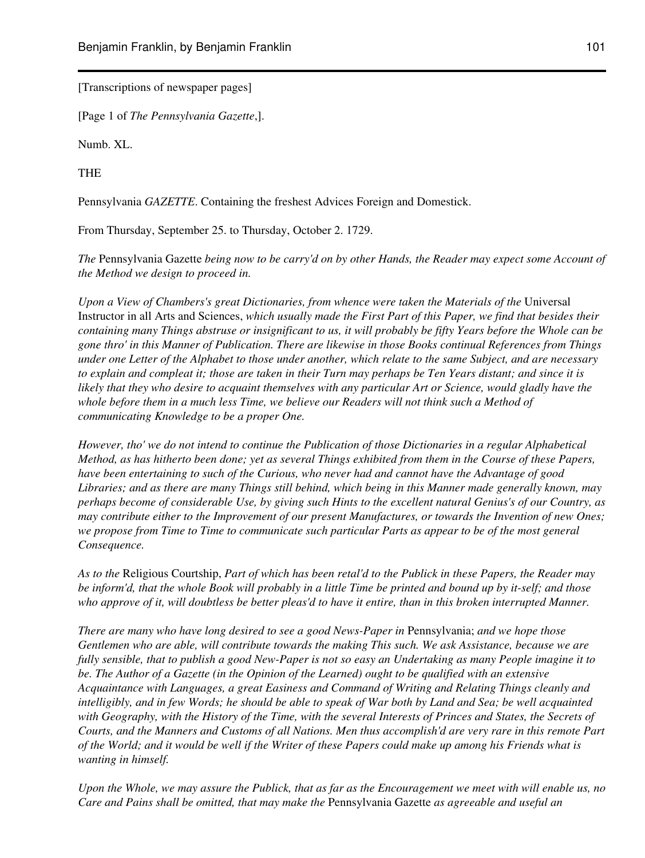[Transcriptions of newspaper pages]

[Page 1 of *The Pennsylvania Gazette*,].

Numb. XL.

THE

Pennsylvania *GAZETTE*. Containing the freshest Advices Foreign and Domestick.

From Thursday, September 25. to Thursday, October 2. 1729.

*The* Pennsylvania Gazette *being now to be carry'd on by other Hands, the Reader may expect some Account of the Method we design to proceed in.*

*Upon a View of Chambers's great Dictionaries, from whence were taken the Materials of the* Universal Instructor in all Arts and Sciences, *which usually made the First Part of this Paper, we find that besides their containing many Things abstruse or insignificant to us, it will probably be fifty Years before the Whole can be gone thro' in this Manner of Publication. There are likewise in those Books continual References from Things under one Letter of the Alphabet to those under another, which relate to the same Subject, and are necessary to explain and compleat it; those are taken in their Turn may perhaps be Ten Years distant; and since it is likely that they who desire to acquaint themselves with any particular Art or Science, would gladly have the whole before them in a much less Time, we believe our Readers will not think such a Method of communicating Knowledge to be a proper One.*

*However, tho' we do not intend to continue the Publication of those Dictionaries in a regular Alphabetical Method, as has hitherto been done; yet as several Things exhibited from them in the Course of these Papers, have been entertaining to such of the Curious, who never had and cannot have the Advantage of good Libraries; and as there are many Things still behind, which being in this Manner made generally known, may perhaps become of considerable Use, by giving such Hints to the excellent natural Genius's of our Country, as may contribute either to the Improvement of our present Manufactures, or towards the Invention of new Ones; we propose from Time to Time to communicate such particular Parts as appear to be of the most general Consequence.*

*As to the* Religious Courtship, *Part of which has been retal'd to the Publick in these Papers, the Reader may be inform'd, that the whole Book will probably in a little Time be printed and bound up by it-self; and those who approve of it, will doubtless be better pleas'd to have it entire, than in this broken interrupted Manner.*

*There are many who have long desired to see a good News-Paper in* Pennsylvania; *and we hope those Gentlemen who are able, will contribute towards the making This such. We ask Assistance, because we are fully sensible, that to publish a good New-Paper is not so easy an Undertaking as many People imagine it to be. The Author of a Gazette (in the Opinion of the Learned) ought to be qualified with an extensive Acquaintance with Languages, a great Easiness and Command of Writing and Relating Things cleanly and intelligibly, and in few Words; he should be able to speak of War both by Land and Sea; be well acquainted with Geography, with the History of the Time, with the several Interests of Princes and States, the Secrets of Courts, and the Manners and Customs of all Nations. Men thus accomplish'd are very rare in this remote Part of the World; and it would be well if the Writer of these Papers could make up among his Friends what is wanting in himself.*

*Upon the Whole, we may assure the Publick, that as far as the Encouragement we meet with will enable us, no Care and Pains shall be omitted, that may make the* Pennsylvania Gazette *as agreeable and useful an*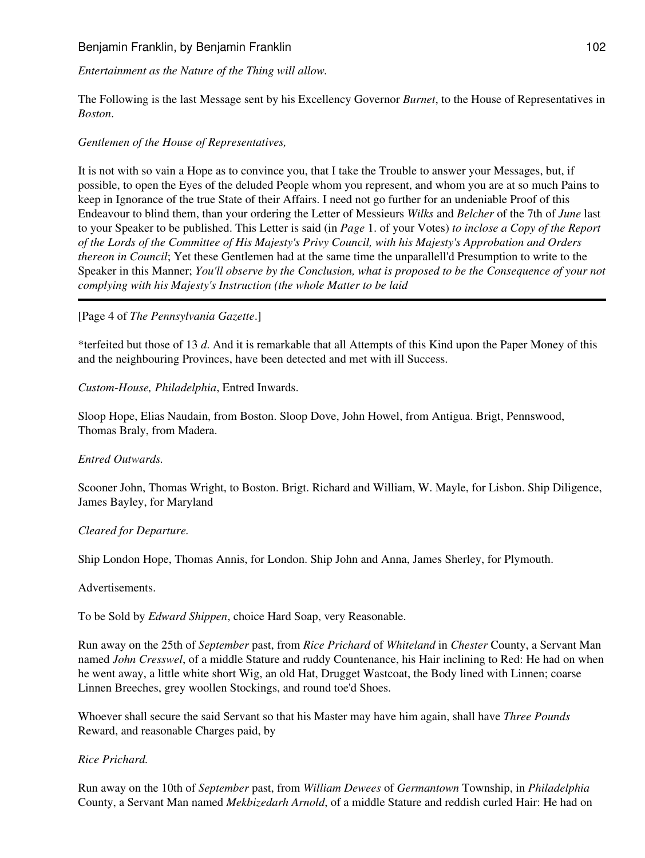*Entertainment as the Nature of the Thing will allow.*

The Following is the last Message sent by his Excellency Governor *Burnet*, to the House of Representatives in *Boston*.

### *Gentlemen of the House of Representatives,*

It is not with so vain a Hope as to convince you, that I take the Trouble to answer your Messages, but, if possible, to open the Eyes of the deluded People whom you represent, and whom you are at so much Pains to keep in Ignorance of the true State of their Affairs. I need not go further for an undeniable Proof of this Endeavour to blind them, than your ordering the Letter of Messieurs *Wilks* and *Belcher* of the 7th of *June* last to your Speaker to be published. This Letter is said (in *Page* 1. of your Votes) *to inclose a Copy of the Report of the Lords of the Committee of His Majesty's Privy Council, with his Majesty's Approbation and Orders thereon in Council*; Yet these Gentlemen had at the same time the unparallell'd Presumption to write to the Speaker in this Manner; *You'll observe by the Conclusion, what is proposed to be the Consequence of your not complying with his Majesty's Instruction (the whole Matter to be laid*

### [Page 4 of *The Pennsylvania Gazette*.]

\*terfeited but those of 13 *d*. And it is remarkable that all Attempts of this Kind upon the Paper Money of this and the neighbouring Provinces, have been detected and met with ill Success.

*Custom-House, Philadelphia*, Entred Inwards.

Sloop Hope, Elias Naudain, from Boston. Sloop Dove, John Howel, from Antigua. Brigt, Pennswood, Thomas Braly, from Madera.

#### *Entred Outwards.*

Scooner John, Thomas Wright, to Boston. Brigt. Richard and William, W. Mayle, for Lisbon. Ship Diligence, James Bayley, for Maryland

#### *Cleared for Departure.*

Ship London Hope, Thomas Annis, for London. Ship John and Anna, James Sherley, for Plymouth.

#### Advertisements.

To be Sold by *Edward Shippen*, choice Hard Soap, very Reasonable.

Run away on the 25th of *September* past, from *Rice Prichard* of *Whiteland* in *Chester* County, a Servant Man named *John Cresswel*, of a middle Stature and ruddy Countenance, his Hair inclining to Red: He had on when he went away, a little white short Wig, an old Hat, Drugget Wastcoat, the Body lined with Linnen; coarse Linnen Breeches, grey woollen Stockings, and round toe'd Shoes.

Whoever shall secure the said Servant so that his Master may have him again, shall have *Three Pounds* Reward, and reasonable Charges paid, by

#### *Rice Prichard.*

Run away on the 10th of *September* past, from *William Dewees* of *Germantown* Township, in *Philadelphia* County, a Servant Man named *Mekbizedarh Arnold*, of a middle Stature and reddish curled Hair: He had on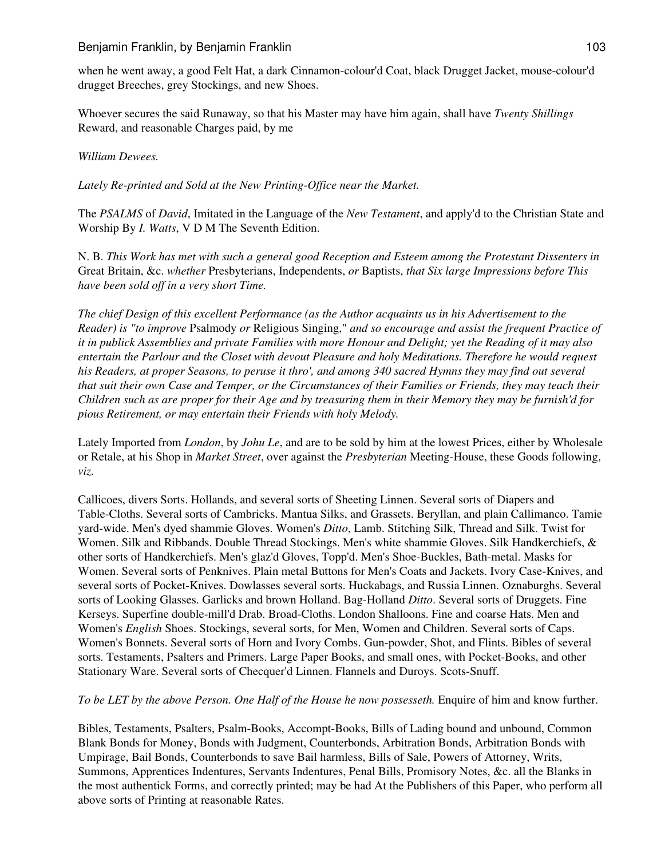when he went away, a good Felt Hat, a dark Cinnamon-colour'd Coat, black Drugget Jacket, mouse-colour'd drugget Breeches, grey Stockings, and new Shoes.

Whoever secures the said Runaway, so that his Master may have him again, shall have *Twenty Shillings* Reward, and reasonable Charges paid, by me

### *William Dewees.*

*Lately Re-printed and Sold at the New Printing-Office near the Market.*

The *PSALMS* of *David*, Imitated in the Language of the *New Testament*, and apply'd to the Christian State and Worship By *I. Watts*, V D M The Seventh Edition.

N. B. *This Work has met with such a general good Reception and Esteem among the Protestant Dissenters in* Great Britain, &c. *whether* Presbyterians, Independents, *or* Baptists, *that Six large Impressions before This have been sold off in a very short Time.*

*The chief Design of this excellent Performance (as the Author acquaints us in his Advertisement to the Reader) is "to improve* Psalmody *or* Religious Singing," *and so encourage and assist the frequent Practice of it in publick Assemblies and private Families with more Honour and Delight; yet the Reading of it may also entertain the Parlour and the Closet with devout Pleasure and holy Meditations. Therefore he would request his Readers, at proper Seasons, to peruse it thro', and among 340 sacred Hymns they may find out several that suit their own Case and Temper, or the Circumstances of their Families or Friends, they may teach their Children such as are proper for their Age and by treasuring them in their Memory they may be furnish'd for pious Retirement, or may entertain their Friends with holy Melody.*

Lately Imported from *London*, by *Johu Le*, and are to be sold by him at the lowest Prices, either by Wholesale or Retale, at his Shop in *Market Street*, over against the *Presbyterian* Meeting-House, these Goods following, *viz.*

Callicoes, divers Sorts. Hollands, and several sorts of Sheeting Linnen. Several sorts of Diapers and Table-Cloths. Several sorts of Cambricks. Mantua Silks, and Grassets. Beryllan, and plain Callimanco. Tamie yard-wide. Men's dyed shammie Gloves. Women's *Ditto*, Lamb. Stitching Silk, Thread and Silk. Twist for Women. Silk and Ribbands. Double Thread Stockings. Men's white shammie Gloves. Silk Handkerchiefs, & other sorts of Handkerchiefs. Men's glaz'd Gloves, Topp'd. Men's Shoe-Buckles, Bath-metal. Masks for Women. Several sorts of Penknives. Plain metal Buttons for Men's Coats and Jackets. Ivory Case-Knives, and several sorts of Pocket-Knives. Dowlasses several sorts. Huckabags, and Russia Linnen. Oznaburghs. Several sorts of Looking Glasses. Garlicks and brown Holland. Bag-Holland *Ditto*. Several sorts of Druggets. Fine Kerseys. Superfine double-mill'd Drab. Broad-Cloths. London Shalloons. Fine and coarse Hats. Men and Women's *English* Shoes. Stockings, several sorts, for Men, Women and Children. Several sorts of Caps. Women's Bonnets. Several sorts of Horn and Ivory Combs. Gun-powder, Shot, and Flints. Bibles of several sorts. Testaments, Psalters and Primers. Large Paper Books, and small ones, with Pocket-Books, and other Stationary Ware. Several sorts of Checquer'd Linnen. Flannels and Duroys. Scots-Snuff.

# *To be LET by the above Person. One Half of the House he now possesseth.* Enquire of him and know further.

Bibles, Testaments, Psalters, Psalm-Books, Accompt-Books, Bills of Lading bound and unbound, Common Blank Bonds for Money, Bonds with Judgment, Counterbonds, Arbitration Bonds, Arbitration Bonds with Umpirage, Bail Bonds, Counterbonds to save Bail harmless, Bills of Sale, Powers of Attorney, Writs, Summons, Apprentices Indentures, Servants Indentures, Penal Bills, Promisory Notes, &c. all the Blanks in the most authentick Forms, and correctly printed; may be had At the Publishers of this Paper, who perform all above sorts of Printing at reasonable Rates.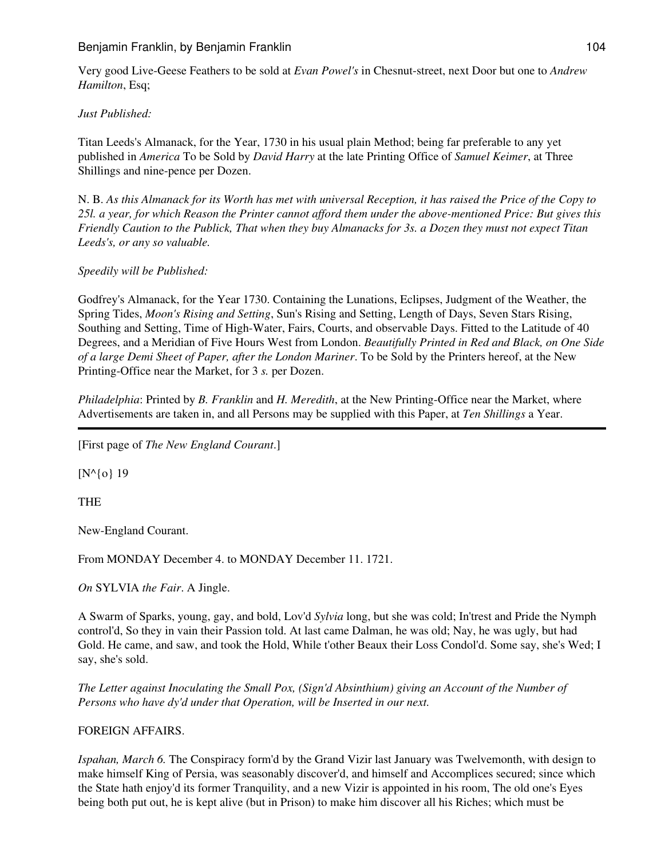Very good Live-Geese Feathers to be sold at *Evan Powel's* in Chesnut-street, next Door but one to *Andrew Hamilton*, Esq;

*Just Published:*

Titan Leeds's Almanack, for the Year, 1730 in his usual plain Method; being far preferable to any yet published in *America* To be Sold by *David Harry* at the late Printing Office of *Samuel Keimer*, at Three Shillings and nine-pence per Dozen.

N. B. *As this Almanack for its Worth has met with universal Reception, it has raised the Price of the Copy to 25l. a year, for which Reason the Printer cannot afford them under the above-mentioned Price: But gives this Friendly Caution to the Publick, That when they buy Almanacks for 3s. a Dozen they must not expect Titan Leeds's, or any so valuable.*

*Speedily will be Published:*

Godfrey's Almanack, for the Year 1730. Containing the Lunations, Eclipses, Judgment of the Weather, the Spring Tides, *Moon's Rising and Setting*, Sun's Rising and Setting, Length of Days, Seven Stars Rising, Southing and Setting, Time of High-Water, Fairs, Courts, and observable Days. Fitted to the Latitude of 40 Degrees, and a Meridian of Five Hours West from London. *Beautifully Printed in Red and Black, on One Side of a large Demi Sheet of Paper, after the London Mariner*. To be Sold by the Printers hereof, at the New Printing-Office near the Market, for 3 *s.* per Dozen.

*Philadelphia*: Printed by *B. Franklin* and *H. Meredith*, at the New Printing-Office near the Market, where Advertisements are taken in, and all Persons may be supplied with this Paper, at *Ten Shillings* a Year.

[First page of *The New England Courant*.]

[N^{0} 19

THE

New-England Courant.

From MONDAY December 4. to MONDAY December 11. 1721.

*On* SYLVIA *the Fair*. A Jingle.

A Swarm of Sparks, young, gay, and bold, Lov'd *Sylvia* long, but she was cold; In'trest and Pride the Nymph control'd, So they in vain their Passion told. At last came Dalman, he was old; Nay, he was ugly, but had Gold. He came, and saw, and took the Hold, While t'other Beaux their Loss Condol'd. Some say, she's Wed; I say, she's sold.

*The Letter against Inoculating the Small Pox, (Sign'd Absinthium) giving an Account of the Number of Persons who have dy'd under that Operation, will be Inserted in our next.*

FOREIGN AFFAIRS.

*Ispahan, March 6.* The Conspiracy form'd by the Grand Vizir last January was Twelvemonth, with design to make himself King of Persia, was seasonably discover'd, and himself and Accomplices secured; since which the State hath enjoy'd its former Tranquility, and a new Vizir is appointed in his room, The old one's Eyes being both put out, he is kept alive (but in Prison) to make him discover all his Riches; which must be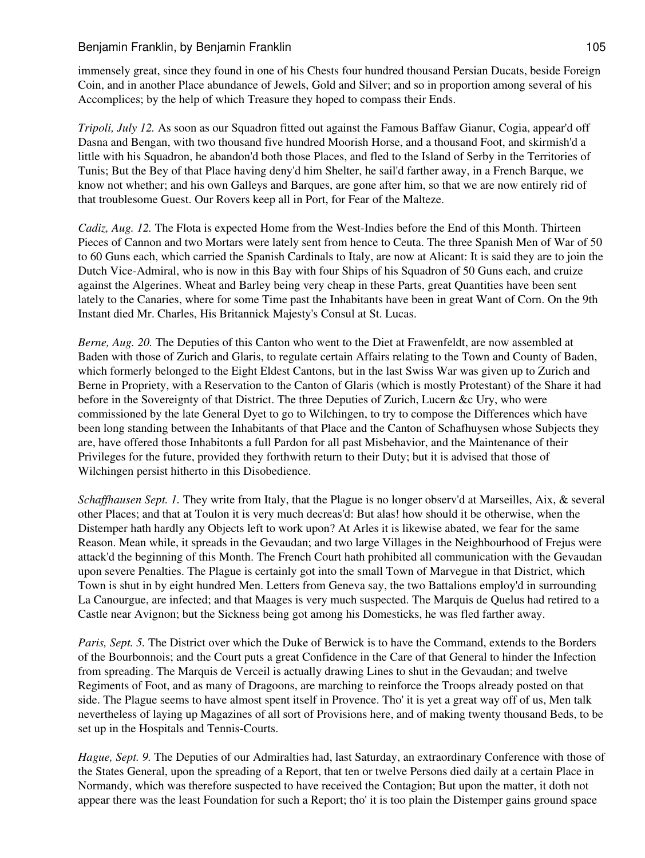immensely great, since they found in one of his Chests four hundred thousand Persian Ducats, beside Foreign Coin, and in another Place abundance of Jewels, Gold and Silver; and so in proportion among several of his Accomplices; by the help of which Treasure they hoped to compass their Ends.

*Tripoli, July 12.* As soon as our Squadron fitted out against the Famous Baffaw Gianur, Cogia, appear'd off Dasna and Bengan, with two thousand five hundred Moorish Horse, and a thousand Foot, and skirmish'd a little with his Squadron, he abandon'd both those Places, and fled to the Island of Serby in the Territories of Tunis; But the Bey of that Place having deny'd him Shelter, he sail'd farther away, in a French Barque, we know not whether; and his own Galleys and Barques, are gone after him, so that we are now entirely rid of that troublesome Guest. Our Rovers keep all in Port, for Fear of the Malteze.

*Cadiz, Aug. 12.* The Flota is expected Home from the West-Indies before the End of this Month. Thirteen Pieces of Cannon and two Mortars were lately sent from hence to Ceuta. The three Spanish Men of War of 50 to 60 Guns each, which carried the Spanish Cardinals to Italy, are now at Alicant: It is said they are to join the Dutch Vice-Admiral, who is now in this Bay with four Ships of his Squadron of 50 Guns each, and cruize against the Algerines. Wheat and Barley being very cheap in these Parts, great Quantities have been sent lately to the Canaries, where for some Time past the Inhabitants have been in great Want of Corn. On the 9th Instant died Mr. Charles, His Britannick Majesty's Consul at St. Lucas.

*Berne, Aug. 20.* The Deputies of this Canton who went to the Diet at Frawenfeldt, are now assembled at Baden with those of Zurich and Glaris, to regulate certain Affairs relating to the Town and County of Baden, which formerly belonged to the Eight Eldest Cantons, but in the last Swiss War was given up to Zurich and Berne in Propriety, with a Reservation to the Canton of Glaris (which is mostly Protestant) of the Share it had before in the Sovereignty of that District. The three Deputies of Zurich, Lucern &c Ury, who were commissioned by the late General Dyet to go to Wilchingen, to try to compose the Differences which have been long standing between the Inhabitants of that Place and the Canton of Schafhuysen whose Subjects they are, have offered those Inhabitonts a full Pardon for all past Misbehavior, and the Maintenance of their Privileges for the future, provided they forthwith return to their Duty; but it is advised that those of Wilchingen persist hitherto in this Disobedience.

*Schaffhausen Sept. 1.* They write from Italy, that the Plague is no longer observ'd at Marseilles, Aix, & several other Places; and that at Toulon it is very much decreas'd: But alas! how should it be otherwise, when the Distemper hath hardly any Objects left to work upon? At Arles it is likewise abated, we fear for the same Reason. Mean while, it spreads in the Gevaudan; and two large Villages in the Neighbourhood of Frejus were attack'd the beginning of this Month. The French Court hath prohibited all communication with the Gevaudan upon severe Penalties. The Plague is certainly got into the small Town of Marvegue in that District, which Town is shut in by eight hundred Men. Letters from Geneva say, the two Battalions employ'd in surrounding La Canourgue, are infected; and that Maages is very much suspected. The Marquis de Quelus had retired to a Castle near Avignon; but the Sickness being got among his Domesticks, he was fled farther away.

*Paris, Sept. 5.* The District over which the Duke of Berwick is to have the Command, extends to the Borders of the Bourbonnois; and the Court puts a great Confidence in the Care of that General to hinder the Infection from spreading. The Marquis de Verceil is actually drawing Lines to shut in the Gevaudan; and twelve Regiments of Foot, and as many of Dragoons, are marching to reinforce the Troops already posted on that side. The Plague seems to have almost spent itself in Provence. Tho' it is yet a great way off of us, Men talk nevertheless of laying up Magazines of all sort of Provisions here, and of making twenty thousand Beds, to be set up in the Hospitals and Tennis-Courts.

*Hague, Sept. 9.* The Deputies of our Admiralties had, last Saturday, an extraordinary Conference with those of the States General, upon the spreading of a Report, that ten or twelve Persons died daily at a certain Place in Normandy, which was therefore suspected to have received the Contagion; But upon the matter, it doth not appear there was the least Foundation for such a Report; tho' it is too plain the Distemper gains ground space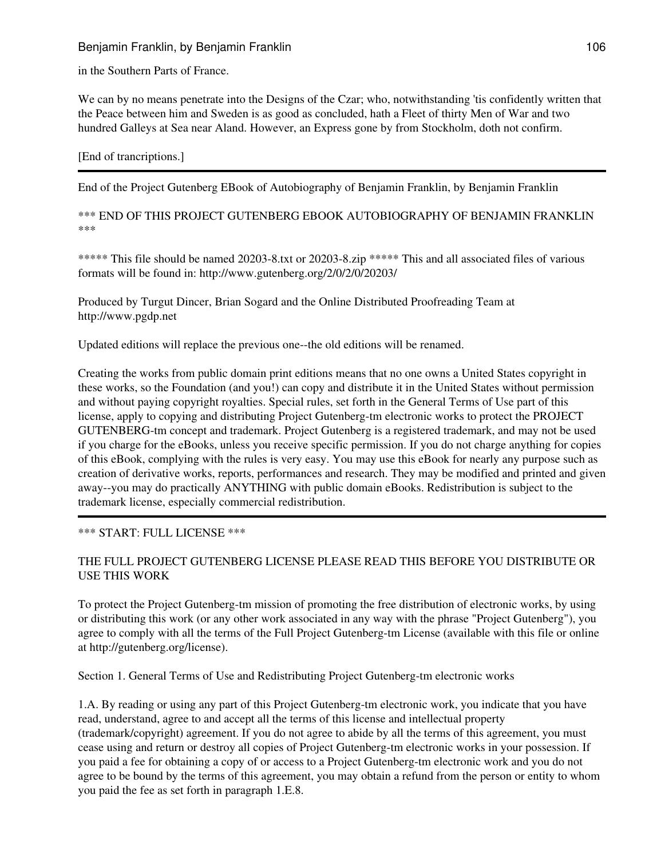in the Southern Parts of France.

We can by no means penetrate into the Designs of the Czar; who, notwithstanding 'tis confidently written that the Peace between him and Sweden is as good as concluded, hath a Fleet of thirty Men of War and two hundred Galleys at Sea near Aland. However, an Express gone by from Stockholm, doth not confirm.

[End of trancriptions.]

End of the Project Gutenberg EBook of Autobiography of Benjamin Franklin, by Benjamin Franklin

\*\*\* END OF THIS PROJECT GUTENBERG EBOOK AUTOBIOGRAPHY OF BENJAMIN FRANKLIN \*\*\*

\*\*\*\*\* This file should be named 20203-8.txt or 20203-8.zip \*\*\*\*\* This and all associated files of various formats will be found in: http://www.gutenberg.org/2/0/2/0/20203/

Produced by Turgut Dincer, Brian Sogard and the Online Distributed Proofreading Team at http://www.pgdp.net

Updated editions will replace the previous one--the old editions will be renamed.

Creating the works from public domain print editions means that no one owns a United States copyright in these works, so the Foundation (and you!) can copy and distribute it in the United States without permission and without paying copyright royalties. Special rules, set forth in the General Terms of Use part of this license, apply to copying and distributing Project Gutenberg-tm electronic works to protect the PROJECT GUTENBERG-tm concept and trademark. Project Gutenberg is a registered trademark, and may not be used if you charge for the eBooks, unless you receive specific permission. If you do not charge anything for copies of this eBook, complying with the rules is very easy. You may use this eBook for nearly any purpose such as creation of derivative works, reports, performances and research. They may be modified and printed and given away--you may do practically ANYTHING with public domain eBooks. Redistribution is subject to the trademark license, especially commercial redistribution.

# \*\*\* START: FULL LICENSE \*\*\*

# THE FULL PROJECT GUTENBERG LICENSE PLEASE READ THIS BEFORE YOU DISTRIBUTE OR USE THIS WORK

To protect the Project Gutenberg-tm mission of promoting the free distribution of electronic works, by using or distributing this work (or any other work associated in any way with the phrase "Project Gutenberg"), you agree to comply with all the terms of the Full Project Gutenberg-tm License (available with this file or online at http://gutenberg.org/license).

Section 1. General Terms of Use and Redistributing Project Gutenberg-tm electronic works

1.A. By reading or using any part of this Project Gutenberg-tm electronic work, you indicate that you have read, understand, agree to and accept all the terms of this license and intellectual property (trademark/copyright) agreement. If you do not agree to abide by all the terms of this agreement, you must cease using and return or destroy all copies of Project Gutenberg-tm electronic works in your possession. If you paid a fee for obtaining a copy of or access to a Project Gutenberg-tm electronic work and you do not agree to be bound by the terms of this agreement, you may obtain a refund from the person or entity to whom you paid the fee as set forth in paragraph 1.E.8.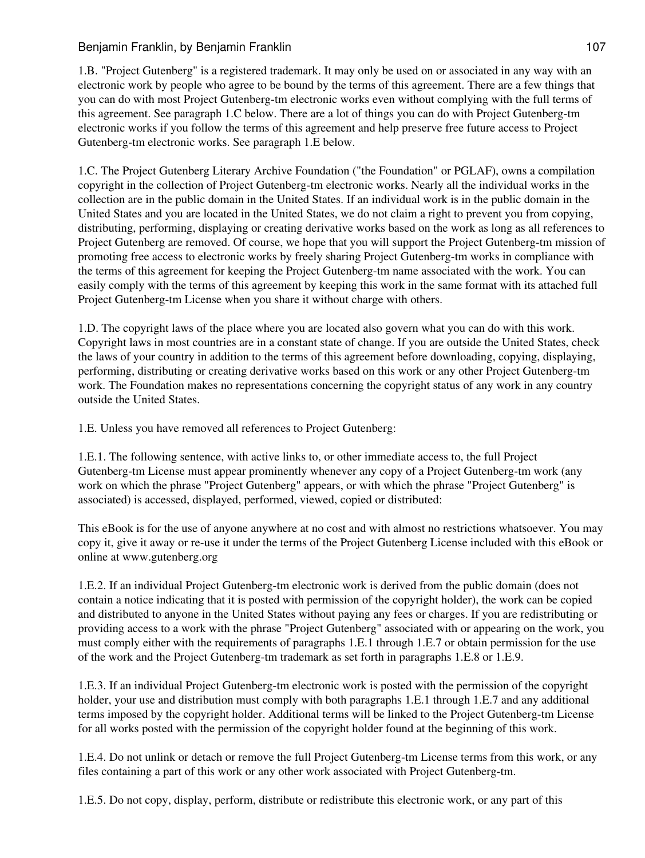1.B. "Project Gutenberg" is a registered trademark. It may only be used on or associated in any way with an electronic work by people who agree to be bound by the terms of this agreement. There are a few things that you can do with most Project Gutenberg-tm electronic works even without complying with the full terms of this agreement. See paragraph 1.C below. There are a lot of things you can do with Project Gutenberg-tm electronic works if you follow the terms of this agreement and help preserve free future access to Project Gutenberg-tm electronic works. See paragraph 1.E below.

1.C. The Project Gutenberg Literary Archive Foundation ("the Foundation" or PGLAF), owns a compilation copyright in the collection of Project Gutenberg-tm electronic works. Nearly all the individual works in the collection are in the public domain in the United States. If an individual work is in the public domain in the United States and you are located in the United States, we do not claim a right to prevent you from copying, distributing, performing, displaying or creating derivative works based on the work as long as all references to Project Gutenberg are removed. Of course, we hope that you will support the Project Gutenberg-tm mission of promoting free access to electronic works by freely sharing Project Gutenberg-tm works in compliance with the terms of this agreement for keeping the Project Gutenberg-tm name associated with the work. You can easily comply with the terms of this agreement by keeping this work in the same format with its attached full Project Gutenberg-tm License when you share it without charge with others.

1.D. The copyright laws of the place where you are located also govern what you can do with this work. Copyright laws in most countries are in a constant state of change. If you are outside the United States, check the laws of your country in addition to the terms of this agreement before downloading, copying, displaying, performing, distributing or creating derivative works based on this work or any other Project Gutenberg-tm work. The Foundation makes no representations concerning the copyright status of any work in any country outside the United States.

1.E. Unless you have removed all references to Project Gutenberg:

1.E.1. The following sentence, with active links to, or other immediate access to, the full Project Gutenberg-tm License must appear prominently whenever any copy of a Project Gutenberg-tm work (any work on which the phrase "Project Gutenberg" appears, or with which the phrase "Project Gutenberg" is associated) is accessed, displayed, performed, viewed, copied or distributed:

This eBook is for the use of anyone anywhere at no cost and with almost no restrictions whatsoever. You may copy it, give it away or re-use it under the terms of the Project Gutenberg License included with this eBook or online at www.gutenberg.org

1.E.2. If an individual Project Gutenberg-tm electronic work is derived from the public domain (does not contain a notice indicating that it is posted with permission of the copyright holder), the work can be copied and distributed to anyone in the United States without paying any fees or charges. If you are redistributing or providing access to a work with the phrase "Project Gutenberg" associated with or appearing on the work, you must comply either with the requirements of paragraphs 1.E.1 through 1.E.7 or obtain permission for the use of the work and the Project Gutenberg-tm trademark as set forth in paragraphs 1.E.8 or 1.E.9.

1.E.3. If an individual Project Gutenberg-tm electronic work is posted with the permission of the copyright holder, your use and distribution must comply with both paragraphs 1.E.1 through 1.E.7 and any additional terms imposed by the copyright holder. Additional terms will be linked to the Project Gutenberg-tm License for all works posted with the permission of the copyright holder found at the beginning of this work.

1.E.4. Do not unlink or detach or remove the full Project Gutenberg-tm License terms from this work, or any files containing a part of this work or any other work associated with Project Gutenberg-tm.

1.E.5. Do not copy, display, perform, distribute or redistribute this electronic work, or any part of this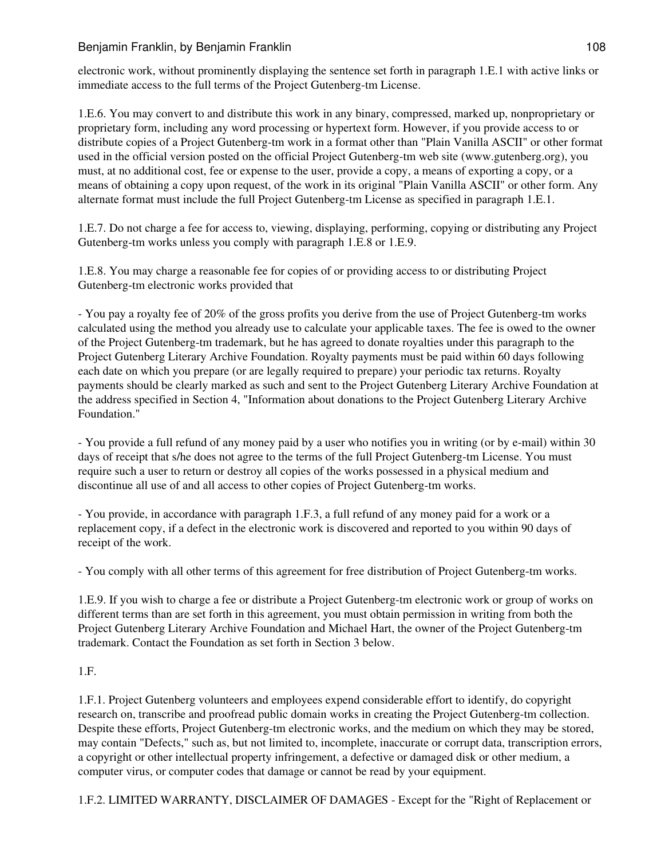electronic work, without prominently displaying the sentence set forth in paragraph 1.E.1 with active links or immediate access to the full terms of the Project Gutenberg-tm License.

1.E.6. You may convert to and distribute this work in any binary, compressed, marked up, nonproprietary or proprietary form, including any word processing or hypertext form. However, if you provide access to or distribute copies of a Project Gutenberg-tm work in a format other than "Plain Vanilla ASCII" or other format used in the official version posted on the official Project Gutenberg-tm web site (www.gutenberg.org), you must, at no additional cost, fee or expense to the user, provide a copy, a means of exporting a copy, or a means of obtaining a copy upon request, of the work in its original "Plain Vanilla ASCII" or other form. Any alternate format must include the full Project Gutenberg-tm License as specified in paragraph 1.E.1.

1.E.7. Do not charge a fee for access to, viewing, displaying, performing, copying or distributing any Project Gutenberg-tm works unless you comply with paragraph 1.E.8 or 1.E.9.

1.E.8. You may charge a reasonable fee for copies of or providing access to or distributing Project Gutenberg-tm electronic works provided that

- You pay a royalty fee of 20% of the gross profits you derive from the use of Project Gutenberg-tm works calculated using the method you already use to calculate your applicable taxes. The fee is owed to the owner of the Project Gutenberg-tm trademark, but he has agreed to donate royalties under this paragraph to the Project Gutenberg Literary Archive Foundation. Royalty payments must be paid within 60 days following each date on which you prepare (or are legally required to prepare) your periodic tax returns. Royalty payments should be clearly marked as such and sent to the Project Gutenberg Literary Archive Foundation at the address specified in Section 4, "Information about donations to the Project Gutenberg Literary Archive Foundation."

- You provide a full refund of any money paid by a user who notifies you in writing (or by e-mail) within 30 days of receipt that s/he does not agree to the terms of the full Project Gutenberg-tm License. You must require such a user to return or destroy all copies of the works possessed in a physical medium and discontinue all use of and all access to other copies of Project Gutenberg-tm works.

- You provide, in accordance with paragraph 1.F.3, a full refund of any money paid for a work or a replacement copy, if a defect in the electronic work is discovered and reported to you within 90 days of receipt of the work.

- You comply with all other terms of this agreement for free distribution of Project Gutenberg-tm works.

1.E.9. If you wish to charge a fee or distribute a Project Gutenberg-tm electronic work or group of works on different terms than are set forth in this agreement, you must obtain permission in writing from both the Project Gutenberg Literary Archive Foundation and Michael Hart, the owner of the Project Gutenberg-tm trademark. Contact the Foundation as set forth in Section 3 below.

# 1.F.

1.F.1. Project Gutenberg volunteers and employees expend considerable effort to identify, do copyright research on, transcribe and proofread public domain works in creating the Project Gutenberg-tm collection. Despite these efforts, Project Gutenberg-tm electronic works, and the medium on which they may be stored, may contain "Defects," such as, but not limited to, incomplete, inaccurate or corrupt data, transcription errors, a copyright or other intellectual property infringement, a defective or damaged disk or other medium, a computer virus, or computer codes that damage or cannot be read by your equipment.

1.F.2. LIMITED WARRANTY, DISCLAIMER OF DAMAGES - Except for the "Right of Replacement or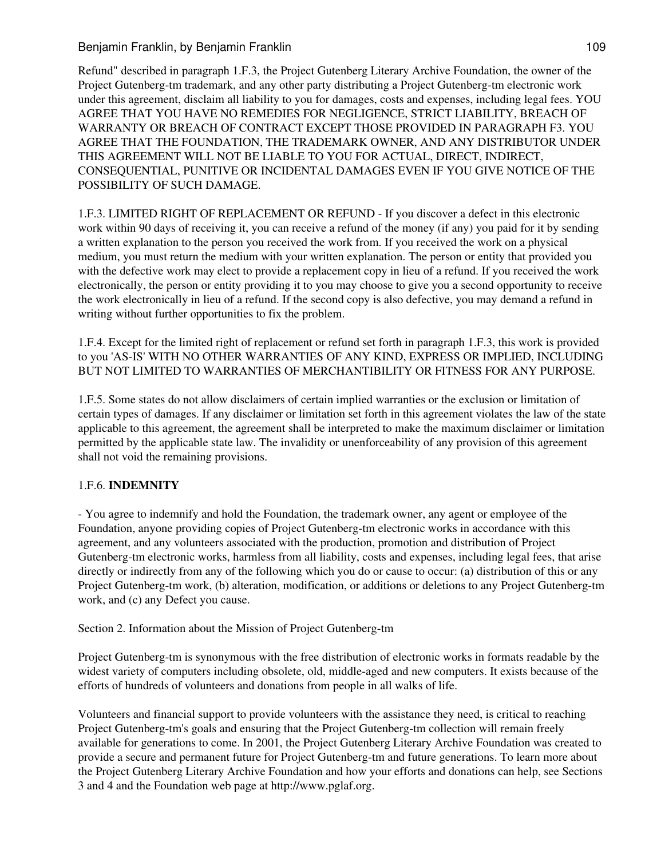## Benjamin Franklin, by Benjamin Franklin 109

Refund" described in paragraph 1.F.3, the Project Gutenberg Literary Archive Foundation, the owner of the Project Gutenberg-tm trademark, and any other party distributing a Project Gutenberg-tm electronic work under this agreement, disclaim all liability to you for damages, costs and expenses, including legal fees. YOU AGREE THAT YOU HAVE NO REMEDIES FOR NEGLIGENCE, STRICT LIABILITY, BREACH OF WARRANTY OR BREACH OF CONTRACT EXCEPT THOSE PROVIDED IN PARAGRAPH F3. YOU AGREE THAT THE FOUNDATION, THE TRADEMARK OWNER, AND ANY DISTRIBUTOR UNDER THIS AGREEMENT WILL NOT BE LIABLE TO YOU FOR ACTUAL, DIRECT, INDIRECT, CONSEQUENTIAL, PUNITIVE OR INCIDENTAL DAMAGES EVEN IF YOU GIVE NOTICE OF THE POSSIBILITY OF SUCH DAMAGE.

1.F.3. LIMITED RIGHT OF REPLACEMENT OR REFUND - If you discover a defect in this electronic work within 90 days of receiving it, you can receive a refund of the money (if any) you paid for it by sending a written explanation to the person you received the work from. If you received the work on a physical medium, you must return the medium with your written explanation. The person or entity that provided you with the defective work may elect to provide a replacement copy in lieu of a refund. If you received the work electronically, the person or entity providing it to you may choose to give you a second opportunity to receive the work electronically in lieu of a refund. If the second copy is also defective, you may demand a refund in writing without further opportunities to fix the problem.

1.F.4. Except for the limited right of replacement or refund set forth in paragraph 1.F.3, this work is provided to you 'AS-IS' WITH NO OTHER WARRANTIES OF ANY KIND, EXPRESS OR IMPLIED, INCLUDING BUT NOT LIMITED TO WARRANTIES OF MERCHANTIBILITY OR FITNESS FOR ANY PURPOSE.

1.F.5. Some states do not allow disclaimers of certain implied warranties or the exclusion or limitation of certain types of damages. If any disclaimer or limitation set forth in this agreement violates the law of the state applicable to this agreement, the agreement shall be interpreted to make the maximum disclaimer or limitation permitted by the applicable state law. The invalidity or unenforceability of any provision of this agreement shall not void the remaining provisions.

## 1.F.6. **INDEMNITY**

- You agree to indemnify and hold the Foundation, the trademark owner, any agent or employee of the Foundation, anyone providing copies of Project Gutenberg-tm electronic works in accordance with this agreement, and any volunteers associated with the production, promotion and distribution of Project Gutenberg-tm electronic works, harmless from all liability, costs and expenses, including legal fees, that arise directly or indirectly from any of the following which you do or cause to occur: (a) distribution of this or any Project Gutenberg-tm work, (b) alteration, modification, or additions or deletions to any Project Gutenberg-tm work, and (c) any Defect you cause.

Section 2. Information about the Mission of Project Gutenberg-tm

Project Gutenberg-tm is synonymous with the free distribution of electronic works in formats readable by the widest variety of computers including obsolete, old, middle-aged and new computers. It exists because of the efforts of hundreds of volunteers and donations from people in all walks of life.

Volunteers and financial support to provide volunteers with the assistance they need, is critical to reaching Project Gutenberg-tm's goals and ensuring that the Project Gutenberg-tm collection will remain freely available for generations to come. In 2001, the Project Gutenberg Literary Archive Foundation was created to provide a secure and permanent future for Project Gutenberg-tm and future generations. To learn more about the Project Gutenberg Literary Archive Foundation and how your efforts and donations can help, see Sections 3 and 4 and the Foundation web page at http://www.pglaf.org.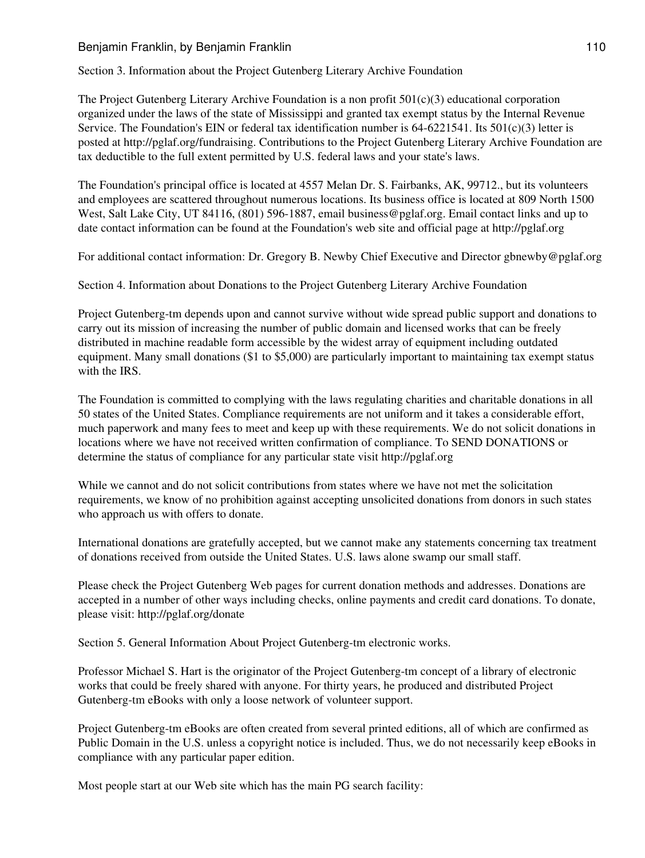## Benjamin Franklin, by Benjamin Franklin 110

Section 3. Information about the Project Gutenberg Literary Archive Foundation

The Project Gutenberg Literary Archive Foundation is a non profit  $501(c)(3)$  educational corporation organized under the laws of the state of Mississippi and granted tax exempt status by the Internal Revenue Service. The Foundation's EIN or federal tax identification number is  $64-6221541$ . Its  $501(c)(3)$  letter is posted at http://pglaf.org/fundraising. Contributions to the Project Gutenberg Literary Archive Foundation are tax deductible to the full extent permitted by U.S. federal laws and your state's laws.

The Foundation's principal office is located at 4557 Melan Dr. S. Fairbanks, AK, 99712., but its volunteers and employees are scattered throughout numerous locations. Its business office is located at 809 North 1500 West, Salt Lake City, UT 84116, (801) 596-1887, email business@pglaf.org. Email contact links and up to date contact information can be found at the Foundation's web site and official page at http://pglaf.org

For additional contact information: Dr. Gregory B. Newby Chief Executive and Director gbnewby@pglaf.org

Section 4. Information about Donations to the Project Gutenberg Literary Archive Foundation

Project Gutenberg-tm depends upon and cannot survive without wide spread public support and donations to carry out its mission of increasing the number of public domain and licensed works that can be freely distributed in machine readable form accessible by the widest array of equipment including outdated equipment. Many small donations (\$1 to \$5,000) are particularly important to maintaining tax exempt status with the IRS.

The Foundation is committed to complying with the laws regulating charities and charitable donations in all 50 states of the United States. Compliance requirements are not uniform and it takes a considerable effort, much paperwork and many fees to meet and keep up with these requirements. We do not solicit donations in locations where we have not received written confirmation of compliance. To SEND DONATIONS or determine the status of compliance for any particular state visit http://pglaf.org

While we cannot and do not solicit contributions from states where we have not met the solicitation requirements, we know of no prohibition against accepting unsolicited donations from donors in such states who approach us with offers to donate.

International donations are gratefully accepted, but we cannot make any statements concerning tax treatment of donations received from outside the United States. U.S. laws alone swamp our small staff.

Please check the Project Gutenberg Web pages for current donation methods and addresses. Donations are accepted in a number of other ways including checks, online payments and credit card donations. To donate, please visit: http://pglaf.org/donate

Section 5. General Information About Project Gutenberg-tm electronic works.

Professor Michael S. Hart is the originator of the Project Gutenberg-tm concept of a library of electronic works that could be freely shared with anyone. For thirty years, he produced and distributed Project Gutenberg-tm eBooks with only a loose network of volunteer support.

Project Gutenberg-tm eBooks are often created from several printed editions, all of which are confirmed as Public Domain in the U.S. unless a copyright notice is included. Thus, we do not necessarily keep eBooks in compliance with any particular paper edition.

Most people start at our Web site which has the main PG search facility: